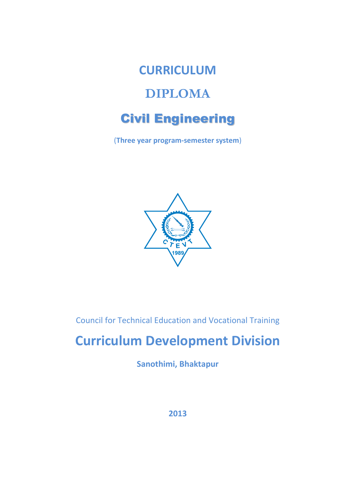

(**Three year program-semester system**)



Council for Technical Education and Vocational Training

# **Curriculum Development Division**

**Sanothimi, Bhaktapur**

**2013**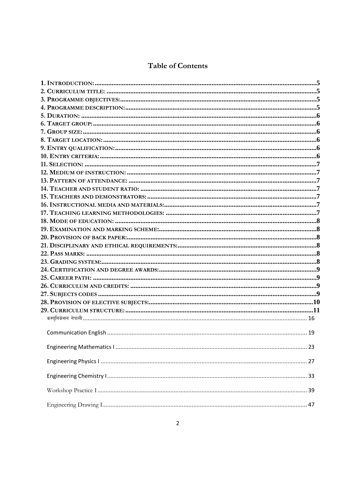# **Table of Contents**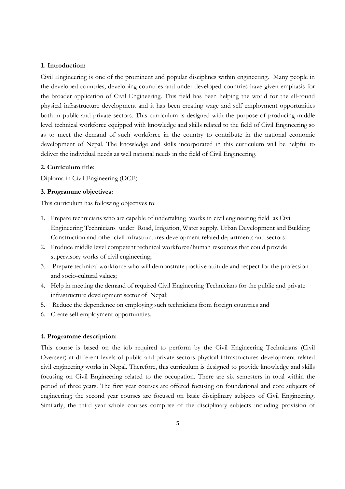#### **1. Introduction:**

Civil Engineering is one of the prominent and popular disciplines within engineering. Many people in the developed countries, developing countries and under developed countries have given emphasis for the broader application of Civil Engineering. This field has been helping the world for the all-round physical infrastructure development and it has been creating wage and self employment opportunities both in public and private sectors. This curriculum is designed with the purpose of producing middle level technical workforce equipped with knowledge and skills related to the field of Civil Engineering so as to meet the demand of such workforce in the country to contribute in the national economic development of Nepal. The knowledge and skills incorporated in this curriculum will be helpful to deliver the individual needs as well national needs in the field of Civil Engineering.

#### **2. Curriculum title:**

Diploma in Civil Engineering (DCE)

#### **3. Programme objectives:**

This curriculum has following objectives to:

- 1. Prepare technicians who are capable of undertaking works in civil engineering field as Civil Engineering Technicians under Road, Irrigation, Water supply, Urban Development and Building Construction and other civil infrastructures development related departments and sectors;
- 2. Produce middle level competent technical workforce/human resources that could provide supervisory works of civil engineering;
- 3. Prepare technical workforce who will demonstrate positive attitude and respect for the profession and socio-cultural values;
- 4. Help in meeting the demand of required Civil Engineering Technicians for the public and private infrastructure development sector of Nepal;
- 5. Reduce the dependence on employing such technicians from foreign countries and
- 6. Create self employment opportunities.

#### **4. Programme description:**

This course is based on the job required to perform by the Civil Engineering Technicians (Civil Overseer) at different levels of public and private sectors physical infrastructures development related civil engineering works in Nepal. Therefore, this curriculum is designed to provide knowledge and skills focusing on Civil Engineering related to the occupation. There are six semesters in total within the period of three years. The first year courses are offered focusing on foundational and core subjects of engineering; the second year courses are focused on basic disciplinary subjects of Civil Engineering. Similarly, the third year whole courses comprise of the disciplinary subjects including provision of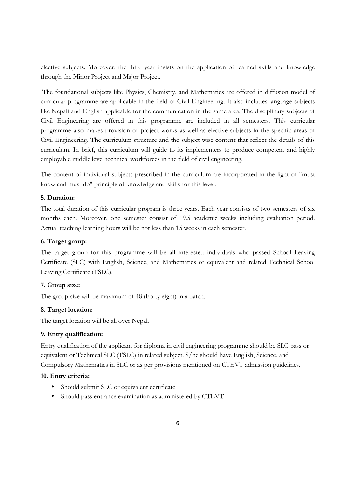elective subjects. Moreover, the third year insists on the application of learned skills and knowledge through the Minor Project and Major Project.

 The foundational subjects like Physics, Chemistry, and Mathematics are offered in diffusion model of curricular programme are applicable in the field of Civil Engineering. It also includes language subjects like Nepali and English applicable for the communication in the same area. The disciplinary subjects of Civil Engineering are offered in this programme are included in all semesters. This curricular programme also makes provision of project works as well as elective subjects in the specific areas of Civil Engineering. The curriculum structure and the subject wise content that reflect the details of this curriculum. In brief, this curriculum will guide to its implementers to produce competent and highly employable middle level technical workforces in the field of civil engineering.

The content of individual subjects prescribed in the curriculum are incorporated in the light of "must know and must do" principle of knowledge and skills for this level.

#### **5. Duration:**

The total duration of this curricular program is three years. Each year consists of two semesters of six months each. Moreover, one semester consist of 19.5 academic weeks including evaluation period. Actual teaching learning hours will be not less than 15 weeks in each semester.

#### **6. Target group:**

The target group for this programme will be all interested individuals who passed School Leaving Certificate (SLC) with English, Science, and Mathematics or equivalent and related Technical School Leaving Certificate (TSLC).

#### **7. Group size:**

The group size will be maximum of 48 (Forty eight) in a batch.

#### **8. Target location:**

The target location will be all over Nepal.

#### **9. Entry qualification:**

Entry qualification of the applicant for diploma in civil engineering programme should be SLC pass or equivalent or Technical SLC (TSLC) in related subject. S/he should have English, Science, and Compulsory Mathematics in SLC or as per provisions mentioned on CTEVT admission guidelines.

#### **10. Entry criteria:**

- Should submit SLC or equivalent certificate
- Should pass entrance examination as administered by CTEVT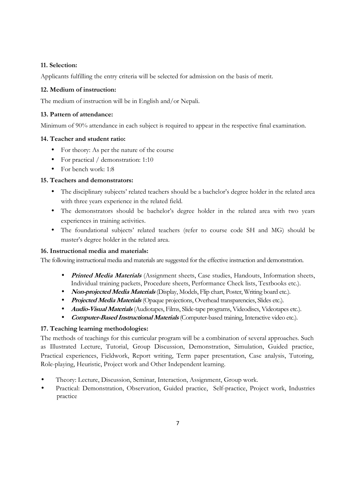#### **11. Selection:**

Applicants fulfilling the entry criteria will be selected for admission on the basis of merit.

#### **12. Medium of instruction:**

The medium of instruction will be in English and/or Nepali.

#### **13. Pattern of attendance:**

Minimum of 90% attendance in each subject is required to appear in the respective final examination.

#### **14. Teacher and student ratio:**

- For theory: As per the nature of the course
- For practical / demonstration: 1:10
- For bench work: 1:8

#### **15. Teachers and demonstrators:**

- The disciplinary subjects' related teachers should be a bachelor's degree holder in the related area with three years experience in the related field.
- The demonstrators should be bachelor's degree holder in the related area with two years experiences in training activities.
- The foundational subjects' related teachers (refer to course code SH and MG) should be master's degree holder in the related area.

#### **16. Instructional media and materials:**

The following instructional media and materials are suggested for the effective instruction and demonstration.

- **Printed Media Materials** (Assignment sheets, Case studies, Handouts, Information sheets, Individual training packets, Procedure sheets, Performance Check lists, Textbooks etc.).
- **Non-projected Media Materials** (Display, Models, Flip chart, Poster, Writing board etc.).
- **Projected Media Materials** (Opaque projections, Overhead transparencies, Slides etc.).
- **Audio-Visual Materials** (Audiotapes, Films, Slide-tape programs, Videodiscs, Videotapes etc.).
- **Computer-Based Instructional Materials** (Computer-based training, Interactive video etc.).

#### **17. Teaching learning methodologies:**

The methods of teachings for this curricular program will be a combination of several approaches. Such as Illustrated Lecture, Tutorial, Group Discussion, Demonstration, Simulation, Guided practice, Practical experiences, Fieldwork, Report writing, Term paper presentation, Case analysis, Tutoring, Role-playing, Heuristic, Project work and Other Independent learning.

- Theory: Lecture, Discussion, Seminar, Interaction, Assignment, Group work.
- Practical: Demonstration, Observation, Guided practice, Self-practice, Project work, Industries practice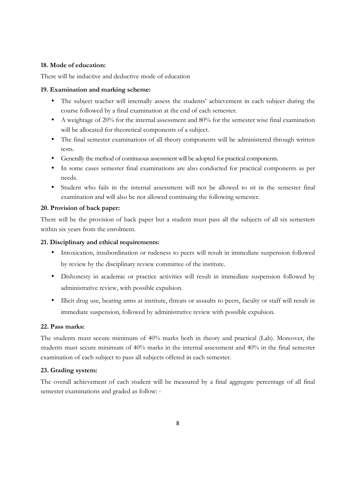#### **18. Mode of education:**

There will be inductive and deductive mode of education

#### **19. Examination and marking scheme:**

- The subject teacher will internally assess the students' achievement in each subject during the course followed by a final examination at the end of each semester.
- A weightage of 20% for the internal assessment and 80% for the semester wise final examination will be allocated for theoretical components of a subject.
- The final semester examinations of all theory components will be administered through written tests.
- Generally the method of continuous assessment will be adopted for practical components.
- In some cases semester final examinations are also conducted for practical components as per needs.
- Student who fails in the internal assessment will not be allowed to sit in the semester final examination and will also be not allowed continuing the following semester.

#### **20. Provision of back paper:**

There will be the provision of back paper but a student must pass all the subjects of all six semesters within six years from the enrolment.

#### **21. Disciplinary and ethical requirements:**

- Intoxication, insubordination or rudeness to peers will result in immediate suspension followed by review by the disciplinary review committee of the institute.
- Dishonesty in academic or practice activities will result in immediate suspension followed by administrative review, with possible expulsion.
- Illicit drug use, bearing arms at institute, threats or assaults to peers, faculty or staff will result in immediate suspension, followed by administrative review with possible expulsion.

#### **22. Pass marks:**

The students must secure minimum of 40% marks both in theory and practical (Lab). Moreover, the students must secure minimum of 40% marks in the internal assessment and 40% in the final semester examination of each subject to pass all subjects offered in each semester.

#### **23. Grading system:**

The overall achievement of each student will be measured by a final aggregate percentage of all final semester examinations and graded as follow: -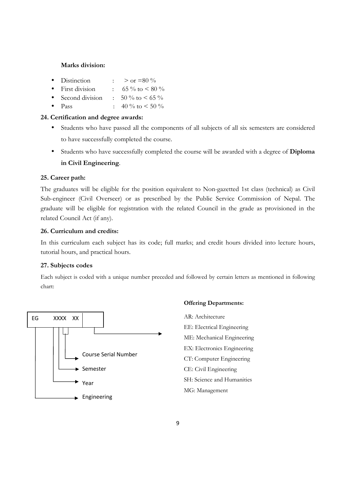#### **Marks division:**

- Distinction :  $>$  or  $=80\%$
- First division :  $65\%$  to  $\lt 80\%$
- Second division :  $50\%$  to  $\lt 65\%$
- Pass :  $40\%$  to  $\leq 50\%$

#### **24. Certification and degree awards:**

- Students who have passed all the components of all subjects of all six semesters are considered to have successfully completed the course.
- Students who have successfully completed the course will be awarded with a degree of **Diploma in Civil Engineering**.

#### **25. Career path:**

The graduates will be eligible for the position equivalent to Non-gazetted 1st class (technical) as Civil Sub-engineer (Civil Overseer) or as prescribed by the Public Service Commission of Nepal. The graduate will be eligible for registration with the related Council in the grade as provisioned in the related Council Act (if any).

#### **26. Curriculum and credits:**

In this curriculum each subject has its code; full marks; and credit hours divided into lecture hours, tutorial hours, and practical hours.

#### **27. Subjects codes**

Each subject is coded with a unique number preceded and followed by certain letters as mentioned in following chart:



#### **Offering Departments:**

AR: Architecture EE: Electrical Engineering ME: Mechanical Engineering EX: Electronics Engineering CT: Computer Engineering CE: Civil Engineering SH: Science and Humanities MG: Management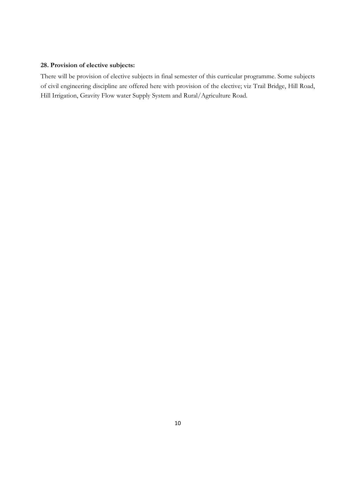#### **28. Provision of elective subjects:**

There will be provision of elective subjects in final semester of this curricular programme. Some subjects of civil engineering discipline are offered here with provision of the elective; viz Trail Bridge, Hill Road, Hill Irrigation, Gravity Flow water Supply System and Rural/Agriculture Road.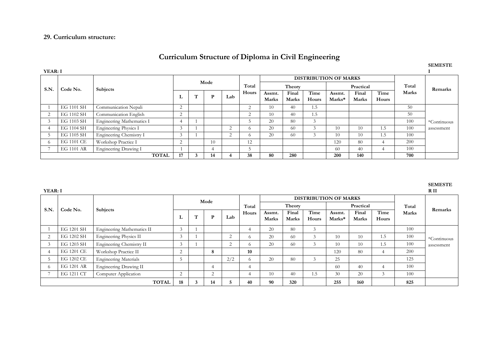#### **29. Curriculum structure:**

### **Curriculum Structure of Diploma in Civil Engineering**

| YEAR: I       |            |                           |                     |           |    |     |            |                        |                |               |                              |                |               |       |             |
|---------------|------------|---------------------------|---------------------|-----------|----|-----|------------|------------------------|----------------|---------------|------------------------------|----------------|---------------|-------|-------------|
|               |            | Subjects                  |                     |           |    |     |            |                        |                |               | <b>DISTRIBUTION OF MARKS</b> |                |               |       |             |
| S.N.          | Code No.   |                           | Mode                |           |    |     | Total      |                        | Theory         |               | Practical                    |                |               | Total | Remarks     |
|               |            |                           | L.                  | <b>TT</b> | D  | Lab | Hours      | Assmt.<br><b>Marks</b> | Final<br>Marks | Time<br>Hours | Assmt.<br>Marks*             | Final<br>Marks | Time<br>Hours | Marks |             |
|               | EG 1101 SH | Communication Nepali      | $\overline{ }$<br>∠ |           |    |     | $\sim$     | 10                     | 40             | 1.5           |                              |                |               | 50    |             |
|               | EG 1102 SH | Communication English     | $\sim$<br>∠         |           |    |     | $\sim$     | 10                     | 40             | 1.5           |                              |                |               | 50    |             |
| 3             | EG 1103 SH | Engineering Mathematics I | 4                   |           |    |     |            | 20                     | 80             | 3             |                              |                |               | 100   | *Continuous |
| 4             | EG 1104 SH | Engineering Physics I     | $\sim$              |           |    | 2   | $^{\circ}$ | 20                     | 60             |               | 10                           | 10             | 1.5           | 100   | assessment  |
| $\mathcal{D}$ | EG 1105 SH | Engineering Chemistry I   |                     |           |    | 2   | $^{\circ}$ | 20                     | 60             |               | 10                           | 10             | 1.5           | 100   |             |
| -6            | EG 1101 CE | Workshop Practice I       |                     |           | 10 |     | 12         |                        |                |               | 120                          | 80             |               | 200   |             |
|               | EG 1101 AR | Engineering Drawing I     |                     |           |    | h   |            |                        |                | 60            | 40                           |                | 100           |       |             |
|               |            | <b>TOTAL</b>              | 17                  |           | 14 |     | 38         | 80                     | 280            |               | 200                          | 140            |               | 700   |             |

**YEAR: I** 

| .    |            |                               |    |              |        |             |          |              |              |       |                              |              |        |       | .           |
|------|------------|-------------------------------|----|--------------|--------|-------------|----------|--------------|--------------|-------|------------------------------|--------------|--------|-------|-------------|
|      |            |                               |    |              | Mode   |             |          |              |              |       | <b>DISTRIBUTION OF MARKS</b> |              |        |       |             |
|      |            |                               |    |              |        |             | Total    |              | Theory       |       | Practical                    |              |        | Total |             |
| S.N. | Code No.   | <b>Subjects</b>               |    | $\mathbf{H}$ |        |             | Hours    | Assmt.       | Final        | Time  | Assmt.                       | Final        | Time   | Marks | Remarks     |
|      |            |                               | ┻  |              | P      | Lab         |          | <b>Marks</b> | <b>Marks</b> | Hours | Marks*                       | <b>Marks</b> | Hours  |       |             |
|      | EG 1201 SH | Engineering Mathematics II    | 3  |              |        |             |          | 20           | 80           | 3     |                              |              |        | 100   |             |
|      | EG 1202 SH | <b>Engineering Physics II</b> |    |              |        | $\sim$<br>∠ | $\Omega$ | 20           | 60           |       | 10                           | 10           | 1.5    | 100   | *Continuous |
|      | EG 1203 SH | Engineering Chemistry II      | 3  |              |        | $\sim$<br>∠ | $\Omega$ | 20           | 60           | 3     | 10                           | 10           | 1.5    | 100   | assessment  |
|      | EG 1201 CE | Workshop Practice II          | 2  |              | 8      |             | 10       |              |              |       | 120                          | -80          | 4      | 200   |             |
|      | EG 1202 CE | <b>Engineering Materials</b>  |    |              |        | 2/2         | $\Omega$ | 20           | 80           | 3     | 25                           |              |        | 125   |             |
|      | EG 1201 AR | Engineering Drawing II        |    |              |        |             | 4        |              |              |       | 60                           | 40           | 4      | 100   |             |
|      | EG 1211 CT | Computer Application          |    |              | $\sim$ |             | 4        | 10           | 40           | 1.5   | 30                           | 20           | $\sim$ | 100   |             |
|      |            | <b>TOTAL</b>                  | 18 |              | 14     |             | 40       | 90           | 320          |       | 255                          | 160          |        | 825   |             |

**SEMESTE** 

# **SEMESTE R II**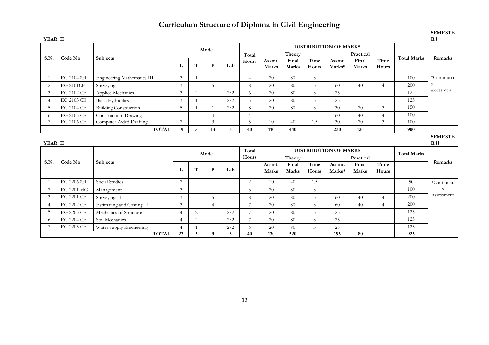# **Curriculum Structure of Diploma in Civil Engineering**

| YEAR: II       |                  |                                          |                      |   |                |     |                |           |                 |                |                              |           |                |                    | R I             |
|----------------|------------------|------------------------------------------|----------------------|---|----------------|-----|----------------|-----------|-----------------|----------------|------------------------------|-----------|----------------|--------------------|-----------------|
|                |                  |                                          |                      |   | Mode           |     |                |           |                 |                | <b>DISTRIBUTION OF MARKS</b> |           |                |                    |                 |
|                |                  | Subjects                                 |                      |   |                |     | Total          |           | Theory          |                |                              | Practical |                |                    |                 |
| S.N.           | Code No.         |                                          |                      |   | P              |     | Hours          | Assmt.    | Final           | Time           | Assmt.                       | Final     | Time           | <b>Total Marks</b> | Remarks         |
|                |                  |                                          | L                    | T |                | Lab |                | Marks     | Marks           | Hours          | Marks*                       | Marks     | Hours          |                    |                 |
|                | EG 2104 SH       | <b>Engineering Mathematics III</b>       | 3                    |   |                |     | $\overline{4}$ | 20        | 80              | $\mathfrak{Z}$ |                              |           |                | 100                | *Continuou      |
| $\overline{2}$ | <b>EG 2101CE</b> | Surveying I                              | 3                    |   | 5              |     | 8              | 20        | 80              | $\overline{3}$ | 60                           | 40        | $\overline{4}$ | 200                | S               |
| 3              | EG 2102 CE       | Applied Mechanics                        | 3                    | 2 |                | 2/2 | 6              | 20        | 80              | 3              | 25                           |           |                | 125                | assessment      |
|                | EG 2103 CE       | <b>Basic Hydraulics</b>                  | 3                    |   |                | 2/2 | 5              | 20        | 80              | 3              | 25                           |           |                | 125                |                 |
| -5             | EG 2104 CE       | <b>Building Construction</b>             | 5                    |   |                | 2/2 | 8              | 20        | 80              | 3              | 30                           | 20        | 3              | 150                |                 |
| -6             | EG 2105 CE       | Construction Drawing                     |                      |   | $\overline{4}$ |     | $\overline{4}$ |           |                 |                | 60                           | 40        | $\overline{4}$ | 100                |                 |
|                | EG 2106 CE       | Computer Aided Drafting                  | 2                    |   | $\mathfrak{Z}$ |     | 5              | 10        | 40 <sup>°</sup> | 1.5            | 30                           | 20        | 3              | 100                |                 |
|                |                  | <b>TOTAL</b>                             | 19                   | 5 | 13             | 3   | 40             | 110       | 440             |                |                              | 900       |                |                    |                 |
|                |                  |                                          |                      |   |                |     |                |           |                 | <b>SEMESTE</b> |                              |           |                |                    |                 |
|                |                  |                                          |                      |   |                |     |                |           |                 |                |                              |           |                |                    |                 |
| YEAR: II       |                  |                                          |                      |   |                |     |                |           |                 |                |                              |           |                |                    | R <sub>II</sub> |
|                |                  |                                          |                      |   |                |     | Total          |           |                 |                | <b>DISTRIBUTION OF MARKS</b> |           |                |                    |                 |
|                |                  |                                          |                      |   | Mode           |     | Hours          |           | Theory          |                |                              | Practical |                | <b>Total Marks</b> |                 |
| S.N.           | Code No.         | Subjects                                 |                      |   |                |     |                | Assmt.    | Final           | Time           | Assmt.                       | Final     | Time           |                    | Remarks         |
|                |                  |                                          | L                    | T | P              | Lab |                | Marks     | Marks           | Hours          | Marks*                       | Marks     | Hours          |                    |                 |
|                | EG 2206 SH       | Social Studies                           | 2                    |   |                |     | 2              | 10        | 40 <sup>°</sup> | 1.5            |                              |           |                | 50                 | *Continuou      |
| 2              | EG 2201 MG       | Management                               | 3                    |   |                |     | 3              | 20        | 80              | 3              |                              |           |                | 100                | S               |
| 3              | EG 2201 CE       | Surveying II                             | 3                    |   | 5              |     | 8              | 20        | 80              | 3              | 60                           | 40        | $\overline{4}$ | 200                | assessment      |
| $\overline{A}$ | EG 2202 CE       | Estimating and Costing I                 | 3                    |   | $\overline{4}$ |     | $\overline{7}$ | 20        | 80              | 3              | 60                           | 40        | $\overline{4}$ | 200                |                 |
| -5             | EG 2203 CE       | Mechanics of Structure                   | $\overline{4}$       | 2 |                | 2/2 | $\overline{7}$ | 20        | 80              | 3              | 25                           |           |                | 125                |                 |
| -6             | EG 2204 CE       | Soil Mechanics                           | $\overline{4}$       | 2 |                | 2/2 | $\overline{7}$ | 20        | 80              | 3              | 25                           |           |                | 125                |                 |
|                | EG 2205 CE       | Water Supply Engineering<br><b>TOTAL</b> | $\overline{4}$<br>23 |   |                | 2/2 | 6              | 20<br>130 | 80<br>520       | 3              | 25<br>195                    | 80        |                | 125<br>925         |                 |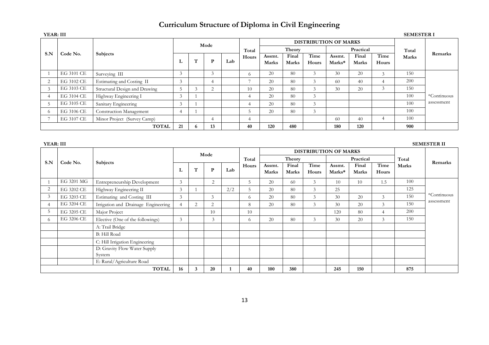# **Curriculum Structure of Diploma in Civil Engineering**

|            |            | <b>Subjects</b>                |               |              | Mode |     |            |                 |                       |               | <b>DISTRIBUTION OF MARKS</b> |                       |               |       |             |
|------------|------------|--------------------------------|---------------|--------------|------|-----|------------|-----------------|-----------------------|---------------|------------------------------|-----------------------|---------------|-------|-------------|
|            |            |                                |               |              |      |     | Total      |                 | <b>Theory</b>         |               | Practical                    |                       |               | Total |             |
| S.N        | Code No.   |                                | л.            | $\mathbf{H}$ | D    | Lab | Hours      | Assmt.<br>Marks | Final<br><b>Marks</b> | Time<br>Hours | Assmt.<br>Marks*             | Final<br><b>Marks</b> | Time<br>Hours | Marks | Remarks     |
|            |            |                                |               |              |      |     |            |                 |                       |               |                              |                       |               |       |             |
|            | EG 3101 CE | Surveying III                  | 3             |              |      |     | $^{\circ}$ | 20              | 80                    | 3             | 30                           | 20                    | 3             | 150   |             |
| ∠          | EG 3102 CE | Estimating and Costing II      | 3             |              |      |     |            | 20              | 80                    | 3             | 60                           | 40                    |               | 200   |             |
|            | EG 3103 CE | Structural Design and Drawing  | $\mathcal{D}$ |              |      |     | 10         | 20              | -80                   | $\sim$        | 30                           | 20                    | 3             | 150   |             |
|            | EG 3104 CE | Highway Engineering I          | 3             |              |      |     |            | 20              | 80                    | $\sim$        |                              |                       |               | 100   | *Continuous |
|            | EG 3105 CE | Sanitary Engineering           | 3             |              |      |     |            | 20              | 80                    | $\sim$        |                              |                       |               | 100   | assessment  |
| $^{\circ}$ | EG 3106 CE | <b>Construction Management</b> |               |              |      |     |            | 20              | 80                    | $\sim$        |                              |                       |               | 100   |             |
|            | EG 3107 CE | Minor Project (Survey Camp)    |               |              |      |     | 4          |                 |                       |               | 60                           | 40                    |               | 100   |             |
|            |            | <b>TOTAL</b>                   | 21            | 6            | 13   |     | 40         | 120             | 480                   |               | 180                          | 120                   |               | 900   |             |

**YEAR: III SEMESTER II** 

|                |            |                                     |    |   | Mode           |     |       | <b>DISTRIBUTION OF MARKS</b> |                |               |                  |                       |                |       |             |
|----------------|------------|-------------------------------------|----|---|----------------|-----|-------|------------------------------|----------------|---------------|------------------|-----------------------|----------------|-------|-------------|
| S.N            | Code No.   | <b>Subjects</b>                     |    |   |                |     | Total |                              | Theory         |               |                  | Practical             |                | Total | Remarks     |
|                |            |                                     | L  | T | $\mathbf{P}$   | Lab | Hours | Assmt.<br>Marks              | Final<br>Marks | Time<br>Hours | Assmt.<br>Marks* | Final<br><b>Marks</b> | Time<br>Hours  | Marks |             |
|                | EG 3201 MG | Entrepreneurship Development        | 3  |   | $\overline{2}$ |     | 5     | 20                           | 60             | 3             | 10               | 10                    | 1.5            | 100   |             |
| $\overline{2}$ | EG 3202 CE | Highway Engineering II              | 3  |   |                | 2/2 | 5     | 20                           | 80             | 3             | 25               |                       |                | 125   |             |
| 3              | EG 3203 CE | Estimating and Costing III          | 3  |   | $\mathfrak{Z}$ |     | 6     | 20                           | 80             | 3             | 30               | 20                    | 3              | 150   | *Continuous |
| $\overline{4}$ | EG 3204 CE | Irrigation and Drainage Engineering |    | 2 | 2              |     | 8     | 20                           | 80             | 3             | 30               | 20                    | 3              | 150   | assessment  |
| 5              | EG 3205 CE | Major Project                       |    |   | 10             |     | 10    |                              |                |               | 120              | 80                    | $\overline{4}$ | 200   |             |
| -6             | EG 3206 CE | Elective (One of the followings)    | 3  |   | 3              |     | 6     | 20                           | 80             | 3             | 30               | 20                    | 3              | 150   |             |
|                |            | A: Trail Bridge                     |    |   |                |     |       |                              |                |               |                  |                       |                |       |             |
|                |            | <b>B:</b> Hill Road                 |    |   |                |     |       |                              |                |               |                  |                       |                |       |             |
|                |            | C: Hill Irrigation Engineering      |    |   |                |     |       |                              |                |               |                  |                       |                |       |             |
|                |            | D: Gravity Flow Water Supply        |    |   |                |     |       |                              |                |               |                  |                       |                |       |             |
|                |            | System                              |    |   |                |     |       |                              |                |               |                  |                       |                |       |             |
|                |            | E: Rural/Agriculture Road           |    |   |                |     |       |                              |                |               |                  |                       |                |       |             |
|                |            | <b>TOTAL</b>                        | 16 | 3 | 20             |     | 40    | 100                          | 380            |               | 245              | 150                   |                | 875   |             |

#### **YEAR: III SEMESTER I**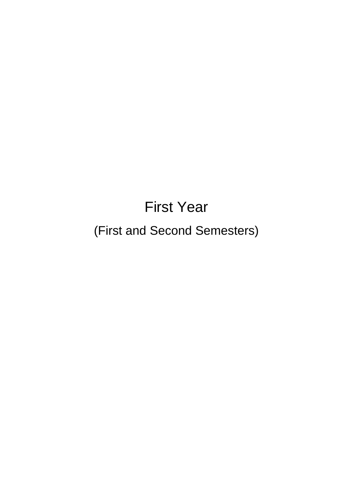# First Year

# (First and Second Semesters)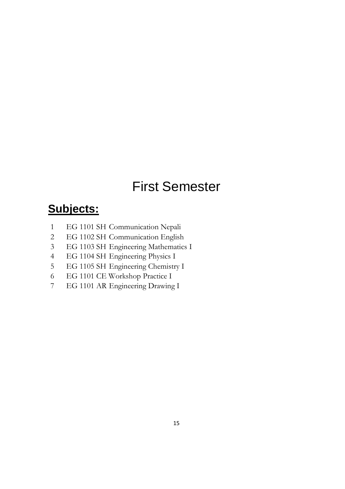# First Semester

# **Subjects:**

- 1 EG 1101 SH Communication Nepali
- 2 EG 1102 SH Communication English
- 3 EG 1103 SH Engineering Mathematics I
- 4 EG 1104 SH Engineering Physics I
- 5 EG 1105 SH Engineering Chemistry I
- 6 EG 1101 CE Workshop Practice I
- 7 EG 1101 AR Engineering Drawing I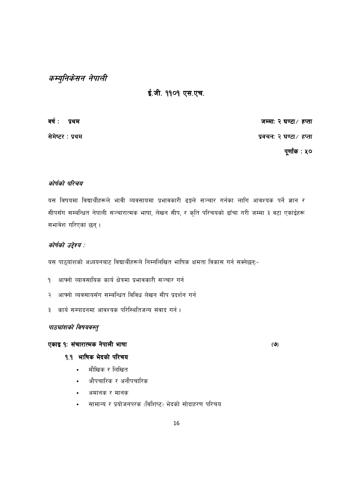# कम्युनिकेसन नेपाली

## ई.जी. ११०१ एस.एच.

वर्ष: प्रथम

सेमेष्टर: प्रथम

जम्मा: २ घण्टा/ हप्ता प्रवचन: २ घण्टा/ हप्ता

पूर्णांक : ५०

#### कोर्षको परिचय

यस विषयमा विद्यार्थीहरूले भावी व्यवसायमा प्रभावकारी ढङ्गले सञ्चार गर्नका लागि आवश्यक पर्ने ज्ञान र सीपसँग सम्बन्धित नेपाली सञ्चारात्मक भाषा, लेखन सीप, र कृति परिचयको ढाँचा गरी जम्मा ३ वटा एकाईहरू सभावेश गरिएका छन्।

#### कोर्षको उद्देश्य :

यस पाठ्यांशको अध्ययनबाट विद्यार्थीहरूले निम्नलिखित भाषिक क्षमता विकास गर्न सक्नेछन्:-

- आफ्नो व्यावसायिक कार्य क्षेत्रमा प्रभावकारी सञ्चार गर्न  $\mathsf{P}$
- आफ्नो व्यवसायसँग सम्बन्धित विविध लेखन सीप प्रदर्शन गर्न २
- कार्य सम्पादनमा आवश्यक परिस्थितिजन्य संवाद गर्न ।  $\overline{\mathbf{3}}$

#### पाठचांशको विषयवस्तु

#### एकाइ १: संचारात्मक नेपाली भाषा

#### १.१ भाषिक भेदको परिचय

- मौखिक र लिखित
- औपचारिक र अनौपचारिक
- अमानक र मानक
- सामान्य र प्रयोजनपरक (विशिष्ट) भेदको सोदाहरण परिचय

 $(9)$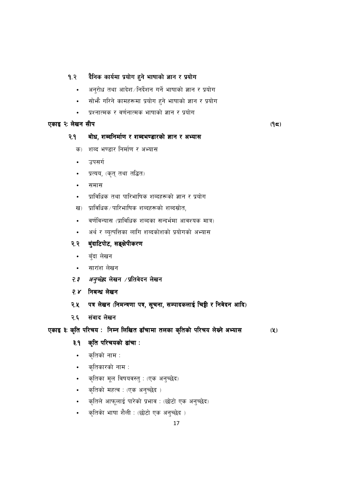#### दैनिक कार्यमा प्रयोग हुने भाषाको ज्ञान र प्रयोग  $9.8$

- अनुरोध तथा आदेश /निर्देशन गर्ने भाषाको ज्ञान र प्रयोग  $\bullet$
- सोभै गरिने कामहरूमा प्रयोग हुने भाषाको ज्ञान र प्रयोग  $\bullet$
- प्रश्नात्मक र वर्णनात्मक भाषाको ज्ञान र प्रयोग

#### एकाइ २: लेखन सीप

## $(95)$

#### बोध, शब्दनिर्माण र शब्दभण्डारको ज्ञान र अभ्यास २.१

- शब्द भण्डार निर्माण र अभ्यास क)
- उपसर्ग
- प्रत्यय, (कृत् तथा तद्धित)
- समास
- प्राविधिक तथा पारिभाषिक शब्दहरूको ज्ञान र प्रयोग
- प्राविधिक⁄पारिभाषिक शब्दहरूको शब्दस्रोत, ख)
- वर्णविन्यास (प्राविधिक शब्दका सन्दर्भमा आवश्यक मात्र)
- अर्थ र व्युत्पत्तिका लागि शब्दकोशको प्रयोगको अभ्यास
- बुंदाटिपोट, सङ्क्षेपीकरण २.२
	- बुँदा लेखन  $\bullet$
	- सारांश लेखन
- *अनुच्छे*द लेखन ∕प्रतिवेदन लेखन  $7.7$
- निबन्ध लेखन  $7x$
- पत्र लेखन (निमन्त्रणा पत्र, सूचना, सम्पादकलाई चिट्ठी र निवेदन आदि) २.५
- संवाद लेखन २.६

### एकाइ ३: कृति परिचय : निम्न लिखित ढाँचामा तलका कृतिको परिचय लेख्ने अभ्यास

 $(2)$ 

- कृति परिचयको ढांचा : ३.१
- कृतिको नाम :  $\bullet$
- कृतिकारको नाम :
- कृतिका मूल विषयवस्तु : (एक अनुच्छेद)
- कृतिको महत्व : (एक अनुच्छेद)
- कृतिले आफूलाई पारेको प्रभाव : (छोटो एक अनुच्छेद)
- कृतिको भाषा शैली : (छोटो एक अनुच्छेद)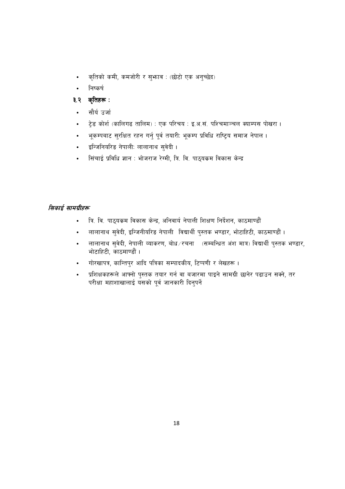- कृतिको कमी, कमजोरी र सुभ्राव : (छोटो एक अनुच्छेद)  $\bullet$
- निष्कर्ष

#### ३.२ कृतिहरू :

- सौर्य उर्जा
- टेड कोर्श (कालिगढ़ तालिम) : एक परिचय : इ.अ.सं. पश्चिमाञ्चल क्याम्पस पोखरा ।
- भूकम्पबाट सुरक्षित रहन गर्नु पूर्व तयारी: भूकम्प प्रविधि राष्ट्रिय समाज नेपाल ।
- इन्जिनियरिड नेपाली: लालानाथ सुवेदी।
- सिंचाई प्रविधि ज्ञान : भोजराज रेग्मी, त्रि. वि. पाठयकम विकास केन्द्र

#### सिकाई सामग्रीहरू

- त्रि. वि. पाठुयक्रम विकास केन्द्र, अनिवार्य नेपाली शिक्षण निर्देशन, काठमाण्डौं
- लालानाथ सुवेदी, इन्जिनीयरिड नेपाली विद्यार्थी पुस्तक भण्डार, भोटाहिटी, काठमाण्डौं ।
- लालानाथ सुवेदी, नेपाली व्याकरण, बोध⁄रचना (सम्बन्धित अंश मात्र) विद्यार्थी पुस्तक भण्डार, भोटाहिटी. काठमाण्डौं ।
- गोरखापत्र, कान्तिपुर आदि पत्रिका सम्पादकीय, टिप्पणी र लेखहरू।
- प्रशिक्षकहरूले आफ्नो पुस्तक तयार गर्न वा बजारमा पाइने सामग्री छानेर पढाउन सक्ने, तर परीक्षा महाशाखालाई यसको पूर्व जानकारी दिनुपर्ने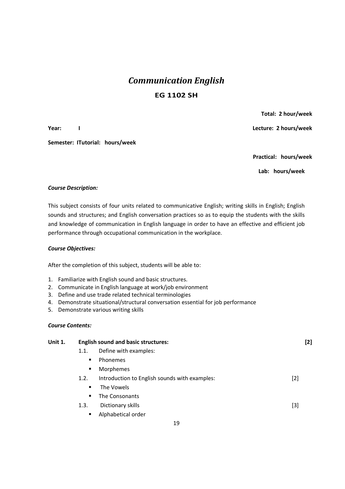# *Communication English*  **EG 1102 SH**

Semester: ITutorial: hours/week

 **Total: 2 hour/week** 

**Year:** I **I Lecture: 2 hours/week** *Network Network Lecture: 2 hours/week <b>Propose* 

 **Practical: hours/week** 

**Lab: hours/week** 

#### *Course Description:*

This subject consists of four units related to communicative English; writing skills in English; English sounds and structures; and English conversation practices so as to equip the students with the skills and knowledge of communication in English language in order to have an effective and efficient job performance through occupational communication in the workplace.

#### *Course Objectives:*

After the completion of this subject, students will be able to:

- 1. Familiarize with English sound and basic structures.
- 2. Communicate in English language at work/job environment
- 3. Define and use trade related technical terminologies
- 4. Demonstrate situational/structural conversation essential for job performance
- 5. Demonstrate various writing skills

#### *Course Contents:*

| Unit 1. | <b>English sound and basic structures:</b> |                                               |       |  |  |  |  |  |  |  |
|---------|--------------------------------------------|-----------------------------------------------|-------|--|--|--|--|--|--|--|
|         | 1.1.                                       | Define with examples:                         |       |  |  |  |  |  |  |  |
|         | $\blacksquare$                             | Phonemes                                      |       |  |  |  |  |  |  |  |
|         | $\blacksquare$                             | Morphemes                                     |       |  |  |  |  |  |  |  |
|         | 1.2.                                       | Introduction to English sounds with examples: | $[2]$ |  |  |  |  |  |  |  |
|         | ٠                                          | The Vowels                                    |       |  |  |  |  |  |  |  |
|         |                                            | The Consonants                                |       |  |  |  |  |  |  |  |
|         | 1.3.                                       | Dictionary skills                             | [3]   |  |  |  |  |  |  |  |
|         | ٠                                          | Alphabetical order                            |       |  |  |  |  |  |  |  |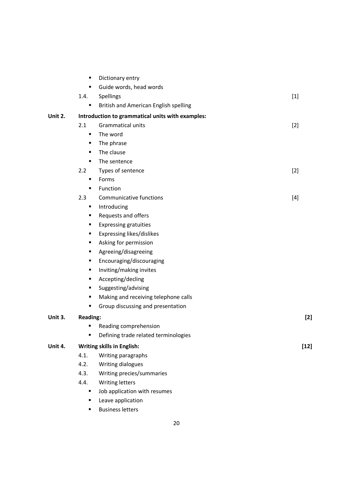|         | ٠               | Dictionary entry                                 |        |
|---------|-----------------|--------------------------------------------------|--------|
|         | ٠               | Guide words, head words                          |        |
|         | 1.4.            | Spellings                                        | $[1]$  |
|         | ٠               | British and American English spelling            |        |
| Unit 2. |                 | Introduction to grammatical units with examples: |        |
|         | 2.1             | <b>Grammatical units</b>                         | $[2]$  |
|         | ٠               | The word                                         |        |
|         | ٠               | The phrase                                       |        |
|         | ٠               | The clause                                       |        |
|         | ٠               | The sentence                                     |        |
|         | 2.2             | Types of sentence                                | $[2]$  |
|         | ٠               | Forms                                            |        |
|         | ٠               | Function                                         |        |
|         | 2.3             | <b>Communicative functions</b>                   | $[4]$  |
|         | ٠               | Introducing                                      |        |
|         | ٠               | Requests and offers                              |        |
|         | ٠               | <b>Expressing gratuities</b>                     |        |
|         | ٠               | Expressing likes/dislikes                        |        |
|         | ٠               | Asking for permission                            |        |
|         | ٠               | Agreeing/disagreeing                             |        |
|         | ٠               | Encouraging/discouraging                         |        |
|         | ٠               | Inviting/making invites                          |        |
|         | ٠               | Accepting/decling                                |        |
|         | ٠               | Suggesting/advising                              |        |
|         | ٠               | Making and receiving telephone calls             |        |
|         | ٠               | Group discussing and presentation                |        |
| Unit 3. | <b>Reading:</b> |                                                  | $[2]$  |
|         | п               | Reading comprehension                            |        |
|         |                 | Defining trade related terminologies             |        |
| Unit 4. |                 | <b>Writing skills in English:</b>                | $[12]$ |
|         | 4.1.            | Writing paragraphs                               |        |
|         | 4.2.            | Writing dialogues                                |        |
|         | 4.3.            | Writing precies/summaries                        |        |
|         | 4.4.            | Writing letters                                  |        |
|         | ٠               | Job application with resumes                     |        |
|         | ٠               | Leave application                                |        |
|         | ٠               | <b>Business letters</b>                          |        |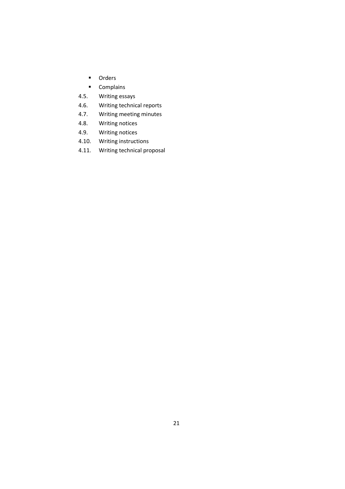- **Orders**
- **Complains**
- 4.5. Writing essays
- 4.6. Writing technical reports
- 4.7. Writing meeting minutes
- 4.8. Writing notices
- 4.9. Writing notices
- 4.10. Writing instructions
- 4.11. Writing technical proposal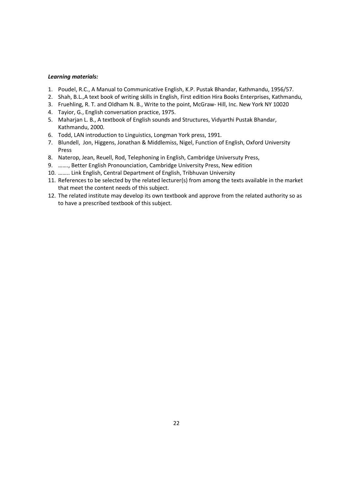#### *Learning materials:*

- 1. Poudel, R.C., A Manual to Communicative English, K.P. Pustak Bhandar, Kathmandu, 1956/57.
- 2. Shah, B.L.,A text book of writing skills in English, First edition Hira Books Enterprises, Kathmandu,
- 3. Fruehling, R. T. and Oldham N. B., Write to the point, McGraw- Hill, Inc. New York NY 10020
- 4. Tayior, G., English conversation practice, 1975.
- 5. Maharjan L. B., A textbook of English sounds and Structures, Vidyarthi Pustak Bhandar, Kathmandu, 2000.
- 6. Todd, LAN introduction to Linguistics, Longman York press, 1991.
- 7. Blundell, Jon, Higgens, Jonathan & Middlemiss, Nigel, Function of English, Oxford University Press
- 8. Naterop, Jean, Reuell, Rod, Telephoning in English, Cambridge Universuty Press,
- 9. ……., Better English Pronounciation, Cambridge University Press, New edition
- 10. …….. Link English, Central Department of English, Tribhuvan University
- 11. References to be selected by the related lecturer(s) from among the texts available in the market that meet the content needs of this subject.
- 12. The related institute may develop its own textbook and approve from the related authority so as to have a prescribed textbook of this subject.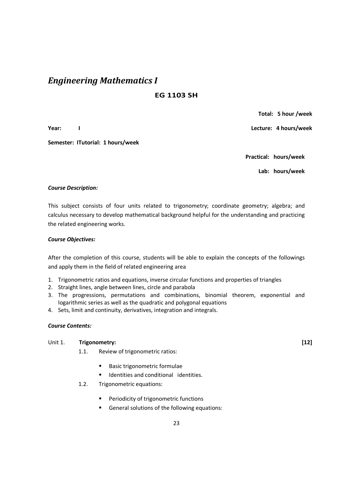## *Engineering Mathematics I*

#### **EG 1103 SH**

**Year: I Lecture: 4 hours/week** 

Semester: ITutorial: 1 hours/week

 **Total: 5 hour /week** 

**Practical: hours/week** 

**Lab: hours/week** 

#### *Course Description:*

This subject consists of four units related to trigonometry; coordinate geometry; algebra; and calculus necessary to develop mathematical background helpful for the understanding and practicing the related engineering works.

#### *Course Objectives:*

After the completion of this course, students will be able to explain the concepts of the followings and apply them in the field of related engineering area

- 1. Trigonometric ratios and equations, inverse circular functions and properties of triangles
- 2. Straight lines, angle between lines, circle and parabola
- 3. The progressions, permutations and combinations, binomial theorem, exponential and logarithmic series as well as the quadratic and polygonal equations
- 4. Sets, limit and continuity, derivatives, integration and integrals.

#### *Course Contents:*

#### Unit 1. **Trigonometry: [12]**

- 1.1. Review of trigonometric ratios:
	- **Basic trigonometric formulae**
	- Identities and conditional identities.
- 1.2. Trigonometric equations:
	- **Periodicity of trigonometric functions**
	- General solutions of the following equations: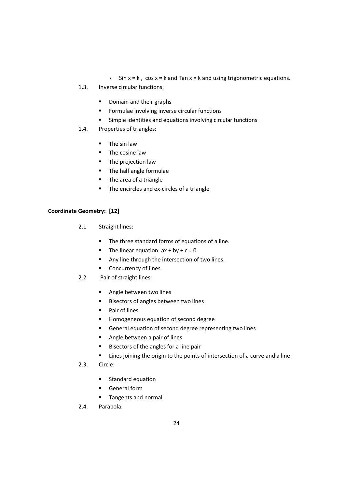- Sin  $x = k$ , cos  $x = k$  and Tan  $x = k$  and using trigonometric equations.
- 1.3. Inverse circular functions:
	- Domain and their graphs
	- **Formulae involving inverse circular functions**
	- Simple identities and equations involving circular functions
- 1.4. Properties of triangles:
	- **The sin law**
	- **The cosine law**
	- **The projection law**
	- **The half angle formulae**
	- **The area of a triangle**
	- The encircles and ex-circles of a triangle

#### **Coordinate Geometry: [12]**

- 2.1 Straight lines:
	- **The three standard forms of equations of a line.**
	- The linear equation:  $ax + by + c = 0$ .
	- Any line through the intersection of two lines.
	- **Concurrency of lines.**
- 2.2 Pair of straight lines:
	- **Angle between two lines**
	- Bisectors of angles between two lines
	- **Pair of lines**
	- **Homogeneous equation of second degree**
	- General equation of second degree representing two lines
	- **Angle between a pair of lines**
	- Bisectors of the angles for a line pair
	- **EXTE:** Lines joining the origin to the points of intersection of a curve and a line
- 2.3. Circle:
	- **Standard equation**
	- General form
	- **Tangents and normal**
- 2.4. Parabola: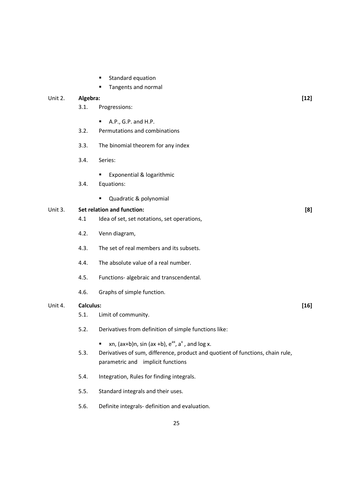- **Standard equation**
- Tangents and normal

|         |                  | Tangents and normal                                                                                                                                                                      |        |
|---------|------------------|------------------------------------------------------------------------------------------------------------------------------------------------------------------------------------------|--------|
| Unit 2. | Algebra:         |                                                                                                                                                                                          | $[12]$ |
|         | 3.1.             | Progressions:                                                                                                                                                                            |        |
|         |                  | A.P., G.P. and H.P.<br>п                                                                                                                                                                 |        |
|         | 3.2.             | Permutations and combinations                                                                                                                                                            |        |
|         | 3.3.             | The binomial theorem for any index                                                                                                                                                       |        |
|         | 3.4.             | Series:                                                                                                                                                                                  |        |
|         | 3.4.             | Exponential & logarithmic<br>Equations:                                                                                                                                                  |        |
|         |                  | Quadratic & polynomial<br>٠                                                                                                                                                              |        |
| Unit 3. |                  | Set relation and function:                                                                                                                                                               | [8]    |
|         | 4.1              | Idea of set, set notations, set operations,                                                                                                                                              |        |
|         | 4.2.             | Venn diagram,                                                                                                                                                                            |        |
|         | 4.3.             | The set of real members and its subsets.                                                                                                                                                 |        |
|         | 4.4.             | The absolute value of a real number.                                                                                                                                                     |        |
|         | 4.5.             | Functions- algebraic and transcendental.                                                                                                                                                 |        |
|         | 4.6.             | Graphs of simple function.                                                                                                                                                               |        |
| Unit 4. | <b>Calculus:</b> |                                                                                                                                                                                          | $[16]$ |
|         | 5.1.             | Limit of community.                                                                                                                                                                      |        |
|         | 5.2.             | Derivatives from definition of simple functions like:                                                                                                                                    |        |
|         | 5.3.             | xn, $(ax+b)n$ , sin $(ax+b)$ , $e^{ax}$ , $a^x$ , and log x.<br>٠<br>Derivatives of sum, difference, product and quotient of functions, chain rule,<br>parametric and implicit functions |        |
|         | 5.4.             | Integration, Rules for finding integrals.                                                                                                                                                |        |
|         | 5.5.             | Standard integrals and their uses.                                                                                                                                                       |        |
|         | 5.6.             | Definite integrals- definition and evaluation.                                                                                                                                           |        |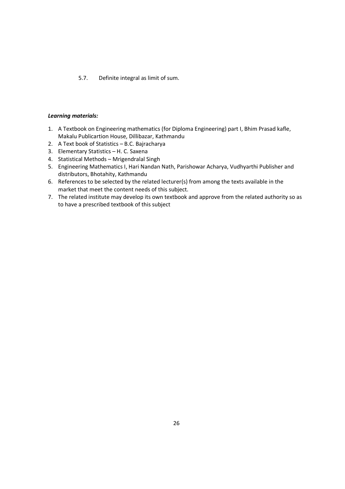#### 5.7. Definite integral as limit of sum.

#### *Learning materials:*

- 1. A Textbook on Engineering mathematics (for Diploma Engineering) part I, Bhim Prasad kafle, Makalu Publicartion House, Dillibazar, Kathmandu
- 2. A Text book of Statistics B.C. Bajracharya
- 3. Elementary Statistics H. C. Saxena
- 4. Statistical Methods Mrigendralal Singh
- 5. Engineering Mathematics I, Hari Nandan Nath, Parishowar Acharya, Vudhyarthi Publisher and distributors, Bhotahity, Kathmandu
- 6. References to be selected by the related lecturer(s) from among the texts available in the market that meet the content needs of this subject.
- 7. The related institute may develop its own textbook and approve from the related authority so as to have a prescribed textbook of this subject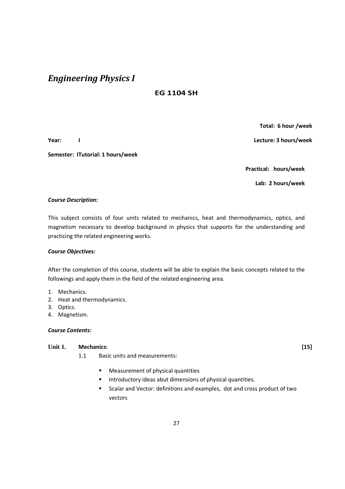# *Engineering Physics I*

### **EG 1104 SH**

**Semester: ITutorial: 1 hours/week** 

 **Total: 6 hour /week** 

**Year: I Lecture: 3 hours/week** 

**Practical: hours/week** 

**Lab: 2 hours/week** 

#### *Course Description:*

This subject consists of four units related to mechanics, heat and thermodynamics, optics, and magnetism necessary to develop background in physics that supports for the understanding and practicing the related engineering works.

#### *Course Objectives:*

After the completion of this course, students will be able to explain the basic concepts related to the followings and apply them in the field of the related engineering area.

- 1. Mechanics.
- 2. Heat and thermodynamics.
- 3. Optics.
- 4. Magnetism.

#### *Course Contents:*

#### **Unit 1. Mechanics: [15]**

- 1.1 Basic units and measurements:
	- **EXEC** Measurement of physical quantities
	- **Introductory ideas abut dimensions of physical quantities.**
	- Scalar and Vector: definitions and examples, dot and cross product of two vectors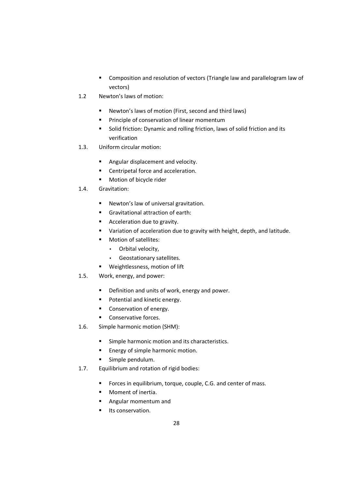- **EXECOM** Composition and resolution of vectors (Triangle law and parallelogram law of vectors)
- 1.2 Newton's laws of motion:
	- Newton's laws of motion (First, second and third laws)
	- **Principle of conservation of linear momentum**
	- **Solid friction: Dynamic and rolling friction, laws of solid friction and its** verification
- 1.3. Uniform circular motion:
	- **Angular displacement and velocity.**
	- **EXEC** Centripetal force and acceleration.
	- **Motion of bicycle rider**
- 1.4. Gravitation:
	- **Newton's law of universal gravitation.**
	- Gravitational attraction of earth:
	- **Acceleration due to gravity.**
	- **•** Variation of acceleration due to gravity with height, depth, and latitude.
	- **Motion of satellites:** 
		- Orbital velocity,
		- Geostationary satellites.
	- Weightlessness, motion of lift
- 1.5. Work, energy, and power:
	- **•** Definition and units of work, energy and power.
	- **Potential and kinetic energy.**
	- Conservation of energy.
	- **Conservative forces.**
- 1.6. Simple harmonic motion (SHM):
	- **Simple harmonic motion and its characteristics.**
	- **Energy of simple harmonic motion.**
	- **Simple pendulum.**
- 1.7. Equilibrium and rotation of rigid bodies:
	- **FIOR FORCES IN EQUILIBRIUM**, torque, couple, C.G. and center of mass.
	- **Moment of inertia.**
	- **Angular momentum and**
	- **Its conservation.**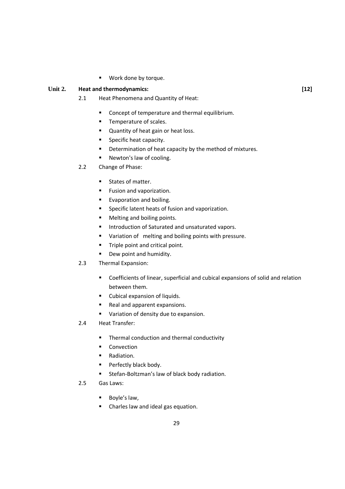Work done by torque.

#### Unit 2. **Heat and thermodynamics:** [12]

- 2.1 Heat Phenomena and Quantity of Heat:
	- **Concept of temperature and thermal equilibrium.**
	- **Temperature of scales.**
	- **Quantity of heat gain or heat loss.**
	- **Specific heat capacity.**
	- **•** Determination of heat capacity by the method of mixtures.
	- Newton's law of cooling.
- 2.2 Change of Phase:
	- **States of matter.**
	- **Fusion and vaporization.**
	- **Evaporation and boiling.**
	- **Specific latent heats of fusion and vaporization.**
	- Melting and boiling points.
	- **Introduction of Saturated and unsaturated vapors.**
	- **Variation of melting and boiling points with pressure.**
	- **Triple point and critical point.**
	- Dew point and humidity.

#### 2.3 Thermal Expansion:

- Coefficients of linear, superficial and cubical expansions of solid and relation between them.
- **Cubical expansion of liquids.**
- Real and apparent expansions.
- **Variation of density due to expansion.**
- 2.4 Heat Transfer:
	- Thermal conduction and thermal conductivity
	- **Convection**
	- **Radiation.**
	- **Perfectly black body.**
	- Stefan-Boltzman's law of black body radiation.
- 2.5 Gas Laws:
	- Boyle's law,
	- Charles law and ideal gas equation.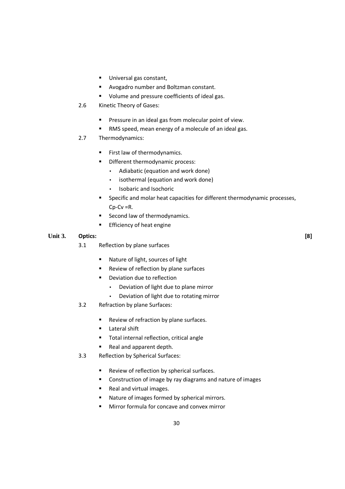- **Universal gas constant,**
- Avogadro number and Boltzman constant.
- **Volume and pressure coefficients of ideal gas.**
- 2.6 Kinetic Theory of Gases:
	- **Pressure in an ideal gas from molecular point of view.**
	- RMS speed, mean energy of a molecule of an ideal gas.
- 2.7 Thermodynamics:
	- First law of thermodynamics.
	- **•** Different thermodynamic process:
		- Adiabatic (equation and work done)
		- isothermal (equation and work done)
		- Isobaric and Isochoric
	- **Specific and molar heat capacities for different thermodynamic processes,** Cp-Cv =R.
	- Second law of thermodynamics.
	- **Efficiency of heat engine**

#### **Unit 3. Optics: [8]**

- 3.1 Reflection by plane surfaces
	- Nature of light, sources of light
	- **Review of reflection by plane surfaces**
	- **•** Deviation due to reflection
		- Deviation of light due to plane mirror
		- Deviation of light due to rotating mirror
- 3.2 Refraction by plane Surfaces:
	- **Review of refraction by plane surfaces.**
	- **Lateral shift**
	- **Total internal reflection, critical angle**
	- Real and apparent depth.
- 3.3 Reflection by Spherical Surfaces:
	- Review of reflection by spherical surfaces.
	- Construction of image by ray diagrams and nature of images
	- Real and virtual images.
	- Nature of images formed by spherical mirrors.
	- Mirror formula for concave and convex mirror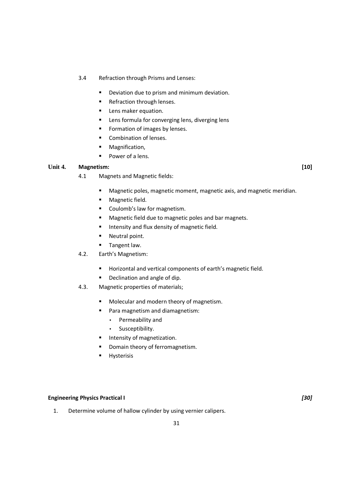#### 3.4 Refraction through Prisms and Lenses:

- **•** Deviation due to prism and minimum deviation.
- Refraction through lenses.
- **Lens maker equation.**
- **EXECT:** Lens formula for converging lens, diverging lens
- **Formation of images by lenses.**
- **Combination of lenses.**
- **•** Magnification,
- Power of a lens.

#### **Unit 4. Magnetism: [10]**

- 4.1 Magnets and Magnetic fields:
	- Magnetic poles, magnetic moment, magnetic axis, and magnetic meridian.
	- **Magnetic field.**
	- **Coulomb's law for magnetism.**
	- **Magnetic field due to magnetic poles and bar magnets.**
	- **Intensity and flux density of magnetic field.**
	- **Neutral point.**
	- **Tangent law.**
- 4.2. Earth's Magnetism:
	- **Horizontal and vertical components of earth's magnetic field.**
	- **•** Declination and angle of dip.
- 4.3. Magnetic properties of materials;
	- **Molecular and modern theory of magnetism.**
	- Para magnetism and diamagnetism:
		- Permeability and
		- Susceptibility.
	- **Intensity of magnetization.**
	- Domain theory of ferromagnetism.
	- **Hysterisis**

#### **Engineering Physics Practical I** *[30]*

1. Determine volume of hallow cylinder by using vernier calipers.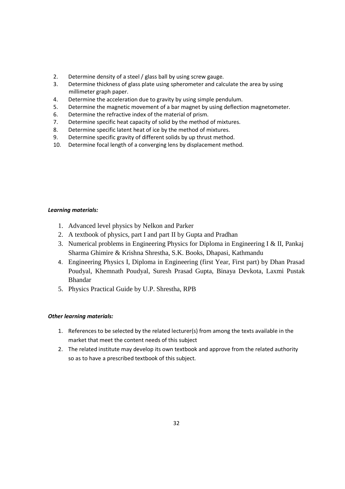- 2. Determine density of a steel / glass ball by using screw gauge.
- 3. Determine thickness of glass plate using spherometer and calculate the area by using millimeter graph paper.
- 4. Determine the acceleration due to gravity by using simple pendulum.
- 5. Determine the magnetic movement of a bar magnet by using deflection magnetometer.
- 6. Determine the refractive index of the material of prism.
- 7. Determine specific heat capacity of solid by the method of mixtures.
- 8. Determine specific latent heat of ice by the method of mixtures.
- 9. Determine specific gravity of different solids by up thrust method.
- 10. Determine focal length of a converging lens by displacement method.

#### *Learning materials:*

- 1. Advanced level physics by Nelkon and Parker
- 2. A textbook of physics, part I and part II by Gupta and Pradhan
- 3. Numerical problems in Engineering Physics for Diploma in Engineering I & II, Pankaj Sharma Ghimire & Krishna Shrestha, S.K. Books, Dhapasi, Kathmandu
- 4. Engineering Physics I, Diploma in Engineering (first Year, First part) by Dhan Prasad Poudyal, Khemnath Poudyal, Suresh Prasad Gupta, Binaya Devkota, Laxmi Pustak Bhandar
- 5. Physics Practical Guide by U.P. Shrestha, RPB

#### *Other learning materials:*

- 1. References to be selected by the related lecturer(s) from among the texts available in the market that meet the content needs of this subject
- 2. The related institute may develop its own textbook and approve from the related authority so as to have a prescribed textbook of this subject.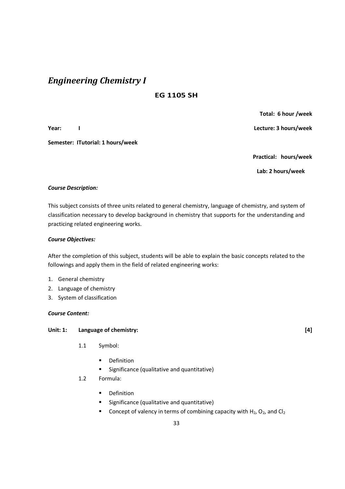# *Engineering Chemistry I*

### **EG 1105 SH**

**Semester: ITutorial: 1 hours/week** 

**Year: I Lecture: 3 hours/week** 

 **Total: 6 hour /week** 

 **Practical: hours/week** 

**Lab: 2 hours/week** 

#### *Course Description:*

This subject consists of three units related to general chemistry, language of chemistry, and system of classification necessary to develop background in chemistry that supports for the understanding and practicing related engineering works.

#### *Course Objectives:*

After the completion of this subject, students will be able to explain the basic concepts related to the followings and apply them in the field of related engineering works:

- 1. General chemistry
- 2. Language of chemistry
- 3. System of classification

#### *Course Content:*

#### **Unit: 1: Language of chemistry: [4]**

- 1.1 Symbol:
	- **•** Definition
	- **Significance (qualitative and quantitative)**
- 1.2 Formula:
	- **Definition**
	- **Significance (qualitative and quantitative)**
	- Concept of valency in terms of combining capacity with  $H_2$ ,  $O_2$ , and Cl<sub>2</sub>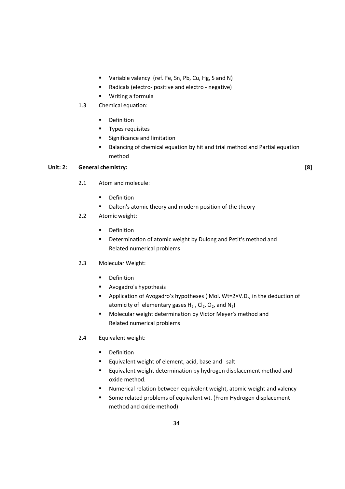- **Variable valency (ref. Fe, Sn, Pb, Cu, Hg, S and N)**
- Radicals (electro- positive and electro negative)
- Writing a formula
- 1.3 Chemical equation:
	- **•** Definition
	- **Types requisites**
	- **Significance and limitation**
	- Balancing of chemical equation by hit and trial method and Partial equation method

#### **Unit: 2: General chemistry: [8]**

- 2.1 Atom and molecule:
	- **•** Definition
	- Dalton's atomic theory and modern position of the theory
- 2.2 Atomic weight:
	- **•** Definition
	- **•** Determination of atomic weight by Dulong and Petit's method and Related numerical problems
- 2.3 Molecular Weight:
	- **•** Definition
	- **Avogadro's hypothesis**
	- Application of Avogadro's hypotheses (Mol. Wt=2×V.D., in the deduction of atomicity of elementary gases  $H_2$ , Cl<sub>2</sub>, O<sub>2</sub>, and N<sub>2</sub>)
	- Molecular weight determination by Victor Meyer's method and Related numerical problems
- 2.4 Equivalent weight:
	- **•** Definition
	- **Equivalent weight of element, acid, base and salt**
	- **Equivalent weight determination by hydrogen displacement method and** oxide method.
	- Numerical relation between equivalent weight, atomic weight and valency
	- Some related problems of equivalent wt. (From Hydrogen displacement method and oxide method)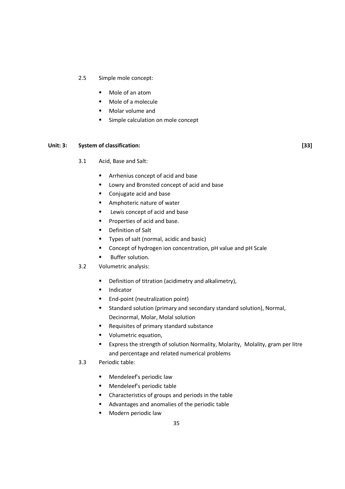#### 2.5 Simple mole concept:

- Mole of an atom
- Mole of a molecule
- **Molar volume and**
- **Simple calculation on mole concept**

#### Unit: 3: System of classification: [33]

- 3.1 Acid, Base and Salt:
	- **EXTED Arrhenius concept of acid and base**
	- **EXECUTE:** Lowry and Bronsted concept of acid and base
	- Conjugate acid and base
	- **Amphoteric nature of water**
	- **Lewis concept of acid and base**
	- **Properties of acid and base.**
	- **•** Definition of Salt
	- **Types of salt (normal, acidic and basic)**
	- Concept of hydrogen ion concentration, pH value and pH Scale
	- Buffer solution.
- 3.2 Volumetric analysis:
	- **•** Definition of titration (acidimetry and alkalimetry),
	- **Indicator**
	- **End-point (neutralization point)**
	- **EXTERGHTM** Standard solution (primary and secondary standard solution), Normal, Decinormal, Molar, Molal solution
	- Requisites of primary standard substance
	- **v** Volumetric equation,
	- Express the strength of solution Normality, Molarity, Molality, gram per litre and percentage and related numerical problems
- 3.3 Periodic table:
	- **Mendeleef's periodic law**
	- Mendeleef's periodic table
	- Characteristics of groups and periods in the table
	- Advantages and anomalies of the periodic table
	- **Modern periodic law**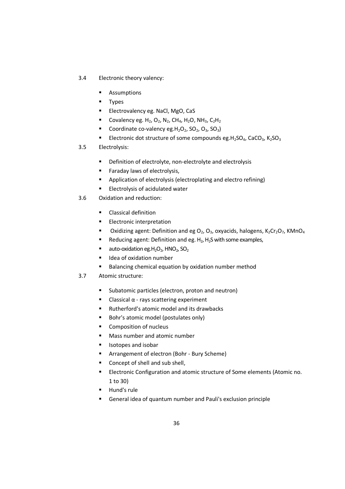- 3.4 Electronic theory valency:
	- **Assumptions**
	- **Types**
	- **Electrovalency eg. NaCl, MgO, CaS**
	- Covalency eg.  $H_2$ , O<sub>2</sub>, N<sub>2</sub>, CH<sub>4</sub>, H<sub>2</sub>O, NH<sub>3</sub>, C<sub>2</sub>H<sub>2</sub>
	- Coordinate co-valency eg.  $H_2O_2$ ,  $SO_2$ ,  $O_3$ ,  $SO_3$ )
	- Electronic dot structure of some compounds eg.H<sub>2</sub>SO<sub>4</sub>, CaCO<sub>3</sub>, K<sub>2</sub>SO<sub>3</sub>
- 3.5 Electrolysis:
	- **•** Definition of electrolyte, non-electrolyte and electrolysis
	- **Faraday laws of electrolysis,**
	- **Application of electrolysis (electroplating and electro refining)**
	- **Electrolysis of acidulated water**
- 3.6 Oxidation and reduction:
	- **Classical definition**
	- **Electronic interpretation**
	- **Dxidizing agent: Definition and eg O<sub>2</sub>, O<sub>3</sub>, oxyacids, halogens, K<sub>2</sub>Cr<sub>2</sub>O<sub>7</sub>, KMnO<sub>4</sub>**
	- Reducing agent: Definition and eg.  $H_2$ ,  $H_2S$  with some examples,
	- ullet auto-oxidation eg.  $H_2O_2$ , HNO<sub>2</sub>, SO<sub>2</sub>
	- **IDEA** Idea of oxidation number
	- Balancing chemical equation by oxidation number method
- 3.7 Atomic structure:
	- **Subatomic particles (electron, proton and neutron)**
	- **-** Classical  $\alpha$  rays scattering experiment
	- Rutherford's atomic model and its drawbacks
	- Bohr's atomic model (postulates only)
	- **Composition of nucleus**
	- **Mass number and atomic number**
	- **ISOTOPES and isobar**
	- **EXPLORED Arrangement of electron (Bohr Bury Scheme)**
	- Concept of shell and sub shell,
	- **Electronic Configuration and atomic structure of Some elements (Atomic no.** 1 to 30)
	- **Hund's rule**
	- General idea of quantum number and Pauli's exclusion principle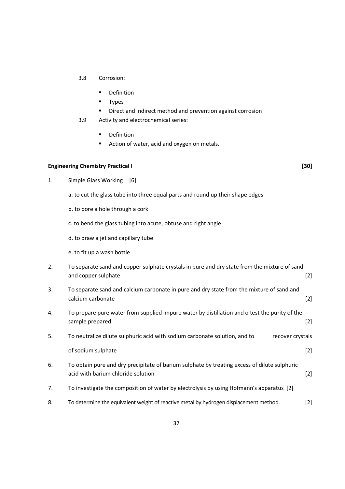- 3.8 Corrosion:
	- **•** Definition
	- **Types**
	- Direct and indirect method and prevention against corrosion
- 3.9 Activity and electrochemical series:
	- **•** Definition
	- Action of water, acid and oxygen on metals.

### **Engineering Chemistry Practical I** *Channel Community Chemistry Practical I* **<b>***Capacity Chemistry Practical I Capacity Chemistry Practical I Capacity Chemistry Practical I* **<b>***Capacity Chemistry Practical I Ca*

- 1. Simple Glass Working [6]
	- a. to cut the glass tube into three equal parts and round up their shape edges
	- b. to bore a hole through a cork
	- c. to bend the glass tubing into acute, obtuse and right angle
	- d. to draw a jet and capillary tube
	- e. to fit up a wash bottle

| To separate sand and copper sulphate crystals in pure and dry state from the mixture of sand<br>2. |                                                                                           |  |
|----------------------------------------------------------------------------------------------------|-------------------------------------------------------------------------------------------|--|
|                                                                                                    | and copper sulphate                                                                       |  |
| 3.                                                                                                 | To separate sand and calcium carbonate in pure and dry state from the mixture of sand and |  |
|                                                                                                    | calcium carbonate                                                                         |  |

- 4. To prepare pure water from supplied impure water by distillation and o test the purity of the sample prepared [2]
- 5. To neutralize dilute sulphuric acid with sodium carbonate solution, and to recover crystals of sodium sulphate [2]
- 6. To obtain pure and dry precipitate of barium sulphate by treating excess of dilute sulphuric acid with barium chloride solution and the state of the state of  $[2]$
- 7. To investigate the composition of water by electrolysis by using Hofmann's apparatus [2]
- 8. To determine the equivalent weight of reactive metal by hydrogen displacement method. [2]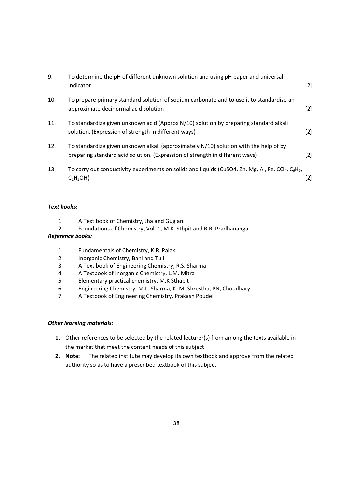| 9.  | To determine the pH of different unknown solution and using pH paper and universal<br>indicator                                                                       | $[2]$ |
|-----|-----------------------------------------------------------------------------------------------------------------------------------------------------------------------|-------|
| 10. | To prepare primary standard solution of sodium carbonate and to use it to standardize an<br>approximate decinormal acid solution                                      | $[2]$ |
| 11. | To standardize given unknown acid (Approx N/10) solution by preparing standard alkali<br>solution. (Expression of strength in different ways)                         | $[2]$ |
| 12. | To standardize given unknown alkali (approximately N/10) solution with the help of by<br>preparing standard acid solution. (Expression of strength in different ways) | [2]   |
| 13. | To carry out conductivity experiments on solids and liquids (CuSO4, Zn, Mg, Al, Fe, CCl <sub>4</sub> , C <sub>6</sub> H <sub>6</sub> ,<br>$C_2H_5OH$                  | [2]   |

### *Text books:*

- 1. A Text book of Chemistry, Jha and Guglani
- 2. Foundations of Chemistry, Vol. 1, M.K. Sthpit and R.R. Pradhananga

### *Reference books:*

- 1. Fundamentals of Chemistry, K.R. Palak
- 2. Inorganic Chemistry, Bahl and Tuli
- 3. A Text book of Engineering Chemistry, R.S. Sharma
- 4. A Textbook of Inorganic Chemistry, L.M. Mitra
- 5. Elementary practical chemistry, M.K Sthapit
- 6. Engineering Chemistry, M.L. Sharma, K. M. Shrestha, PN, Choudhary
- 7. A Textbook of Engineering Chemistry, Prakash Poudel

### *Other learning materials:*

- **1.** Other references to be selected by the related lecturer(s) from among the texts available in the market that meet the content needs of this subject
- **2. Note:** The related institute may develop its own textbook and approve from the related authority so as to have a prescribed textbook of this subject.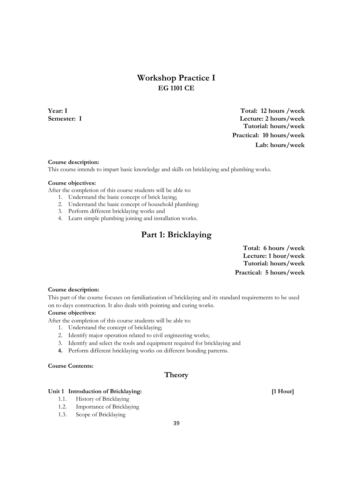# **Workshop Practice I EG 1101 CE**

**Year: I Total: 12 hours /week Semester: I Lecture: 2 hours/week Tutorial: hours/week Practical: 10 hours/week Lab: hours/week**

### **Course description:**

This course intends to impart basic knowledge and skills on bricklaying and plumbing works.

### **Course objectives:**

After the completion of this course students will be able to:

- 1. Understand the basic concept of brick laying;
- 2. Understand the basic concept of household plumbing:
- 3. Perform different bricklaying works and
- 4. Learn simple plumbing joining and installation works.

# **Part 1: Bricklaying**

**Total: 6 hours /week Lecture: 1 hour/week Tutorial: hours/week Practical: 5 hours/week**

### **Course description:**

This part of the course focuses on familiarization of bricklaying and its standard requirements to be used on to-days construction. It also deals with pointing and curing works.

### **Course objectives:**

After the completion of this course students will be able to:

- 1. Understand the concept of bricklaying;
- 2. Identify major operation related to civil engineering works;
- 3. Identify and select the tools and equipment required for bricklaying and
- **4.** Perform different bricklaying works on different bonding patterns.

### **Course Contents:**

### **Theory**

### Unit 1 Introduction of Bricklaying: [1 Hour]

- 1.1. History of Bricklaying
- 1.2. Importance of Bricklaying
- 1.3. Scope of Bricklaying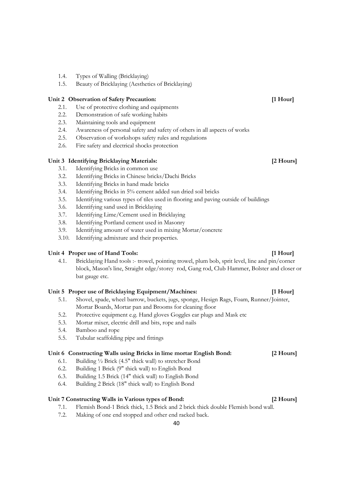- 1.4. Types of Walling (Bricklaying)
- 1.5. Beauty of Bricklaying (Aesthetics of Bricklaying)

### **Unit 2 Observation of Safety Precaution: [1 Hour]**

- 2.1. Use of protective clothing and equipments
- 2.2. Demonstration of safe working habits
- 2.3. Maintaining tools and equipment
- 2.4. Awareness of personal safety and safety of others in all aspects of works
- 2.5. Observation of workshops safety rules and regulations
- 2.6. Fire safety and electrical shocks protection

### **Unit 3 Identifying Bricklaying Materials: [2 Hours]**

- 3.1. Identifying Bricks in common use
- 3.2. Identifying Bricks in Chinese bricks/Dachi Bricks
- 3.3. Identifying Bricks in hand made bricks
- 3.4. Identifying Bricks in 5% cement added sun dried soil bricks
- 3.5. Identifying various types of tiles used in flooring and paving outside of buildings
- 3.6. Identifying sand used in Bricklaying
- 3.7. Identifying Lime/Cement used in Bricklaying
- 3.8. Identifying Portland cement used in Masonry
- 3.9. Identifying amount of water used in mixing Mortar/concrete
- 3.10. Identifying admixture and their properties.

### Unit 4 Proper use of Hand Tools: *I* **leading** *I I Hour*

4.1. Bricklaying Hand tools :- trowel, pointing trowel, plum bob, sprit level, line and pin/corner block, Mason's line, Straight edge/storey rod, Gang rod, Club Hammer, Bolster and closer or bat gauge etc.

### **Unit 5 Proper use of Bricklaying Equipment/Machines: [1 Hour]**

- 5.1. Shovel, spade, wheel barrow, buckets, jugs, sponge, Hesign Rags, Foam, Runner/Jointer, Mortar Boards, Mortar pan and Brooms for cleaning floor
- 5.2. Protective equipment e.g. Hand gloves Goggles ear plugs and Mask etc
- 5.3. Mortar mixer, electric drill and bits, rope and nails
- 5.4. Bamboo and rope
- 5.5. Tubular scaffolding pipe and fittings

### **Unit 6 Constructing Walls using Bricks in lime mortar English Bond: [2 Hours]**

- 6.1. Building ½ Brick (4.5" thick wall) to stretcher Bond
- 6.2. Building 1 Brick (9" thick wall) to English Bond
- 6.3. Building 1.5 Brick (14" thick wall) to English Bond
- 6.4. Building 2 Brick (18" thick wall) to English Bond

### **Unit 7 Constructing Walls in Various types of Bond: [2 Hours]**

- 7.1. Flemish Bond-1 Brick thick, 1.5 Brick and 2 brick thick double Flemish bond wall.
- 7.2. Making of one end stopped and other end racked back.

### 40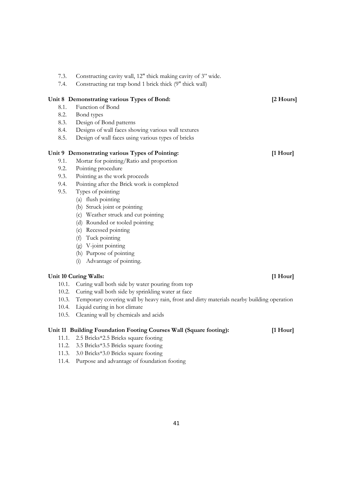|       | Unit 8 Demonstrating various Types of Bond:                                                | [2 Hours]  |
|-------|--------------------------------------------------------------------------------------------|------------|
| 8.1.  | Function of Bond                                                                           |            |
| 8.2.  | Bond types                                                                                 |            |
| 8.3.  | Design of Bond patterns                                                                    |            |
| 8.4.  | Designs of wall faces showing various wall textures                                        |            |
| 8.5.  | Design of wall faces using various types of bricks                                         |            |
|       | Unit 9 Demonstrating various Types of Pointing:                                            | $[1$ Hour] |
| 9.1.  | Mortar for pointing/Ratio and proportion                                                   |            |
| 9.2.  | Pointing procedure                                                                         |            |
| 9.3.  | Pointing as the work proceeds                                                              |            |
| 9.4.  | Pointing after the Brick work is completed                                                 |            |
| 9.5.  | Types of pointing:                                                                         |            |
|       | (a) flush pointing                                                                         |            |
|       | (b) Struck joint or pointing                                                               |            |
|       | (c) Weather struck and cut pointing                                                        |            |
|       | (d) Rounded or tooled pointing                                                             |            |
|       | (e) Recessed pointing                                                                      |            |
|       | (f) Tuck pointing                                                                          |            |
|       | (g) V-joint pointing                                                                       |            |
|       | (h) Purpose of pointing                                                                    |            |
|       | Advantage of pointing.<br>(i)                                                              |            |
|       | Unit 10 Curing Walls:                                                                      | $[1$ Hour] |
|       | 10.1. Curing wall both side by water pouring from top                                      |            |
|       | 10.2. Curing wall both side by sprinkling water at face                                    |            |
| 10.3. | Temporary covering wall by heavy rain, frost and dirty materials nearby building operation |            |
| 10.4. | Liquid curing in hot climate                                                               |            |
|       |                                                                                            |            |

10.5. Cleaning wall by chemicals and acids

### **Unit 11 Building Foundation Footing Courses Wall (Square footing): [1 Hour]**

7.3. Constructing cavity wall, 12" thick making cavity of 3" wide. 7.4. Constructing rat trap bond 1 brick thick (9" thick wall)

- 11.1. 2.5 Bricks\*2.5 Bricks square footing
- 11.2. 3.5 Bricks\*3.5 Bricks square footing
- 11.3. 3.0 Bricks\*3.0 Bricks square footing
- 11.4. Purpose and advantage of foundation footing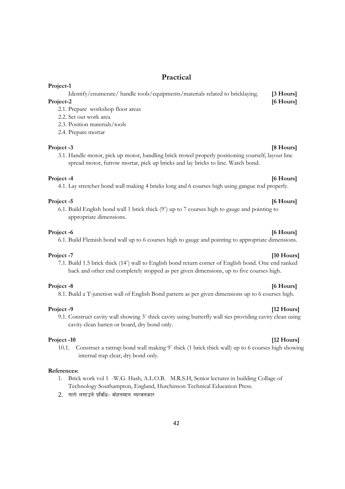### **Practical**

Identify/enumerate/ handle tools/equipments/materials related to bricklaying. **[3 Hours] Project-2** [6 Hours]

2.1. Prepare workshop floor areas

2.2. Set out work area

2.3. Position materials/tools

2.4. Prepare mortar

### **Project -3** [8 Hours]

**Project-1** 

3.1. Handle motor, pick up motor, handling brick trowel properly positioning yourself, layout line spread motor, furrow mortar, pick up bricks and lay bricks to line. Watch bond.

### **Project -4** [6 Hours]

4.1. Lay stretcher bond wall making 4 bricks long and 6 courses high using gangue rod properly.

### Project -5 [6 Hours]

6.1. Build English bond wall 1 brick thick (9" ) up to 7 courses high to gauge and pointing to appropriate dimensions.

### **Project -6** [6 Hours]

6.1. Build Flemish bond wall up to 6 courses high to gauge and pointing to appropriate dimensions.

### **Project -7** [10 Hours]

### 7.1. Build 1.5 brick thick (14" ) wall to English bond return corner of English bond. One end ranked back and other end completely stopped as per given dimensions, up to five courses high.

### **Project -8** [6 Hours]

8.1. Build a T-junction wall of English Bond pattern as per given dimensions up to 6 courses high.

### **Project -9** [12 Hours]

9.1. Construct cavity wall showing 3" thick cavity using butterfly wall ties providing cavity clean using cavity clean batten or board, dry bond only.

10.1. Construct a rattrap bond wall making 9" thick (1 brick thick wall) up to 6 courses high showing internal trap clear, dry bond only.

### **References:**

- 1. Brick work vol 1 -W.G. Hash, A.L.O.B. M.R.S.H, Senior lecturer in building Collage of Technology Southampton, England, Hutchinson Technical Education Press.
- 2. *uf/f] nufpg] k|ljlw– df]xgdfg JoGhgsf/*

### 42

### **Project -10** [12 Hours] *Secure 20 Project -10* **[12 Hours]**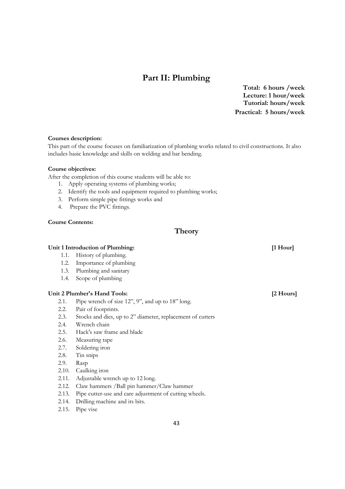# **Part II: Plumbing**

**Total: 6 hours /week Lecture: 1 hour/week Tutorial: hours/week Practical: 5 hours/week**

### **Courses description:**

This part of the course focuses on familiarization of plumbing works related to civil constructions. It also includes basic knowledge and skills on welding and bar bending.

### **Course objectives:**

After the completion of this course students will be able to:

- 1. Apply operating systems of plumbing works;
- 2. Identify the tools and equipment required to plumbing works;
- 3. Perform simple pipe fittings works and
- 4. Prepare the PVC fittings.

### **Course Contents:**

### **Theory**

### **Unit 1 Introduction of Plumbing: [1 Hour]**

- 1.1. History of plumbing.
- 1.2. Importance of plumbing
- 1.3. Plumbing and sanitary
- 1.4. Scope of plumbing

### **Unit 2 Plumber's Hand Tools: [2 Hours]**

- 2.1. Pipe wrench of size 12", 9", and up to 18" long.
- 2.2. Pair of footprints.
- 2.3. Stocks and dies, up to 2" diameter, replacement of cutters
- 2.4. Wrench chain
- 2.5. Hack's saw frame and blade
- 2.6. Measuring tape
- 2.7. Soldering iron
- 2.8. Tin snips
- 2.9. Rasp
- 2.10. Caulking iron
- 2.11. Adjustable wrench up to 12 long.
- 2.12. Claw hammers /Ball pin hammer/Claw hammer
- 2.13. Pipe cutter-use and care adjustment of cutting wheels.
- 2.14. Drilling machine and its bits.
- 2.15. Pipe vise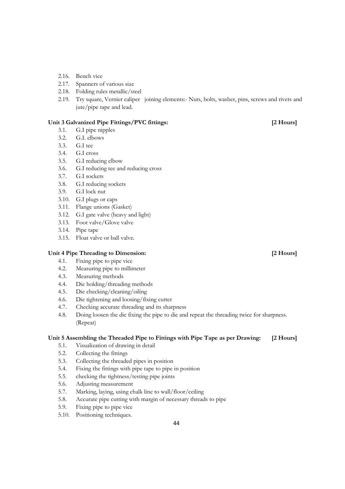- 2.16. Bench vice
- 2.17. Spanners of various size
- 2.18. Folding rules metallic/steel
- 2.19. Try square, Vernier caliper joining elements:- Nuts, bolts, washer, pins, screws and rivets and jute/pipe tape and lead.

### **Unit 3 Galvanized Pipe Fittings/PVC fittings: [2 Hours]**

- 3.1. G.I pipe nipples
- 3.2. G.I. elbows
- 3.3. G.I tee
- 3.4. G.I cross
- 3.5. G.I reducing elbow
- 3.6. G.I reducing tee and reducing cross
- 3.7. G.I sockets
- 3.8. G.I reducing sockets
- 3.9. G.I lock nut
- 3.10. G.I plugs or caps
- 3.11. Flange unions (Gasket)
- 3.12. G.I gate valve (heavy and light)
- 3.13. Foot valve/Glove valve
- 3.14. Pipe tape
- 3.15. Float valve or ball valve.

### **Unit 4 Pipe Threading to Dimension: [2 Hours]**

- 4.1. Fixing pipe to pipe vice
- 4.2. Measuring pipe to millimeter
- 4.3. Measuring methods
- 4.4. Die holding/threading methods
- 4.5. Die checking/cleaning/oiling
- 4.6. Die tightening and loosing/fixing cutter
- 4.7. Checking accurate threading and its sharpness
- 4.8. Doing loosen the die fixing the pipe to die and repeat the threading twice for sharpness. (Repeat)

### **Unit 5 Assembling the Threaded Pipe to Fittings with Pipe Tape as per Drawing: [2 Hours]**

- 5.1. Visualization of drawing in detail
- 5.2. Collecting the fittings
- 5.3. Collecting the threaded pipes in position
- 5.4. Fixing the fittings with pipe tape to pipe in position
- 5.5. checking the tightness/testing pipe joints
- 5.6. Adjusting measurement
- 5.7. Marking, laying, using chalk line to wall/floor/ceiling
- 5.8. Accurate pipe cutting with margin of necessary threads to pipe
- 5.9. Fixing pipe to pipe vice
- 5.10. Positioning techniques.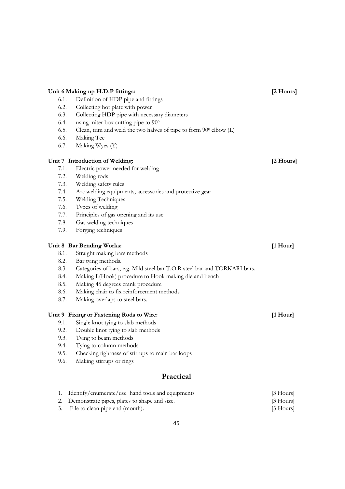| 6.1. | Definition of HDP pipe and fittings                                       |             |
|------|---------------------------------------------------------------------------|-------------|
| 6.2. | Collecting hot plate with power                                           |             |
| 6.3. | Collecting HDP pipe with necessary diameters                              |             |
| 6.4. | using miter box cutting pipe to 90 <sup>0</sup>                           |             |
| 6.5. | Clean, trim and weld the two halves of pipe to form 900 elbow (L)         |             |
| 6.6. | Making Tee                                                                |             |
| 6.7. | Making Wyes (Y)                                                           |             |
|      | Unit 7 Introduction of Welding:                                           | [2 Hours]   |
| 7.1. | Electric power needed for welding                                         |             |
| 7.2. | Welding rods                                                              |             |
| 7.3. | Welding safety rules                                                      |             |
| 7.4. | Arc welding equipments, accessories and protective gear                   |             |
| 7.5. | Welding Techniques                                                        |             |
| 7.6. | Types of welding                                                          |             |
| 7.7. | Principles of gas opening and its use                                     |             |
| 7.8. | Gas welding techniques                                                    |             |
| 7.9. | Forging techniques                                                        |             |
|      | Unit 8 Bar Bending Works:                                                 | $[1$ Hour]  |
| 8.1. | Straight making bars methods                                              |             |
| 8.2. | Bar tying methods.                                                        |             |
| 8.3. | Categories of bars, e.g. Mild steel bar T.O.R steel bar and TORKARI bars. |             |
| 8.4. | Making L(Hook) procedure to Hook making die and bench                     |             |
| 8.5. | Making 45 degrees crank procedure                                         |             |
| 8.6. | Making chair to fix reinforcement methods                                 |             |
| 8.7. | Making overlaps to steel bars.                                            |             |
|      | Unit 9 Fixing or Fastening Rods to Wire:                                  | $[1$ Hour]  |
| 9.1. | Single knot tying to slab methods                                         |             |
| 9.2. | Double knot tying to slab methods                                         |             |
| 9.3. | Tying to beam methods                                                     |             |
| 9.4. | Tying to column methods                                                   |             |
| 9.5. | Checking tightness of stirrups to main bar loops                          |             |
| 9.6. | Making stirrups or rings                                                  |             |
|      | Practical                                                                 |             |
| 1.   | Identify/enumerate/use hand tools and equipments                          | $[3$ Hours] |
| 2.   | Demonstrate pipes, plates to shape and size.                              | [3 Hours]   |
| 3.   | File to clean pipe end (mouth).                                           | [3 Hours]   |
|      |                                                                           |             |

**Unit 6 Making up H.D.P fittings: [2 Hours]**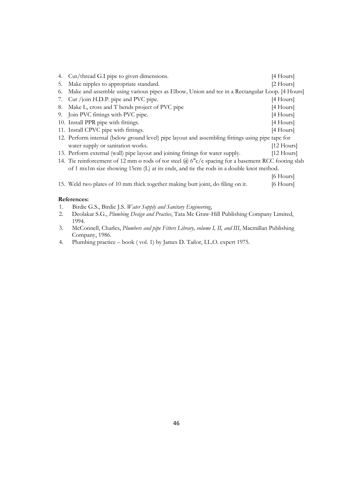|    | 4. Cut/thread G.I pipe to given dimensions.                                                        | $[4$ Hours]    |
|----|----------------------------------------------------------------------------------------------------|----------------|
| 5. | Make nipples to appropriate standard.                                                              | $[2$ Hours $]$ |
| 6. | Make and assemble using various pipes as Elbow, Union and tee in a Rectangular Loop. [4 Hours]     |                |
| 7. | Cut /join H.D.P. pipe and PVC pipe.                                                                | $[4$ Hours]    |
| 8. | Make L, cross and T bends project of PVC pipe                                                      | $[4$ Hours]    |
|    | 9. Join PVC fittings with PVC pipe.                                                                | $[4$ Hours]    |
|    | 10. Install PPR pipe with fittings.                                                                | $[4$ Hours]    |
|    | 11. Install CPVC pipe with fittings.                                                               | [4 Hours]      |
|    | 12. Perform internal (below ground level) pipe layout and assembling fittings using pipe tape for  |                |
|    | water supply or sanitation works.                                                                  | $[12$ Hours]   |
|    | 13. Perform external (wall) pipe layout and joining fittings for water supply.                     | $[12$ Hours]   |
|    | 14. Tie reinforcement of 12 mm ø rods of tor steel @ 6"c/c spacing for a basement RCC footing slab |                |
|    | of 1 mx1m size showing 15cm (L) at its ends, and tie the rods in a double knot method.             |                |
|    |                                                                                                    | $[6$ Hours $]$ |
|    | 15. Weld two plates of 10 mm thick together making butt joint, do filing on it.                    | [6 Hours]      |

### **References:**

- 1. Birdie G.S., Birdie J.S. *Water Supply and Sanitary Engineering*,
- 2. Deolakar S.G., *Plumbing Design and Practice*, Tata Mc Graw-Hill Publishing Company Limited, 1994.
- 3. McConnell, Charles, *Plumbers and pipe Fitters Library, volume I, II, and III*, Macmillan Publishing Company, 1986.
- 4. Plumbing practice book ( vol. 1) by James D. Tailor, I.L.O. expert 1975.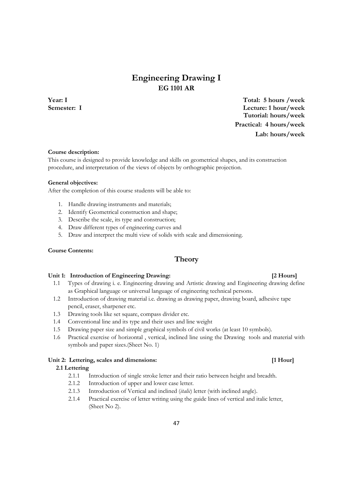# **Engineering Drawing I EG 1101 AR**

**Year: I Total: 5 hours /week Semester: I Lecture: 1 hour/week Tutorial: hours/week Practical: 4 hours/week Lab: hours/week**

### **Course description:**

This course is designed to provide knowledge and skills on geometrical shapes, and its construction procedure, and interpretation of the views of objects by orthographic projection.

### **General objectives:**

After the completion of this course students will be able to:

- 1. Handle drawing instruments and materials;
- 2. Identify Geometrical construction and shape;
- 3. Describe the scale, its type and construction;
- 4. Draw different types of engineering curves and
- 5. Draw and interpret the multi view of solids with scale and dimensioning.

### **Course Contents:**

## **Theory**

### Unit 1: Introduction of Engineering Drawing: **[2 Hours] [2 Hours]**

- 1.1 Types of drawing i. e. Engineering drawing and Artistic drawing and Engineering drawing define as Graphical language or universal language of engineering technical persons.
- 1.2 Introduction of drawing material i.e. drawing as drawing paper, drawing board, adhesive tape pencil, eraser, sharpener etc.
- 1.3 Drawing tools like set square, compass divider etc.
- 1.4 Conventional line and its type and their uses and line weight
- 1.5 Drawing paper size and simple graphical symbols of civil works (at least 10 symbols).
- 1.6 Practical exercise of horizontal , vertical, inclined line using the Drawing tools and material with symbols and paper sizes.(Sheet No. 1)

### Unit 2: Lettering, scales and dimensions: [1 Hour]

### **2.1 Lettering**

- 2.1.1 Introduction of single stroke letter and their ratio between height and breadth.
- 2.1.2 Introduction of upper and lower case letter.
- 2.1.3 Introduction of Vertical and inclined (*italic*) letter (with inclined angle).
- 2.1.4 Practical exercise of letter writing using the guide lines of vertical and italic letter, (Sheet No 2).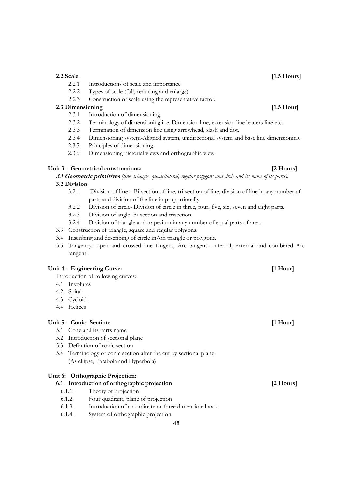3.4 Inscribing and describing of circle in/on triangle or polygons.

### Unit 4: Engineering Curve: *If* 1 Hour

- 4.2 Spiral
- 4.3 Cycloid
- 4.4 Helices

### **Unit 5: Conic- Section**: **[1 Hour]**

- 5.1 Cone and its parts name
- 5.2 Introduction of sectional plane
- 5.3 Definition of conic section
- 5.4 Terminology of conic section after the cut by sectional plane (As ellipse, Parabola and Hyperbola)

### **Unit 6: Orthographic Projection:**

### **6.1 Introduction of orthographic projection [2 Hours]**

- 6.1.1. Theory of projection
- 6.1.2. Four quadrant, plane of projection
- 6.1.3. Introduction of co-ordinate or three dimensional axis
- 6.1.4. System of orthographic projection

- 2.2.1 Introductions of scale and importance
- 2.2.2 Types of scale (full, reducing and enlarge)
- 2.2.3 Construction of scale using the representative factor.

### **2.3 Dimensioning** [1.5 Hour] **[1.5 Hour] 1.5 Hour]**

- 2.3.1 Introduction of dimensioning.
- 2.3.2 Terminology of dimensioning i. e. Dimension line, extension line leaders line etc.
- 2.3.3 Termination of dimension line using arrowhead, slash and dot.
- 2.3.4 Dimensioning system-Aligned system, unidirectional system and base line dimensioning.
- 2.3.5 Principles of dimensioning.
- 2.3.6 Dimensioning pictorial views and orthographic view

# Unit 3: Geometrical constructions: **[2 Hours]**

**3.1 Geometric primitives** *(line, triangle, quadrilateral, regular polygons and circle and its name of its parts).*  **3.2 Division** 

- 3.2.1 Division of line Bi-section of line, tri-section of line, division of line in any number of parts and division of the line in proportionally
- 3.2.2 Division of circle- Division of circle in three, four, five, six, seven and eight parts.
- 3.2.3 Division of angle- bi-section and trisection.
- 3.2.4 Division of triangle and trapezium in any number of equal parts of area.
- 3.3 Construction of triangle, square and regular polygons.
- 
- 3.5 Tangency- open and crossed line tangent, Arc tangent –internal, external and combined Arc tangent.

Introduction of following curves:

- 4.1 Involutes
- 
- 
- 

# **2.2 Scale [1.5 Hours]**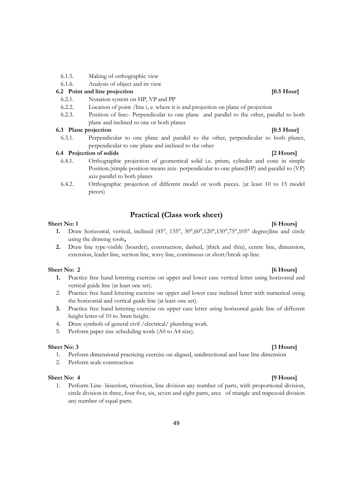- 6.1.5. Making of orthographic view
- 6.1.6. Analysis of object and its view

### **6.2 Point and line projection 10.5 Hour] 10.5 Hour**

- 6.2.1. Notation system on HP, VP and PP
- 6.2.2. Location of point /line i, e. where it is and projection on plane of projection
- 6.2.3. Position of line:- Perpendicular to one plane and parallel to the other, parallel to both plane and inclined to one or both planes

### **6.3 Plane projection [0.5 Hour]**

6.3.1. Perpendicular to one plane and parallel to the other, perpendicular to both planes, perpendicular to one plane and inclined to the other

### **6.4 Projection of solids [2 Hours]**

- 6.4.1. Orthographic projection of geometrical solid i.e. prism, cylinder and cone in simple Position.(simple position means axis- perpendicular to one plane(HP) and parallel to (VP) axis parallel to both planes
- 6.4.2. Orthographic projection of different model or work pieces. (at least 10 to 15 model pieces)

# **Practical (Class work sheet)**

### **Sheet No: 1** [6 Hours]

- **1.** Draw horizontal, vertical, inclined (45°, 135°, 30°,60°,120°,150°,75°,105° degree)line and circle using the drawing tools**,**
- **2.** Draw line type-visible (boarder), construction, dashed, (thick and thin), centre line, dimension, extension, leader line, section line, wavy line, continuous or short/break up line.

### **Sheet No: 2** [6 Hours]

- **1.** Practice free hand lettering exercise on upper and lower case vertical letter using horizontal and vertical guide line (at least one set).
- 2. Practice free hand lettering exercise on upper and lower case inclined letter with numerical using the horizontal and vertical guide line (at least one set).
- **3.** Practice free hand lettering exercise on upper case letter using horizontal guide line of different height letter of 10 to 3mm height.
- 4. Draw symbols of general civil /electrical/ plumbing work.
- 5. Perform paper size scheduling work (A0 to A4 size).

### **Sheet No: 3** [3 Hours]

- 1. Perform dimensional practicing exercise on aligned, unidirectional and base line dimension
- 2. Perform scale construction

### **Sheet No: 4 [9 Hours]**

1. Perform Line- bisection, trisection, line division any number of parts, with proportional division, circle division in three, four five, six, seven and eight parts, area of triangle and trapezoid division any number of equal parts.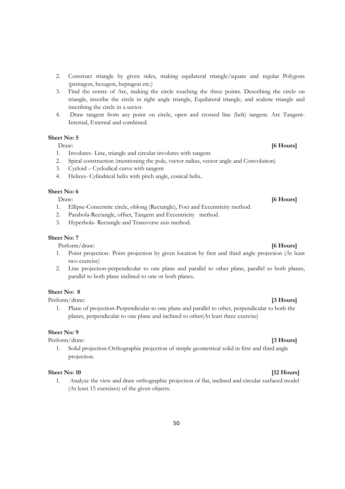- 2. Construct triangle by given sides, making equilateral triangle/square and regular Polygons (pentagon, hexagon, heptagon etc.)
- 3. Find the centre of Arc, making the circle touching the three points. Describing the circle on triangle, inscribe the circle in right angle triangle, Equilateral triangle, and scalene triangle and inscribing the circle in a sector.
- 4. Draw tangent from any point on circle, open and crossed line (belt) tangent. Arc Tangent-Internal, External and combined.

### **Sheet No: 5**

### Draw: **[6 Hours]**

- 1. Involutes- Line, triangle and circular involutes with tangent.
- 2. Spiral construction (mentioning the pole, vector radius, vector angle and Convolution)
- 3. Cycloid Cyclodical curve with tangent
- 4. Helices- Cylindrical helix with pitch angle, conical helix.

### **Sheet No: 6**

- 1. Ellipse-Concentric circle, oblong (Rectangle), Foci and Eccentricity method.
- 2. Parabola-Rectangle, offset, Tangent and Eccentricity method.
- 3. Hyperbola- Rectangle and Transverse axis method.

### **Sheet No: 7**

Perform/draw: **[6 Hours]** 

- 1. Point projection- Point projection by given location by first and third angle projection (At least two exercise)
- 2. Line projection-perpendicular to one plane and parallel to other plane, parallel to both planes, parallel to both plane inclined to one or both planes.

### **Sheet No: 8**

Perform/draw**: [3 Hours]** 

1. Plane of projection-Perpendicular to one plane and parallel to other, perpendicular to both the planes, perpendicular to one plane and inclined to other(At least three exercise)

### **Sheet No: 9**

Perform/draw: **[3 Hours]** 

1. Solid projection-Orthographic projection of simple geometrical solid in first and third angle projection.

### **Sheet No: 10 [12 Hours]**

1. Analyze the view and draw orthographic projection of flat, inclined and circular surfaced model (At least 15 exercises) of the given objects.

# Draw: **[6 Hours]**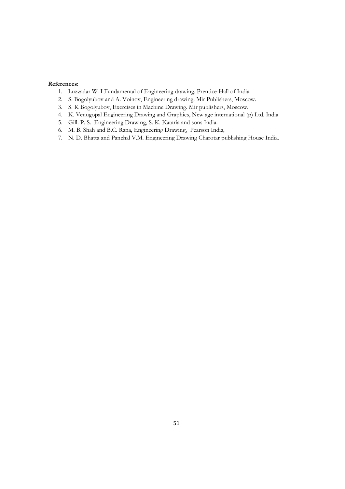### **References:**

- 1. Luzzadar W. I Fundamental of Engineering drawing. Prentice-Hall of India
- 2. S. Bogolyubov and A. Voinov, Engineering drawing. Mir Publishers, Moscow.
- 3. S. K Bogolyubov, Exercises in Machine Drawing. Mir publishers, Moscow.
- 4. K. Venugopal Engineering Drawing and Graphics, New age international (p) Ltd. India
- 5. Gill. P. S. Engineering Drawing, S. K. Kataria and sons India.
- 6. M. B. Shah and B.C. Rana, Engineering Drawing, Pearson India,
- 7. N. D. Bhatta and Panchal V.M. Engineering Drawing Charotar publishing House India.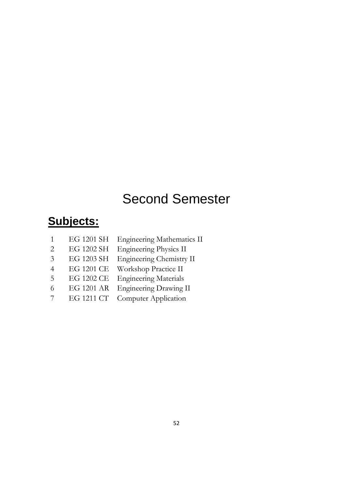# Second Semester

# **Subjects:**

- 1 EG 1201 SH Engineering Mathematics II
- 2 EG 1202 SH Engineering Physics II
- 3 EG 1203 SH Engineering Chemistry II
- 4 EG 1201 CE Workshop Practice II
- 5 EG 1202 CE Engineering Materials
- 6 EG 1201 AR Engineering Drawing II
- 7 EG 1211 CT Computer Application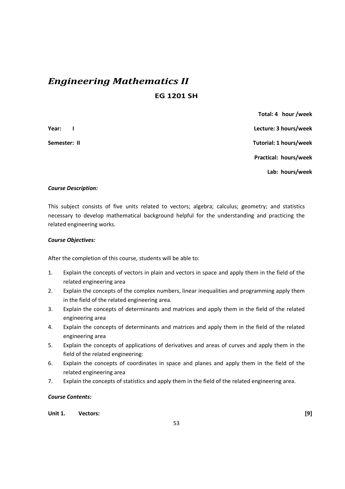# *Engineering Mathematics II*

**EG 1201 SH** 

 **Total: 4 hour /week Year: I Lecture: 3 hours/week Semester: II** Tutorial: 1 hours/week  **Practical: hours/week Lab: hours/week** 

### *Course Description:*

This subject consists of five units related to vectors; algebra; calculus; geometry; and statistics necessary to develop mathematical background helpful for the understanding and practicing the related engineering works.

### *Course Objectives:*

After the completion of this course, students will be able to:

- 1. Explain the concepts of vectors in plain and vectors in space and apply them in the field of the related engineering area
- 2. Explain the concepts of the complex numbers, linear inequalities and programming apply them in the field of the related engineering area.
- 3. Explain the concepts of determinants and matrices and apply them in the field of the related engineering area
- 4. Explain the concepts of determinants and matrices and apply them in the field of the related engineering area
- 5. Explain the concepts of applications of derivatives and areas of curves and apply them in the field of the related engineering:
- 6. Explain the concepts of coordinates in space and planes and apply them in the field of the related engineering area
- 7. Explain the concepts of statistics and apply them in the field of the related engineering area.

### *Course Contents:*

**Unit 1. Vectors: [9]**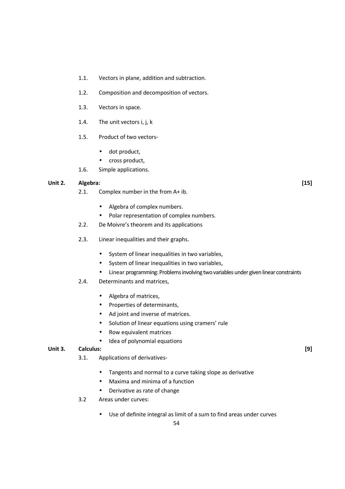- 1.1. Vectors in plane, addition and subtraction.
- 1.2. Composition and decomposition of vectors.
- 1.3. Vectors in space.
- 1.4. The unit vectors i, j, k
- 1.5. Product of two vectors-
	- dot product,
	- cross product,
- 1.6. Simple applications.

### **Unit 2. Algebra: [15]**

- 2.1. Complex number in the from A+ ib.
	- Algebra of complex numbers.
	- Polar representation of complex numbers.
- 2.2. De Moivre's theorem and its applications
- 2.3. Linear inequalities and their graphs.
	- System of linear inequalities in two variables,
	- System of linear inequalities in two variables,
	- Linear programming: Problems involving two variables under given linear constraints
- 2.4. Determinants and matrices,
	- Algebra of matrices,
	- Properties of determinants,
	- Ad joint and inverse of matrices.
	- Solution of linear equations using cramers' rule
	- Row equivalent matrices
	- Idea of polynomial equations

### **Unit 3. Calculus: [9]**

- 3.1. Applications of derivatives-
	- Tangents and normal to a curve taking slope as derivative
	- Maxima and minima of a function
	- Derivative as rate of change
- 3.2 Areas under curves:
	- Use of definite integral as limit of a sum to find areas under curves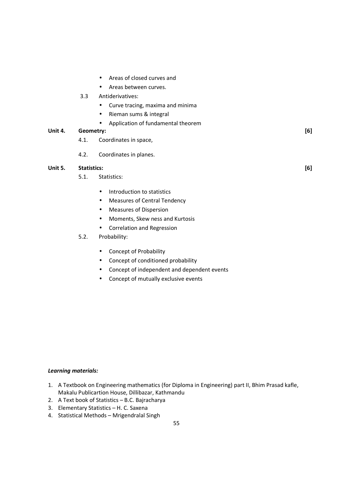- Areas of closed curves and
- Areas between curves.
- 3.3 Antiderivatives:
	- Curve tracing, maxima and minima
	- Rieman sums & integral
	- Application of fundamental theorem

### **Unit 4. Geometry: [6]**

- 4.1. Coordinates in space,
- 4.2. Coordinates in planes.

### **Unit 5. Statistics: [6]**

- 5.1. Statistics:
	- Introduction to statistics
	- Measures of Central Tendency
	- Measures of Dispersion
	- Moments, Skew ness and Kurtosis
	- Correlation and Regression
- 5.2. Probability:
	- Concept of Probability
	- Concept of conditioned probability
	- Concept of independent and dependent events
	- Concept of mutually exclusive events

### *Learning materials:*

- 1. A Textbook on Engineering mathematics (for Diploma in Engineering) part II, Bhim Prasad kafle, Makalu Publicartion House, Dillibazar, Kathmandu
- 2. A Text book of Statistics B.C. Bajracharya
- 3. Elementary Statistics H. C. Saxena
- 4. Statistical Methods Mrigendralal Singh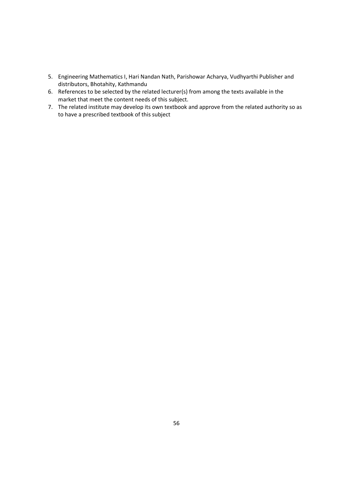- 5. Engineering Mathematics I, Hari Nandan Nath, Parishowar Acharya, Vudhyarthi Publisher and distributors, Bhotahity, Kathmandu
- 6. References to be selected by the related lecturer(s) from among the texts available in the market that meet the content needs of this subject.
- 7. The related institute may develop its own textbook and approve from the related authority so as to have a prescribed textbook of this subject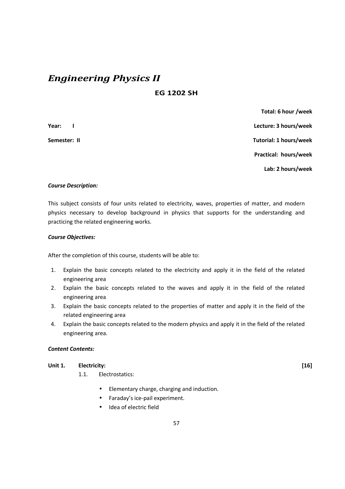# *Engineering Physics II*

# **EG 1202 SH**

 **Total: 6 hour /week Year: I Lecture: 3 hours/week Semester: II Tutorial: 1 hours/week Practical: hours/week Lab: 2 hours/week** 

### *Course Description:*

This subject consists of four units related to electricity, waves, properties of matter, and modern physics necessary to develop background in physics that supports for the understanding and practicing the related engineering works.

### *Course Objectives:*

After the completion of this course, students will be able to:

- 1. Explain the basic concepts related to the electricity and apply it in the field of the related engineering area
- 2. Explain the basic concepts related to the waves and apply it in the field of the related engineering area
- 3. Explain the basic concepts related to the properties of matter and apply it in the field of the related engineering area
- 4. Explain the basic concepts related to the modern physics and apply it in the field of the related engineering area.

### *Content Contents:*

### **Unit 1. Electricity: [16]**

- 1.1. Electrostatics:
	- Elementary charge, charging and induction.
	- Faraday's ice-pail experiment.
	- Idea of electric field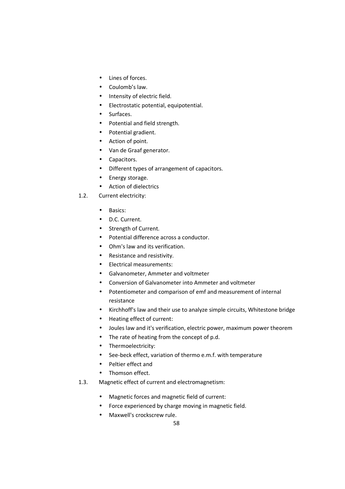- Lines of forces.
- Coulomb's law.
- Intensity of electric field.
- Electrostatic potential, equipotential.
- Surfaces.
- Potential and field strength.
- Potential gradient.
- Action of point.
- Van de Graaf generator.
- Capacitors.
- Different types of arrangement of capacitors.
- Energy storage.
- Action of dielectrics
- 1.2. Current electricity:
	- Basics:
	- D.C. Current.
	- Strength of Current.
	- Potential difference across a conductor.
	- Ohm's law and its verification.
	- Resistance and resistivity.
	- Electrical measurements:
	- Galvanometer, Ammeter and voltmeter
	- Conversion of Galvanometer into Ammeter and voltmeter
	- Potentiometer and comparison of emf and measurement of internal resistance
	- Kirchhoff's law and their use to analyze simple circuits, Whitestone bridge
	- Heating effect of current:
	- Joules law and it's verification, electric power, maximum power theorem
	- The rate of heating from the concept of p.d.
	- Thermoelectricity:
	- See-beck effect, variation of thermo e.m.f. with temperature
	- Peltier effect and
	- Thomson effect.
- 1.3. Magnetic effect of current and electromagnetism:
	- Magnetic forces and magnetic field of current:
	- Force experienced by charge moving in magnetic field.
	- Maxwell's crockscrew rule.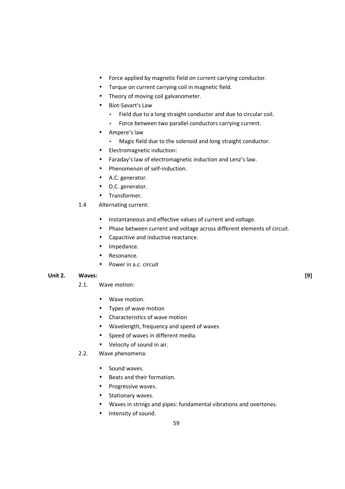- Force applied by magnetic field on current carrying conductor.
- Torque on current carrying coil in magnetic field.
- Theory of moving coil galvanometer.
- Biot-Savart's Law
	- Field due to a long straight conductor and due to circular coil.
	- Force between two parallel conductors carrying current.
- Ampere's law
	- Magic field due to the solenoid and long straight conductor.
- Electromagnetic induction:
- Faraday's law of electromagnetic induction and Lenz's law.
- Phenomenon of self-induction.
- A.C. generator.
- D.C. generator.
- Transformer.
- 1.4 Alternating current:
	- Instantaneous and effective values of current and voltage.
	- Phase between current and voltage across different elements of circuit.
	- Capacitive and inductive reactance.
	- Impedance.
	- Resonance.
	- Power in a.c. circuit

### **Unit 2. Waves: [9]**

- 2.1. Wave motion:
	- Wave motion.
	- Types of wave motion
	- Characteristics of wave motion
	- Wavelength, frequency and speed of waves
	- Speed of waves in different media.
	- Velocity of sound in air.
- 2.2. Wave phenomena:
	- Sound waves.
	- Beats and their formation.
	- Progressive waves.
	- Stationary waves.
	- Waves in strings and pipes: fundamental vibrations and overtones.
	- Intensity of sound.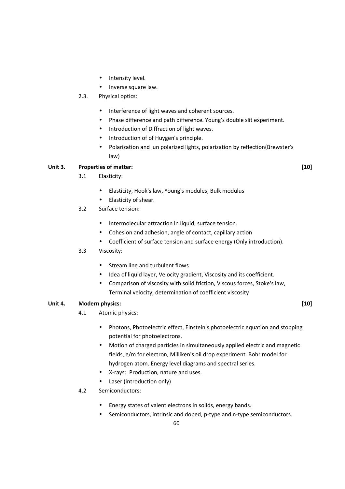- Intensity level.
- Inverse square law.
- 2.3. Physical optics:
	- Interference of light waves and coherent sources.
	- Phase difference and path difference. Young's double slit experiment.
	- Introduction of Diffraction of light waves.
	- Introduction of of Huygen's principle.
	- Polarization and un polarized lights, polarization by reflection(Brewster's law)

### **Unit 3. Properties of matter: [10]**

- 3.1 Elasticity:
	- Elasticity, Hook's law, Young's modules, Bulk modulus
	- Elasticity of shear.
- 3.2 Surface tension:
	- Intermolecular attraction in liquid, surface tension.
	- Cohesion and adhesion, angle of contact, capillary action
	- Coefficient of surface tension and surface energy (Only introduction).
- 3.3 Viscosity:
	- Stream line and turbulent flows.
	- Idea of liquid layer, Velocity gradient, Viscosity and its coefficient.
	- Comparison of viscosity with solid friction, Viscous forces, Stoke's law, Terminal velocity, determination of coefficient viscosity

### Unit 4. Modern physics: [10]

- 4.1 Atomic physics:
	- Photons, Photoelectric effect, Einstein's photoelectric equation and stopping potential for photoelectrons.
	- Motion of charged particles in simultaneously applied electric and magnetic fields, e/m for electron, Milliken's oil drop experiment. Bohr model for hydrogen atom. Energy level diagrams and spectral series.
	- X-rays: Production, nature and uses.
	- Laser (introduction only)
- 4.2 Semiconductors:
	- Energy states of valent electrons in solids, energy bands.
	- Semiconductors, intrinsic and doped, p-type and n-type semiconductors.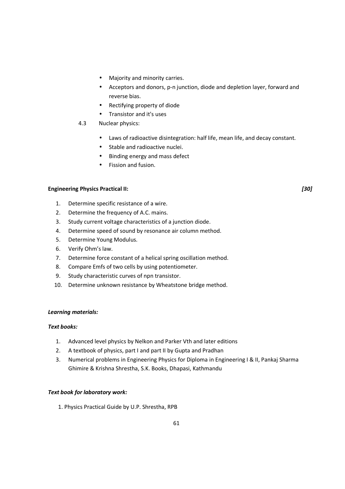- Majority and minority carries.
- Acceptors and donors, p-n junction, diode and depletion layer, forward and reverse bias.
- Rectifying property of diode
- Transistor and it's uses

### 4.3 Nuclear physics:

- Laws of radioactive disintegration: half life, mean life, and decay constant.
- Stable and radioactive nuclei.
- Binding energy and mass defect
- Fission and fusion.

### **Engineering Physics Practical II:** *[30]*

- 1. Determine specific resistance of a wire.
- 2. Determine the frequency of A.C. mains.
- 3. Study current voltage characteristics of a junction diode.
- 4. Determine speed of sound by resonance air column method.
- 5. Determine Young Modulus.
- 6. Verify Ohm's law.
- 7. Determine force constant of a helical spring oscillation method.
- 8. Compare Emfs of two cells by using potentiometer.
- 9. Study characteristic curves of npn transistor.
- 10. Determine unknown resistance by Wheatstone bridge method.

### *Learning materials:*

### *Text books:*

- 1. Advanced level physics by Nelkon and Parker Vth and later editions
- 2. A textbook of physics, part I and part II by Gupta and Pradhan
- 3. Numerical problems in Engineering Physics for Diploma in Engineering I & II, Pankaj Sharma Ghimire & Krishna Shrestha, S.K. Books, Dhapasi, Kathmandu

### *Text book for laboratory work:*

1. Physics Practical Guide by U.P. Shrestha, RPB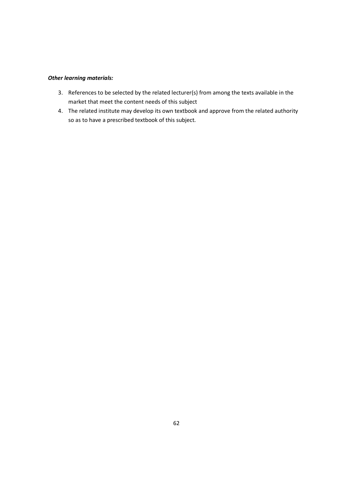### *Other learning materials:*

- 3. References to be selected by the related lecturer(s) from among the texts available in the market that meet the content needs of this subject
- 4. The related institute may develop its own textbook and approve from the related authority so as to have a prescribed textbook of this subject.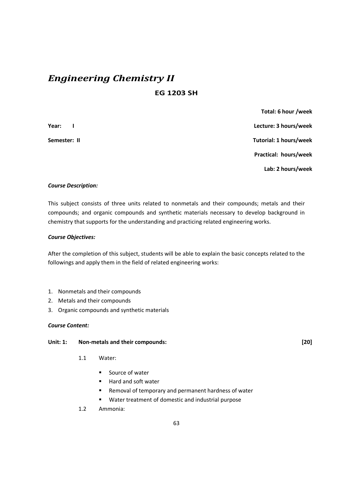# *Engineering Chemistry II*  **EG 1203 SH**

 **Total: 6 hour /week Year: I Lecture: 3 hours/week Semester: II Tutorial: 1 hours/week Practical: hours/week Lab: 2 hours/week** 

### *Course Description:*

This subject consists of three units related to nonmetals and their compounds; metals and their compounds; and organic compounds and synthetic materials necessary to develop background in chemistry that supports for the understanding and practicing related engineering works.

### *Course Objectives:*

After the completion of this subject, students will be able to explain the basic concepts related to the followings and apply them in the field of related engineering works:

- 1. Nonmetals and their compounds
- 2. Metals and their compounds
- 3. Organic compounds and synthetic materials

### *Course Content:*

### **Unit: 1: Non-metals and their compounds: [20]**

- 1.1 Water:
	- **Source of water**
	- Hard and soft water
	- Removal of temporary and permanent hardness of water
	- Water treatment of domestic and industrial purpose
- 1.2 Ammonia: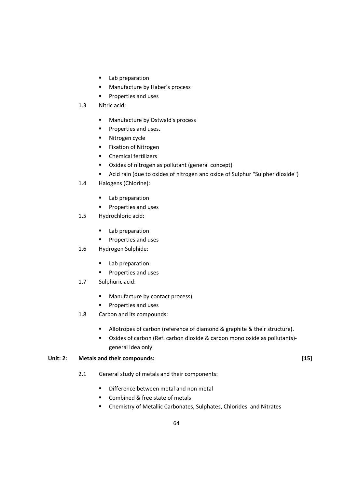- **Lab preparation**
- **Manufacture by Haber's process**
- **Properties and uses**
- 1.3 Nitric acid:
	- **Manufacture by Ostwald's process**
	- **Properties and uses.**
	- **Nitrogen cycle**
	- **Fixation of Nitrogen**
	- **•** Chemical fertilizers
	- Oxides of nitrogen as pollutant (general concept)
	- Acid rain (due to oxides of nitrogen and oxide of Sulphur "Sulpher dioxide")
- 1.4 Halogens (Chlorine):
	- **Lab preparation**
	- **Properties and uses**
- 1.5 Hydrochloric acid:
	- **Lab preparation**
	- **Properties and uses**
- 1.6 Hydrogen Sulphide:
	- **Lab preparation**
	- **Properties and uses**
- 1.7 Sulphuric acid:
	- **Manufacture by contact process)**
	- **Properties and uses**
- 1.8 Carbon and its compounds:
	- Allotropes of carbon (reference of diamond & graphite & their structure).
	- Oxides of carbon (Ref. carbon dioxide & carbon mono oxide as pollutants) general idea only

### Unit: 2: Metals and their compounds: *If a set of a set of a set of a set of a set of a set of a set of a set of a set of a set of a set of a set of a set of a set of a set of a set of a set of a set of a set of a set of*

- 2.1 General study of metals and their components:
	- Difference between metal and non metal
	- Combined & free state of metals
	- Chemistry of Metallic Carbonates, Sulphates, Chlorides and Nitrates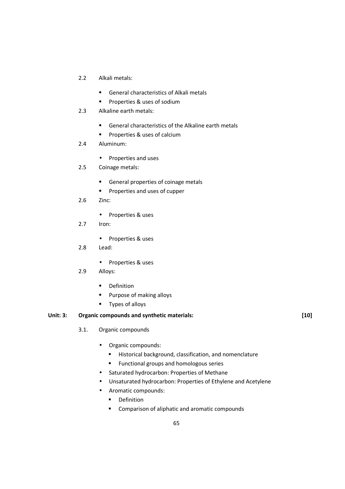- 2.2 Alkali metals:
	- General characteristics of Alkali metals
	- **Properties & uses of sodium**
- 2.3 Alkaline earth metals:
	- General characteristics of the Alkaline earth metals
	- **Properties & uses of calcium**
- 2.4 Aluminum:
	- Properties and uses
- 2.5 Coinage metals:
	- General properties of coinage metals
	- **Properties and uses of cupper**
- 2.6 Zinc:
	- Properties & uses
- 2.7 Iron:
	- Properties & uses
- 2.8 Lead:
	- Properties & uses
- 2.9 Alloys:
	- **•** Definition
	- **Purpose of making alloys**
	- **Types of alloys**

### Unit: 3: Organic compounds and synthetic materials: [10]

- 3.1. Organic compounds
	- Organic compounds:
		- **Historical background, classification, and nomenclature**
		- **Functional groups and homologous series**
	- Saturated hydrocarbon: Properties of Methane
	- Unsaturated hydrocarbon: Properties of Ethylene and Acetylene
	- Aromatic compounds:
		- **•** Definition
		- **EXECOMPARISON OF ALIPTANIE AND AT ADDET** Compounds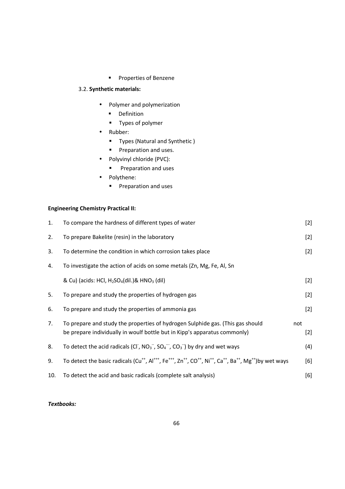**Properties of Benzene** 

# 3.2. **Synthetic materials:**

- Polymer and polymerization
	- **•** Definition
	- **Types of polymer**
- Rubber:
	- **Types (Natural and Synthetic)**
	- **Preparation and uses.**
- Polyvinyl chloride (PVC):
	- **Preparation and uses**
- Polythene:
	- **Preparation and uses**

### **Engineering Chemistry Practical II:**

| 1.  | To compare the hardness of different types of water                                                                                                                                                                   | $[2]$        |
|-----|-----------------------------------------------------------------------------------------------------------------------------------------------------------------------------------------------------------------------|--------------|
| 2.  | To prepare Bakelite (resin) in the laboratory                                                                                                                                                                         | $[2]$        |
| 3.  | To determine the condition in which corrosion takes place                                                                                                                                                             | $[2]$        |
| 4.  | To investigate the action of acids on some metals (Zn, Mg, Fe, Al, Sn                                                                                                                                                 |              |
|     | & Cu) (acids: HCl, $H_2SO_4$ (dil.)& HNO <sub>3</sub> (dil)                                                                                                                                                           | $[2]$        |
| 5.  | To prepare and study the properties of hydrogen gas                                                                                                                                                                   | $[2]$        |
| 6.  | To prepare and study the properties of ammonia gas                                                                                                                                                                    | $[2]$        |
| 7.  | To prepare and study the properties of hydrogen Sulphide gas. (This gas should<br>be prepare individually in woulf bottle but in Kipp's apparatus commonly)                                                           | not<br>$[2]$ |
| 8.  | To detect the acid radicals (CI, $NO_3^-$ , $SO_4^-$ , $CO_3^-$ ) by dry and wet ways                                                                                                                                 | (4)          |
| 9.  | To detect the basic radicals (Cu <sup>++</sup> , Al <sup>+++</sup> , Fe <sup>+++</sup> , Zn <sup>++</sup> , CO <sup>++</sup> , Ni <sup>++</sup> , Ca <sup>++</sup> , Ba <sup>++</sup> , Mg <sup>++</sup> )by wet ways | [6]          |
| 10. | To detect the acid and basic radicals (complete salt analysis)                                                                                                                                                        | [6]          |

### *Textbooks:*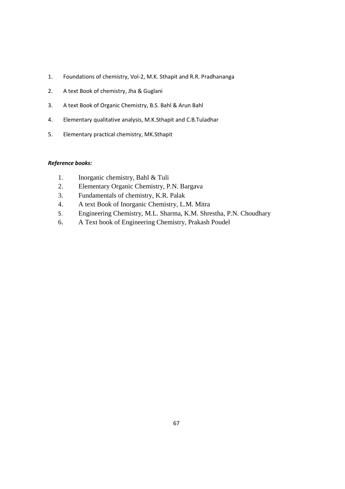- 1. Foundations of chemistry, Vol-2, M.K. Sthapit and R.R. Pradhananga
- 2. A text Book of chemistry, Jha & Guglani
- 3. A text Book of Organic Chemistry, B.S. Bahl & Arun Bahl
- 4. Elementary qualitative analysis, M.K.Sthapit and C.B.Tuladhar
- 5. Elementary practical chemistry, MK.Sthapit

### *Reference books:*

- 1. Inorganic chemistry, Bahl & Tuli
- 2. Elementary Organic Chemistry, P.N. Bargava
- 3. Fundamentals of chemistry, K.R. Palak
- 4. A text Book of Inorganic Chemistry, L.M. Mitra
- 5. Engineering Chemistry, M.L. Sharma, K.M. Shrestha, P.N. Choudhary
- 6. A Text book of Engineering Chemistry, Prakash Poudel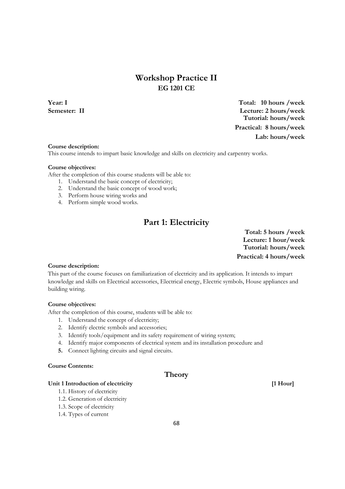# **Workshop Practice II EG 1201 CE**

**Year: I Total: 10 hours /week Semester: II Lecture: 2 hours/week Tutorial: hours/week Practical: 8 hours/week Lab: hours/week**

### **Course description:**

This course intends to impart basic knowledge and skills on electricity and carpentry works.

### **Course objectives:**

After the completion of this course students will be able to:

- 1. Understand the basic concept of electricity;
- 2. Understand the basic concept of wood work;
- 3. Perform house wiring works and
- 4. Perform simple wood works.

# **Part 1: Electricity**

**Total: 5 hours /week Lecture: 1 hour/week Tutorial: hours/week Practical: 4 hours/week**

### **Course description:**

This part of the course focuses on familiarization of electricity and its application. It intends to impart knowledge and skills on Electrical accessories, Electrical energy, Electric symbols, House appliances and building wiring.

### **Course objectives:**

After the completion of this course, students will be able to:

- 1. Understand the concept of electricity;
- 2. Identify electric symbols and accessories;
- 3. Identify tools/equipment and its safety requirement of wiring system;
- 4. Identify major components of electrical system and its installation procedure and
- **5.** Connect lighting circuits and signal circuits.

### **Course Contents:**

### **Theory**

Unit 1 Introduction of electricity **and a set of the COV [1 Hour] [1 Hour]** 

- 1.1. History of electricity
- 1.2. Generation of electricity
- 1.3. Scope of electricity
- 1.4. Types of current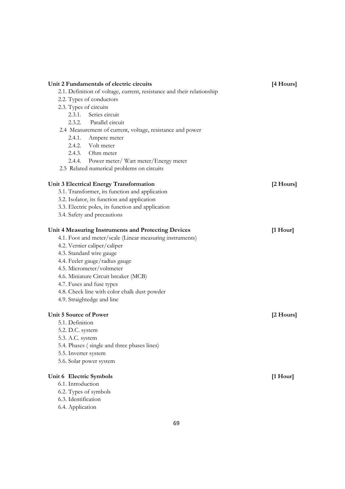|                 | Unit 2 Fundamentals of electric circuits                               | [4 Hours]           |
|-----------------|------------------------------------------------------------------------|---------------------|
|                 | 2.1. Definition of voltage, current, resistance and their relationship |                     |
|                 | 2.2. Types of conductors                                               |                     |
|                 | 2.3. Types of circuits                                                 |                     |
|                 | 2.3.1. Series circuit                                                  |                     |
|                 | 2.3.2. Parallel circuit                                                |                     |
|                 | 2.4 Measurement of current, voltage, resistance and power              |                     |
| 2.4.1.          | Ampere meter                                                           |                     |
|                 | 2.4.2. Volt meter                                                      |                     |
|                 | 2.4.3. Ohm meter                                                       |                     |
|                 | 2.4.4. Power meter/Watt meter/Energy meter                             |                     |
|                 | 2.5 Related numerical problems on circuits                             |                     |
|                 | Unit 3 Electrical Energy Transformation                                | $[2 \text{ Hours}]$ |
|                 | 3.1. Transformer, its function and application                         |                     |
|                 | 3.2. Isolator, its function and application                            |                     |
|                 | 3.3. Electric poles, its function and application                      |                     |
|                 | 3.4. Safety and precautions                                            |                     |
|                 | Unit 4 Measuring Instruments and Protecting Devices                    | $[1$ Hour]          |
|                 | 4.1. Foot and meter/scale (Linear measuring instruments)               |                     |
|                 | 4.2. Vernier caliper/caliper                                           |                     |
|                 | 4.3. Standard wire gauge                                               |                     |
|                 | 4.4. Feeler gauge/radius gauge                                         |                     |
|                 | 4.5. Micrometer/voltmeter                                              |                     |
|                 | 4.6. Miniature Circuit breaker (MCB)                                   |                     |
|                 | 4.7. Fuses and fuse types                                              |                     |
|                 | 4.8. Check line with color chalk dust powder                           |                     |
|                 | 4.9. Straightedge and line                                             |                     |
|                 |                                                                        |                     |
|                 | Unit 5 Source of Power                                                 | $[2 \text{ Hours}]$ |
| 5.1. Definition |                                                                        |                     |
|                 | 5.2. D.C. system                                                       |                     |
|                 | 5.3. A.C. system                                                       |                     |
|                 | 5.4. Phases (single and three phases lines)                            |                     |
|                 | 5.5. Inverter system                                                   |                     |
|                 | 5.6. Solar power system                                                |                     |
|                 | Unit 6 Electric Symbols                                                | [1 Hour]            |
|                 | 6.1. Introduction                                                      |                     |
|                 | 6.2. Types of symbols                                                  |                     |
|                 | 6.3. Identification                                                    |                     |
|                 | 6.4. Application                                                       |                     |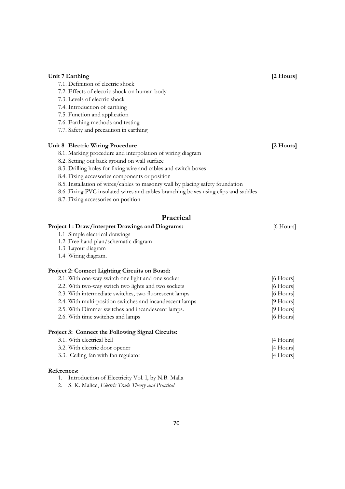| [2 Hours]<br>Unit 7 Earthing                                                       |                |
|------------------------------------------------------------------------------------|----------------|
| 7.1. Definition of electric shock                                                  |                |
| 7.2. Effects of electric shock on human body                                       |                |
| 7.3. Levels of electric shock                                                      |                |
| 7.4. Introduction of earthing                                                      |                |
| 7.5. Function and application                                                      |                |
| 7.6. Earthing methods and testing                                                  |                |
| 7.7. Safety and precaution in earthing                                             |                |
| <b>Unit 8 Electric Wiring Procedure</b>                                            | [2 Hours]      |
| 8.1. Marking procedure and interpolation of wiring diagram                         |                |
| 8.2. Setting out back ground on wall surface                                       |                |
| 8.3. Drilling holes for fixing wire and cables and switch boxes                    |                |
| 8.4. Fixing accessories components or position                                     |                |
| 8.5. Installation of wires/cables to masonry wall by placing safety foundation     |                |
| 8.6. Fixing PVC insulated wires and cables branching boxes using clips and saddles |                |
| 8.7. Fixing accessories on position                                                |                |
| Practical                                                                          |                |
| Project 1: Draw/interpret Drawings and Diagrams:                                   |                |
| 1.1 Simple electrical drawings                                                     | [6 Hours]      |
| 1.2 Free hand plan/schematic diagram                                               |                |
| 1.3 Layout diagram                                                                 |                |
| 1.4 Wiring diagram.                                                                |                |
| Project 2: Connect Lighting Circuits on Board:                                     |                |
| 2.1. With one-way switch one light and one socket                                  | [6 Hours]      |
| 2.2. With two-way switch two lights and two sockets                                | $[6$ Hours $]$ |
| 2.3. With intermediate switches, two fluorescent lamps                             | $[6$ Hours $]$ |
| 2.4. With multi-position switches and incandescent lamps                           | $[9$ Hours]    |
| 2.5. With Dimmer switches and incandescent lamps.                                  | $[9$ Hours]    |
| 2.6. With time switches and lamps                                                  | [6 Hours]      |
| Project 3: Connect the Following Signal Circuits:                                  |                |
| 3.1. With electrical bell                                                          | [4 Hours]      |
| 3.2. With electric door opener                                                     |                |
|                                                                                    | [4 Hours]      |
| 3.3. Ceiling fan with fan regulator                                                | [4 Hours]      |

- **References:** 
	- 1. Introduction of Electricity Vol. I, by N.B. Malla
	- 2. S. K. Malice, *Electric Trade Theory and Practical*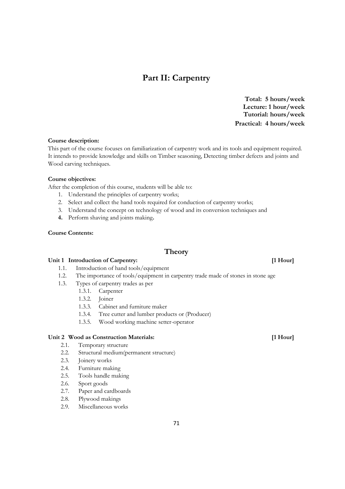# **Part II: Carpentry**

**Total: 5 hours/week Lecture: 1 hour/week Tutorial: hours/week Practical: 4 hours/week**

### **Course description:**

This part of the course focuses on familiarization of carpentry work and its tools and equipment required. It intends to provide knowledge and skills on Timber seasoning, Detecting timber defects and joints and Wood carving techniques.

### **Course objectives:**

After the completion of this course, students will be able to:

- 1. Understand the principles of carpentry works;
- 2. Select and collect the hand tools required for conduction of carpentry works;
- 3. Understand the concept on technology of wood and its conversion techniques and
- **4.** Perform shaving and joints making**.**

### **Course Contents:**

### **Theory**

### Unit 1 Introduction of Carpentry: *I* **Hour** *I Hour*

- 1.1. Introduction of hand tools/equipment
- 1.2. The importance of tools/equipment in carpentry trade made of stones in stone age
- 1.3. Types of carpentry trades as per
	- 1.3.1. Carpenter
		- 1.3.2. Joiner
		- 1.3.3. Cabinet and furniture maker
		- 1.3.4. Tree cutter and lumber products or (Producer)
		- 1.3.5. Wood working machine setter-operator

### **Unit 2 Wood as Construction Materials: [1 Hour]**

- 2.1. Temporary structure
- 2.2. Structural medium(permanent structure)
- 2.3. Joinery works
- 2.4. Furniture making
- 2.5. Tools handle making
- 2.6. Sport goods
- 2.7. Paper and cardboards
- 2.8. Plywood makings
- 2.9. Miscellaneous works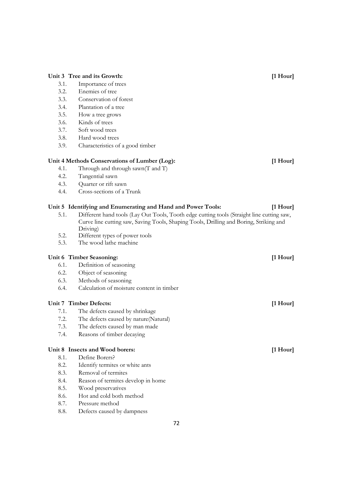### Unit 3 Tree and its Growth: *If* Hour

- 3.1. Importance of trees
- 3.2. Enemies of tree
- 3.3. Conservation of forest
- 3.4. Plantation of a tree
- 3.5. How a tree grows
- 3.6. Kinds of trees
- 3.7. Soft wood trees
- 3.8. Hard wood trees
- 3.9. Characteristics of a good timber

### **Unit 4 Methods Conservations of Lumber (Log): [1 Hour]**

- 4.1. Through and through sawn(T and T)
- 4.2. Tangential sawn
- 4.3. Quarter or rift sawn
- 4.4. Cross-sections of a Trunk

### **Unit 5 Identifying and Enumerating and Hand and Power Tools: [1 Hour]**

- 5.1. Different hand tools (Lay Out Tools, Tooth edge cutting tools (Straight line cutting saw, Curve line cutting saw, Saving Tools, Shaping Tools, Drilling and Boring, Striking and Driving)
- 5.2. Different types of power tools
- 5.3. The wood lathe machine

# Unit 6 Timber Seasoning: *I* **I** Hour] *I* **I** Hourl

- 6.1. Definition of seasoning
- 6.2. Object of seasoning
- 6.3. Methods of seasoning
- 6.4. Calculation of moisture content in timber

### **Unit 7 Timber Defects: [1 Hour]**

- 7.1. The defects caused by shrinkage
- 7.2. The defects caused by nature(Natural)
- 7.3. The defects caused by man made
- 7.4. Reasons of timber decaying

# Unit 8 Insects and Wood borers: *I* **leads Example 2 I I** Hour]

- 8.1. Define Borers?
- 8.2. Identify termites or white ants
- 8.3. Removal of termites
- 8.4. Reason of termites develop in home
- 8.5. Wood preservatives
- 8.6. Hot and cold both method
- 8.7. Pressure method
- 8.8. Defects caused by dampness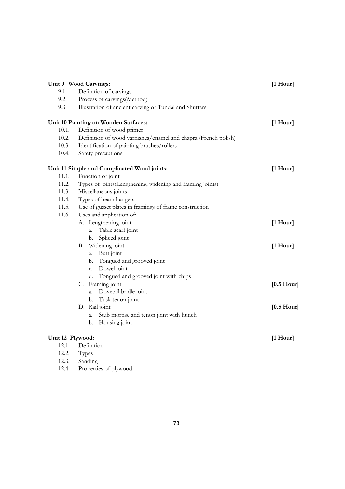|                  | Unit 9 Wood Carvings:                                          | $[1$ Hour]           |
|------------------|----------------------------------------------------------------|----------------------|
| 9.1.             | Definition of carvings                                         |                      |
| 9.2.             | Process of carvings(Method)                                    |                      |
| 9.3.             | Illustration of ancient carving of Tundal and Shutters         |                      |
|                  | Unit 10 Painting on Wooden Surfaces:                           | $[1$ Hour]           |
| 10.1.            | Definition of wood primer                                      |                      |
| 10.2.            | Definition of wood varnishes/enamel and chapra (French polish) |                      |
| 10.3.            | Identification of painting brushes/rollers                     |                      |
| 10.4.            | Safety precautions                                             |                      |
|                  | Unit 11 Simple and Complicated Wood joints:                    | $[1$ Hour $]$        |
| 11.1.            | Function of joint                                              |                      |
| 11.2.            | Types of joints (Lengthening, widening and framing joints)     |                      |
| 11.3.            | Miscellaneous joints                                           |                      |
| 11.4.            | Types of beam hangers                                          |                      |
| 11.5.            | Use of gusset plates in framings of frame construction         |                      |
| 11.6.            | Uses and application of;                                       |                      |
|                  | A. Lengthening joint                                           | $[1$ Hour]           |
|                  | Table scarf joint<br>a.                                        |                      |
|                  | Spliced joint<br>b.                                            |                      |
|                  | Widening joint<br>В.                                           | $[1$ Hour]           |
|                  | Butt joint<br>a.                                               |                      |
|                  | Tongued and grooved joint<br>b.                                |                      |
|                  | Dowel joint<br>c.                                              |                      |
|                  | Tongued and grooved joint with chips<br>d.                     |                      |
|                  | Framing joint<br>C.                                            | $[0.5 \text{ Hour}]$ |
|                  | Dovetail bridle joint<br>a.                                    |                      |
|                  | Tusk tenon joint<br>b.                                         |                      |
|                  | D. Rail joint                                                  | $[0.5 \text{ Hour}]$ |
|                  | Stub mortise and tenon joint with hunch<br>a.                  |                      |
|                  | Housing joint<br>b.                                            |                      |
| Unit 12 Plywood: |                                                                | [1 Hour]             |
| 12.1.            | Definition                                                     |                      |
| 12.2.            | Types                                                          |                      |
| 12.3.            | Sanding                                                        |                      |

12.4. Properties of plywood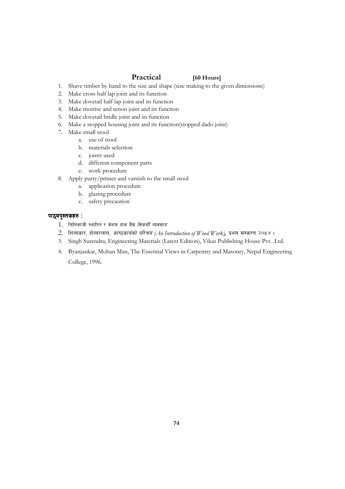### **Practical [60 Hours]**

- 1. Shave timber by hand to the size and shape (size making to the given dimensions)
- 2. Make cross half lap joint and its function
- 3. Make dovetail half lap joint and its function
- 4. Make mortise and tenon joint and its function
- 5. Make dovetail bridle joint and its function
- 6. Make a stopped housing joint and its function(stopped dado joint)
- 7. Make small stool
	- a. use of stool
		- b. materials selection
		- c. joints used
		- d. different component parts
	- e. work procedure
- 8. Apply putty/primer and varnish to the small stool
	- a. application procedure
	- b. glazing procedure
	- c. safety precaution

### *kf7\ok':tsx? M ok':tsx? M ok':tsx? M*

- 1. चिनिकाजी स्थापित र केशब दास बैद्य *सिकर्मी ब्यवसाय*
- 2. *lznfsf/, bf]Aa/nfn, sfi7sfo{sf] kl/ro (An Introduction of Wood Work), k|yd ;+:s/0f @)%\$ .*
- 3. Singh Surendra, Engineering Materials (Latest Edition), Vikas Publishing House Pvt. .Ltd.
- 4. Byanjankar, Mohan Man, The Essential Views in Carpentry and Masonry, Nepal Engineering College, 1996.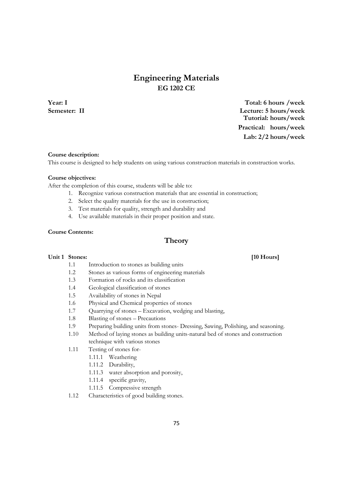# **Engineering Materials EG 1202 CE**

**Year: I Total: 6 hours /week Semester: II Lecture: 5 hours/week Tutorial: hours/week Practical: hours/week Lab: 2/2 hours/week**

#### **Course description:**

This course is designed to help students on using various construction materials in construction works.

#### **Course objectives:**

After the completion of this course, students will be able to:

- 1. Recognize various construction materials that are essential in construction;
- 2. Select the quality materials for the use in construction;
- 3. Test materials for quality, strength and durability and
- 4. Use available materials in their proper position and state.

### **Course Contents:**

## **Theory**

### Unit 1 Stones: [10 Hours]

- 1.1 Introduction to stones as building units
- 1.2 Stones as various forms of engineering materials
- 1.3 Formation of rocks and its classification
- 1.4 Geological classification of stones
- 1.5 Availability of stones in Nepal
- 1.6 Physical and Chemical properties of stones
- 1.7 Quarrying of stones Excavation, wedging and blasting,
- 1.8 Blasting of stones Precautions
- 1.9 Preparing building units from stones- Dressing, Sawing, Polishing, and seasoning.
- 1.10 Method of laying stones as building units-natural bed of stones and construction technique with various stones
- 1.11 Testing of stones for-
	- 1.11.1 Weathering
	- 1.11.2 Durability,
	- 1.11.3 water absorption and porosity,
	- 1.11.4 specific gravity,
	- 1.11.5 Compressive strength
- 1.12 Characteristics of good building stones.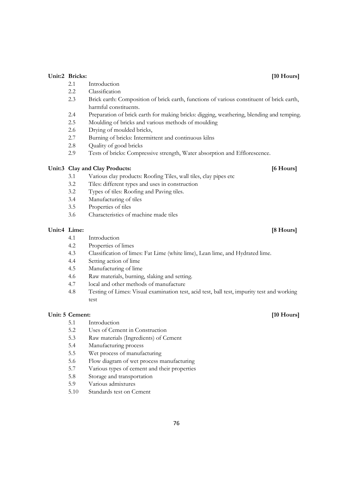### Unit:2 Bricks: [10 Hours]

- 2.1 Introduction
- 2.2 Classification
- 2.3 Brick earth: Composition of brick earth, functions of various constituent of brick earth, harmful constituents.
- 2.4 Preparation of brick earth for making bricks: digging, weathering, blending and temping.
- 2.5 Moulding of bricks and various methods of moulding
- 2.6 Drying of moulded bricks,
- 2.7 Burning of bricks: Intermittent and continuous kilns
- 2.8 Quality of good bricks
- 2.9 Tests of bricks: Compressive strength, Water absorption and Efflorescence.

### Unit:3 Clay and Clay Products: *6 Hours*

- 3.1 Various clay products: Roofing Tiles, wall tiles, clay pipes etc
- 3.2 Tiles: different types and uses in construction
- 3.2 Types of tiles: Roofing and Paving tiles.
- 3.4 Manufacturing of tiles
- 3.5 Properties of tiles
- 3.6 Characteristics of machine made tiles

#### Unit:4 Lime: **[8 Hours]**

- 4.1 Introduction
- 4.2 Properties of limes
- 4.3 Classification of limes: Fat Lime (white lime), Lean lime, and Hydrated lime.
- 4.4 Setting action of lime
- 4.5 Manufacturing of lime
- 4.6 Raw materials, burning, slaking and setting.
- 4.7 local and other methods of manufacture
- 4.8 Testing of Limes: Visual examination test, acid test, ball test, impurity test and working test

### Unit: 5 Cement: [10 Hours]

- 5.1 Introduction
- 5.2 Uses of Cement in Construction
- 5.3 Raw materials (Ingredients) of Cement
- 5.4 Manufacturing process
- 5.5 Wet process of manufacturing
- 5.6 Flow diagram of wet process manufacturing
- 5.7 Various types of cement and their properties
- 5.8 Storage and transportation
- 5.9 Various admixtures
- 5.10 Standards test on Cement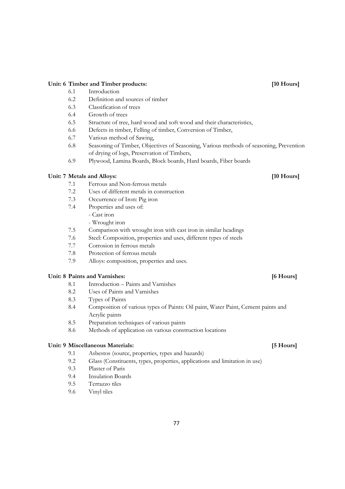### Unit: 6 Timber and Timber products: *If*  $\begin{bmatrix} 10 \text{ Hours} \\ 10 \text{ Hours} \end{bmatrix}$

- 6.1 Introduction
- 6.2 Definition and sources of timber
- 6.3 Classification of trees
- 6.4 Growth of trees
- 6.5 Structure of tree, hard wood and soft wood and their characteristics,
- 6.6 Defects in timber, Felling of timber, Conversion of Timber,
- 6.7 Various method of Sawing,
- 6.8 Seasoning of Timber, Objectives of Seasoning, Various methods of seasoning, Prevention of drying of logs, Preservation of Timbers,
- 6.9 Plywood, Lamina Boards, Block boards, Hard boards, Fiber boards

### **Unit: 7 Metals and Alloys: [10 Hours]**

- 7.1 Ferrous and Non-ferrous metals
- 7.2 Uses of different metals in construction
- 7.3 Occurrence of Iron: Pig iron
- 7.4 Properties and uses of:
	- Cast iron
	- Wrought iron
- 7.5 Comparison with wrought iron with cast iron in similar headings
- 7.6 Steel: Composition, properties and uses, different types of steels
- 7.7 Corrosion in ferrous metals
- 7.8 Protection of ferrous metals
- 7.9 Alloys: composition, properties and uses.

### Unit: 8 Paints and Varnishes: [6 Hours]

- 8.1 Introduction Paints and Varnishes
- 8.2 Uses of Paints and Varnishes
- 8.3 Types of Paints
- 8.4 Composition of various types of Paints: Oil paint, Water Paint, Cement paints and Acrylic paints
- 8.5 Preparation techniques of various paints
- 8.6 Methods of application on various construction locations

#### **Unit: 9 Miscellaneous Materials: [5 Hours]**

- 9.1 Asbestos (source, properties, types and hazards)
- 9.2 Glass (Constituents, types, properties, applications and limitation in use)
- 9.3 Plaster of Paris
- 9.4 Insulation Boards
- 9.5 Terrazzo tiles
- 9.6 Vinyl tiles

### 77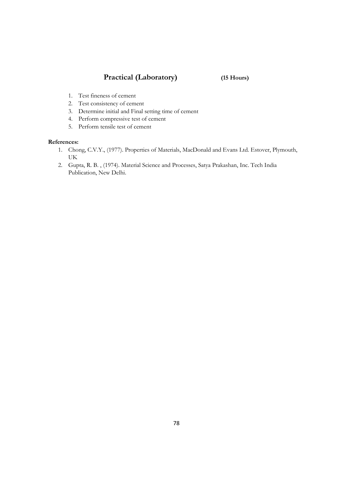# **Practical (Laboratory) (15 Hours)**

- 1. Test fineness of cement
- 2. Test consistency of cement
- 3. Determine initial and Final setting time of cement
- 4. Perform compressive test of cement
- 5. Perform tensile test of cement

- 1. Chong, C.V.Y., (1977). Properties of Materials, MacDonald and Evans Ltd. Estover, Plymouth, UK
- 2. Gupta, R. B. , (1974). Material Science and Processes, Satya Prakashan, Inc. Tech India Publication, New Delhi.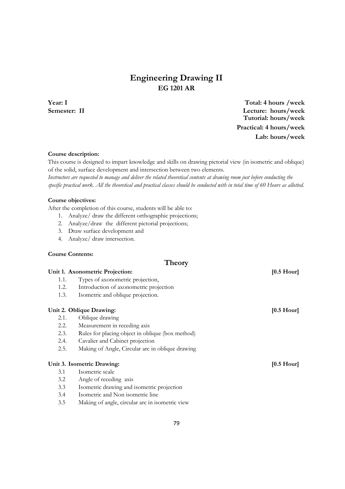# **Engineering Drawing II EG 1201 AR**

**Year: I Total: 4 hours /week Semester: II Lecture: hours/week Tutorial: hours/week Practical: 4 hours/week Lab: hours/week**

#### **Course description:**

This course is designed to impart knowledge and skills on drawing pictorial view (in isometric and oblique) of the solid, surface development and intersection between two elements.

Instructors are requested to manage and deliver the related theoretical contents at drawing room just before conducting the *specific practical work. All the theoretical and practical classes should be conducted with in total time of 60 Hours as allotted.* 

### **Course objectives:**

After the completion of this course, students will be able to:

- 1. Analyze/ draw the different orthographic projections;
- 2. Analyze/draw the different pictorial projections;
- 3. Draw surface development and
- 4. Analyze/ draw intersection.

### **Course Contents:**

Unit 1. Axonometric Projection: *CON* **CON EXECUTE: CON EXECUTE: CON EXECUTE: CON EXECUTE: CON EXECUTE: CON EXECUTE: CON EXECUTE: CON EXECUTE: CON EXECUTE: CON EXECUTE: CON EXECU** 1.1. Types of axonometric projection, 1.2. Introduction of axonometric projection 1.3. Isometric and oblique projection. Unit 2. Oblique Drawing: *Discrete Drawing:* **10.5 Hour 10.5 Hour 10.5 Hour 10.5 Hour 10.5 Hour 10.5 Hour 10.5 Hour 10.5 Hour 10.5 Hour 10.5 Hour 10.5 Hour 10.5 Hour 10.5 Hour 10.5 Hour 10.5 H** 2.1. Oblique drawing 2.2. Measurement in receding axis 2.3. Rules for placing object in oblique (box method) 2.4. Cavalier and Cabinet projection 2.5. Making of Angle, Circular arc in oblique drawing Unit 3. Isometric Drawing: [0.5 Hour] 3.1 Isometric scale 3.2 Angle of receding axis 3.3 Isometric drawing and isometric projection

**Theory** 

- 3.4 Isometric and Non isometric line
- 3.5 Making of angle, circular arc in isometric view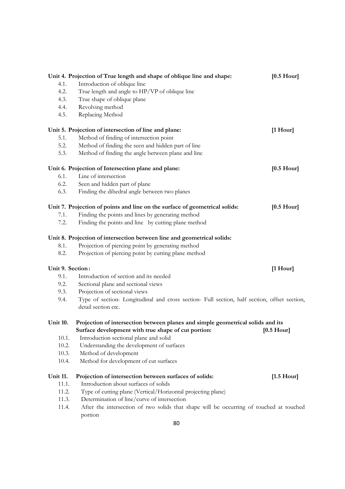|                  | Unit 4. Projection of True length and shape of oblique line and shape:                                                                 | $[0.5 \text{ Hour}]$ |
|------------------|----------------------------------------------------------------------------------------------------------------------------------------|----------------------|
| 4.1.             | Introduction of oblique line                                                                                                           |                      |
| 4.2.             | True length and angle to HP/VP of oblique line                                                                                         |                      |
| 4.3.             | True shape of oblique plane                                                                                                            |                      |
| 4.4.             | Revolving method                                                                                                                       |                      |
| 4.5.             | Replacing Method                                                                                                                       |                      |
|                  | Unit 5. Projection of intersection of line and plane:                                                                                  | $[1$ Hour]           |
| 5.1.             | Method of finding of intersection point                                                                                                |                      |
| 5.2.             | Method of finding the seen and hidden part of line                                                                                     |                      |
| 5.3.             | Method of finding the angle between plane and line                                                                                     |                      |
|                  | Unit 6. Projection of Intersection plane and plane:                                                                                    | $[0.5 \text{ Hour}]$ |
| 6.1.             | Line of intersection                                                                                                                   |                      |
| 6.2.             | Seen and hidden part of plane                                                                                                          |                      |
| 6.3.             | Finding the dihedral angle between two planes                                                                                          |                      |
|                  | Unit 7. Projection of points and line on the surface of geometrical solids:                                                            | $[0.5 \text{ Hour}]$ |
| 7.1.             | Finding the points and lines by generating method                                                                                      |                      |
| 7.2.             | Finding the points and line by cutting plane method                                                                                    |                      |
|                  | Unit 8. Projection of intersection between line and geometrical solids:                                                                |                      |
| 8.1.             | Projection of piercing point by generating method                                                                                      |                      |
| 8.2.             | Projection of piercing point by cutting plane method                                                                                   |                      |
| Unit 9. Section: |                                                                                                                                        | $[1$ Hour]           |
| 9.1.             | Introduction of section and its needed                                                                                                 |                      |
| 9.2.             | Sectional plane and sectional views                                                                                                    |                      |
| 9.3.             | Projection of sectional views                                                                                                          |                      |
| 9.4.             | Type of section- Longitudinal and cross section- Full section, half section, offset section,<br>detail section etc.                    |                      |
| <b>Unit 10.</b>  | Projection of intersection between planes and simple geometrical solids and its<br>Surface development with true shape of cut portion: | $[0.5 \text{ Hour}]$ |
| 10.1.            | Introduction sectional plane and solid                                                                                                 |                      |
| 10.2.            | Understanding the development of surfaces                                                                                              |                      |
| 10.3.            | Method of development                                                                                                                  |                      |
| 10.4.            | Method for development of cut surfaces                                                                                                 |                      |
|                  |                                                                                                                                        |                      |
| <b>Unit 11.</b>  | Projection of intersection between surfaces of solids:                                                                                 | $[1.5 \text{ Hour}]$ |
| 11.1.            | Introduction about surfaces of solids                                                                                                  |                      |
| 11.2.            | Type of cutting plane (Vertical/Horizontal projecting plane)                                                                           |                      |
| 11.3.            | Determination of line/curve of intersection                                                                                            |                      |
| 11.4.            | After the intersection of two solids that shape will be occurring of touched at touched<br>portion                                     |                      |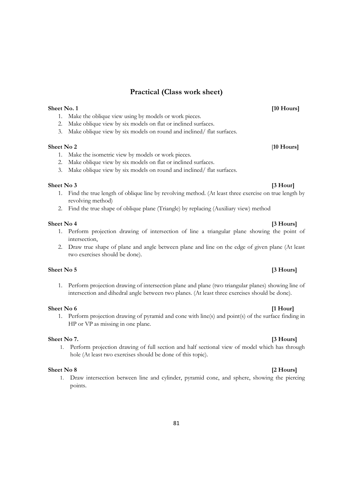# **Practical (Class work sheet)**

### **Sheet No. 1 [10 Hours]**

- 1. Make the oblique view using by models or work pieces.
- 2. Make oblique view by six models on flat or inclined surfaces.
- 3. Make oblique view by six models on round and inclined/ flat surfaces.

### **Sheet No 2** [**10 Hours]**

- 1. Make the isometric view by models or work pieces.
- 2. Make oblique view by six models on flat or inclined surfaces.
- 3. Make oblique view by six models on round and inclined/ flat surfaces.

#### **Sheet No 3 [3 Hour]**

- 1. Find the true length of oblique line by revolving method. (At least three exercise on true length by revolving method)
- 2. Find the true shape of oblique plane (Triangle) by replacing (Auxiliary view) method

#### **Sheet No 4** [3 Hours] **[3 Hours]**

- 1. Perform projection drawing of intersection of line a triangular plane showing the point of intersection,
- 2. Draw true shape of plane and angle between plane and line on the edge of given plane (At least two exercises should be done).

### **Sheet No 5** [3 Hours]

1. Perform projection drawing of intersection plane and plane (two triangular planes) showing line of intersection and dihedral angle between two planes. (At least three exercises should be done).

#### **Sheet No 6** [1 Hour]

1. Perform projection drawing of pyramid and cone with line(s) and point(s) of the surface finding in HP or VP as missing in one plane.

#### **Sheet No 7.** [3 Hours]

1. Perform projection drawing of full section and half sectional view of model which has through hole (At least two exercises should be done of this topic).

#### **Sheet No 8** [2 Hours]

1. Draw intersection between line and cylinder, pyramid cone, and sphere, showing the piercing points.

#### 81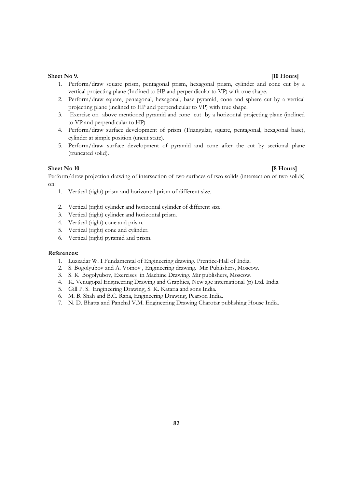#### **Sheet No 9.** [**10 Hours]**

- 1. Perform/draw square prism, pentagonal prism, hexagonal prism, cylinder and cone cut by a vertical projecting plane (Inclined to HP and perpendicular to VP) with true shape.
- 2. Perform/draw square, pentagonal, hexagonal, base pyramid, cone and sphere cut by a vertical projecting plane (inclined to HP and perpendicular to VP) with true shape.
- 3. Exercise on above mentioned pyramid and cone cut by a horizontal projecting plane (inclined to VP and perpendicular to HP)
- 4. Perform/draw surface development of prism (Triangular, square, pentagonal, hexagonal base), cylinder at simple position (uncut state).
- 5. Perform/draw surface development of pyramid and cone after the cut by sectional plane (truncated solid).

#### **Sheet No 10** [8 Hours]

Perform/draw projection drawing of intersection of two surfaces of two solids (intersection of two solids) on:

- 1. Vertical (right) prism and horizontal prism of different size.
- 2. Vertical (right) cylinder and horizontal cylinder of different size.
- 3. Vertical (right) cylinder and horizontal prism.
- 4. Vertical (right) cone and prism.
- 5. Vertical (right) cone and cylinder.
- 6. Vertical (right) pyramid and prism.

- 1. Luzzadar W. I Fundamental of Engineering drawing. Prentice-Hall of India.
- 2. S. Bogolyubov and A. Voinov , Engineering drawing. Mir Publishers, Moscow.
- 3. S. K Bogolyubov, Exercises in Machine Drawing. Mir publishers, Moscow.
- 4. K. Venugopal Engineering Drawing and Graphics, New age international (p) Ltd. India.
- 5. Gill P. S. Engineering Drawing, S. K. Kataria and sons India.
- 6. M. B. Shah and B.C. Rana, Engineering Drawing, Pearson India.
- 7. N. D. Bhatta and Panchal V.M. Engineering Drawing Charotar publishing House India.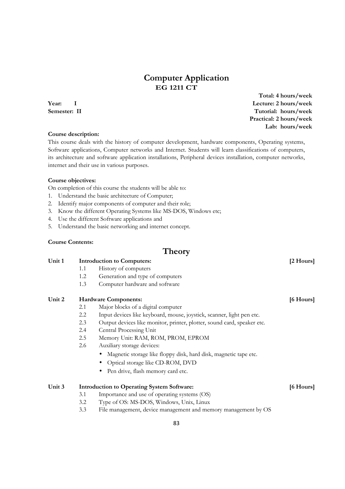# **Computer Application EG 1211 CT**

#### **Course description:**

This course deals with the history of computer development, hardware components, Operating systems, Software applications, Computer networks and Internet. Students will learn classifications of computers, its architecture and software application installations, Peripheral devices installation, computer networks, internet and their use in various purposes.

#### **Course objectives:**

On completion of this course the students will be able to:

- 1. Understand the basic architecture of Computer;
- 2. Identify major components of computer and their role;
- 3. Know the different Operating Systems like MS-DOS, Windows etc;
- 4. Use the different Software applications and
- 5. Understand the basic networking and internet concept.

#### **Course Contents:**

# **Theory**

### Unit 1 **Introduction to Computers:** [2 Hours]

- 1.1 History of computers
- 1.2 Generation and type of computers
- 1.3 Computer hardware and software

#### Unit 2 **Hardware Components: 16 Hours 16 Hours 16 Hours 16 Hours 16 Hours 16 Hours 16 Hours 16 Hours 16 Hours 16 Hours 16 Hours 16 Hours 16 Hours 16 Hours 16 Hours 16 Hours 16 Hours 16 H**

- 2.1 Major blocks of a digital computer
- 2.2 Input devices like keyboard, mouse, joystick, scanner, light pen etc.
- 2.3 Output devices like monitor, printer, plotter, sound card, speaker etc.
- 2.4 Central Processing Unit
- 2.5 Memory Unit: RAM, ROM, PROM, EPROM
- 2.6 Auxiliary storage devices:
	- Magnetic storage like floppy disk, hard disk, magnetic tape etc.
	- Optical storage like CD-ROM, DVD
	- Pen drive, flash memory card etc.

### Unit 3 **Introduction to Operating System Software:** [6 Hours] **[6 Hours]**

- 3.1 Importance and use of operating systems (OS)
- 3.2 Type of OS: MS-DOS, Windows, Unix, Linux
- 3.3 File management, device management and memory management by OS

 **Total: 4 hours/week Year: I Lecture: 2 hours/week Semester: II** Tutorial: hours/week  **Practical: 2 hours/week Lab: hours/week**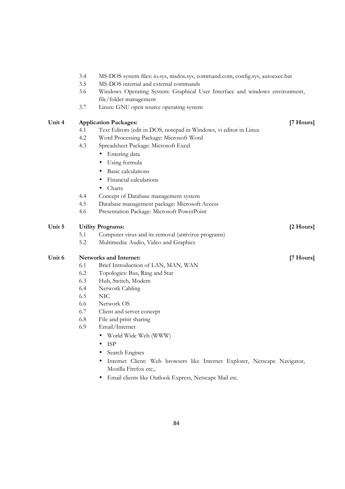|        | 3.4                                   | MS-DOS system files: io.sys, msdos.sys, command.com, config.sys, autoexec.bat                         |           |  |  |
|--------|---------------------------------------|-------------------------------------------------------------------------------------------------------|-----------|--|--|
|        | 3.5                                   | MS-DOS internal and external commands                                                                 |           |  |  |
|        | 3.6                                   | Windows Operating System: Graphical User Interface and windows environment,<br>file/folder management |           |  |  |
|        | 3.7                                   | Linux: GNU open source operating system                                                               |           |  |  |
| Unit 4 |                                       | <b>Application Packages:</b>                                                                          | [7 Hours] |  |  |
|        | 4.1                                   | Text Editors (edit in DOS, notepad in Windows, vi editor in Linux                                     |           |  |  |
|        | 4.2                                   | Word Processing Package: Microsoft Word                                                               |           |  |  |
|        | 4.3                                   | Spreadsheet Package: Microsoft Excel                                                                  |           |  |  |
|        |                                       | Entering data<br>$\bullet$                                                                            |           |  |  |
|        |                                       | Using formula<br>$\bullet$                                                                            |           |  |  |
|        |                                       | Basic calculations<br>٠                                                                               |           |  |  |
|        |                                       | Financial calculations                                                                                |           |  |  |
|        |                                       | Charts<br>$\bullet$                                                                                   |           |  |  |
|        | 4.4                                   | Concept of Database management system                                                                 |           |  |  |
|        | 4.5                                   | Database management package: Microsoft Access                                                         |           |  |  |
|        | 4.6                                   | Presentation Package: Microsoft PowerPoint                                                            |           |  |  |
| Unit 5 | <b>Utility Programs:</b><br>[2 Hours] |                                                                                                       |           |  |  |
|        | 5.1                                   | Computer virus and its removal (antivirus programs)                                                   |           |  |  |
|        | 5.2                                   | Multimedia: Audio, Video and Graphics                                                                 |           |  |  |
| Unit 6 |                                       | <b>Networks and Internet:</b>                                                                         | [7 Hours] |  |  |
|        | 6.1                                   | Brief Introduction of LAN, MAN, WAN                                                                   |           |  |  |
|        | 6.2                                   | Topologies: Bus, Ring and Star                                                                        |           |  |  |
|        | 6.3                                   | Hub, Switch, Modem                                                                                    |           |  |  |
|        | 6.4                                   | Network Cabling                                                                                       |           |  |  |
|        | 6.5                                   | <b>NIC</b>                                                                                            |           |  |  |
|        | 6.6                                   | Network OS                                                                                            |           |  |  |
|        | 6.7                                   | Client and server concept                                                                             |           |  |  |
|        | 6.8                                   | File and print sharing                                                                                |           |  |  |
|        | 6.9                                   | Email/Internet                                                                                        |           |  |  |
|        |                                       | World Wide Web (WWW)                                                                                  |           |  |  |
|        |                                       | <b>ISP</b>                                                                                            |           |  |  |
|        |                                       | Search Engines                                                                                        |           |  |  |
|        |                                       | Internet Client: Web browsers like Internet Explorer, Netscape Navigator,                             |           |  |  |
|        |                                       | Mozilla Firefox etc.,                                                                                 |           |  |  |
|        |                                       | Email clients like Outlook Express, Netscape Mail etc.                                                |           |  |  |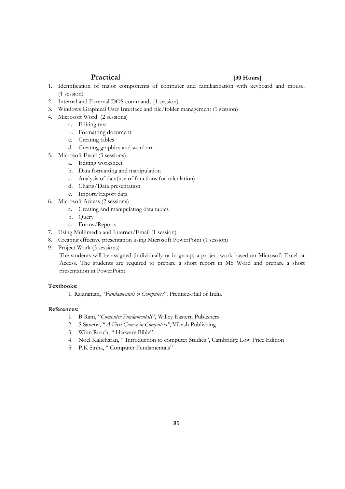### **Practical [30 Hours]**

- 1. Identification of major components of computer and familiarization with keyboard and mouse. (1 session)
- 2. Internal and External DOS commands (1 session)
- 3. Windows Graphical User Interface and file/folder management (1 session)
- 4. Microsoft Word (2 sessions)
	- a. Editing text
	- b. Formatting document
	- c. Creating tables
	- d. Creating graphics and word art
- 5. Microsoft Excel (3 sessions)
	- a. Editing worksheet
	- b. Data formatting and manipulation
	- c. Analysis of data(use of functions for calculation)
	- d. Charts/Data presentation
	- e. Import/Export data
- 6. Microsoft Access (2 sessions)
	- a. Creating and manipulating data tables
	- b. Query
	- c. Forms/Reports
- 7. Using Multimedia and Internet/Email (1 session)
- 8. Creating effective presentation using Microsoft PowerPoint (1 session)
- 9. Project Work (3 sessions)

The students will be assigned (individually or in group) a project work based on Microsoft Excel or Access. The students are required to prepare a short report in MS Word and prepare a short presentation in PowerPoint.

#### **Textbooks:**

1. Rajaraman, "*Fundamentals of Computers*", Prentice-Hall of India

- 1. B Ram, "*Computer Fundamentals*", Willey Eastern Publishers
- 2. S Saxena, "*A First Course in Computers"*, Vikash Publishing
- 3. Winn Rosch, " Harware Bible"
- 4. Noel Kalicharan, " Introduction to computer Studies", Cambridge Low Price Edition
- 5. P.K Sinha, " Computer Fundamentals"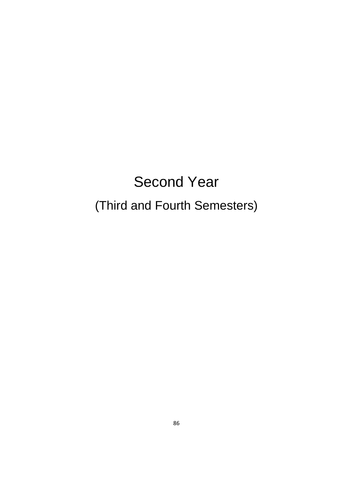# Second Year (Third and Fourth Semesters)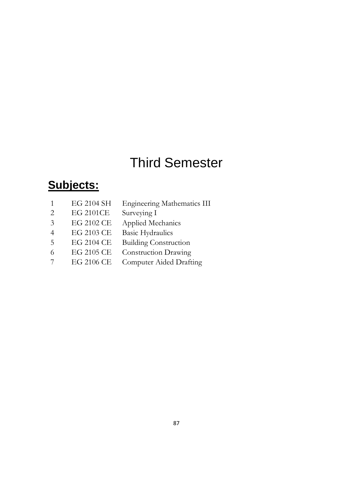# Third Semester

# **Subjects:**

|                             | EG 2104 SH       | <b>Engineering Mathematics III</b> |
|-----------------------------|------------------|------------------------------------|
| $\mathcal{D}_{\mathcal{L}}$ | <b>EG 2101CE</b> | Surveying I                        |
| 3                           | EG 2102 CE       | Applied Mechanics                  |
|                             | EG 2103 CE       | <b>Basic Hydraulics</b>            |
| $\overline{5}$              | EG 2104 CE       | <b>Building Construction</b>       |
| 6                           | EG 2105 CE       | <b>Construction Drawing</b>        |
|                             | EG 2106 CE       | Computer Aided Drafting            |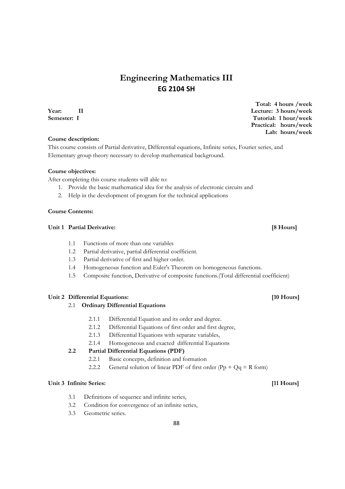# **Engineering Mathematics III EG 2104 SH**

#### **Course description:**

This course consists of Partial derivative, Differential equations, Infinite series, Fourier series, and Elementary group theory necessary to develop mathematical background.

#### **Course objectives:**

After completing this course students will able to:

- 1. Provide the basic mathematical idea for the analysis of electronic circuits and
- 2. Help in the development of program for the technical applications

### **Course Contents:**

### **Unit 1 Partial Derivative: [8 Hours]**

- 1.1 Functions of more than one variables
- 1.2 Partial derivative, partial differential coefficient.
- 1.3 Partial derivative of first and higher order.
- 1.4 Homogeneous function and Euler's Theorem on homogeneous functions.
- 1.5 Composite function, Derivative of composite functions.(Total differential coefficient)

#### **Unit 2 Differential Equations: [10 Hours]**

#### 2.1 **Ordinary Differential Equations**

- 2.1.1 Differential Equation and its order and degree.
- 2.1.2 Differential Equations of first order and first degree,
- 2.1.3 Differential Equations with separate variables,
- 2.1.4 Homogeneous and exacted differential Equations

### **2.2 Partial Differential Equations (PDF)**

- 2.2.1 Basic concepts, definition and formation
- 2.2.2 General solution of linear PDF of first order  $(Pp + Qq = R$  form)

#### Unit 3 Infinite Series: [11 Hours]

- 3.1 Definitions of sequence and infinite series,
- 3.2 Condition for convergence of an infinite series,
- 3.3 Geometric series.

**Total: 4 hours /week Year: II Lecture: 3 hours/week Semester: I** Tutorial: 1 hour/week  **Practical: hours/week Lab: hours/week**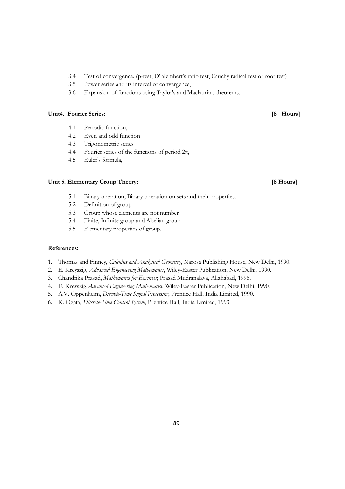- 3.4 Test of convergence. (p-test, D' alembert's ratio test, Cauchy radical test or root test)
- 3.5 Power series and its interval of convergence,
- 3.6 Expansion of functions using Taylor's and Maclaurin's theorems.

#### **Unit4. Fourier Series: [8 Hours]**

- 4.1 Periodic function,
- 4.2 Even and odd function
- 4.3 Trigonometric series
- 4.4 Fourier series of the functions of period 2π,
- 4.5 Euler's formula,

### Unit 5. Elementary Group Theory: **[8 Hours] [8 Hours]**

- 5.1. Binary operation, Binary operation on sets and their properties.
- 5.2. Definition of group
- 5.3. Group whose elements are not number
- 5.4. Finite, Infinite group and Abelian group
- 5.5. Elementary properties of group.

- 1. Thomas and Finney, *Calculus and Analytical Geometry*, Narosa Publishing House, New Delhi, 1990.
- 2. E. Kreyszig, *Advanced Engineering Mathematics*, Wiley-Easter Publication, New Delhi, 1990.
- 3. Chandrika Prasad, *Mathematics for Engineer*, Prasad Mudranalaya, Allahabad, 1996.
- 4. E. Kreyszig,*Advanced Engineering Mathematics*, Wiley-Easter Publication, New Delhi, 1990.
- 5. A.V. Oppenheim, *Discrete-Time Signal Processing*, Prentice Hall, India Limited, 1990.
- 6. K. Ogata, *Discrete-Time Control System*, Prentice Hall, India Limited, 1993.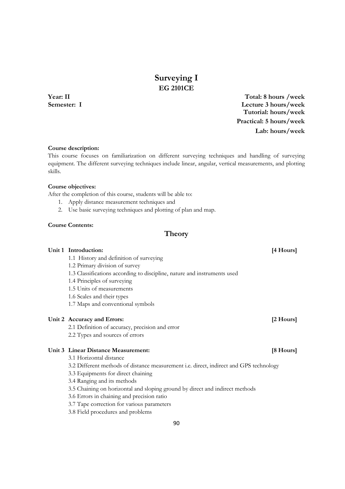# **Surveying I EG 2101CE**

**Year: II Total: 8 hours /week Semester: I Lecture 3 hours/week Tutorial: hours/week Practical: 5 hours/week Lab: hours/week**

#### **Course description:**

This course focuses on familiarization on different surveying techniques and handling of surveying equipment. The different surveying techniques include linear, angular, vertical measurements, and plotting skills.

#### **Course objectives:**

After the completion of this course, students will be able to:

- 1. Apply distance measurement techniques and
- 2. Use basic surveying techniques and plotting of plan and map.

#### **Course Contents:**

### **Theory**

### Unit 1 Introduction: [4 Hours]

1.1 History and definition of surveying

1.2 Primary division of survey

1.3 Classifications according to discipline, nature and instruments used

1.4 Principles of surveying

1.5 Units of measurements

1.6 Scales and their types

1.7 Maps and conventional symbols

#### Unit 2 Accuracy and Errors: *[2 Hours] can all the set of the set of the set of the set of the set of the set of the set of the set of the set of the set of the set of the set of the set of the set of the set of the s*

2.1 Definition of accuracy, precision and error

2.2 Types and sources of errors

### **Unit 3 Linear Distance Measurement: [8 Hours]**

3.1 Horizontal distance

3.2 Different methods of distance measurement i.e. direct, indirect and GPS technology

- 3.3 Equipments for direct chaining
- 3.4 Ranging and its methods

3.5 Chaining on horizontal and sloping ground by direct and indirect methods

3.6 Errors in chaining and precision ratio

3.7 Tape correction for various parameters

3.8 Field procedures and problems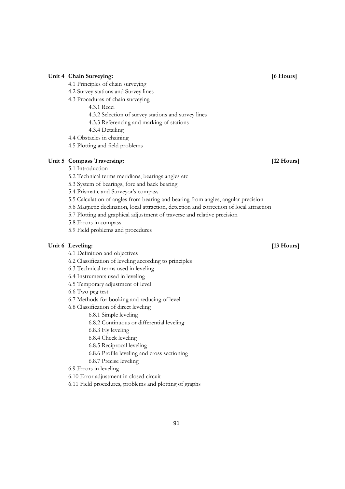### Unit 4 Chain Surveying: *Chain Surveying: Chain Surveying: Chain Surveying:* **<b>***Chain Surveying: Chain Surveying: Chain Surveying: Chain Surveying: Chain Surveying: <i>Chain Surveying: Chain Sur*

- 4.1 Principles of chain surveying
- 4.2 Survey stations and Survey lines
- 4.3 Procedures of chain surveying
	- 4.3.1 Recci
	- 4.3.2 Selection of survey stations and survey lines
	- 4.3.3 Referencing and marking of stations
	- 4.3.4 Detailing
- 4.4 Obstacles in chaining
- 4.5 Plotting and field problems

### Unit 5 Compass Traversing: *Unit 5 Compass Traversing: Particularly 12 Hours Particularly 12 Hours Particularly 12 Hours*

- 5.1 Introduction
- 5.2 Technical terms meridians, bearings angles etc
- 5.3 System of bearings, fore and back bearing
- 5.4 Prismatic and Surveyor's compass
- 5.5 Calculation of angles from bearing and bearing from angles, angular precision
- 5.6 Magnetic declination, local attraction, detection and correction of local attraction
- 5.7 Plotting and graphical adjustment of traverse and relative precision
- 5.8 Errors in compass
- 5.9 Field problems and procedures

### Unit 6 Leveling: [13 Hours]

- 6.1 Definition and objectives
- 6.2 Classification of leveling according to principles
- 6.3 Technical terms used in leveling
- 6.4 Instruments used in leveling
- 6.5 Temporary adjustment of level
- 6.6 Two peg test
- 6.7 Methods for booking and reducing of level
- 6.8 Classification of direct leveling

6.8.1 Simple leveling

- 6.8.2 Continuous or differential leveling
- 6.8.3 Fly leveling
- 6.8.4 Check leveling
- 6.8.5 Reciprocal leveling
- 6.8.6 Profile leveling and cross sectioning
- 6.8.7 Precise leveling
- 6.9 Errors in leveling
- 6.10 Error adjustment in closed circuit
- 6.11 Field procedures, problems and plotting of graphs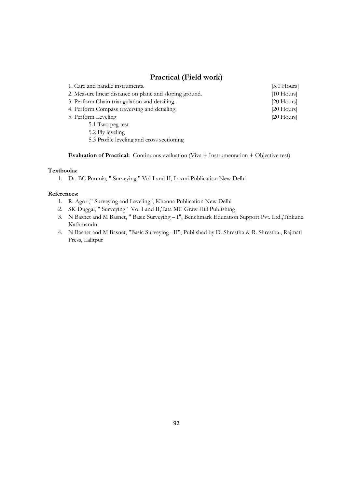# **Practical (Field work)**

| TTACHCAI (TTCHU WUIN)                                   |               |
|---------------------------------------------------------|---------------|
| 1. Care and handle instruments.                         | $[5.0$ Hours] |
| 2. Measure linear distance on plane and sloping ground. | $[10$ Hours]  |
| 3. Perform Chain triangulation and detailing.           | $[20$ Hours]  |
| 4. Perform Compass traversing and detailing.            | $[20$ Hours]  |
| 5. Perform Leveling                                     | $[20$ Hours]  |
| 5.1 Two peg test                                        |               |
| 5.2 Fly leveling                                        |               |
| 5.3 Profile leveling and cross sectioning               |               |
|                                                         |               |

**Evaluation of Practical:** Continuous evaluation (Viva + Instrumentation + Objective test)

#### **Textbooks:**

1. Dr. BC Punmia, " Surveying " Vol I and II, Laxmi Publication New Delhi

- 1. R. Agor ," Surveying and Leveling", Khanna Publication New Delhi
- 2. SK Duggal, " Surveying" Vol I and II,Tata MC Graw Hill Publishing
- 3. N Basnet and M Basnet, " Basic Surveying I", Benchmark Education Support Pvt. Ltd.,Tinkune Kathmandu
- 4. N Basnet and M Basnet, "Basic Surveying –II", Published by D. Shrestha & R. Shrestha , Rajmati Press, Lalitpur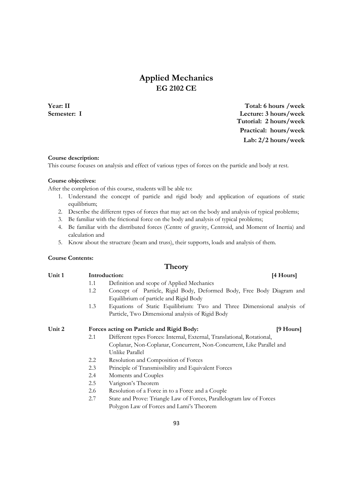# **Applied Mechanics EG 2102 CE**

**Year: II Total: 6 hours /week Semester: I Lecture: 3 hours/week Tutorial: 2 hours/week Practical: hours/week Lab: 2/2 hours/week**

#### **Course description:**

This course focuses on analysis and effect of various types of forces on the particle and body at rest.

#### **Course objectives:**

After the completion of this course, students will be able to:

- 1. Understand the concept of particle and rigid body and application of equations of static equilibrium;
- 2. Describe the different types of forces that may act on the body and analysis of typical problems;
- 3. Be familiar with the frictional force on the body and analysis of typical problems;
- 4. Be familiar with the distributed forces (Centre of gravity, Centroid, and Moment of Inertia) and calculation and
- 5. Know about the structure (beam and truss), their supports, loads and analysis of them.

#### **Course Contents:**

### **Theory**

| Unit 1 | Introduction: |                                                                        | [4 Hours] |  |  |
|--------|---------------|------------------------------------------------------------------------|-----------|--|--|
|        | 1.1           | Definition and scope of Applied Mechanics                              |           |  |  |
|        | 1.2           | Concept of Particle, Rigid Body, Deformed Body, Free Body Diagram and  |           |  |  |
|        |               | Equilibrium of particle and Rigid Body                                 |           |  |  |
|        | 1.3           | Equations of Static Equilibrium: Two and Three Dimensional analysis of |           |  |  |
|        |               | Particle, Two Dimensional analysis of Rigid Body                       |           |  |  |
| Unit 2 |               | Forces acting on Particle and Rigid Body:                              | [9 Hours] |  |  |
|        | 2.1           | Different types Forces: Internal, External, Translational, Rotational, |           |  |  |
|        |               | Coplanar, Non-Coplanar, Concurrent, Non-Concurrent, Like Parallel and  |           |  |  |
|        |               | Unlike Parallel                                                        |           |  |  |
|        | 2.2           | Resolution and Composition of Forces                                   |           |  |  |
|        | 2.3           | Principle of Transmissibility and Equivalent Forces                    |           |  |  |
|        | 2.4           | Moments and Couples                                                    |           |  |  |
|        | 2.5           | Varignon's Theorem                                                     |           |  |  |
|        | 2.6           | Resolution of a Force in to a Force and a Couple                       |           |  |  |
|        | 2.7           | State and Prove: Triangle Law of Forces, Parallelogram law of Forces   |           |  |  |

Polygon Law of Forces and Lami's Theorem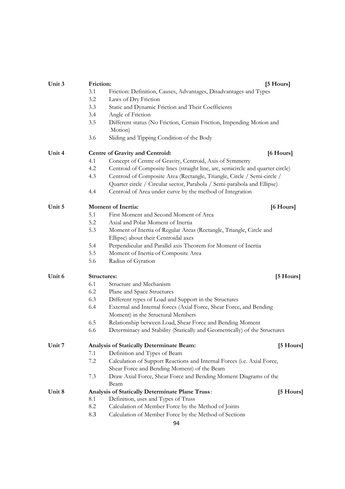| Unit 3 | Friction: |                                                                                 | [5 Hours]           |
|--------|-----------|---------------------------------------------------------------------------------|---------------------|
|        | 3.1       | Friction: Definition, Causes, Advantages, Disadvantages and Types               |                     |
|        | 3.2       | Laws of Dry Friction                                                            |                     |
|        | 3.3       | Static and Dynamic Friction and Their Coefficients                              |                     |
|        | 3.4       | Angle of Friction                                                               |                     |
|        | 3.5       | Different status (No Friction, Certain Friction, Impending Motion and           |                     |
|        |           | Motion)                                                                         |                     |
|        | 3.6       | Sliding and Tipping Condition of the Body                                       |                     |
| Unit 4 |           | Centre of Gravity and Centroid:                                                 | [6 Hours]           |
|        | 4.1       | Concept of Centre of Gravity, Centroid, Axis of Symmetry                        |                     |
|        | 4.2       | Centroid of Composite lines (straight line, arc, semicircle and quarter circle) |                     |
|        | 4.3       | Centroid of Composite Area (Rectangle, Triangle, Circle / Semi-circle /         |                     |
|        |           | Quarter circle / Circular sector, Parabola / Semi-parabola and Ellipse)         |                     |
|        | 4.4       | Centroid of Area under curve by the method of Integration                       |                     |
| Unit 5 |           | <b>Moment of Inertia:</b>                                                       | [6 Hours]           |
|        | 5.1       | First Moment and Second Moment of Area                                          |                     |
|        | 5.2       | Axial and Polar Moment of Inertia                                               |                     |
|        | 5.3       | Moment of Inertia of Regular Areas (Rectangle, Triangle, Circle and             |                     |
|        |           | Ellipse) about their Centroidal axes                                            |                     |
|        | 5.4       | Perpendicular and Parallel axis Theorem for Moment of Inertia                   |                     |
|        | 5.5       | Moment of Inertia of Composite Area                                             |                     |
|        | 5.6       | Radius of Gyration                                                              |                     |
| Unit 6 |           | Structures:                                                                     | [5 Hours]           |
|        | 6.1       | Structure and Mechanism                                                         |                     |
|        | 6.2       | Plane and Space Structures                                                      |                     |
|        | 6.3       | Different types of Load and Support in the Structures                           |                     |
|        | 6.4       | External and Internal forces (Axial Force, Shear Force, and Bending             |                     |
|        |           | Moment) in the Structural Members                                               |                     |
|        | 6.5       | Relationship between Load, Shear Force and Bending Moment                       |                     |
|        | 6.6       | Determinacy and Stability (Statically and Geometrically) of the Structures      |                     |
| Unit 7 |           | Analysis of Statically Determinate Beam:                                        | [5 Hours]           |
|        | 7.1       | Definition and Types of Beam                                                    |                     |
|        | 7.2       | Calculation of Support Reactions and Internal Forces (i.e. Axial Force,         |                     |
|        |           | Shear Force and Bending Moment) of the Beam                                     |                     |
|        | 7.3       | Draw Axial Force, Shear Force and Bending Moment Diagrams of the                |                     |
|        |           | Beam                                                                            |                     |
| Unit 8 |           | Analysis of Statically Determinate Plane Truss:                                 | $[5 \text{ Hours}]$ |
|        | 8.1       | Definition, uses and Types of Truss                                             |                     |
|        | 8.2       | Calculation of Member Force by the Method of Joints                             |                     |
|        | 8.3       | Calculation of Member Force by the Method of Sections                           |                     |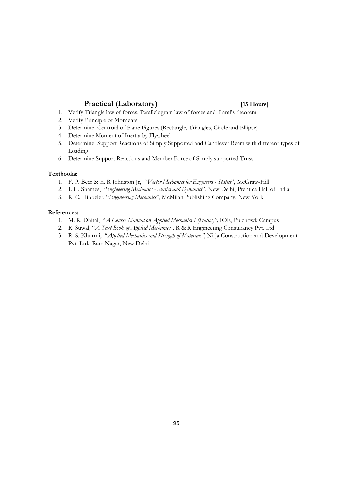### **Practical (Laboratory) [15 Hours]**

- 1. Verify Triangle law of forces, Parallelogram law of forces and Lami's theorem
- 2. Verify Principle of Moments
- 3. Determine Centroid of Plane Figures (Rectangle, Triangles, Circle and Ellipse)
- 4. Determine Moment of Inertia by Flywheel
- 5. Determine Support Reactions of Simply Supported and Cantilever Beam with different types of Loading
- 6. Determine Support Reactions and Member Force of Simply supported Truss

#### **Textbooks:**

- 1. F. P. Beer & E. R Johnston Jr, "*Vector Mechanics for Engineers Statics*", McGraw-Hill
- 2. I. H. Shames, "*Engineering Mechanics Statics and Dynamics*", New Delhi, Prentice Hall of India
- 3. R. C. Hibbeler, "*Engineering Mechanics*", McMilan Publishing Company, New York

- 1. M. R. Dhital, "*A Course Manual on Applied Mechanics I (Statics)",* IOE, Pulchowk Campus
- 2. R. Suwal, "*A Text Book of Applied Mechanics"*, R & R Engineering Consultancy Pvt. Ltd
- 3. R. S. Khurmi, "*Applied Mechanics and Strength of Materials"*, Nirja Construction and Development Pvt. Ltd., Ram Nagar, New Delhi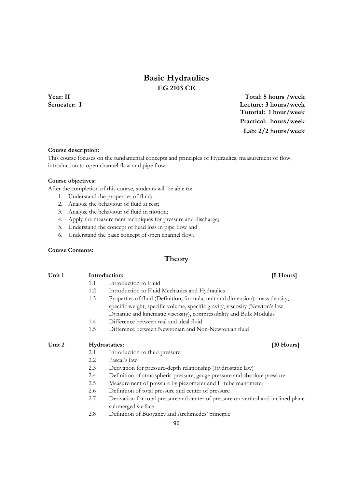# **Basic Hydraulics EG 2103 CE**

**Year: II Total: 5 hours /week Semester: I Lecture: 3 hours/week Tutorial: 1 hour/week Practical: hours/week Lab: 2/2 hours/week**

#### **Course description:**

This course focuses on the fundamental concepts and principles of Hydraulics, measurement of flow, introduction to open channel flow and pipe flow.

#### **Course objectives:**

After the completion of this course, students will be able to:

- 1. Understand the properties of fluid;
- 2. Analyze the behaviour of fluid at rest;
- 3. Analyze the behaviour of fluid in motion;
- 4. Apply the measurement techniques for pressure and discharge;
- 5. Understand the concept of head loss in pipe flow and
- 6. Understand the basic concept of open channel flow.

#### **Course Contents:**

### **Theory**

Unit 1 **Introduction:** [5 Hours]

- 1.1 Introduction to Fluid
- 1.2 Introduction to Fluid Mechanics and Hydraulics
- 1.3 Properties of fluid (Definition, formula, unit and dimension): mass density, specific weight, specific volume, specific gravity, viscosity (Newton's law, Dynamic and kinematic viscosity), compressibility and Bulk Modulus
- 1.4 Difference between real and ideal fluid
- 1.5 Difference between Newtonian and Non-Newtonian fluid

#### Unit 2 **Hydrostatics:** [10 Hours] *M*

- 2.1 Introduction to fluid pressure
- 2.2 Pascal's law
- 2.3 Derivation for pressure-depth relationship (Hydrostatic law)
- 2.4 Definition of atmospheric pressure, gauge pressure and absolute pressure
- 2.5 Measurement of pressure by piezometer and U-tube manometer
- 2.6 Definition of total pressure and center of pressure
- 2.7 Derivation for total pressure and center of pressure on vertical and inclined plane submerged surface
- 2.8 Definition of Buoyancy and Archimedes' principle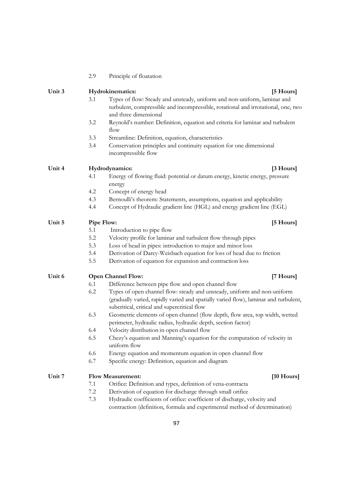|        | 2.9     | Principle of floatation                                                                                                                                                                                          |              |
|--------|---------|------------------------------------------------------------------------------------------------------------------------------------------------------------------------------------------------------------------|--------------|
| Unit 3 |         | Hydrokinematics:                                                                                                                                                                                                 | [5 Hours]    |
|        | 3.1     | Types of flow: Steady and unsteady, uniform and non-uniform, laminar and<br>turbulent, compressible and incompressible, rotational and irrotational, one, two<br>and three dimensional                           |              |
|        | 3.2     | Reynold's number: Definition, equation and criteria for laminar and turbulent<br>flow                                                                                                                            |              |
|        | 3.3     | Streamline: Definition, equation, characteristics                                                                                                                                                                |              |
|        | 3.4     | Conservation principles and continuity equation for one dimensional<br>incompressible flow                                                                                                                       |              |
| Unit 4 |         | Hydrodynamics:                                                                                                                                                                                                   | [3 Hours]    |
|        | 4.1     | Energy of flowing fluid: potential or datum energy, kinetic energy, pressure                                                                                                                                     |              |
|        |         | energy                                                                                                                                                                                                           |              |
|        | 4.2     | Concept of energy head                                                                                                                                                                                           |              |
|        | 4.3     | Bernoulli's theorem: Statements, assumptions, equation and applicability                                                                                                                                         |              |
|        | 4.4     | Concept of Hydraulic gradient line (HGL) and energy gradient line (EGL)                                                                                                                                          |              |
| Unit 5 |         | Pipe Flow:                                                                                                                                                                                                       | [5 Hours]    |
|        | 5.1     | Introduction to pipe flow                                                                                                                                                                                        |              |
|        | 5.2     | Velocity profile for laminar and turbulent flow through pipes                                                                                                                                                    |              |
|        | 5.3     | Loss of head in pipes: introduction to major and minor loss                                                                                                                                                      |              |
|        | 5.4     | Derivation of Darcy-Weisbach equation for loss of head due to friction                                                                                                                                           |              |
|        | 5.5     | Derivation of equation for expansion and contraction loss                                                                                                                                                        |              |
| Unit 6 |         | <b>Open Channel Flow:</b>                                                                                                                                                                                        | [7 Hours]    |
|        | 6.1     | Difference between pipe flow and open channel flow                                                                                                                                                               |              |
|        | 6.2     | Types of open channel flow: steady and unsteady, uniform and non-uniform<br>(gradually varied, rapidly varied and spatially varied flow), laminar and turbulent,<br>subcritical, critical and supercritical flow |              |
|        | 6.3     | Geometric elements of open channel (flow depth, flow area, top width, wetted<br>perimeter, hydraulic radius, hydraulic depth, section factor)                                                                    |              |
|        | 6.4     | Velocity distribution in open channel flow                                                                                                                                                                       |              |
|        | 6.5     | Chezy's equation and Manning's equation for the computation of velocity in<br>uniform flow                                                                                                                       |              |
|        | 6.6     | Energy equation and momentum equation in open channel flow                                                                                                                                                       |              |
|        | 6.7     | Specific energy: Definition, equation and diagram                                                                                                                                                                |              |
| Unit 7 |         | <b>Flow Measurement:</b>                                                                                                                                                                                         | $[10$ Hours] |
|        | 7.1     | Orifice: Definition and types, definition of vena-contracta                                                                                                                                                      |              |
|        | $7.2\,$ | Derivation of equation for discharge through small orifice                                                                                                                                                       |              |
|        | 7.3     | Hydraulic coefficients of orifice: coefficient of discharge, velocity and                                                                                                                                        |              |
|        |         | contraction (definition, formula and experimental method of determination)                                                                                                                                       |              |
|        |         |                                                                                                                                                                                                                  |              |

# Principle of floatation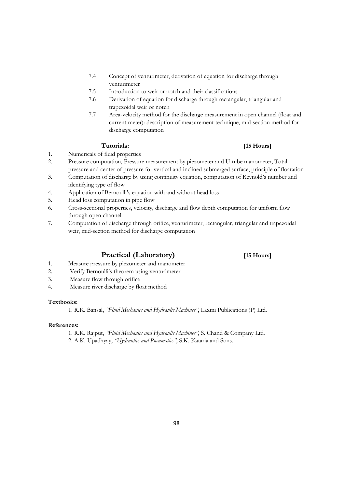- 7.4 Concept of venturimeter, derivation of equation for discharge through venturimeter
- 7.5 Introduction to weir or notch and their classifications
- 7.6 Derivation of equation for discharge through rectangular, triangular and trapezoidal weir or notch
- 7.7 Area-velocity method for the discharge measurement in open channel (float and current meter): description of measurement technique, mid-section method for discharge computation

#### **Tutorials: [15 Hours]**

- 1. Numericals of fluid properties
- 2. Pressure computation, Pressure measurement by piezometer and U-tube manometer, Total pressure and center of pressure for vertical and inclined submerged surface, principle of floatation
- 3. Computation of discharge by using continuity equation, computation of Reynold's number and identifying type of flow
- 4. Application of Bernoulli's equation with and without head loss
- 5. Head loss computation in pipe flow
- 6. Cross-sectional properties, velocity, discharge and flow depth computation for uniform flow through open channel
- 7. Computation of discharge through orifice, venturimeter, rectangular, triangular and trapezoidal weir, mid-section method for discharge computation

### **Practical (Laboratory) [15 Hours]**

- 1. Measure pressure by piezometer and manometer
- 2. Verify Bernoulli's theorem using venturimeter
- 3. Measure flow through orifice
- 4. Measure river discharge by float method

#### **Textbooks:**

1. R.K. Bansal, *"Fluid Mechanics and Hydraulic Machines"*, Laxmi Publications (P) Ltd.

#### **References:**

1. R.K. Rajput, *"Fluid Mechanics and Hydraulic Machines"*, S. Chand & Company Ltd. 2. A.K. Upadhyay, *"Hydraulics and Pneumatics"*, S.K. Kataria and Sons.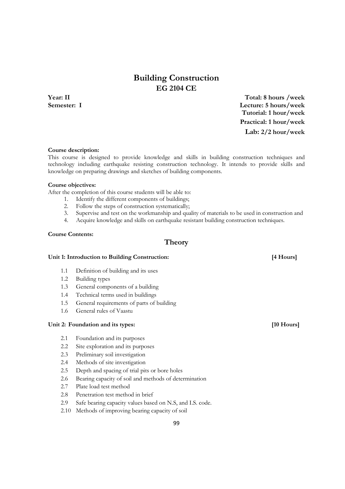# **Building Construction EG 2104 CE**

**Year: II Total: 8 hours /week Semester: I Lecture: 5 hours/week Tutorial: 1 hour/week Practical: 1 hour/week Lab: 2/2 hour/week**

### **Course description:**

This course is designed to provide knowledge and skills in building construction techniques and technology including earthquake resisting construction technology. It intends to provide skills and knowledge on preparing drawings and sketches of building components.

#### **Course objectives:**

After the completion of this course students will be able to:

- 1. Identify the different components of buildings;
- 2. Follow the steps of construction systematically;
- 3. Supervise and test on the workmanship and quality of materials to be used in construction and
- 4. Acquire knowledge and skills on earthquake resistant building construction techniques.

#### **Course Contents:**

### **Theory**

#### **Unit 1: Introduction to Building Construction: [4 Hours]**

- 1.1 Definition of building and its uses
- 1.2 Building types
- 1.3 General components of a building
- 1.4 Technical terms used in buildings
- 1.5 General requirements of parts of building
- 1.6 General rules of Vaastu

### Unit 2: Foundation and its types: **[10 Hours]**

- 2.1 Foundation and its purposes
- 2.2 Site exploration and its purposes
- 2.3 Preliminary soil investigation
- 2.4 Methods of site investigation
- 2.5 Depth and spacing of trial pits or bore holes
- 2.6 Bearing capacity of soil and methods of determination
- 2.7 Plate load test method
- 2.8 Penetration test method in brief
- 2.9 Safe bearing capacity values based on N.S, and I.S. code.
- 2.10 Methods of improving bearing capacity of soil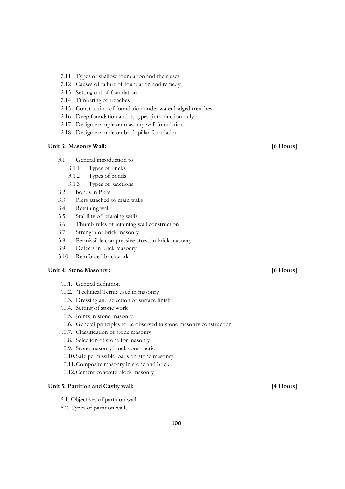- 2.11 Types of shallow foundation and their uses
- 2.12 Causes of failure of foundation and remedy
- 2.13 Setting out of foundation
- 2.14 Timbering of trenches
- 2.15 Construction of foundation under water lodged trenches.
- 2.16 Deep foundation and its types (introduction only)
- 2.17 Design example on masonry wall foundation
- 2.18 Design example on brick pillar foundation

#### **Unit 3: Masonry Wall: [6 Hours]**

- 3.1 General introduction to
	- 3.1.1 Types of bricks
	- 3.1.2 Types of bonds
	- 3.1.3 Types of junctions
- 3.2 bonds in Piers
- 3.3 Piers attached to main walls
- 3.4 Retaining wall
- 3.5 Stability of retaining walls
- 3.6 Thumb rules of retaining wall construction
- 3.7 Strength of brick masonry
- 3.8 Permissible compressive stress in brick masonry
- 3.9 Defects in brick masonry
- 3.10 Reinforced brickwork

### **Unit 4: Stone Masonry : [6 Hours]**

- 10.1. General definition
- 10.2. Technical Terms used in masonry
- 10.3. Dressing and selection of surface finish
- 10.4. Setting of stone work
- 10.5. Joints in stone masonry
- 10.6. General principles to be observed in stone masonry construction
- 10.7. Classification of stone masonry
- 10.8. Selection of stone for masonry
- 10.9. Stone masonry block construction
- 10.10. Safe permissible loads on stone masonry.
- 10.11.Composite masonry in stone and brick
- 10.12.Cement concrete block masonry

### Unit 5: Partition and Cavity wall: *Allen and Cavity wall Allen and Cavity wall Allen and Cavity wall Allen and Cavity wall Allen and Cavity wall Allen and Cavity wall Allen and Cavity wall All*

- 5.1. Objectives of partition wall
- 5.2. Types of partition walls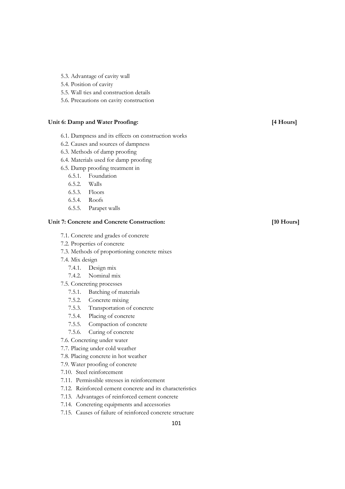- 5.3. Advantage of cavity wall
- 5.4. Position of cavity
- 5.5. Wall ties and construction details
- 5.6. Precautions on cavity construction

#### Unit 6: Damp and Water Proofing: **[4 Hours]**

- 6.1. Dampness and its effects on construction works
- 6.2. Causes and sources of dampness
- 6.3. Methods of damp proofing
- 6.4. Materials used for damp proofing
- 6.5. Damp proofing treatment in
	- 6.5.1. Foundation
	- 6.5.2. Walls
	- 6.5.3. Floors
	- 6.5.4. Roofs
	- 6.5.5. Parapet walls

#### **Unit 7: Concrete and Concrete Construction: [10 Hours]**

- 7.1. Concrete and grades of concrete
- 7.2. Properties of concrete
- 7.3. Methods of proportioning concrete mixes
- 7.4. Mix design
	- 7.4.1. Design mix
	- 7.4.2. Nominal mix
- 7.5. Concreting processes
	- 7.5.1. Batching of materials
	- 7.5.2. Concrete mixing
	- 7.5.3. Transportation of concrete
	- 7.5.4. Placing of concrete
	- 7.5.5. Compaction of concrete
	- 7.5.6. Curing of concrete
- 7.6. Concreting under water
- 7.7. Placing under cold weather
- 7.8. Placing concrete in hot weather
- 7.9. Water proofing of concrete
- 7.10. Steel reinforcement
- 7.11. Permissible stresses in reinforcement
- 7.12. Reinforced cement concrete and its characteristics
- 7.13. Advantages of reinforced cement concrete
- 7.14. Concreting equipments and accessories
- 7.15. Causes of failure of reinforced concrete structure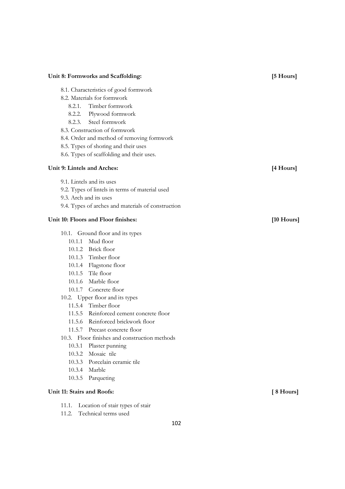| Unit 8: Formworks and Scaffolding:<br>[5 Hours] |                                                    |                      |
|-------------------------------------------------|----------------------------------------------------|----------------------|
|                                                 | 8.1. Characteristics of good formwork              |                      |
|                                                 | 8.2. Materials for formwork                        |                      |
| 8.2.1.                                          | Timber formwork                                    |                      |
|                                                 | 8.2.2. Plywood formwork                            |                      |
|                                                 | 8.2.3. Steel formwork                              |                      |
|                                                 | 8.3. Construction of formwork                      |                      |
|                                                 | 8.4. Order and method of removing formwork         |                      |
|                                                 | 8.5. Types of shoring and their uses               |                      |
|                                                 | 8.6. Types of scaffolding and their uses.          |                      |
| Unit 9: Lintels and Arches:                     |                                                    | [4 Hours]            |
|                                                 | 9.1. Lintels and its uses                          |                      |
|                                                 | 9.2. Types of lintels in terms of material used    |                      |
| 9.3. Arch and its uses                          |                                                    |                      |
|                                                 | 9.4. Types of arches and materials of construction |                      |
| Unit 10: Floors and Floor finishes:             |                                                    | $[10 \text{ Hours}]$ |
|                                                 | 10.1. Ground floor and its types                   |                      |
| 10.1.1                                          | Mud floor                                          |                      |
|                                                 | 10.1.2 Brick floor                                 |                      |
|                                                 | 10.1.3 Timber floor                                |                      |
|                                                 | 10.1.4 Flagstone floor                             |                      |
|                                                 | 10.1.5 Tile floor                                  |                      |
|                                                 | 10.1.6 Marble floor                                |                      |
|                                                 | 10.1.7 Concrete floor                              |                      |
|                                                 | 10.2. Upper floor and its types                    |                      |
|                                                 | 11.5.4 Timber floor                                |                      |
|                                                 | 11.5.5 Reinforced cement concrete floor            |                      |
| 11.5.6                                          | Reinforced brickwork floor                         |                      |
|                                                 | 11.5.7 Precast concrete floor                      |                      |
|                                                 | 10.3. Floor finishes and construction methods      |                      |
| 10.3.1                                          | Plaster punning                                    |                      |
|                                                 |                                                    |                      |
| 10.3.2                                          | Mosaic tile                                        |                      |
| 10.3.3                                          | Porcelain ceramic tile                             |                      |
| 10.3.4                                          | Marble<br>10.3.5 Parqueting                        |                      |

# Unit 11: Stairs and Roofs: **[8 Hours]**

- 11.1. Location of stair types of stair
- 11.2. Technical terms used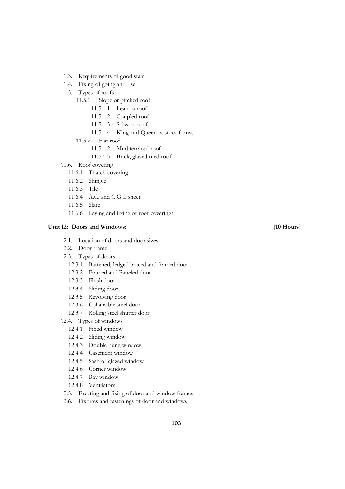- 11.3. Requirements of good stair
- 11.4. Fixing of going and rise
- 11.5. Types of roofs
	- 11.5.1 Slope or pitched roof
		- 11.5.1.1 Lean to roof
		- 11.5.1.2 Coupled roof
		- 11.5.1.3 Scissors roof
		- 11.5.1.4 King and Queen post roof truss
	- 11.5.2 Flat roof
		- 11.5.1.2 Mud terraced roof
		- 11.5.1.3 Brick, glazed tiled roof
- 11.6. Roof covering
	- 11.6.1 Thatch covering
	- 11.6.2 Shingle
	- 11.6.3 Tile
	- 11.6.4 A.C. and C.G.I. sheet
	- 11.6.5 Slate
	- 11.6.6 Laying and fixing of roof coverings

### Unit 12: Doors and Windows: [10 Hours]

- 12.1. Location of doors and door sizes
- 12.2. Door frame
- 12.3. Types of doors
	- 12.3.1 Battened, ledged braced and framed door
	- 12.3.2 Framed and Paneled door
	- 12.3.3 Flush door
	- 12.3.4 Sliding door
	- 12.3.5 Revolving door
	- 12.3.6 Collapsible steel door
	- 12.3.7 Rolling steel shutter door
- 12.4. Types of windows
	- 12.4.1 Fixed window
	- 12.4.2 Sliding window
	- 12.4.3 Double hung window
	- 12.4.4 Casement window
	- 12.4.5 Sash or glazed window
	- 12.4.6 Corner window
	- 12.4.7 Bay window
	- 12.4.8 Ventilators
- 12.5. Erecting and fixing of door and window frames
- 12.6. Fixtures and fastenings of door and windows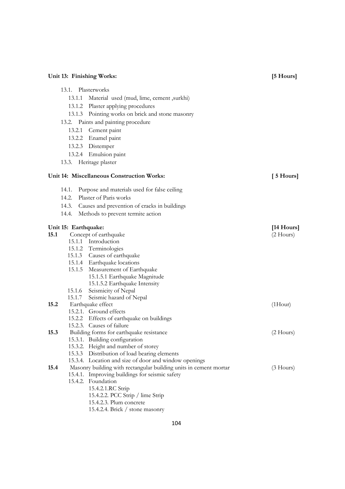| Unit 13: Finishing Works: |                      |                                                                            | [5 Hours]            |
|---------------------------|----------------------|----------------------------------------------------------------------------|----------------------|
|                           | 13.1. Plasterworks   |                                                                            |                      |
|                           | 13.1.1               | Material used (mud, lime, cement ,surkhi)                                  |                      |
|                           | 13.1.2               | Plaster applying procedures                                                |                      |
|                           |                      | 13.1.3 Pointing works on brick and stone masonry                           |                      |
|                           |                      | 13.2. Paints and painting procedure                                        |                      |
|                           | 13.2.1               | Cement paint                                                               |                      |
|                           |                      | 13.2.2 Enamel paint                                                        |                      |
|                           |                      | 13.2.3 Distemper                                                           |                      |
|                           |                      |                                                                            |                      |
|                           |                      | 13.2.4 Emulsion paint                                                      |                      |
|                           |                      | 13.3. Heritage plaster                                                     |                      |
|                           |                      | Unit 14: Miscellaneous Construction Works:                                 | $[5 \text{ Hours}]$  |
|                           | 14.1.                | Purpose and materials used for false ceiling                               |                      |
|                           |                      | 14.2. Plaster of Paris works                                               |                      |
|                           |                      | 14.3. Causes and prevention of cracks in buildings                         |                      |
|                           | 14.4.                | Methods to prevent termite action                                          |                      |
|                           |                      |                                                                            |                      |
|                           | Unit 15: Earthquake: |                                                                            | $[14 \text{ Hours}]$ |
| 15.1                      |                      | Concept of earthquake                                                      | $(2$ Hours)          |
|                           |                      | 15.1.1 Introduction                                                        |                      |
|                           |                      | 15.1.2 Terminologies                                                       |                      |
|                           |                      | 15.1.3 Causes of earthquake                                                |                      |
|                           |                      | 15.1.4 Earthquake locations                                                |                      |
|                           |                      | 15.1.5 Measurement of Earthquake                                           |                      |
|                           |                      | 15.1.5.1 Earthquake Magnitude                                              |                      |
|                           |                      | 15.1.5.2 Earthquake Intensity                                              |                      |
|                           | 15.1.6               | Seismicity of Nepal                                                        |                      |
|                           | 15.1.7               | Seismic hazard of Nepal                                                    |                      |
| 15.2                      |                      | Earthquake effect                                                          | $(1$ Hour $)$        |
|                           |                      | 15.2.1. Ground effects                                                     |                      |
|                           |                      | 15.2.2 Effects of earthquake on buildings                                  |                      |
| 15.3                      |                      | 15.2.3. Causes of failure                                                  |                      |
|                           |                      | Building forms for earthquake resistance<br>15.3.1. Building configuration | $(2$ Hours $)$       |
|                           |                      | 15.3.2. Height and number of storey                                        |                      |
|                           |                      | 15.3.3 Distribution of load bearing elements                               |                      |
|                           |                      | 15.3.4. Location and size of door and window openings                      |                      |
| 15.4                      |                      | Masonry building with rectangular building units in cement mortar          | $(3$ Hours)          |
|                           |                      | 15.4.1. Improving buildings for seismic safety                             |                      |
|                           |                      | 15.4.2. Foundation                                                         |                      |
|                           |                      | 15.4.2.1.RC Strip                                                          |                      |
|                           |                      | 15.4.2.2. PCC Strip / lime Strip                                           |                      |
|                           |                      | 15.4.2.3. Plum concrete                                                    |                      |

15.4.2.4. Brick / stone masonry

### 104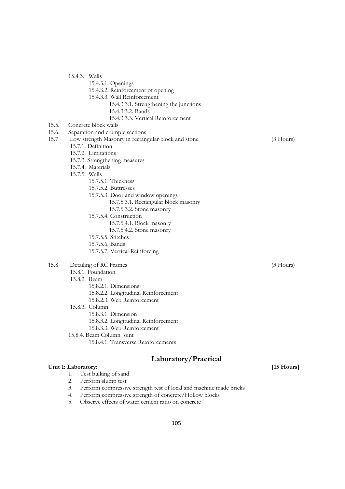- 15.4.3.1. Openings
- 15.4.3.2. Reinforcement of opening
- 15.4.3.3. Wall Reinforcement
	- 15.4.3.3.1. Strengthening the junctions
	- 15.4.3.3.2. Bands
	- 15.4.3.3.3. Vertical Reinforcement
- 15.5. Concrete block walls
- 15.6. Separation and crumple sections
- 15.7 Low strength Masonry in rectangular block and stone (3 Hours) 15.7.1. Definition 15.7.2. Limitations
	- 15.7.3. Strengthening measures
	- 15.7.4. Materials
	- 15.7.5. Walls
		- 15.7.5.1. Thickness
			- 15.7.5.2. Buttresses
			- 15.7.5.3. Door and window openings
				- 15.7.5.3.1. Rectangular block masonry
				- 15.7.5.3.2. Stone masonry
			- 15.7.5.4. Construction
				- 15.7.5.4.1. Block masonry
				- 15.7.5.4.2. Stone masonry
			- 15.7.5.5. Stitches
			- 15.7.5.6. Bands
			- 15.7.5.7. Vertical Reinforcing

### 15.8 Detailing of RC Frames (3 Hours)

15.8.1. Foundation

### 15.8.2. Beam

- 15.8.2.1. Dimensions
	- 15.8.2.2. Longitudinal Reinforcement
	- 15.8.2.3. Web Reinforcement
- 15.8.3. Column
	- 15.8.3.1. Dimension
		- 15.8.3.2. Longitudinal Reinforcement
		- 15.8.3.3. Web Reinforcement
- 15.8.4. Beam Column Joint
	- 15.8.4.1. Transverse Reinforcements

### **Laboratory/Practical**

#### **Unit 1: Laboratory: [15 Hours]**

- 1. Test bulking of sand<br>2. Perform slump test
- Perform slump test
- 3. Perform compressive strength test of local and machine made bricks
- 4. Perform compressive strength of concrete/Hollow blocks
- 5. Observe effects of water cement ratio on concrete

- 
-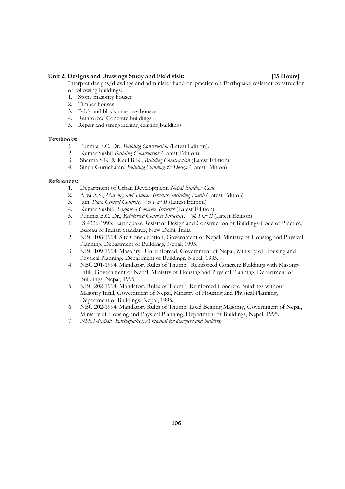#### **Unit 2: Designs and Drawings Study and Field visit: [15 Hours]**

Interpret designs/drawings and administer hand on practice on Earthquake resistant construction of following buildings:

- 1. Stone masonry houses
- 2. Timber houses
- 3. Brick and block masonry houses
- 4. Reinforced Concrete buildings
- 5. Repair and strengthening existing buildings

#### **Textbooks:**

- 1. Punmia B.C. Dr., *Building Construction* (Latest Edition).
- 2. Kumar Sushil *Building Construction* (Latest Edition).
- 3. Sharma S.K. & Kaul B.K., *Building Construction* (Latest Edition).
- 4. Singh Gurucharan, *Building Planning & Design* (Latest Edition)

#### **References:**

- 1. Department of Urban Development, *Nepal Building Code*
- 2. Arya A.S., *Masonry and Timber Structure including Earth* (Latest Edition)
- 3. Jain, *Plain Cement Concrete, Vol I & II* (Latest Edition)
- 4. Kumar Sushil, *Reinforced Concrete Structure*(Latest Edition)
- 5. Punmia B.C. Dr., *Reinforced Concrete Structure, Vol. I & II* (Latest Edition)
- 1. IS 4326-1993; Earthquake Resistant Design and Construction of Buildings-Code of Practice, Bureau of Indian Standards, New Delhi, India
- 2. NBC 108-1994; Site Consideration, Government of Nepal, Ministry of Housing and Physical Planning, Department of Buildings, Nepal, 1995.
- 3. NBC 109-1994; Masonry: Unreinforced, Government of Nepal, Ministry of Housing and Physical Planning, Department of Buildings, Nepal, 1995.
- 4. NBC 201-1994; Mandatory Rules of Thumb: Reinforced Concrete Buildings with Masonry Infill, Government of Nepal, Ministry of Housing and Physical Planning, Department of Buildings, Nepal, 1995.
- 5. NBC 202-1994; Mandatory Rules of Thumb Reinforced Concrete Buildings without Masonry Infill, Government of Nepal, Ministry of Housing and Physical Planning, Department of Buildings, Nepal, 1995.
- 6. NBC 202-1994; Mandatory Rules of Thumb: Load Bearing Masonry, Government of Nepal, Ministry of Housing and Physical Planning, Department of Buildings, Nepal, 1995.
- 7. *NSET-Nepal: Earthquakes, A manual for designers and builders,*

106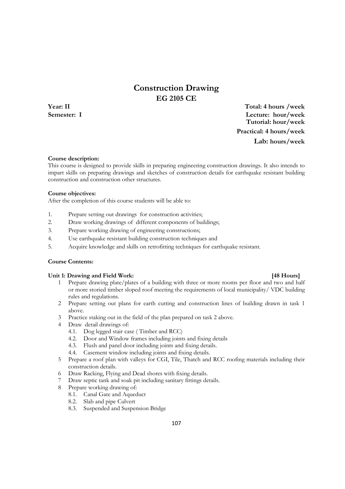# **Construction Drawing EG 2105 CE**

**Year: II Total: 4 hours /week Semester: I Lecture: hour/week Tutorial: hour/week Practical: 4 hours/week Lab: hours/week**

#### **Course description:**

This course is designed to provide skills in preparing engineering construction drawings. It also intends to impart skills on preparing drawings and sketches of construction details for earthquake resistant building construction and construction other structures.

#### **Course objectives:**

After the completion of this course students will be able to:

- 1. Prepare setting out drawings for construction activities;
- 2. Draw working drawings of different components of buildings;
- 3. Prepare working drawing of engineering constructions;
- 4. Use earthquake resistant building construction techniques and
- 5. Acquire knowledge and skills on retrofitting techniques for earthquake resistant.

### **Course Contents:**

#### Unit 1: Drawing and Field Work: *All and Field Work: Particular and Field Work:**<b>Particular and Field Work: <i>Particular and Field Work: Particular and Field Work: Particular and Field Work:*

- 1 Prepare drawing plate/plates of a building with three or more rooms per floor and two and half or more storied timber sloped roof meeting the requirements of local municipality/ VDC building rules and regulations.
- 2 Prepare setting out plans for earth cutting and construction lines of building drawn in task 1 above.
- 3 Practice staking out in the field of the plan prepared on task 2 above.
- 4 Draw detail drawings of:
	- 4.1. Dog legged stair case ( Timber and RCC)
	- 4.2. Door and Window frames including joints and fixing details
	- 4.3. Flush and panel door including joints and fixing details.
	- 4.4. Casement window including joints and fixing details.
- 5 Prepare a roof plan with valleys for CGI, Tile, Thatch and RCC roofing materials including their construction details.
- 6 Draw Racking, Flying and Dead shores with fixing details.
- 7 Draw septic tank and soak pit including sanitary fittings details.
- 8 Prepare working drawing of:
	- 8.1. Canal Gate and Aqueduct
	- 8.2. Slab and pipe Culvert
	- 8.3. Suspended and Suspension Bridge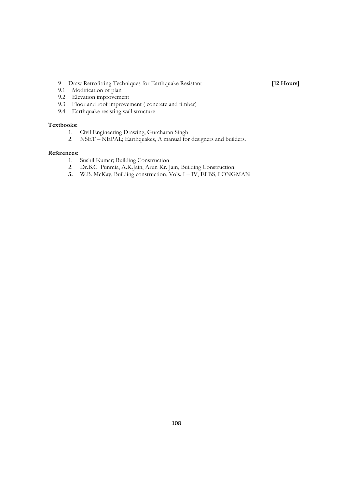9 Draw Retrofitting Techniques for Earthquake Resistant [12 Hours]

- 9.1 Modification of plan 9.2 Elevation improvement
- 9.3 Floor and roof improvement ( concrete and timber)
- 9.4 Earthquake resisting wall structure

#### **Textbooks:**

- 1. Civil Engineering Drawing; Gurcharan Singh<br>2. NSET NEPAL; Earthquakes, A manual for
- NSET NEPAL; Earthquakes, A manual for designers and builders.

- 1. Sushil Kumar; Building Construction<br>2. Dr.B.C. Punmia, A.K.Jain, Arun Kr. J
- 2. Dr.B.C. Punmia, A.K.Jain, Arun Kr. Jain, Building Construction.
- **3.** W.B. McKay, Building construction, Vols. I IV, ELBS, LONGMAN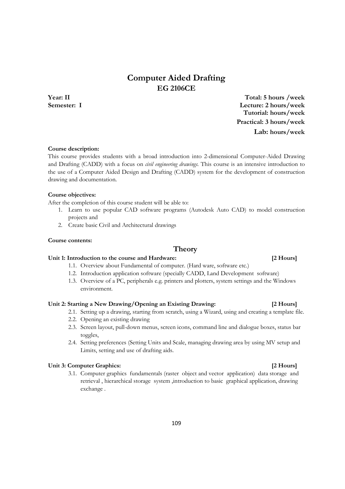## **Computer Aided Drafting EG 2106CE**

**Year: II Total: 5 hours /week Semester: I Lecture: 2 hours/week Tutorial: hours/week Practical: 3 hours/week Lab: hours/week**

#### **Course description:**

This course provides students with a broad introduction into 2-dimensional Computer-Aided Drawing and Drafting (CADD) with a focus on *civil engineering drawings*. This course is an intensive introduction to the use of a Computer Aided Design and Drafting (CADD) system for the development of construction drawing and documentation.

#### **Course objectives:**

After the completion of this course student will be able to:

- 1. Learn to use popular CAD software programs (Autodesk Auto CAD) to model construction projects and
- 2. Create basic Civil and Architectural drawings

#### **Course contents:**

#### **Theory**

#### **Unit 1: Introduction to the course and Hardware: [2 Hours]**

- 1.1. Overview about Fundamental of computer. (Hard ware, software etc.)
- 1.2. Introduction application software (specially CADD, Land Development software)
- 1.3. Overview of a PC, peripherals e.g. printers and plotters, system settings and the Windows environment.

#### **Unit 2: Starting a New Drawing/Opening an Existing Drawing: [2 Hours]**

- 2.1. Setting up a drawing, starting from scratch, using a Wizard, using and creating a template file.
- 2.2. Opening an existing drawing
- 2.3. Screen layout, pull-down menus, screen icons, command line and dialogue boxes, status bar toggles,
- 2.4. Setting preferences (Setting Units and Scale, managing drawing area by using MV setup and Limits, setting and use of drafting aids.

#### **Unit 3: Computer Graphics: [2 Hours]**

3.1. Computer graphics fundamentals (raster object and vector application) data storage and retrieval , hierarchical storage system ,introduction to basic graphical application, drawing exchange .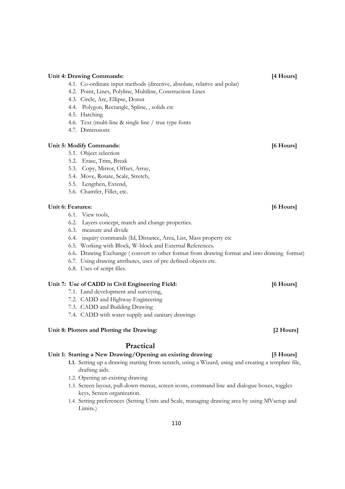|                   | 4.2. Point, Lines, Polyline, Multiline, Construction Lines                                  |           |
|-------------------|---------------------------------------------------------------------------------------------|-----------|
|                   | 4.3. Circle, Arc, Ellipse, Donut                                                            |           |
|                   | 4.4. Polygon, Rectangle, Spline, , solids etc                                               |           |
|                   | 4.5. Hatching                                                                               |           |
|                   | 4.6. Text (multi-line & single line / true type fonts                                       |           |
|                   | 4.7. Dimensions                                                                             |           |
|                   | Unit 5: Modify Commands:                                                                    | [6 Hours] |
|                   | 5.1. Object selection                                                                       |           |
|                   | 5.2. Erase, Trim, Break                                                                     |           |
|                   | 5.3. Copy, Mirror, Offset, Array,                                                           |           |
|                   | 5.4. Move, Rotate, Scale, Stretch,                                                          |           |
|                   | 5.5. Lengthen, Extend,                                                                      |           |
|                   | 5.6. Chamfer, Fillet, etc.                                                                  |           |
| Unit 6: Features: |                                                                                             | [6 Hours] |
|                   | 6.1. View tools,                                                                            |           |
|                   | 6.2. Layers concept, match and change properties.                                           |           |
|                   | 6.3. measure and divide                                                                     |           |
|                   | 6.4. inquiry commands (Id, Distance, Area, List, Mass property etc.                         |           |
|                   | 6.5. Working with Block, W-block and External References.                                   |           |
|                   | 6.6. Drawing Exchange (convert to other format from drawing format and into drawing format) |           |
|                   | 6.7. Using drawing attributes, uses of pre defined objects etc.                             |           |
|                   | 6.8. Uses of script files.                                                                  |           |
|                   | Unit 7: Use of CADD in Civil Engineering Field:                                             | [6 Hours] |
|                   | 7.1. Land development and surveying,                                                        |           |
|                   | 7.2. CADD and Highway Engineering                                                           |           |
|                   | 7.3. CADD and Building Drawing                                                              |           |
|                   | 7.4. CADD with water supply and sanitary drawings                                           |           |
|                   | Unit 8: Plotters and Plotting the Drawing:                                                  | [2 Hours] |
|                   | Practical                                                                                   |           |
|                   | Unit 1: Starting a New Drawing/Opening an existing drawing                                  | [5 Hours] |

**Unit 4: Drawing Commands: [4 Hours]** 

4.1. Co-ordinate input methods (directive, absolute, relative and polar)

- **1.1.** Setting up a drawing starting from scratch, using a Wizard, using and creating a template file, drafting aids.
- 1.2. Opening an existing drawing
- 1.3. Screen layout, pull-down menus, screen icons, command line and dialogue boxes, toggles keys, Screen organization.
- 1.4. Setting preferences (Setting Units and Scale, managing drawing area by using MVsetup and Limits.)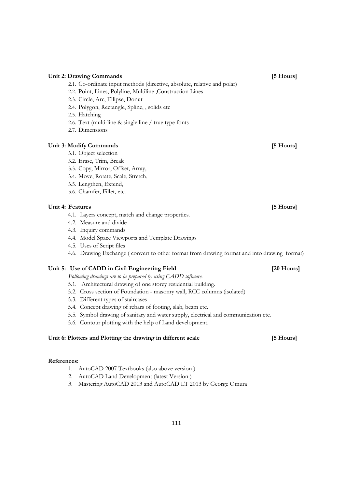| Unit 2: Drawing Commands                                                                    | [5 Hours]  |
|---------------------------------------------------------------------------------------------|------------|
| 2.1. Co-ordinate input methods (directive, absolute, relative and polar)                    |            |
| 2.2. Point, Lines, Polyline, Multiline, Construction Lines                                  |            |
| 2.3. Circle, Arc, Ellipse, Donut                                                            |            |
| 2.4. Polygon, Rectangle, Spline, , solids etc                                               |            |
| 2.5. Hatching                                                                               |            |
| 2.6. Text (multi-line & single line / true type fonts                                       |            |
| 2.7. Dimensions                                                                             |            |
| <b>Unit 3: Modify Commands</b>                                                              | [5 Hours]  |
| 3.1. Object selection                                                                       |            |
| 3.2. Erase, Trim, Break                                                                     |            |
| 3.3. Copy, Mirror, Offset, Array,                                                           |            |
| 3.4. Move, Rotate, Scale, Stretch,                                                          |            |
| 3.5. Lengthen, Extend,                                                                      |            |
| 3.6. Chamfer, Fillet, etc.                                                                  |            |
| <b>Unit 4: Features</b>                                                                     | [5 Hours]  |
| 4.1. Layers concept, match and change properties.                                           |            |
| 4.2. Measure and divide                                                                     |            |
| 4.3. Inquiry commands                                                                       |            |
| 4.4. Model Space Viewports and Template Drawings                                            |            |
| 4.5. Uses of Script files                                                                   |            |
| 4.6. Drawing Exchange (convert to other format from drawing format and into drawing format) |            |
| Unit 5: Use of CADD in Civil Engineering Field                                              | [20 Hours] |
| Following drawings are to be prepared by using CADD software.                               |            |
| 5.1. Architectural drawing of one storey residential building.                              |            |
| 5.2. Cross section of Foundation - masonry wall, RCC columns (isolated)                     |            |
| 5.3. Different types of staircases                                                          |            |
| 5.4. Concept drawing of rebars of footing, slab, beam etc.                                  |            |
| 5.5. Symbol drawing of sanitary and water supply, electrical and communication etc.         |            |
| 5.6. Contour plotting with the help of Land development.                                    |            |
| Unit 6: Plotters and Plotting the drawing in different scale                                | [5 Hours]  |

- 1. AutoCAD 2007 Textbooks (also above version )
- 2. AutoCAD Land Development (latest Version )
- 3. Mastering AutoCAD 2013 and AutoCAD LT 2013 by George Omura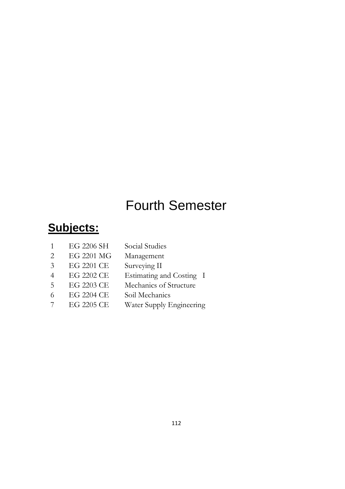# Fourth Semester

# **Subjects:**

| 1              | EG 2206 SH | Social Studies           |
|----------------|------------|--------------------------|
| 2              | EG 2201 MG | Management               |
| 3              | EG 2201 CE | Surveying II             |
| $\overline{4}$ | EG 2202 CE | Estimating and Costing I |
| .5             | EG 2203 CE | Mechanics of Structure   |
| 6              | EG 2204 CE | Soil Mechanics           |
|                | EG 2205 CE | Water Supply Engineering |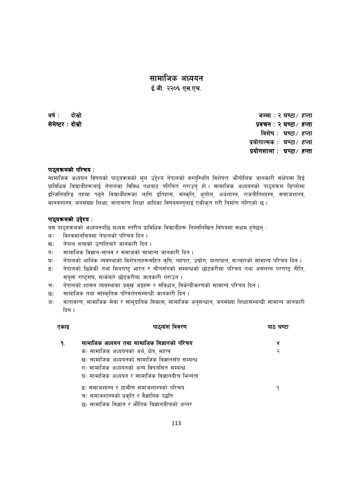*;fdflhs cWoog cWoog* 

*O{=hL= @@)^ P;=Pr= @@)^ P;=Pr=* 

*jif{M bf];|f] bf];|f] bf];|f] hDdfM @ 306f÷ xKtf 306f÷ xKtf xKtf ;]d]i6/ ;]d]i6/Mbf];|f] bf];|f] bf];|f] k|jrgM @ 306f÷ xKtf M @ 306f÷ xKtf M 306f÷ xKtf विशेष* : घण्टा / हप्ता  $x$ योगात्मक : **घण्टा∕ हप्ता**  *k|of]uzfnf k|of]uzfnfM 306f÷ xKtf M 306f÷ xKtf M 306f÷ xKtf* 

#### *kf7\oqmdsf] kl/ro oqmdsf] kl/ro oqmdsf] kl/roM*

*;fdflhs cWoog ljifosf] kf7\oqmdsf] d"n p2]Zo g]kfnsf] j:t'l:ylt ljz]iftM ef}uf]lns hfgsf/L ;+If]kdf lbO{ k|fljlws ljBfyL{x¿nfO{ g]kfnsf ljljw kIfaf6 kl/lrt u/fpg' xf] . ;fdflhs cWoogsf] kf7\oqmd l8Knf]df*  इन्जिनियरिङ तहमा पढ्ने विद्यार्थीहरूका लागि इतिहास, संस्कृति, भूगोल, अर्थशास्त्र, राजनीतिशास्त्र, समाजशास्त्र, मानवशास्त्र, जनसंख्या शिक्षा, वातावरण शिक्षा आदिका विषयवस्तुलाई एकीकृत गरी निर्माण गरिएको छ ।

#### *kf7\oqmdsf] p2]Zo oqmdsf] p2]Zo p2]ZoM*

यस पाठयक्रमको अध्ययनपछि मध्यम स्तरीय प्राविधिक विद्यार्थीहरू निम्नलिखित विषयमा सक्षम हुनेछन् :

- *क*) विश्वमानचित्रमा नेपालको परिचय दिन ।
- *ख*) नेपाल शब्दको उत्पत्तिबारे जानकारी दिन ।
- *u\_ ;fdflhs lj1fg–dfgj / ;dfhsf] ;fdfGo hfgsf/L lbg .*
- घ) नेपालको आर्थिक व्यवस्थाको विशेषताहरूसहित कृषि, व्यापार, उद्योग, यातायात, सञ्चारको सामान्य परिचय दिन ।
- ङ) नेपालको छिमेकी तथा मित्रराष्ट्र भारत र चीनसँगको सम्बन्धको छोटकरीमा परिचय तथा असंलग्न परराष्ट्र नीति, संयुक्त राष्ट्रसंघ, सार्कबारे छोटकरीमा जानकारी गराउन ।
- च) नेपालको शासन व्यवस्थाका प्रमुख अङ्गहरू र संविधान, विकेन्द्रीकरणको सामान्य परिचय दिन ।
- *5\_ ;fdflhs tyf ;f+:s[lts kl/jt{g;DaGwL hfgsf/L lbg .*
- ज) वातावरण, सामाजिक सेवा र सामुदायिक विकास, सामाजिक अनुसन्धान, जनसंख्या शिक्षासम्बन्धी सामान्य जानकारी *दि*न ।

| एकाइ | पाठ्यांश विवरण                                 | पाठ घण्टा |
|------|------------------------------------------------|-----------|
|      | सामाजिक अध्ययन तथा सामाजिक विज्ञानको परिचय     |           |
|      | क) सामाजिक अध्ययनको अर्थ, क्षेत्र, महत्व       | २         |
|      | ख) सामाजिक अध्ययनको सामाजिक विज्ञानसँग सम्बन्ध |           |
|      | ग) सामाजिक अध्ययनको अन्य विषयसित सम्बन्ध       |           |
|      | घ) सामाजिक अध्ययन र सामाजिक विज्ञानबीच भिन्नता |           |
|      | ड) समाजशास्त्र र ग्रामीण समाजशास्त्रको परिचय   |           |
|      | च) समाजशास्त्रको प्रकृति र वैज्ञानिक पद्धति    |           |
|      | छ) सामाजिक विज्ञान र भौतिक विज्ञानबीचको अन्तर  |           |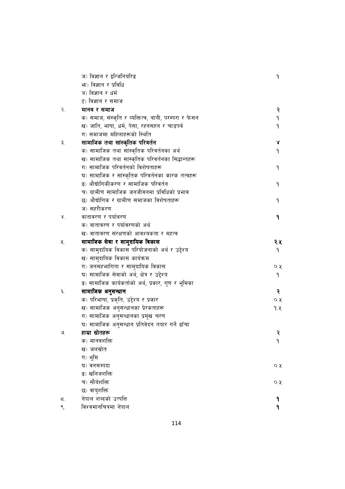|                    | ज) विज्ञान र इन्जिनियरिङ                             | ٩    |
|--------------------|------------------------------------------------------|------|
|                    | भ्रुः) विज्ञान र प्रविधि                             |      |
|                    | ञ) विज्ञान र धर्म                                    |      |
|                    | ट) विज्ञान र समाज                                    |      |
| २.                 | मानव र समाज                                          | २    |
|                    | क) समाज, संस्कृति र व्यक्तित्व, बानी, परम्परा र फेसन | ۹    |
|                    | ख) जाति, भाषा, धर्म, पेसा, रहनसहन र चाडपर्व          | ۹    |
|                    | ग) समाजमा महिलाहरूको स्थिति                          |      |
| ₹.                 | सामाजिक तथा सांस्कृतिक परिवर्तन                      | γ    |
|                    | क) सामाजिक तथा सांस्कृतिक परिवर्तनका अर्थ            | ۹    |
|                    | ख) सामाजिक तथा सांस्कृतिक परिवर्तनका सिद्धान्तहरू    |      |
|                    | ग) सामाजिक परिवर्तनको विशेषताहरू                     | ٩    |
|                    | घ) सामाजिक र सांस्कृतिक परिवर्तनका कारक तत्वहरू      |      |
|                    | ङ) औद्योगिकीकरण र सामाजिक परिवर्तन                   | ٩    |
|                    | च) ग्रामीण सामाजिक जनजीवनमा प्रविधिको प्रभाव         |      |
|                    | छ) औद्योगिक र ग्रामीण समाजका विशेषताहरू              | ۹    |
|                    | ज) सहरीकरण                                           |      |
| $\lambda^{\prime}$ | वातावरण र पर्यावरण                                   | ۹    |
|                    | क) वातावरण र पर्यावरणको अर्थ                         |      |
|                    | ख) वातावरण संरक्षणको आवश्यकता र महत्व                |      |
| 义.                 | सामाजिक सेवा र सामुदायिक विकास                       | २.५  |
|                    | क) सामुदायिक विकास परियोजनाको अर्थ र उद्देश्य        | ۹    |
|                    | ख) सामुदायिक विकास कार्यक्रम                         |      |
|                    | ग) जनसहभागिता र सामुदायिक विकास                      | Q, Q |
|                    | घ) सामाजिक सेवाको अर्थ, क्षेत्र र उद्देश्य           | ۹    |
|                    | ङ) सामाजिक कार्यकर्ताको अर्थ, प्रकार, गुण र भूमिका   |      |
| ٤.                 | सामाजिक अनुसन्धान                                    | २    |
|                    | क) परिभाषा, प्रकृति, उद्देश्य र प्रकार               | Q, Q |
|                    | ख) सामाजिक अनुसन्धानका प्रेरकताहरू                   | 9.k  |
|                    | ग) सामाजिक अनुसन्धानका प्रमुख चरण                    |      |
|                    | घ) सामाजिक अनुसन्धान प्रतिवेदन तयार गर्ने ढाँचा      |      |
| ७                  | हाम्रा स्रोतहरू                                      | २    |
|                    | क) मानवशक्ति                                         | ۹    |
|                    | ख) जलस्रोत                                           |      |
|                    | ग) भूमि                                              |      |
|                    | घ) वनसम्पदा                                          | O.8  |
|                    | ङ) खनिजशक्ति                                         |      |
|                    | च) सौर्यशक्ति                                        | Q, Q |
|                    | छ) वायुशक्ति                                         |      |
| ζ.                 | नेपाल शब्दको उत्पत्ति                                | ۹    |
| ९.                 | विश्वमानचित्रमा नेपाल                                | ٩    |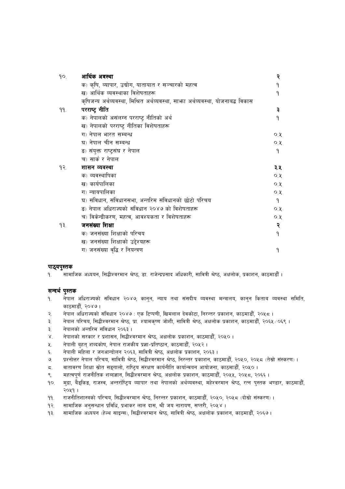| 9O. | आर्थिक अवस्था                                                                     | २    |
|-----|-----------------------------------------------------------------------------------|------|
|     | क) कृषि, व्यापार, उद्योग, यातायात र सञ्चारको महत्व                                | ٩    |
|     | ख) आर्थिक व्यवस्थाका विशेषताहरू                                                   | ٩    |
|     | कृषिजन्य अर्थव्यवस्था, मिश्रित अर्थव्यवस्था, साभ्रा अर्थव्यवस्था, योजनाबद्ध विकास |      |
| 99. | परराष्ट्र नीति                                                                    | ३    |
|     | क) नेपालको असंलग्न परराष्ट् नीतिको अर्थ                                           | ٩    |
|     | ख) नेपालको परराष्ट्र नीतिका विशेषताहरू                                            |      |
|     | ग) नेपाल भारत सम्बन्ध                                                             | Q, Q |
|     | घ) नेपाल चीन सम्बन्ध                                                              | Q, Q |
|     | ङ) संयुक्त राष्ट्रसंघ र नेपाल                                                     | ٩    |
|     | च) सार्क र नेपाल                                                                  |      |
| १२. | शासन व्यवस्था                                                                     | ३.४  |
|     | क) व्यवस्थापिका                                                                   | 0, 8 |
|     | ख) कार्यपालिका                                                                    | Q, Q |
|     | ग) न्यायपालिका                                                                    | Q, Q |
|     | घ) संविधान, संविधानसभा, अन्तरिम संविधानको छोटो परिचय                              | ٩    |
|     | ड़) नेपाल अधिराज्यको संविधान २०४७ को विशेषताहरू                                   | Q, Q |
|     | च) विकेन्द्रीकरण, महत्व, आवश्यकता र विशेषताहरू                                    | Q, Q |
| ۹₹. | जनसंख्या शिक्षा                                                                   | २    |
|     | क) जनसंख्या शिक्षाको परिचय                                                        | ٩    |
|     | ख) जनसंख्या शिक्षाको उद्देश्यहरू                                                  |      |
|     | ग) जनसंख्या वृद्धि र नियन्त्रण                                                    | ۹    |

#### **पाठ्**यपुस्तक

*!= ;fdflhs cWoog, l;4LZj/dfg >]i7, 8f= /fh]Gb|k|;fb clwsf/L, ;fljqL >]i7, cIfnf]s, k|sfzg, sf7df8f}F .* 

#### *सन्द*र्भ पुस्तक

- *!= g]kfn clw/fHosf] ;+ljwfg @)\$&, sfg'g, Gofo tyf ;+;bLo Joj:yf dGqfno, sfg'g lstfa Joj:yf ;ldlt, sf7df8f}F, @)\$& .*
- *@= g]kfn clw/fHosf] ;+ljwfg @)\$& M Ps l6Kk0fL, lvdnfn b]jsf]6f, lg/Gt/ k|sfzg, sf7df8f}F, @)%\* .*
- ३. नेपाल परिचय, सिद्धीश्वरमान श्रेष्ठ, प्रा. श्यामकृष्ण जोशी, सावित्री श्रेष्ठ, अक्षलोक प्रकाशन, काठमाडौँ, २०६५ ∕०६९ ।
- *#= g]kfnsf] cGtl/d ;+ljwfg @)^# .*
- *\$= g]kfnsf] ;/sf/ / k|zf;g, l;4LZj/dfg >]i7, cIfnf]s k|sfzg, sf7df8f}F, @)%) .*
- *%= g]kfnL a[xt\ zAbsf]if, g]kfn /fhsLo k|1f–k|lti7fg, sf7df8f}F, @)%@ .*
- ६. नेपाली महिला र जनआन्दोलन २०६३, सावित्री श्रेष्ठ, अक्षलोक प्रकाशन, २०६३ ।
- *&= k|Zgf]Q/ g]kfn kl/ro, ;fljqL >]i7, l;4LZj/dfg >]i7, lg/Gt/ k|sfzg, sf7df8f}F, @)%), @)%\* -t];|f] ;+:s/0f\_ .*
- *\*= jftfj/0f lzIff ;|f]t ;ª\ufnf], /fli6«o ;+/If0f sfo{gLlt sfof{Gjog cfof]hgf, sf7df8f}F, @)%) .*
- ९. महत्वपूर्ण राजनीतिक शब्दज्ञान, सिद्धीश्वरमान श्रेष्ठ, अक्षलोक प्रकाशन, काठमाडौँ, २०५५, २०५८, २०६६ ।
- *!)= d'b|f, a}ª\lsª, /fh:j, cGt/f{li6«o Jofkf/ tyf g]kfnsf] cy{Joj:yf, dx]Zj/dfg >]i7, /Tg k':ts e08f/, sf7df8f}F, @)%! .*
- *!!= /fhgLltzf:qsf] kl/ro, l;4LZj/dfg >]i7, lg/Gt/ k|sfzg, sf7df8f}F, @)%), @)%\* -bf];|f] ;+:s/0f\_ .*
- *!@= ;fdflhs cg';Gwfg k|ljlw, k|efs/ nfn bf;, >L ho gf/fo0f, ;Kt/L, @)%\$ .*
- १३. सामाजिक अध्ययन (हेल्थ साइन्स), सिद्धीश्वरमान श्रेष्ठ, सावित्री श्रेष्ठ, अक्षलोक प्रकाशन, काठमाडौँ, २०६७ ।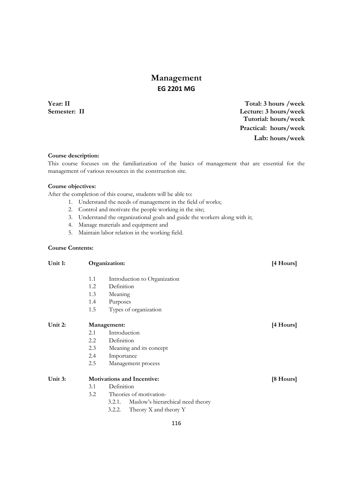# **Management EG 2201 MG**

**Year: II Total: 3 hours /week Semester: II Lecture: 3 hours/week Tutorial: hours/week Practical: hours/week Lab: hours/week**

#### **Course description:**

This course focuses on the familiarization of the basics of management that are essential for the management of various resources in the construction site.

#### **Course objectives:**

After the completion of this course, students will be able to:

- 1. Understand the needs of management in the field of works;
- 2. Control and motivate the people working in the site;
- 3. Understand the organizational goals and guide the workers along with it;
- 4. Manage materials and equipment and
- 5. Maintain labor relation in the working field.

### **Course Contents:**

| Unit 1: | Organization: |                                             |           |
|---------|---------------|---------------------------------------------|-----------|
|         | 1.1           | Introduction to Organization                |           |
|         | 1.2           | Definition                                  |           |
|         | 1.3           | Meaning                                     |           |
|         | 1.4           | Purposes                                    |           |
|         | 1.5           | Types of organization                       |           |
| Unit 2: |               | Management:                                 | [4 Hours] |
|         | 2.1           | Introduction                                |           |
|         | $2.2\,$       | Definition                                  |           |
|         | 2.3           | Meaning and its concept                     |           |
|         | 2.4           | Importance                                  |           |
|         | 2.5           | Management process                          |           |
| Unit 3: |               | <b>Motivations and Incentive:</b>           | [8 Hours] |
|         | 3.1           | Definition                                  |           |
|         | 3.2           | Theories of motivation-                     |           |
|         |               | Maslow's hierarchical need theory<br>3.2.1. |           |
|         |               | 3.2.2.<br>Theory X and theory Y             |           |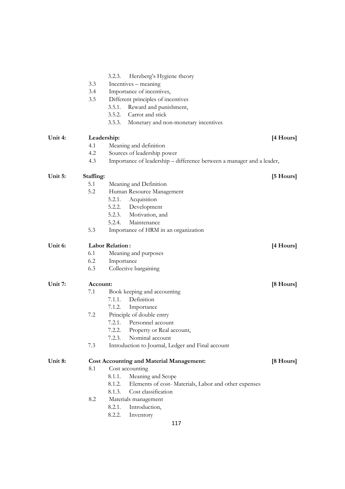|         |           | Herzberg's Hygiene theory<br>3.2.3.                                   |                     |
|---------|-----------|-----------------------------------------------------------------------|---------------------|
|         | 3.3       | Incentives – meaning                                                  |                     |
|         | 3.4       | Importance of incentives,                                             |                     |
|         | 3.5       | Different principles of incentives                                    |                     |
|         |           | Reward and punishment,<br>3.5.1.                                      |                     |
|         |           | 3.5.2.<br>Carrot and stick                                            |                     |
|         |           | 3.5.3.<br>Monetary and non-monetary incentives                        |                     |
| Unit 4: |           | Leadership:                                                           | $[4$ Hours]         |
|         | 4.1       | Meaning and definition                                                |                     |
|         | 4.2       | Sources of leadership power                                           |                     |
|         | 4.3       | Importance of leadership – difference between a manager and a leader, |                     |
| Unit 5: | Staffing: |                                                                       | $[5 \text{ Hours}]$ |
|         | 5.1       | Meaning and Definition                                                |                     |
|         | 5.2       | Human Resource Management                                             |                     |
|         |           | 5.2.1.<br>Acquisition                                                 |                     |
|         |           | 5.2.2.<br>Development                                                 |                     |
|         |           | 5.2.3.<br>Motivation, and                                             |                     |
|         |           | 5.2.4.<br>Maintenance                                                 |                     |
|         | 5.3       | Importance of HRM in an organization                                  |                     |
| Unit 6: |           | <b>Labor Relation:</b>                                                | $[4$ Hours]         |
|         | 6.1       | Meaning and purposes                                                  |                     |
|         | 6.2       | Importance                                                            |                     |
|         | 6.3       | Collective bargaining                                                 |                     |
| Unit 7: | Account:  |                                                                       | [8 Hours]           |
|         | 7.1       | Book keeping and accounting                                           |                     |
|         |           | 7.1.1.<br>Definition                                                  |                     |
|         |           | 7.1.2.<br>Importance                                                  |                     |
|         | 7.2       | Principle of double entry                                             |                     |
|         |           | 7.2.1.<br>Personnel account                                           |                     |
|         |           | 7.2.2.<br>Property or Real account,                                   |                     |
|         |           | 7.2.3.<br>Nominal account                                             |                     |
|         | 7.3       | Introduction to Journal, Ledger and Final account                     |                     |
| Unit 8: |           | <b>Cost Accounting and Material Management:</b>                       | [8 Hours]           |
|         | 8.1       | Cost accounting                                                       |                     |
|         |           | 8.1.1.<br>Meaning and Scope                                           |                     |
|         |           | 8.1.2.<br>Elements of cost-Materials, Labor and other expenses        |                     |
|         |           | 8.1.3.<br>Cost classification                                         |                     |
|         | 8.2       | Materials management                                                  |                     |
|         |           | 8.2.1.<br>Introduction,                                               |                     |
|         |           | 8.2.2.<br>Inventory                                                   |                     |
|         |           | 117                                                                   |                     |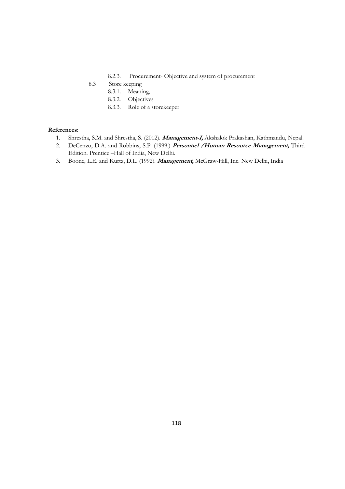### 8.2.3. Procurement- Objective and system of procurement

- 8.3 Store keeping
	- 8.3.1. Meaning,
	- 8.3.2. Objectives
	- 8.3.3. Role of a storekeeper

- 1. Shrestha, S.M. and Shrestha, S. (2012). **Management-I,** Akshalok Prakashan, Kathmandu, Nepal.
- 2. DeCenzo, D.A. and Robbins, S.P. (1999.) **Personnel /Human Resource Management,** Third Edition. Prentice –Hall of India, New Delhi.
- 3. Boone, L.E. and Kurtz, D.L. (1992). **Management,** McGraw-Hill, Inc. New Delhi, India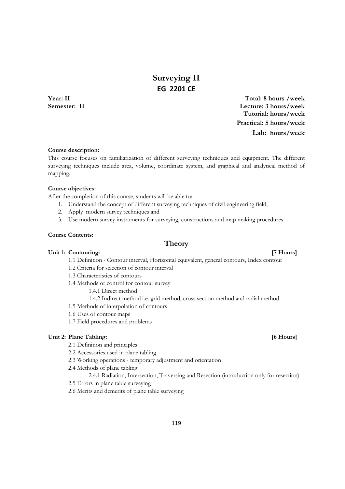# **Surveying II EG 2201 CE**

**Year: II Total: 8 hours /week Semester: II Lecture: 3 hours/week Tutorial: hours/week Practical: 5 hours/week Lab: hours/week**

#### **Course description:**

This course focuses on familiarization of different surveying techniques and equipment. The different surveying techniques include area, volume, coordinate system, and graphical and analytical method of mapping.

#### **Course objectives:**

After the completion of this course, students will be able to:

- 1. Understand the concept of different surveying techniques of civil engineering field;
- 2. Apply modern survey techniques and
- 3. Use modern survey instruments for surveying, constructions and map making procedures.

#### **Course Contents:**

#### Unit 1: Contouring: *IT* Hours] *IT* Hours *IT* Hours *IT* Hours *IT* Hours *IT*

1.1 Definition - Contour interval, Horizontal equivalent, general contours, Index contour

**Theory** 

- 1.2 Criteria for selection of contour interval
- 1.3 Characteristics of contours
- 1.4 Methods of control for contour survey
	- 1.4.1 Direct method
	- 1.4.2 Indirect method i.e. grid method, cross section method and radial method
- 1.5 Methods of interpolation of contours
- 1.6 Uses of contour maps
- 1.7 Field procedures and problems

#### **Unit 2: Plane Tabling: [6 Hours]**

- 2.1 Definition and principles
- 2.2 Accessories used in plane tabling
- 2.3 Working operations temporary adjustment and orientation
- 2.4 Methods of plane tabling
- 2.4.1 Radiation, Intersection, Traversing and Resection (introduction only for resection)
- 2.5 Errors in plane table surveying
- 2.6 Merits and demerits of plane table surveying

#### 119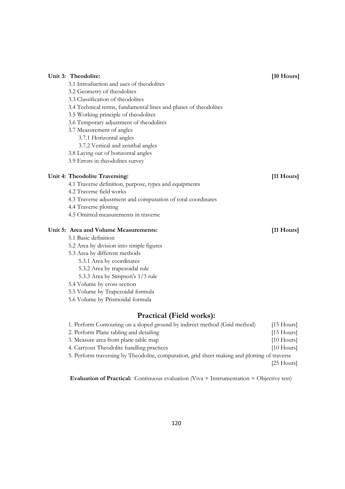| Unit 3: Theodolite:                                                                  | [10 Hours]   |
|--------------------------------------------------------------------------------------|--------------|
| 3.1 Introduction and uses of theodolites                                             |              |
| 3.2 Geometry of theodolites                                                          |              |
| 3.3 Classification of theodolites                                                    |              |
| 3.4 Technical terms, fundamental lines and planes of theodolites                     |              |
| 3.5 Working principle of theodolites                                                 |              |
| 3.6 Temporary adjustment of theodolites                                              |              |
| 3.7 Measurement of angles                                                            |              |
| 3.7.1 Horizontal angles                                                              |              |
| 3.7.2 Vertical and zenithal angles                                                   |              |
| 3.8 Laying out of horizontal angles                                                  |              |
| 3.9 Errors in theodolites survey                                                     |              |
| Unit 4: Theodolite Traversing:                                                       | [11 Hours]   |
| 4.1 Traverse definition, purpose, types and equipments                               |              |
| 4.2 Traverse field works                                                             |              |
| 4.3 Traverse adjustment and computation of total coordinates                         |              |
| 4.4 Traverse plotting                                                                |              |
| 4.5 Omitted measurements in traverse                                                 |              |
| Unit 5: Area and Volume Measurements:                                                | $[11$ Hours] |
| 5.1 Basic definition                                                                 |              |
| 5.2 Area by division into simple figures                                             |              |
| 5.3 Area by different methods                                                        |              |
| 5.3.1 Area by coordinates                                                            |              |
| 5.3.2 Area by trapezoidal rule                                                       |              |
| 5.3.3 Area by Simpson's 1/3 rule                                                     |              |
| 5.4 Volume by cross section                                                          |              |
| 5.5 Volume by Trapezoidal formula                                                    |              |
| 5.6 Volume by Prismoidal formula                                                     |              |
| <b>Practical (Field works):</b>                                                      |              |
| 1 Developm Contouring on a sloped ground by indirect method (Crid method) [15 Hours] |              |

| $[15$ Hours]                                                                                 |
|----------------------------------------------------------------------------------------------|
| $[15$ Hours]                                                                                 |
| $[10$ Hours                                                                                  |
| $[10$ Hours]                                                                                 |
| 5. Perform traversing by Theodolite, computation, grid sheet making and plotting of traverse |
| $[25$ Hours                                                                                  |
|                                                                                              |

 **Evaluation of Practical:** Continuous evaluation (Viva + Instrumentation + Objective test)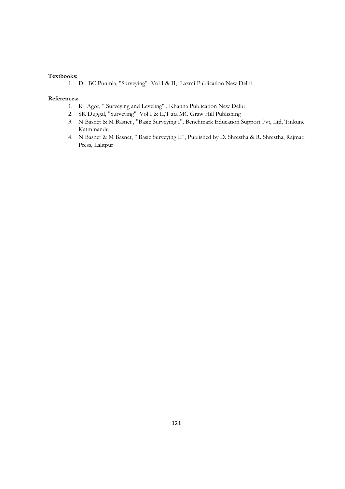### **Textbooks:**

1. Dr. BC Punmia, "Surveying"- Vol I & II, Laxmi Publication New Delhi

- 1. R. Agor, " Surveying and Leveling" , Khanna Publication New Delhi
- 2. SK Duggal, "Surveying" Vol I & II,T ata MC Graw Hill Publishing
- 3. N Basnet & M Basnet , "Basic Surveying I", Benchmark Education Support Pvt, Ltd, Tinkune Katmmandu
- 4. N Basnet & M Basnet, " Basic Surveying II", Published by D. Shrestha & R. Shrestha, Rajmati Press, Lalitpur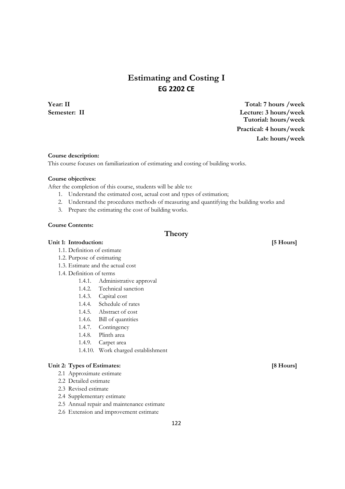# **Estimating and Costing I EG 2202 CE**

**Year: II Total: 7 hours /week Semester: II Lecture: 3 hours/week Tutorial: hours/week Practical: 4 hours/week Lab: hours/week**

#### **Course description:**

This course focuses on familiarization of estimating and costing of building works.

#### **Course objectives:**

After the completion of this course, students will be able to:

- 1. Understand the estimated cost, actual cost and types of estimation;
- 2. Understand the procedures methods of measuring and quantifying the building works and
- 3. Prepare the estimating the cost of building works.

#### **Course Contents:**

### **Theory**

#### Unit 1: Introduction: *5 Hours*

- 1.1. Definition of estimate
- 1.2. Purpose of estimating
- 1.3. Estimate and the actual cost
- 1.4. Definition of terms
	- 1.4.1. Administrative approval
	- 1.4.2. Technical sanction
	- 1.4.3. Capital cost
	- 1.4.4. Schedule of rates
	- 1.4.5. Abstract of cost
	- 1.4.6. Bill of quantities
	- 1.4.7. Contingency
	- 1.4.8. Plinth area
	- 1.4.9. Carpet area
	- 1.4.10. Work charged establishment

#### Unit 2: Types of Estimates: [8 Hours]

- 2.1 Approximate estimate
- 2.2 Detailed estimate
- 2.3 Revised estimate
- 2.4 Supplementary estimate
- 2.5 Annual repair and maintenance estimate
- 2.6 Extension and improvement estimate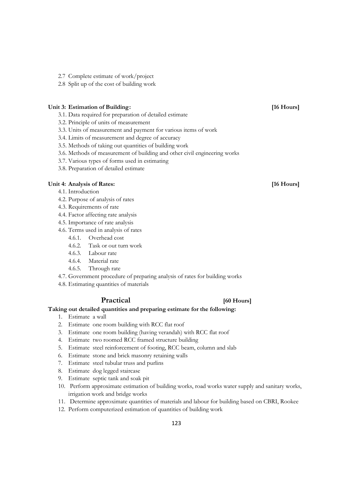- 2.7 Complete estimate of work/project
- 2.8 Split up of the cost of building work

#### Unit 3: Estimation of Building: *If*  $\left| \begin{array}{c} 16 \text{ Hours} \\ 16 \text{ Hours} \end{array} \right|$

- 3.1. Data required for preparation of detailed estimate
- 3.2. Principle of units of measurement
- 3.3. Units of measurement and payment for various items of work
- 3.4. Limits of measurement and degree of accuracy
- 3.5. Methods of taking out quantities of building work
- 3.6. Methods of measurement of building and other civil engineering works
- 3.7. Various types of forms used in estimating
- 3.8. Preparation of detailed estimate

#### Unit 4: Analysis of Rates: *If* Hours *If* Hours *If*  $\frac{16}{16}$  Hours *If*  $\frac{16}{16}$  Hours *If*

- 4.1. Introduction
- 4.2. Purpose of analysis of rates
- 4.3. Requirements of rate
- 4.4. Factor affecting rate analysis
- 4.5. Importance of rate analysis
- 4.6. Terms used in analysis of rates
	- 4.6.1. Overhead cost
	- 4.6.2. Task or out turn work
	- 4.6.3. Labour rate
	- 4.6.4. Material rate
	- 4.6.5. Through rate
- 4.7. Government procedure of preparing analysis of rates for building works
- 4.8. Estimating quantities of materials

#### **Practical [60 Hours]**

#### **Taking out detailed quantities and preparing estimate for the following:**

- 1. Estimate a wall
- 2. Estimate one room building with RCC flat roof
- 3. Estimate one room building (having verandah) with RCC flat roof
- 4. Estimate two roomed RCC framed structure building
- 5. Estimate steel reinforcement of footing, RCC beam, column and slab
- 6. Estimate stone and brick masonry retaining walls
- 7. Estimate steel tubular truss and purlins
- 8. Estimate dog legged staircase
- 9. Estimate septic tank and soak pit
- 10. Perform approximate estimation of building works, road works water supply and sanitary works, irrigation work and bridge works
- 11. Determine approximate quantities of materials and labour for building based on CBRI, Rookee
- 12. Perform computerized estimation of quantities of building work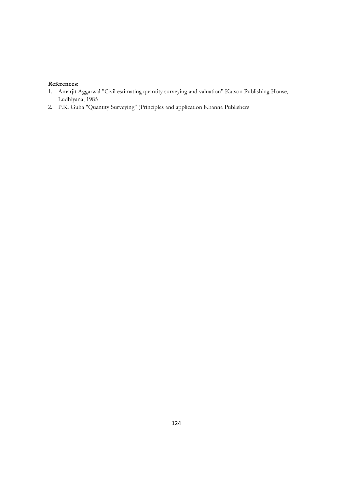- 1. Amarjit Aggarwal "Civil estimating quantity surveying and valuation" Katson Publishing House, Ludhiyana, 1985
- 2. P.K. Guha "Quantity Surveying" (Principles and application Khanna Publishers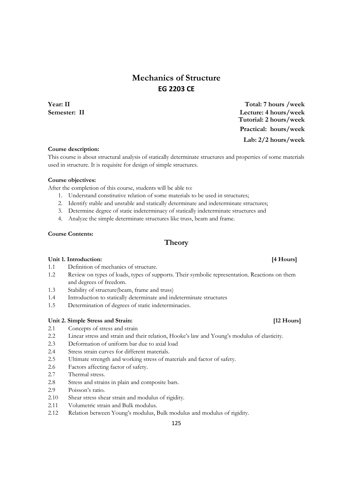# **Mechanics of Structure EG 2203 CE**

**Year: II Total: 7 hours /week Semester: II Lecture: 4 hours/week Tutorial: 2 hours/week Practical: hours/week Lab: 2/2 hours/week**

#### **Course description:**

This course is about structural analysis of statically determinate structures and properties of some materials used in structure. It is requisite for design of simple structures.

#### **Course objectives:**

After the completion of this course, students will be able to:

- 1. Understand constitutive relation of some materials to be used in structures;
- 2. Identify stable and unstable and statically determinate and indeterminate structures;
- 3. Determine degree of static indeterminacy of statically indeterminate structures and
- 4. Analyze the simple determinate structures like truss, beam and frame.

#### **Course Contents:**

#### **Theory**

#### **Unit 1. Introduction: [4 Hours]**

- 1.1 Definition of mechanics of structure.
- 1.2 Review on types of loads, types of supports. Their symbolic representation. Reactions on them and degrees of freedom.
- 1.3 Stability of structure(beam, frame and truss)
- 1.4 Introduction to statically determinate and indeterminate structures
- 1.5 Determination of degrees of static indeterminacies.

#### **Unit 2. Simple Stress and Strain: [12 Hours]**

- 2.1 Concepts of stress and strain
- 2.2 Linear stress and strain and their relation, Hooke's law and Young's modulus of elasticity.
- 2.3 Deformation of uniform bar due to axial load
- 2.4 Stress strain curves for different materials.
- 2.5 Ultimate strength and working stress of materials and factor of safety.
- 2.6 Factors affecting factor of safety.
- 2.7 Thermal stress.
- 2.8 Stress and strains in plain and composite bars.
- 2.9 Poisson's ratio.
- 2.10 Shear stress shear strain and modulus of rigidity.
- 2.11 Volumetric strain and Bulk modulus.
- 2.12 Relation between Young's modulus, Bulk modulus and modulus of rigidity.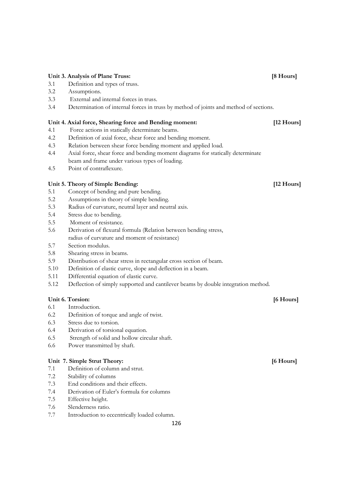#### **Unit 3. Analysis of Plane Truss: [8 Hours]**

- 3.1 Definition and types of truss.
- 3.2 Assumptions.
- 3.3 External and internal forces in truss.
- 3.4 Determination of internal forces in truss by method of joints and method of sections.

#### **Unit 4. Axial force, Shearing force and Bending moment: [12 Hours]**

- 4.1 Force actions in statically determinate beams.
- 4.2 Definition of axial force, shear force and bending moment.
- 4.3 Relation between shear force bending moment and applied load.
- 4.4 Axial force, shear force and bending moment diagrams for statically determinate beam and frame under various types of loading.
- 4.5 Point of contraflexure.

#### **Unit 5. Theory of Simple Bending: [12 Hours]**

- 5.1 Concept of bending and pure bending.
- 5.2 Assumptions in theory of simple bending.
- 5.3 Radius of curvature, neutral layer and neutral axis.
- 5.4 Stress due to bending.
- 5.5 Moment of resistance.
- 5.6 Derivation of flexural formula (Relation between bending stress, radius of curvature and moment of resistance)
- 5.7 Section modulus.
- 5.8 Shearing stress in beams.
- 5.9 Distribution of shear stress in rectangular cross section of beam.
- 5.10 Definition of elastic curve, slope and deflection in a beam.
- 5.11 Differential equation of elastic curve.
- 5.12 Deflection of simply supported and cantilever beams by double integration method.

#### Unit 6. Torsion: **[6 Hours]**

- 6.1 Introduction.
- 6.2 Definition of torque and angle of twist.
- 6.3 Stress due to torsion.
- 6.4 Derivation of torsional equation.
- 6.5 Strength of solid and hollow circular shaft.
- 6.6 Power transmitted by shaft.

#### Unit 7. Simple Strut Theory: *6. March* **1989 1989 1989 1989 1989 1989 1989 1989 1989 1989 1989 1989 1989 1989 1989 1989 1989 1989 1989 1989 1989 1989 1989 1989 1989 1989**

- 7.1 Definition of column and strut.
- 7.2 Stability of columns
- 7.3 End conditions and their effects.
- 7.4 Derivation of Euler's formula for columns
- 7.5 Effective height.
- 7.6 Slenderness ratio.
- 7.7 Introduction to eccentrically loaded column.

126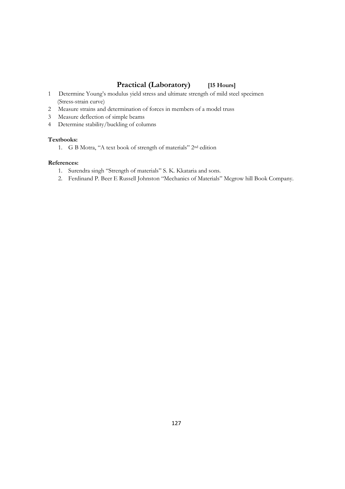## **Practical (Laboratory) [15 Hours]**

- 1 Determine Young's modulus yield stress and ultimate strength of mild steel specimen (Stress-strain curve)
- 2 Measure strains and determination of forces in members of a model truss
- 3 Measure deflection of simple beams
- 4 Determine stability/buckling of columns

#### **Textbooks:**

1. G B Motra, "A text book of strength of materials" 2nd edition

- 1. Surendra singh "Strength of materials" S. K. Kkataria and sons.
- 2. Ferdinand P. Beer E Russell Johnston "Mechanics of Materials" Mcgrow hill Book Company.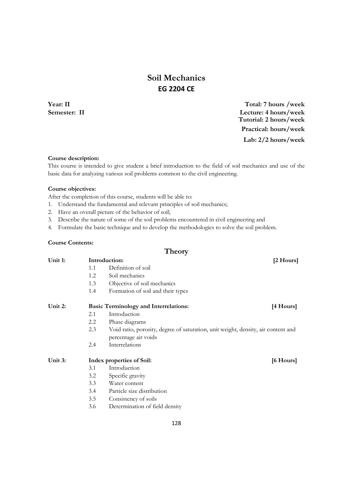# **Soil Mechanics EG 2204 CE**

**Year: II Total: 7 hours /week Semester: II Lecture: 4 hours/week Tutorial: 2 hours/week Practical: hours/week Lab: 2/2 hours/week**

#### **Course description:**

This course is intended to give student a brief introduction to the field of soil mechanics and use of the basic data for analyzing various soil problems common to the civil engineering.

#### **Course objectives:**

After the completion of this course, students will be able to:

- 1. Understand the fundamental and relevant principles of soil mechanics;
- 2. Have an overall picture of the behavior of soil;
- 3. Describe the nature of some of the soil problems encountered in civil engineering and
- 4. Formulate the basic technique and to develop the methodologies to solve the soil problem.

#### **Course Contents:**

## **Theory**  Unit 1: Introduction: [2 Hours] 1.1 Definition of soil 1.2 Soil mechanics 1.3 Objective of soil mechanics 1.4 Formation of soil and their types Unit 2: Basic Terminology and Interrelations: [4 Hours] 2.1 Introduction 2.2 Phase diagrams 2.3 Void ratio, porosity, degree of saturation, unit weight, density, air content and percentage air voids 2.4 Interrelations Unit 3: **Index properties of Soil:** [6 Hours] 3.1 Introduction 3.2 Specific gravity 3.3 Water content 3.4 Particle size distribution 3.5 Consistency of soils 3.6 Determination of field density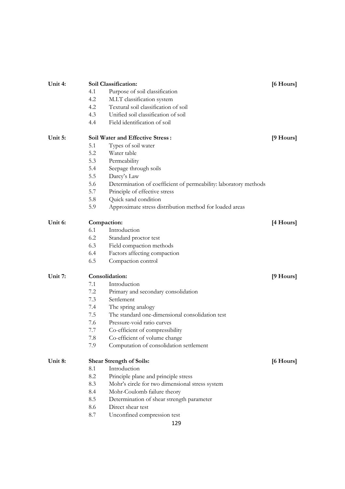| Unit 4: | Soil Classification: | [6 Hours]                                                        |           |
|---------|----------------------|------------------------------------------------------------------|-----------|
|         | 4.1                  | Purpose of soil classification                                   |           |
|         | 4.2                  | M.I.T classification system                                      |           |
|         | 4.2                  | Textural soil classification of soil                             |           |
|         | 4.3                  | Unified soil classification of soil                              |           |
|         | 4.4                  | Field identification of soil                                     |           |
| Unit 5: |                      | <b>Soil Water and Effective Stress:</b>                          | [9 Hours] |
|         | 5.1                  | Types of soil water                                              |           |
|         | 5.2                  | Water table                                                      |           |
|         | 5.3                  | Permeability                                                     |           |
|         | 5.4                  | Seepage through soils                                            |           |
|         | 5.5                  | Darcy's Law                                                      |           |
|         | 5.6                  | Determination of coefficient of permeability: laboratory methods |           |
|         | 5.7                  | Principle of effective stress                                    |           |
|         | 5.8                  | Quick sand condition                                             |           |
|         | 5.9                  | Approximate stress distribution method for loaded areas          |           |
| Unit 6: |                      | Compaction:                                                      | [4 Hours] |
|         | 6.1                  | Introduction                                                     |           |
|         | 6.2                  | Standard proctor test                                            |           |
|         | 6.3                  | Field compaction methods                                         |           |
|         | 6.4                  | Factors affecting compaction                                     |           |
|         | 6.5                  | Compaction control                                               |           |
| Unit 7: | Consolidation:       |                                                                  |           |
|         | 7.1                  | Introduction                                                     |           |
|         | 7.2                  | Primary and secondary consolidation                              |           |
|         | 7.3                  | Settlement                                                       |           |
|         | 7.4                  | The spring analogy                                               |           |
|         | 7.5                  | The standard one-dimensional consolidation test                  |           |
|         | 7.6                  | Pressure-void ratio curves                                       |           |
|         | 7.7                  | Co-efficient of compressibility                                  |           |
|         | 7.8                  | Co-efficient of volume change                                    |           |
|         | 7.9                  | Computation of consolidation settlement                          |           |
| Unit 8: |                      | <b>Shear Strength of Soils:</b>                                  | [6 Hours] |
|         | 8.1                  | Introduction                                                     |           |
|         | 8.2                  | Principle plane and principle stress                             |           |
|         | 8.3                  | Mohr's circle for two dimensional stress system                  |           |
|         | 8.4                  | Mohr-Coulomb failure theory                                      |           |
|         | 8.5                  | Determination of shear strength parameter                        |           |
|         | 8.6                  | Direct shear test                                                |           |
|         | 8.7                  | Unconfined compression test                                      |           |
|         |                      | 129                                                              |           |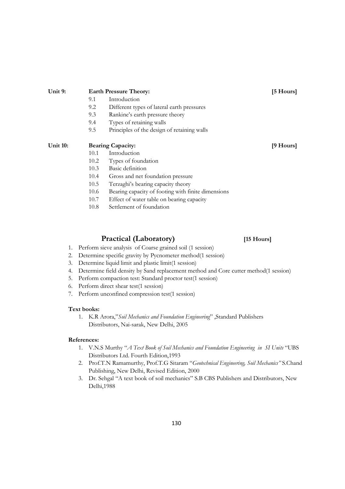### 10.4 Gross and net foundation pressure 10.5 Terzaghi's bearing capacity theory

10.1 Introduction

 10.2 Types of foundation 10.3 Basic definition

9.1 Introduction

- 10.6 Bearing capacity of footing with finite dimensions
- 10.7 Effect of water table on bearing capacity

9.2 Different types of lateral earth pressures

9.5 Principles of the design of retaining walls

9.3 Rankine's earth pressure theory

9.4 Types of retaining walls

10.8 Settlement of foundation

## **Practical (Laboratory) [15 Hours]**

- 1. Perform sieve analysis of Coarse grained soil (1 session)
- 2. Determine specific gravity by Pycnometer method(1 session)
- 3. Determine liquid limit and plastic limit(1 session)
- 4. Determine field density by Sand replacement method and Core cutter method(1 session)
- 5. Perform compaction test: Standard proctor test(1 session)
- 6. Perform direct shear test(1 session)
- 7. Perform unconfined compression test(1 session)

### **Text books:**

1. K.R Arora,"*Soil Mechanics and Foundation Engineering*" ,Standard Publishers Distributors, Nai-sarak, New Delhi, 2005

### **References:**

- 1. V.N.S Murthy "*A Text Book of Soil Mechanics and Foundation Engineering in SI Units* "UBS Distributors Ltd. Fourth Edition,1993
- 2. Prof.T.N Ramamurthy, Prof.T.G Sitaram "*Geotechnical Engineering, Soil Mechanics"* S.Chand Publishing, New Delhi, Revised Edition, 2000
- 3. Dr. Sehgal "A text book of soil mechanics" S.B CBS Publishers and Distributors, New Delhi,1988

Unit 9: Earth Pressure Theory: [5 Hours]

Unit 10: Bearing Capacity: **[9 Hours] Bearing Capacity: 19 Hours**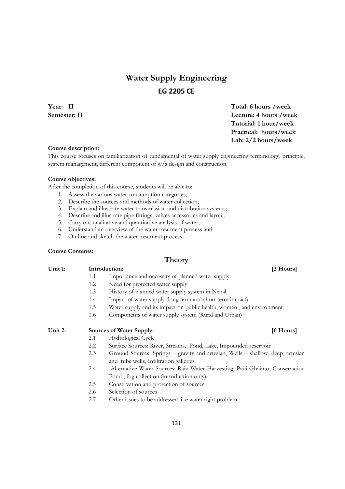# **Water Supply Engineering EG 2205 CE**

**Year:** II Total: 6 hours /week **Semester: II** Lecture: 4 hours /week  **Tutorial: 1 hour/week Practical: hours/week Lab: 2/2 hours/week** 

#### **Course description:**

This course focuses on familiarization of fundamental of water supply engineering terminology, principle, system management, different component of w/s design and construction.

#### **Course objectives:**

After the completion of this course, students will be able to:

- 1. Assess the various water consumption categories;
- 2. Describe the sources and methods of water collection;
- 3. Explain and illustrate water transmission and distribution systems;
- 4. Describe and illustrate pipe fittings, valves accessories and layout;
- 5. Carry out qualitative and quantitative analysis of water;
- 6. Understand an overview of the water treatment process and
- 7. Outline and sketch the water treatment process.

#### **Course Contents:**

### **Theory**

| Introduction: |                                                  |  |
|---------------|--------------------------------------------------|--|
|               | Importance and necessity of planned water supply |  |
|               | Need for protected water supply                  |  |
|               |                                                  |  |

- 1.3 History of planned water supply system in Nepal
- 1.4 Impact of water supply (long term and short term impact)
- 1.5 Water supply and its impact on public health, women , and environment
- 1.6 Components of water supply system (Rural and Urban)

### Unit 2: Sources of Water Supply: [6 Hours]

- 2.1 Hydrological Cycle
- 2.2 Surface Sources: River, Streams, Pond, Lake, Impounded reservoir
- 2.3 Ground Sources: Springs gravity and artesian, Wells shallow, deep, artesian and tube wells, Infiltration galleries
- 2.4 Alternative Water Sources: Rain Water Harvesting, Pani Ghainto, Conservation Pond , fog collection (introduction only)
- 2.5 Conservation and protection of sources
- 2.6 Selection of sources
- 2.7 Other issues to be addressed like water right problem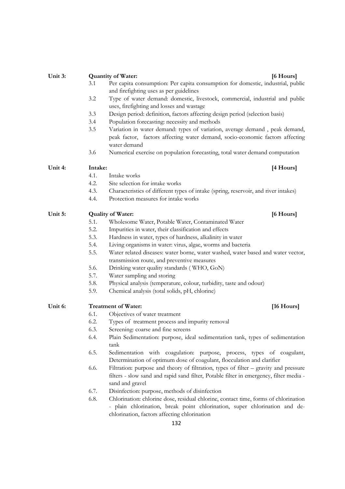| Unit 3: |         | [6 Hours]<br><b>Quantity of Water:</b>                                                 |
|---------|---------|----------------------------------------------------------------------------------------|
|         | 3.1     | Per capita consumption: Per capita consumption for domestic, industrial, public        |
|         |         | and firefighting uses as per guidelines                                                |
|         | 3.2     | Type of water demand: domestic, livestock, commercial, industrial and public           |
|         |         | uses, firefighting and losses and wastage                                              |
|         | 3.3     | Design period: definition, factors affecting design period (selection basis)           |
|         | 3.4     | Population forecasting: necessity and methods                                          |
|         | 3.5     | Variation in water demand: types of variation, average demand, peak demand,            |
|         |         | peak factor, factors affecting water demand, socio-economic factors affecting          |
|         |         | water demand                                                                           |
|         | 3.6     | Numerical exercise on population forecasting, total water demand computation           |
| Unit 4: | Intake: | [4 Hours]                                                                              |
|         | 4.1.    | Intake works                                                                           |
|         | 4.2.    | Site selection for intake works                                                        |
|         | 4.3.    | Characteristics of different types of intake (spring, reservoir, and river intakes)    |
|         | 4.4.    | Protection measures for intake works                                                   |
| Unit 5: |         | <b>Quality of Water:</b><br>[6 Hours]                                                  |
|         | 5.1.    | Wholesome Water, Potable Water, Contaminated Water                                     |
|         | 5.2.    | Impurities in water, their classification and effects                                  |
|         | 5.3.    | Hardness in water, types of hardness, alkalinity in water                              |
|         | 5.4.    | Living organisms in water: virus, algae, worms and bacteria                            |
|         | 5.5.    | Water related diseases: water borne, water washed, water based and water vector,       |
|         |         | transmission route, and preventive measures                                            |
|         | 5.6.    | Drinking water quality standards (WHO, GoN)                                            |
|         | 5.7.    | Water sampling and storing                                                             |
|         | 5.8.    | Physical analysis (temperature, colour, turbidity, taste and odour)                    |
|         | 5.9.    | Chemical analysis (total solids, pH, chlorine)                                         |
| Unit 6: |         | <b>Treatment of Water:</b><br>[16 Hours]                                               |
|         | 6.1.    | Objectives of water treatment                                                          |
|         | 6.2.    | Types of treatment process and impurity removal                                        |
|         | 6.3.    | Screening: coarse and fine screens                                                     |
|         | 6.4.    | Plain Sedimentation: purpose, ideal sedimentation tank, types of sedimentation         |
|         |         | tank                                                                                   |
|         | 6.5.    | Sedimentation with coagulation: purpose, process, types of coagulant,                  |
|         |         | Determination of optimum dose of coagulant, flocculation and clarifier                 |
|         | 6.6.    | Filtration: purpose and theory of filtration, types of filter - gravity and pressure   |
|         |         | filters - slow sand and rapid sand filter, Potable filter in emergency, filter media - |
|         |         | sand and gravel                                                                        |
|         | 6.7.    | Disinfection: purpose, methods of disinfection                                         |
|         | 6.8.    | Chlorination: chlorine dose, residual chlorine, contact time, forms of chlorination    |
|         |         | - plain chlorination, break point chlorination, super chlorination and de-             |

- 6.4. Plain Sedimentation: purpose, ideal sedimentation tank, types of sedimentation
- 
- filters slow sand and rapid sand filter, Potable filter in emergency, filter media -
- plain chlorination, break point chlorination, super chlorination and dechlorination, factors affecting chlorination

132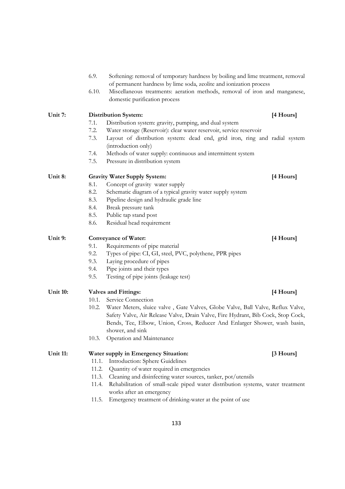|                 | 6.9.  | Softening: removal of temporary hardness by boiling and lime treatment, removal<br>of permanent hardness by lime soda, zeolite and ionization process |           |
|-----------------|-------|-------------------------------------------------------------------------------------------------------------------------------------------------------|-----------|
|                 | 6.10. | Miscellaneous treatments: aeration methods, removal of iron and manganese,<br>domestic purification process                                           |           |
| Unit 7:         |       | <b>Distribution System:</b>                                                                                                                           | [4 Hours] |
|                 | 7.1.  | Distribution system: gravity, pumping, and dual system                                                                                                |           |
|                 | 7.2.  | Water storage (Reservoir): clear water reservoir, service reservoir                                                                                   |           |
|                 | 7.3.  | Layout of distribution system: dead end, grid iron, ring and radial system                                                                            |           |
|                 |       | (introduction only)                                                                                                                                   |           |
|                 | 7.4.  | Methods of water supply: continuous and intermittent system                                                                                           |           |
|                 | 7.5.  | Pressure in distribution system                                                                                                                       |           |
| Unit 8:         |       | <b>Gravity Water Supply System:</b>                                                                                                                   | [4 Hours] |
|                 | 8.1.  | Concept of gravity water supply                                                                                                                       |           |
|                 | 8.2.  | Schematic diagram of a typical gravity water supply system                                                                                            |           |
|                 | 8.3.  | Pipeline design and hydraulic grade line                                                                                                              |           |
|                 | 8.4.  | Break pressure tank                                                                                                                                   |           |
|                 | 8.5.  | Public tap stand post                                                                                                                                 |           |
|                 | 8.6.  | Residual head requirement                                                                                                                             |           |
| Unit 9:         |       | <b>Conveyance of Water:</b>                                                                                                                           | [4 Hours] |
|                 | 9.1.  | Requirements of pipe material                                                                                                                         |           |
|                 | 9.2.  | Types of pipe: CI, GI, steel, PVC, polythene, PPR pipes                                                                                               |           |
|                 | 9.3.  | Laying procedure of pipes                                                                                                                             |           |
|                 | 9.4.  | Pipe joints and their types                                                                                                                           |           |
|                 | 9.5.  | Testing of pipe joints (leakage test)                                                                                                                 |           |
| Unit 10:        |       | <b>Valves and Fittings:</b>                                                                                                                           | [4 Hours] |
|                 | 10.1. | Service Connection                                                                                                                                    |           |
|                 | 10.2. | Water Meters, sluice valve, Gate Valves, Globe Valve, Ball Valve, Reflux Valve,                                                                       |           |
|                 |       | Safety Valve, Air Release Valve, Drain Valve, Fire Hydrant, Bib Cock, Stop Cock,                                                                      |           |
|                 |       | Bends, Tee, Elbow, Union, Cross, Reducer And Enlarger Shower, wash basin,                                                                             |           |
|                 |       | shower, and sink                                                                                                                                      |           |
|                 | 10.3. | Operation and Maintenance                                                                                                                             |           |
| <b>Unit 11:</b> |       | Water supply in Emergency Situation:                                                                                                                  | [3 Hours] |
|                 | 11.1. | Introduction: Sphere Guidelines                                                                                                                       |           |
|                 | 11.2. | Quantity of water required in emergencies                                                                                                             |           |
|                 | 11.3. | Cleaning and disinfecting water sources, tanker, pot/utensils                                                                                         |           |
|                 | 11.4. | Rehabilitation of small-scale piped water distribution systems, water treatment                                                                       |           |
|                 |       | works after an emergency                                                                                                                              |           |
|                 | 11.5. | Emergency treatment of drinking-water at the point of use                                                                                             |           |
|                 |       |                                                                                                                                                       |           |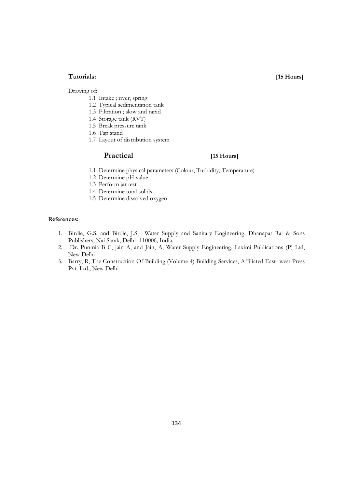### **Tutorials: [15 Hours]**

Drawing of:

- 1.1 Intake ; river, spring
- 1.2 Typical sedimentation tank
- 1.3 Filtration ; slow and rapid
- 1.4 Storage tank (RVT)
- 1.5 Break pressure tank
- 1.6 Tap stand
- 1.7 Layout of distribution system

### **Practical [15 Hours]**

- 1.1 Determine physical parameters (Colour, Turbidity, Temperature)
- 1.2 Determine pH value
- 1.3 Perform jar test
- 1.4 Determine total solids
- 1.5 Determine dissolved oxygen

- 1. Birdie, G.S. and Birdie, J.S, Water Supply and Sanitary Engineering, Dhanapat Rai & Sons Publishers, Nai Sarak, Delhi- 110006, India.
- 2. Dr. Punmia B C, jain A, and Jain, A, Water Supply Engineering, Laximi Publications (P) Ltd, New Delhi
- 3. Barry, R, The Construction Of Building (Volume 4) Building Services, Affiliated East- west Press Pvt. Ltd., New Delhi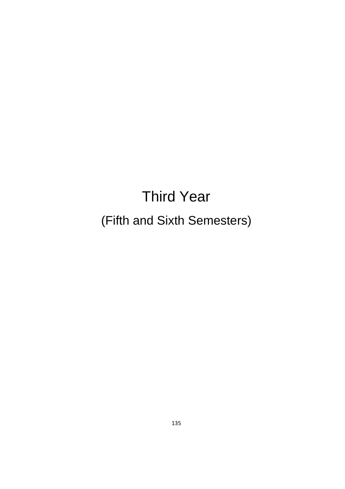# Third Year (Fifth and Sixth Semesters)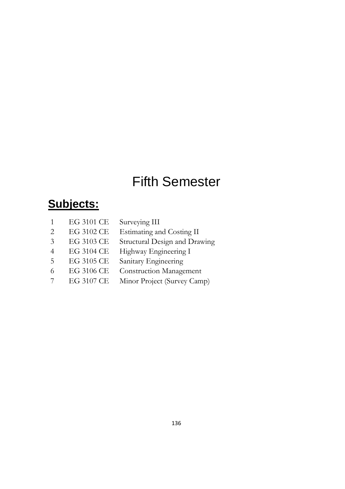# Fifth Semester

# **Subjects:**

|                             | EG 3101 CE | Surveying III                  |
|-----------------------------|------------|--------------------------------|
|                             | EG 3102 CE | Estimating and Costing II      |
| $\mathcal{R}_{\mathcal{A}}$ | EG 3103 CE | Structural Design and Drawing  |
|                             | EG 3104 CE | Highway Engineering I          |
| 5                           | EG 3105 CE | Sanitary Engineering           |
| 6                           | EG 3106 CE | <b>Construction Management</b> |
|                             | EG 3107 CE | Minor Project (Survey Camp)    |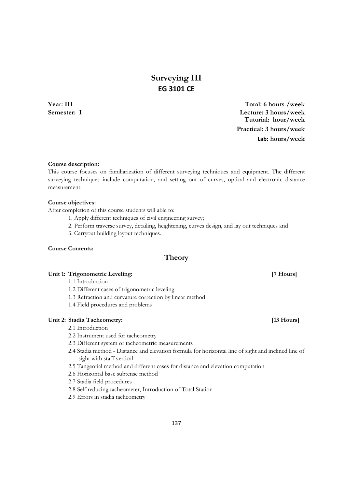# **Surveying III EG 3101 CE**

**Year: III Total: 6 hours /week Semester: I Lecture: 3 hours/week Tutorial: hour/week Practical: 3 hours/week Lab: hours/week**

**Course description:** 

This course focuses on familiarization of different surveying techniques and equipment. The different surveying techniques include computation, and setting out of curves, optical and electronic distance measurement.

#### **Course objectives:**

After completion of this course students will able to:

- 1. Apply different techniques of civil engineering survey;
- 2. Perform traverse survey, detailing, heightening, curves design, and lay out techniques and
- 3. Carryout building layout techniques.

#### **Course Contents:**

### **Theory**

#### Unit 1: Trigonometric Leveling: **[7 Hours] [7 Hours]**

- 1.1 Introduction
- 1.2 Different cases of trigonometric leveling
- 1.3 Refraction and curvature correction by linear method
- 1.4 Field procedures and problems

#### Unit 2: Stadia Tacheometry: *[13 Hours]*

- 2.1 Introduction
- 2.2 Instrument used for tacheometry
- 2.3 Different system of tacheometric measurements
- 2.4 Stadia method Distance and elevation formula for horizontal line of sight and inclined line of sight with staff vertical
- 2.5 Tangential method and different cases for distance and elevation computation
- 2.6 Horizontal base subtense method
- 2.7 Stadia field procedures
- 2.8 Self reducing tacheometer, Introduction of Total Station
- 2.9 Errors in stadia tacheometry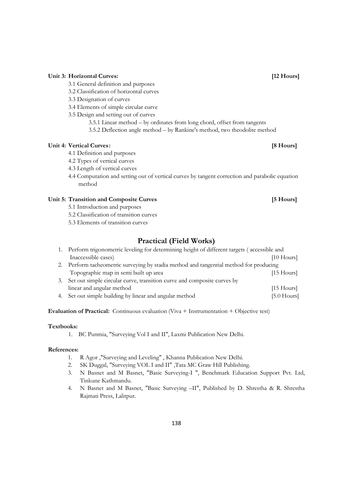#### **Unit 3: Horizontal Curves: [12 Hours]**

- 3.1 General definition and purposes
- 3.2 Classification of horizontal curves
- 3.3 Designation of curves
- 3.4 Elements of simple circular curve
- 3.5 Design and setting out of curves
	- 3.5.1 Linear method by ordinates from long chord, offset from tangents
	- 3.5.2 Deflection angle method by Rankine's method, two theodolite method

#### Unit 4: Vertical Curves: **1998 Curves: 1999 Contract Curves: 1999 Contract Curves: 1999 Contract Curves: 1999 Contract Curves: 1999 Contract Curves: 1999 Contract Curves: 1999 Contract Curves:**

- 4.1 Definition and purposes
- 4.2 Types of vertical curves
- 4.3 Length of vertical curves
- 4.4 Computation and setting out of vertical curves by tangent correction and parabolic equation method

#### Unit 5: Transition and Composite Curves [5 Hours]

- 5.1 Introduction and purposes
- 5.2 Classification of transition curves
- 5.3 Elements of transition curves

### **Practical (Field Works)**

|    | 1. Perform trigonometric leveling for determining height of different targets (accessible and |               |
|----|-----------------------------------------------------------------------------------------------|---------------|
|    | Inaccessible cases)                                                                           | $[10$ Hours   |
|    | 2. Perform tacheometric surveying by stadia method and tangential method for producing        |               |
|    | Topographic map in semi built up area                                                         | $[15$ Hours]  |
| 3. | Set out simple circular curve, transition curve and composite curves by                       |               |
|    | linear and angular method                                                                     | $[15$ Hours]  |
| 4. | Set out simple building by linear and angular method                                          | $[5.0$ Hours] |

#### **Evaluation of Practical:** Continuous evaluation (Viva + Instrumentation + Objective test)

#### **Textbooks:**

1. BC Punmia, "Surveying Vol I and II", Laxmi Publication New Delhi.

- 1. R Agor ,"Surveying and Leveling" , Khanna Publication New Delhi.
- 2. SK Duggal, "Surveying VOL I and II" ,Tata MC Graw Hill Publishing.
- 3. N Basnet and M Basnet, "Basic Surveying-I ", Benchmark Education Support Pvt. Ltd, Tinkune Kathmandu.
- 4. N Basnet and M Basnet, "Basic Surveying –II", Published by D. Shrestha & R. Shrestha Rajmati Press, Lalitpur.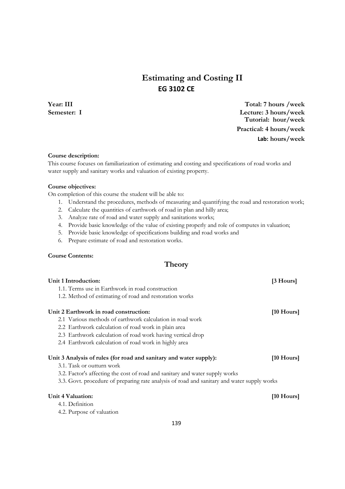# **Estimating and Costing II EG 3102 CE**

**Year: III Total: 7 hours /week Semester: I Lecture: 3 hours/week Tutorial: hour/week Practical: 4 hours/week Lab: hours/week**

#### **Course description:**

This course focuses on familiarization of estimating and costing and specifications of road works and water supply and sanitary works and valuation of existing property.

#### **Course objectives:**

On completion of this course the student will be able to:

- 1. Understand the procedures, methods of measuring and quantifying the road and restoration work;
- 2. Calculate the quantities of earthwork of road in plan and hilly area;
- 3. Analyze rate of road and water supply and sanitations works;
- 4. Provide basic knowledge of the value of existing properly and role of computes in valuation;
- 5. Provide basic knowledge of specifications building and road works and
- 6. Prepare estimate of road and restoration works.

#### **Course Contents:**

### **Theory**

| Unit 1 Introduction:                                                                        | [3 Hours]            |
|---------------------------------------------------------------------------------------------|----------------------|
| 1.1. Terms use in Earthwork in road construction                                            |                      |
| 1.2. Method of estimating of road and restoration works                                     |                      |
| Unit 2 Earthwork in road construction:                                                      | $[10 \text{ Hours}]$ |
| 2.1 Various methods of earthwork calculation in road work                                   |                      |
| 2.2 Earthwork calculation of road work in plain area                                        |                      |
| 2.3 Earthwork calculation of road work having vertical drop                                 |                      |
| 2.4 Earthwork calculation of road work in highly area                                       |                      |
| Unit 3 Analysis of rules (for road and sanitary and water supply):                          | $[10 \text{ Hours}]$ |
| 3.1. Task or outturn work                                                                   |                      |
| 3.2. Factor's affecting the cost of road and sanitary and water supply works                |                      |
| 3.3. Govt. procedure of preparing rate analysis of road and sanitary and water supply works |                      |
| Unit 4 Valuation:                                                                           | $[10 \text{ Hours}]$ |
| 4.1. Definition                                                                             |                      |
| 4.2. Purpose of valuation                                                                   |                      |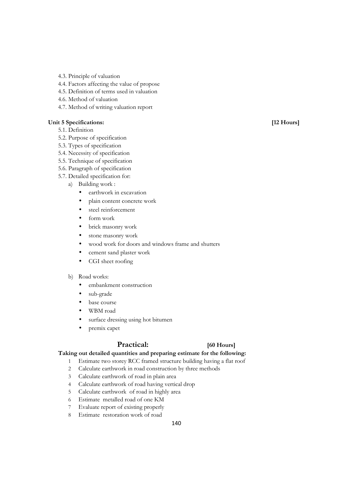- 4.3. Principle of valuation
- 4.4. Factors affecting the value of propose
- 4.5. Definition of terms used in valuation
- 4.6. Method of valuation
- 4.7. Method of writing valuation report

#### Unit 5 Specifications: [12 Hours]

- 5.1. Definition
- 5.2. Purpose of specification
- 5.3. Types of specification
- 5.4. Necessity of specification
- 5.5. Technique of specification
- 5.6. Paragraph of specification
- 5.7. Detailed specification for:
	- a) Building work :
		- earthwork in excavation
		- plain content concrete work
		- steel reinforcement
		- form work
		- brick masonry work
		- stone masonry work
		- wood work for doors and windows frame and shutters
		- cement sand plaster work
		- CGI sheet roofing

#### b) Road works:

- embankment construction
- sub-grade
- base course
- WBM road
- surface dressing using hot bitumen
- premix capet

### **Practical: [60 Hours]**

### **Taking out detailed quantities and preparing estimate for the following:**

- 1 Estimate two storey RCC framed structure building having a flat roof
- 2 Calculate earthwork in road construction by three methods
- 3 Calculate earthwork of road in plain area
- 4 Calculate earthwork of road having vertical drop
- 5 Calculate earthwork of road in highly area
- 6 Estimate metalled road of one KM
- 7 Evaluate report of existing properly
- 8 Estimate restoration work of road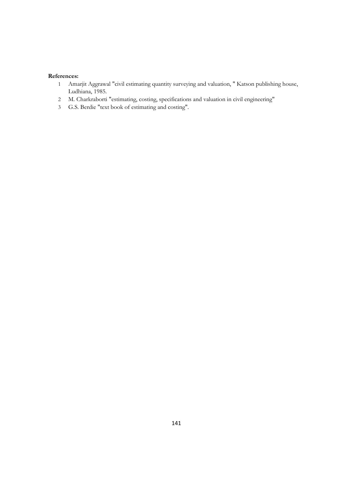- Amarjit Aggrawal "civil estimating quantity surveying and valuation, " Katson publishing house, Ludhiana, 1985.
- M. Charkraborti "estimating, costing, specifications and valuation in civil engineering"
- G.S. Berdie "text book of estimating and costing".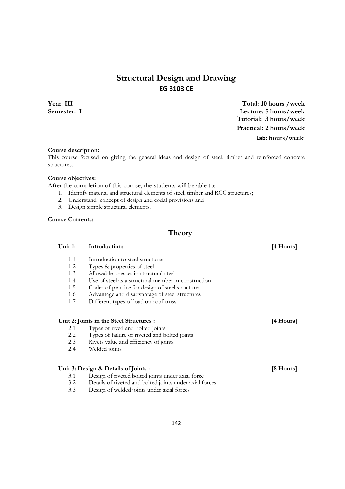# **Structural Design and Drawing EG 3103 CE**

**Year: III Total: 10 hours /week Semester: I Lecture: 5 hours/week Tutorial: 3 hours/week Practical: 2 hours/week Lab: hours/week** 

#### **Course description:**

This course focused on giving the general ideas and design of steel, timber and reinforced concrete structures.

#### **Course objectives:**

After the completion of this course, the students will be able to:

- 1. Identify material and structural elements of steel, timber and RCC structures;
- 2. Understand concept of design and codal provisions and
- 3. Design simple structural elements.

### **Course Contents:**

### **Theory**

| Unit 1:                      | Introduction:                                                                                                                                                                                      | [4 Hours] |
|------------------------------|----------------------------------------------------------------------------------------------------------------------------------------------------------------------------------------------------|-----------|
| 1.1                          | Introduction to steel structures                                                                                                                                                                   |           |
| 1.2                          | Types & properties of steel                                                                                                                                                                        |           |
| 1.3                          | Allowable stresses in structural steel                                                                                                                                                             |           |
| 1.4                          | Use of steel as a structural member in construction                                                                                                                                                |           |
| 1.5                          | Codes of practice for design of steel structures                                                                                                                                                   |           |
| 1.6                          | Advantage and disadvantage of steel structures                                                                                                                                                     |           |
| 1.7                          | Different types of load on roof truss                                                                                                                                                              |           |
| 2.1.<br>2.2.<br>2.3.<br>2.4. | Unit 2: Joints in the Steel Structures :<br>Types of rived and bolted joints<br>Types of failure of riveted and bolted joints<br>Rivets value and efficiency of joints<br>Welded joints            | [4 Hours] |
| 3.1.<br>3.2.<br>3.3.         | Unit 3: Design & Details of Joints :<br>Design of riveted bolted joints under axial force<br>Details of riveted and bolted joints under axial forces<br>Design of welded joints under axial forces | [8 Hours] |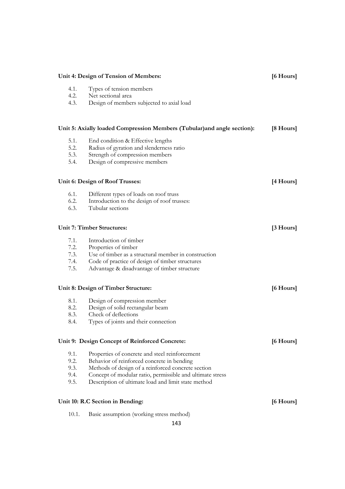| Unit 4: Design of Tension of Members: |                                                                          | [6 Hours] |
|---------------------------------------|--------------------------------------------------------------------------|-----------|
| 4.1.                                  | Types of tension members                                                 |           |
| 4.2.                                  | Net sectional area                                                       |           |
| 4.3.                                  | Design of members subjected to axial load                                |           |
|                                       |                                                                          |           |
|                                       | Unit 5: Axially loaded Compression Members (Tubular) and angle section): | [8 Hours] |
| 5.1.                                  | End condition & Effective lengths                                        |           |
| 5.2.                                  | Radius of gyration and slenderness ratio                                 |           |
| 5.3.                                  | Strength of compression members                                          |           |
| 5.4.                                  | Design of compressive members                                            |           |
|                                       | Unit 6: Design of Roof Trusses:                                          | [4 Hours] |
| 6.1.                                  | Different types of loads on roof truss                                   |           |
| 6.2.                                  | Introduction to the design of roof trusses:                              |           |
| 6.3.                                  | Tubular sections                                                         |           |
|                                       | <b>Unit 7: Timber Structures:</b>                                        | [3 Hours] |
| 7.1.                                  | Introduction of timber                                                   |           |
| 7.2.                                  | Properties of timber                                                     |           |
| 7.3.                                  | Use of timber as a structural member in construction                     |           |
| 7.4.                                  | Code of practice of design of timber structures                          |           |
| 7.5.                                  | Advantage & disadvantage of timber structure                             |           |
|                                       | Unit 8: Design of Timber Structure:                                      | [6 Hours] |
| 8.1.                                  | Design of compression member                                             |           |
| 8.2.                                  | Design of solid rectangular beam                                         |           |
| 8.3.                                  | Check of deflections                                                     |           |
| 8.4.                                  | Types of joints and their connection                                     |           |
|                                       | Unit 9: Design Concept of Reinforced Concrete:                           | [6 Hours] |
| 9.1.                                  | Properties of concrete and steel reinforcement                           |           |
| 9.2.                                  | Behavior of reinforced concrete in bending                               |           |
| 9.3.                                  | Methods of design of a reinforced concrete section                       |           |
| 9.4.                                  | Concept of modular ratio, permissible and ultimate stress                |           |
| 9.5.                                  | Description of ultimate load and limit state method                      |           |
|                                       | Unit 10: R.C Section in Bending:                                         | [6 Hours] |
| 10.1.                                 | Basic assumption (working stress method)                                 |           |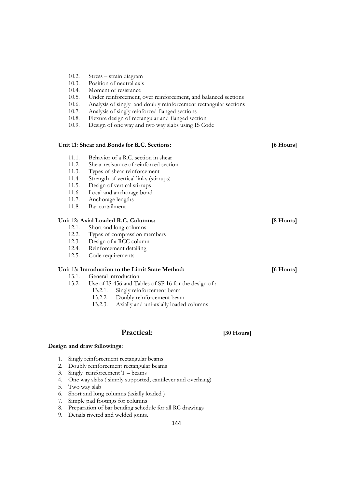- 10.2. Stress strain diagram
- 10.3. Position of neutral axis
- 10.4. Moment of resistance
- 10.5. Under reinforcement, over reinforcement, and balanced sections
- 10.6. Analysis of singly and doubly reinforcement rectangular sections
- 10.7. Analysis of singly reinforced flanged sections
- 10.8. Flexure design of rectangular and flanged section
- 10.9. Design of one way and two way slabs using IS Code

#### **Unit 11: Shear and Bonds for R.C. Sections: [6 Hours]**

- 11.1. Behavior of a R.C. section in shear<br>11.2. Shear resistance of reinforced section
- 11.2. Shear resistance of reinforced section<br>11.3. Types of shear reinforcement
- 11.3. Types of shear reinforcement<br>11.4. Strength of vertical links (stirr
- 11.4. Strength of vertical links (stirrups)<br>11.5. Design of vertical stirrups
- Design of vertical stirrups
- 11.6. Local and anchorage bond
- 11.7. Anchorage lengths
- 11.8. Bar curtailment

#### **Unit 12: Axial Loaded R.C. Columns: [8 Hours]**

- 12.1. Short and long columns
- 12.2. Types of compression members
- 12.3. Design of a RCC column
- 12.4. Reinforcement detailing
- 12.5. Code requirements

#### **Unit 13: Introduction to the Limit State Method: [6 Hours]**

- 13.1. General introduction<br>13.2. Use of IS-456 and Ta
	- Use of IS-456 and Tables of SP 16 for the design of :
		- 13.2.1. Singly reinforcement beam<br>13.2.2. Doubly reinforcement bear
		- 13.2.2. Doubly reinforcement beam<br>13.2.3. Axially and uni-axially loaded
		- 13.2.3. Axially and uni-axially loaded columns

### **Practical: [30 Hours]**

#### **Design and draw followings:**

- 1. Singly reinforcement rectangular beams
- 2. Doubly reinforcement rectangular beams
- 3. Singly reinforcement T beams
- 4. One way slabs ( simply supported, cantilever and overhang)
- 5. Two way slab
- 6. Short and long columns (axially loaded )
- 7. Simple pad footings for columns
- 8. Preparation of bar bending schedule for all RC drawings
- 9. Details riveted and welded joints.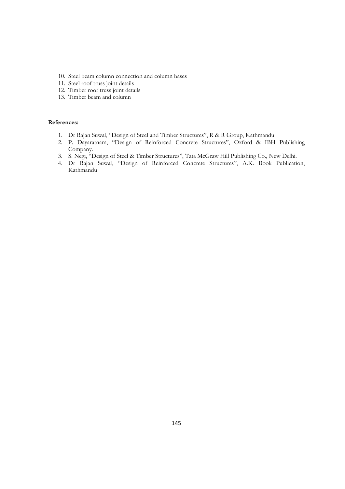- 10. Steel beam column connection and column bases
- 11. Steel roof truss joint details
- 12. Timber roof truss joint details
- 13. Timber beam and column

- 1. Dr Rajan Suwal, "Design of Steel and Timber Structures", R & R Group, Kathmandu
- 2. P. Dayaratnam, "Design of Reinforced Concrete Structures", Oxford & IBH Publishing Company.
- 3. S. Negi, "Design of Steel & Timber Structures", Tata McGraw Hill Publishing Co., New Delhi.
- 4. Dr Rajan Suwal, "Design of Reinforced Concrete Structures", A.K. Book Publication, Kathmandu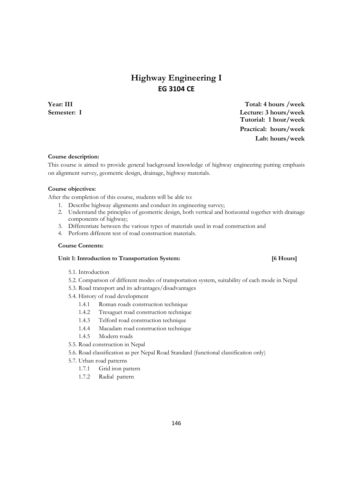## **Highway Engineering I EG 3104 CE**

**Year: III Total: 4 hours /week Semester: I Lecture: 3 hours/week Tutorial: 1 hour/week Practical: hours/week Lab: hours/week**

### **Course description:**

This course is aimed to provide general background knowledge of highway engineering putting emphasis on alignment survey, geometric design, drainage, highway materials.

#### **Course objectives:**

After the completion of this course, students will be able to:

- 1. Describe highway alignments and conduct its engineering survey;
- 2. Understand the principles of geometric design, both vertical and horizontal together with drainage components of highway;
- 3. Differentiate between the various types of materials used in road construction and
- 4. Perform different test of road construction materials.

#### **Course Contents:**

### **Unit 1: Introduction to Transportation System: [6 Hours]**

#### 5.1. Introduction

- 5.2. Comparison of different modes of transportation system, suitability of each mode in Nepal
- 5.3. Road transport and its advantages/disadvantages
- 5.4. History of road development
	- 1.4.1 Roman roads construction technique
	- 1.4.2 Tresaguet road construction technique
	- 1.4.3 Telford road construction technique
	- 1.4.4 Macadam road construction technique
	- 1.4.5 Modern roads
- 5.5. Road construction in Nepal
- 5.6. Road classification as per Nepal Road Standard (functional classification only)
- 5.7. Urban road patterns
	- 1.7.1 Grid iron pattern
	- 1.7.2 Radial pattern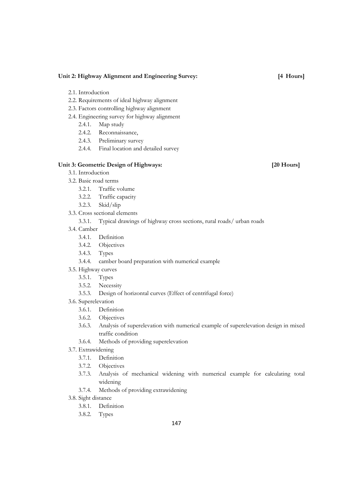#### **Unit 2: Highway Alignment and Engineering Survey: [4 Hours]**

- 2.1. Introduction
- 2.2. Requirements of ideal highway alignment
- 2.3. Factors controlling highway alignment
- 2.4. Engineering survey for highway alignment
	- 2.4.1. Map study
	- 2.4.2. Reconnaissance,
	- 2.4.3. Preliminary survey
	- 2.4.4. Final location and detailed survey

### Unit 3: Geometric Design of Highways: [20 Hours]

- 3.1. Introduction
- 3.2. Basic road terms
	- 3.2.1. Traffic volume
	- 3.2.2. Traffic capacity
	- 3.2.3. Skid/slip
- 3.3. Cross sectional elements

#### 3.3.1. Typical drawings of highway cross sections, rural roads/ urban roads

- 3.4. Camber
	- 3.4.1. Definition
	- 3.4.2. Objectives
	- 3.4.3. Types
	- 3.4.4. camber board preparation with numerical example
- 3.5. Highway curves
	- 3.5.1. Types
	- 3.5.2. Necessity
	- 3.5.3. Design of horizontal curves (Effect of centrifugal force)
- 3.6. Superelevation
	- 3.6.1. Definition
	- 3.6.2. Objectives
	- 3.6.3. Analysis of superelevation with numerical example of superelevation design in mixed traffic condition
	- 3.6.4. Methods of providing superelevation
- 3.7. Extrawidening
	- 3.7.1. Definition
	- 3.7.2. Objectives
	- 3.7.3. Analysis of mechanical widening with numerical example for calculating total widening
	- 3.7.4. Methods of providing extrawidening
- 3.8. Sight distance
	- 3.8.1. Definition
	- 3.8.2. Types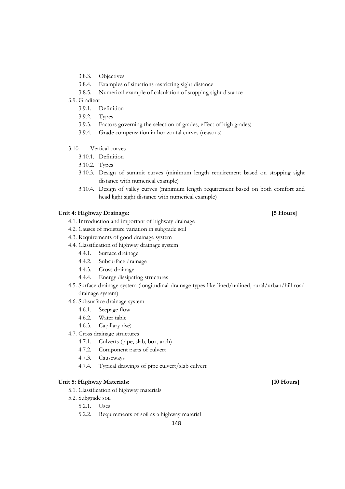- 3.8.3. Objectives
- 3.8.4. Examples of situations restricting sight distance
- 3.8.5. Numerical example of calculation of stopping sight distance
- 3.9. Gradient
	- 3.9.1. Definition
	- 3.9.2. Types
	- 3.9.3. Factors governing the selection of grades, effect of high grades)
	- 3.9.4. Grade compensation in horizontal curves (reasons)
- 3.10. Vertical curves
	- 3.10.1. Definition
	- 3.10.2. Types
	- 3.10.3. Design of summit curves (minimum length requirement based on stopping sight distance with numerical example)
	- 3.10.4. Design of valley curves (minimum length requirement based on both comfort and head light sight distance with numerical example)

### **Unit 4: Highway Drainage: [5 Hours]**

- 4.1. Introduction and important of highway drainage
- 4.2. Causes of moisture variation in subgrade soil
- 4.3. Requirements of good drainage system
- 4.4. Classification of highway drainage system
	- 4.4.1. Surface drainage
	- 4.4.2. Subsurface drainage
	- 4.4.3. Cross drainage
	- 4.4.4. Energy dissipating structures
- 4.5. Surface drainage system (longitudinal drainage types like lined/unlined, rural/urban/hill road drainage system)
- 4.6. Subsurface drainage system
	- 4.6.1. Seepage flow
	- 4.6.2. Water table
	- 4.6.3. Capillary rise)
- 4.7. Cross drainage structures
	- 4.7.1. Culverts (pipe, slab, box, arch)
	- 4.7.2. Component parts of culvert
	- 4.7.3. Causeways
	- 4.7.4. Typical drawings of pipe culvert/slab culvert

### **Unit 5: Highway Materials: [10 Hours]**

- 5.1. Classification of highway materials
- 5.2. Subgrade soil
	- 5.2.1. Uses
	- 5.2.2. Requirements of soil as a highway material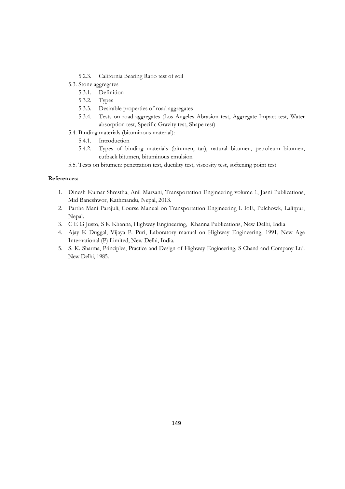- 5.2.3. California Bearing Ratio test of soil
- 5.3. Stone aggregates
	- 5.3.1. Definition
	- 5.3.2. Types
	- 5.3.3. Desirable properties of road aggregates
	- 5.3.4. Tests on road aggregates (Los Angeles Abrasion test, Aggregate Impact test, Water absorption test, Specific Gravity test, Shape test)
- 5.4. Binding materials (bituminous material):
	- 5.4.1. Introduction
	- 5.4.2. Types of binding materials (bitumen, tar), natural bitumen, petroleum bitumen, cutback bitumen, bituminous emulsion
- 5.5. Tests on bitumen: penetration test, ductility test, viscosity test, softening point test

- 1. Dinesh Kumar Shrestha, Anil Marsani, Transportation Engineering volume 1, Jasni Publications, Mid Baneshwor, Kathmandu, Nepal, 2013.
- 2. Partha Mani Parajuli, Course Manual on Transportation Engineering I. IoE, Pulchowk, Lalitpur, Nepal.
- 3. C E G Justo, S K Khanna, Highway Engineering, Khanna Publications, New Delhi, India
- 4. Ajay K Duggal, Vijaya P. Puri, Laboratory manual on Highway Engineering, 1991, New Age International (P) Limited, New Delhi, India.
- 5. S. K. Sharma, Principles, Practice and Design of Highway Engineering, S Chand and Company Ltd. New Delhi, 1985.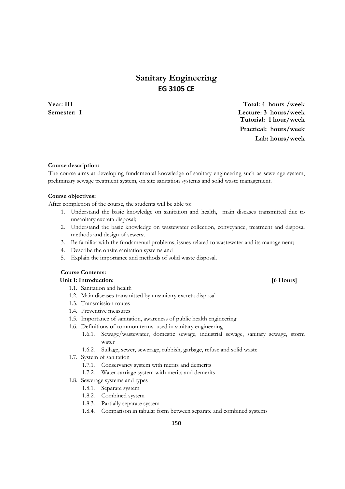## **Sanitary Engineering EG 3105 CE**

**Year: III Total: 4 hours /week Semester: I Lecture: 3 hours/week Tutorial: 1 hour/week Practical: hours/week Lab: hours/week**

#### **Course description:**

The course aims at developing fundamental knowledge of sanitary engineering such as sewerage system, preliminary sewage treatment system, on site sanitation systems and solid waste management.

#### **Course objectives:**

After completion of the course, the students will be able to:

- 1. Understand the basic knowledge on sanitation and health, main diseases transmitted due to unsanitary excreta disposal;
- 2. Understand the basic knowledge on wastewater collection, conveyance, treatment and disposal methods and design of sewers;
- 3. Be familiar with the fundamental problems, issues related to wastewater and its management;
- 4. Describe the onsite sanitation systems and
- 5. Explain the importance and methods of solid waste disposal.

### **Course Contents:**

#### Unit 1: Introduction: *6 Hours*

- 1.1. Sanitation and health
- 1.2. Main diseases transmitted by unsanitary excreta disposal
- 1.3. Transmission routes
- 1.4. Preventive measures
- 1.5. Importance of sanitation, awareness of public health engineering
- 1.6. Definitions of common terms used in sanitary engineering
	- 1.6.1. Sewage/wastewater, domestic sewage, industrial sewage, sanitary sewage, storm water
	- 1.6.2. Sullage, sewer, sewerage, rubbish, garbage, refuse and solid waste
- 1.7. System of sanitation
	- 1.7.1. Conservancy system with merits and demerits
	- 1.7.2. Water carriage system with merits and demerits
- 1.8. Sewerage systems and types
	- 1.8.1. Separate system
	- 1.8.2. Combined system
	- 1.8.3. Partially separate system
	- 1.8.4. Comparison in tabular form between separate and combined systems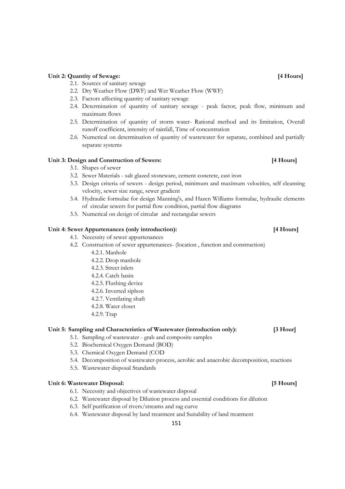#### **Unit 2: Quantity of Sewage: [4 Hours]**

- 2.1. Sources of sanitary sewage
- 2.2. Dry Weather Flow (DWF) and Wet Weather Flow (WWF)
- 2.3. Factors affecting quantity of sanitary sewage
- 2.4. Determination of quantity of sanitary sewage peak factor, peak flow, minimum and maximum flows
- 2.5. Determination of quantity of storm water- Rational method and its limitation, Overall runoff coefficient, intensity of rainfall, Time of concentration
- 2.6. Numerical on determination of quantity of wastewater for separate, combined and partially separate systems

#### **Unit 3: Design and Construction of Sewers: [4 Hours]**

- 3.1. Shapes of sewer
- 3.2. Sewer Materials salt glazed stoneware, cement concrete, cast iron
- 3.3. Design criteria of sewers design period, minimum and maximum velocities, self cleansing velocity, sewer size range, sewer gradient
- 3.4. Hydraulic formulae for design Manning's, and Hazen Williams formulae, hydraulic elements of circular sewers for partial flow condition, partial flow diagrams
- 3.5. Numerical on design of circular and rectangular sewers

#### Unit 4: Sewer Appurtenances (only introduction): [4 Hours]

- 4.1. Necessity of sewer appurtenances
- 4.2. Construction of sewer appurtenances- (location , function and construction)
	- 4.2.1. Manhole
		- 4.2.2. Drop manhole
		- 4.2.3. Street inlets
		- 4.2.4. Catch basin
		- 4.2.5. Flushing device
		- 4.2.6. Inverted siphon
		- 4.2.7. Ventilating shaft
		- 4.2.8. Water closet
		- 4.2.9. Trap

#### **Unit 5: Sampling and Characteristics of Wastewater (introduction only): [3 Hour]**

- 5.1. Sampling of wastewater grab and composite samples
- 5.2. Biochemical Oxygen Demand (BOD)
- 5.3. Chemical Oxygen Demand (COD
- 5.4. Decomposition of wastewater-process, aerobic and anaerobic decomposition, reactions
- 5.5. Wastewater disposal Standards

### Unit 6: Wastewater Disposal: *5 Hours p. 15 Hours p. 15 Hours p. 15 Hours p. 15 Hours p. 15 Hours*

- 6.1. Necessity and objectives of wastewater disposal
- 6.2. Wastewater disposal by Dilution process and essential conditions for dilution
- 6.3. Self purification of rivers/streams and sag curve
- 6.4. Wastewater disposal by land treatment and Suitability of land treatment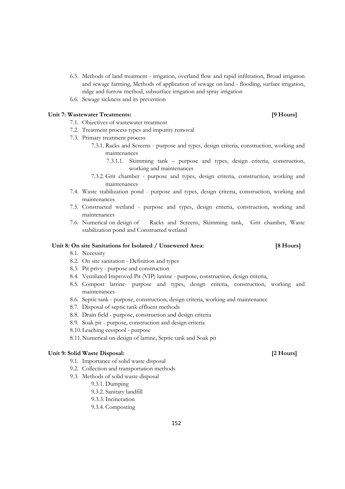- 6.5. Methods of land treatment irrigation, overland flow and rapid infiltration, Broad irrigation and sewage farming, Methods of application of sewage on land - flooding, surface irrigation, ridge and furrow method, subsurface irrigation and spray irrigation
- 6.6. Sewage sickness and its prevention

#### Unit 7: Wastewater Treatments: *PHOURS* **19 Hours**

### 7.1. Objectives of wastewater treatment

- 7.2. Treatment process types and impurity removal
- 7.3. Primary treatment process
	- 7.3.1. Racks and Screens purpose and types, design criteria, construction, working and maintenances
		- 7.3.1.1. Skimming tank purpose and types, design criteria, construction, working and maintenances
	- 7.3.2. Grit chamber purpose and types, design criteria, construction, working and maintenances
- 7.4. Waste stabilization pond purpose and types, design criteria, construction, working and maintenances
- 7.5. Constructed wetland purpose and types, design criteria, construction, working and maintenances
- 7.6. Numerical on design of Racks and Screens, Skimming tank, Grit chamber, Waste stabilization pond and Constructed wetland

### **Unit 8: On site Sanitations for Isolated / Unsewered Area: [8 Hours]**

### 8.1. Necessity

- 8.2. On site sanitation Definition and types
- 8.3. Pit privy purpose and construction
- 8.4. Ventilated Improved Pit (VIP) latrine purpose, construction, design criteria,
- 8.5. Compost latrine- purpose and types, design criteria, construction, working and maintenances
- 8.6. Septic tank purpose, construction, design criteria, working and maintenance
- 8.7. Disposal of septic tank effluent methods
- 8.8. Drain field purpose, construction and design criteria
- 8.9. Soak pit purpose, construction and design criteria
- 8.10.Leaching cesspool purpose
- 8.11.Numerical on design of latrine, Septic tank and Soak pit

#### **Unit 9: Solid Waste Disposal: [2 Hours]**

- 9.1. Importance of solid waste disposal
- 9.2. Collection and transportation methods
- 9.3. Methods of solid waste disposal
	- 9.3.1. Dumping
	- 9.3.2. Sanitary landfill
	- 9.3.3. Incineration
	- 9.3.4. Composting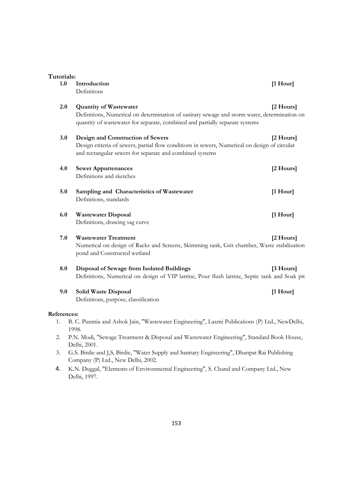| Tutorials:  |                                                                                                                                                                                                               |               |
|-------------|---------------------------------------------------------------------------------------------------------------------------------------------------------------------------------------------------------------|---------------|
| 1.0         | Introduction<br>Definitions                                                                                                                                                                                   | $[1$ Hour]    |
| 2.0         | <b>Quantity of Wastewater</b><br>Definitions, Numerical on determination of sanitary sewage and storm water, determination on<br>quantity of wastewater for separate, combined and partially separate systems | [2 Hours]     |
| 3.0         | Design and Construction of Sewers<br>Design criteria of sewers, partial flow conditions in sewers, Numerical on design of circular<br>and rectangular sewers for separate and combined systems                | [2 Hours]     |
| 4.0         | <b>Sewer Appurtenances</b><br>Definitions and sketches                                                                                                                                                        | [2 Hours]     |
| 5.0         | Sampling and Characteristics of Wastewater<br>Definitions, standards                                                                                                                                          | $[1$ Hour $]$ |
| 6.0         | <b>Wastewater Disposal</b><br>Definitions, drawing sag curve                                                                                                                                                  | [1 Hour]      |
| 7.0         | <b>Wastewater Treatment</b><br>Numerical on design of Racks and Screens, Skimming tank, Grit chamber, Waste stabilization<br>pond and Constructed wetland                                                     | [2 Hours]     |
| 8.0         | Disposal of Sewage from Isolated Buildings<br>Definitions, Numerical on design of VIP latrine, Pour flush latrine, Septic tank and Soak pit                                                                   | [3 Hours]     |
| 9.0         | <b>Solid Waste Disposal</b><br>Definitions, purpose, classification                                                                                                                                           | $[1$ Hour $]$ |
| References: |                                                                                                                                                                                                               |               |
| 1.          | B. C. Punmia and Ashok Jain, "Wastewater Engineering", Laxmi Publications (P) Ltd., NewDelhi,<br>1998.                                                                                                        |               |
| 2.          | P.N. Modi, "Sewage Treatment & Disposal and Wastewater Engineering", Standard Book House,<br>Delhi, 2001.                                                                                                     |               |
| 3.          | G.S. Birdie and J,S, Birdie, "Water Supply and Sanitary Engineering", Dhanpat Rai Publishing<br>Company (P) Ltd., New Delhi, 2002.                                                                            |               |

4. K.N. Duggal, "Elements of Environmental Engineering", S. Chand and Company Ltd., New Delhi, 1997.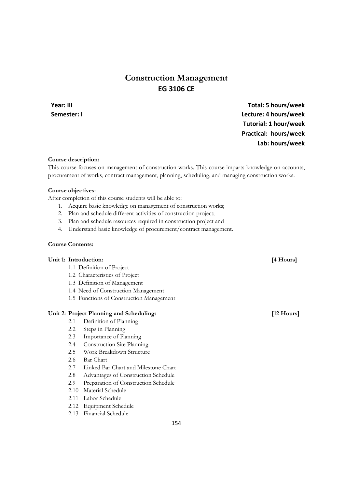## **Construction Management EG 3106 CE**

## **Year: III Total: 5 hours/week Semester: I Lecture: 4 hours/week Tutorial: 1 hour/week Practical: hours/week Lab: hours/week**

#### **Course description:**

This course focuses on management of construction works. This course imparts knowledge on accounts, procurement of works, contract management, planning, scheduling, and managing construction works.

#### **Course objectives:**

After completion of this course students will be able to:

- 1. Acquire basic knowledge on management of construction works;
- 2. Plan and schedule different activities of construction project;
- 3. Plan and schedule resources required in construction project and
- 4. Understand basic knowledge of procurement/contract management.

### **Course Contents:**

### Unit 1: Introduction: [4 Hours]

- 1.1 Definition of Project
- 1.2 Characteristics of Project
- 1.3 Definition of Management
- 1.4 Need of Construction Management
- 1.5 Functions of Construction Management

### Unit 2: Project Planning and Scheduling: [12 Hours]

- 2.1 Definition of Planning
- 2.2 Steps in Planning
- 2.3 Importance of Planning
- 2.4 Construction Site Planning
- 2.5 Work Breakdown Structure
- 2.6 Bar Chart
- 2.7 Linked Bar Chart and Milestone Chart
- 2.8 Advantages of Construction Schedule
- 2.9 Preparation of Construction Schedule
- 2.10 Material Schedule
- 2.11 Labor Schedule
- 2.12 Equipment Schedule
- 2.13 Financial Schedule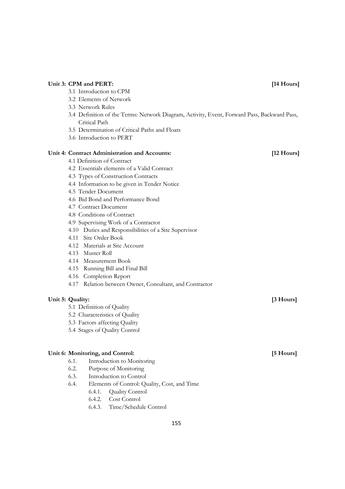## 3.3 Network Rules 3.4 Definition of the Terms: Network Diagram, Activity, Event, Forward Pass, Backward Pass, Critical Path 3.5 Determination of Critical Paths and Floats 3.6 Introduction to PERT **Unit 4: Contract Administration and Accounts: [12 Hours]**  4.1 Definition of Contract 4.2 Essentials elements of a Valid Contract 4.3 Types of Construction Contracts 4.4 Information to be given in Tender Notice 4.5 Tender Document 4.6 Bid Bond and Performance Bond 4.7 Contract Document 4.8 Conditions of Contract 4.9 Supervising Work of a Contractor 4.10 Duties and Responsibilities of a Site Supervisor 4.11 Site Order Book 4.12 Materials at Site Account 4.13 Muster Roll 4.14 Measurement Book 4.15 Running Bill and Final Bill 4.16 Completion Report 4.17 Relation between Owner, Consultant, and Contractor Unit 5: Quality: **[3 Hours]** *Secure 2 Secure 2* **<b>***Secure 2 Secure 2* **<b>***Secure 2 Secure 2 Secure 2 Secure 2* **<b>***Secure 2 Secure 2 Secure 2 Secure 2 Secure 2* **<b>***Secure 22 Secure 22* **<b>** 5.1 Definition of Quality 5.2 Characteristics of Quality 5.3 Factors affecting Quality 5.4 Stages of Quality Control Unit 6: Monitoring, and Control: *If*  $\begin{bmatrix} 5 & 4 & 6 \\ 1 & 6 & 7 \end{bmatrix}$ 6.1. Introduction to Monitoring 6.2. Purpose of Monitoring

Unit 3: CPM and PERT: *[14 Hours]* 

6.3. Introduction to Control

3.1 Introduction to CPM 3.2 Elements of Network

- 6.4. Elements of Control: Quality, Cost, and Time
	- 6.4.1. Quality Control
	- 6.4.2. Cost Control
	- 6.4.3. Time/Schedule Control
- 155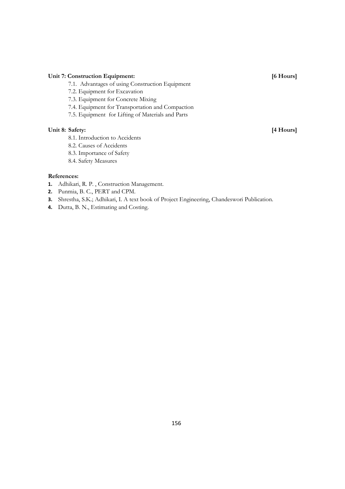### Unit 7: Construction Equipment: [6 Hours]

- 7.1. Advantages of using Construction Equipment
- 7.2. Equipment for Excavation
- 7.3. Equipment for Concrete Mixing
- 7.4. Equipment for Transportation and Compaction
- 7.5. Equipment for Lifting of Materials and Parts

### Unit 8: Safety: [4 Hours]

- 8.1. Introduction to Accidents
- 8.2. Causes of Accidents
- 8.3. Importance of Safety
- 8.4. Safety Measures

- **1.** Adhikari, R. P. , Construction Management.
- **2.** Punmia, B. C., PERT and CPM.
- **3.** Shrestha, S.K.; Adhikari, I. A text book of Project Engineering, Chandeswori Publication.
- **4.** Dutta, B. N., Estimating and Costing.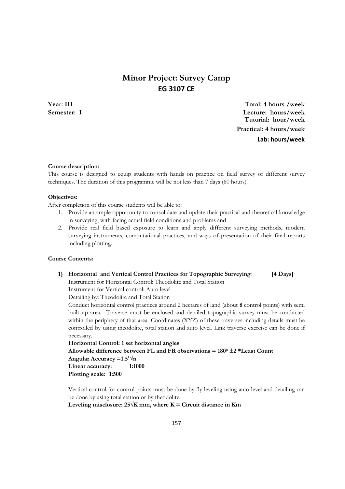## **Minor Project: Survey Camp EG 3107 CE**

**Year: III Total: 4 hours /week Semester: I Lecture: hours/week Tutorial: hour/week Practical: 4 hours/week Lab: hours/week**

#### **Course description:**

This course is designed to equip students with hands on practice on field survey of different survey techniques. The duration of this programme will be not less than 7 days (60 hours).

#### **Objectives:**

After completion of this course students will be able to:

- 1. Provide an ample opportunity to consolidate and update their practical and theoretical knowledge in surveying, with facing actual field conditions and problems and
- 2. Provide real field based exposure to learn and apply different surveying methods, modern surveying instruments, computational practices, and ways of presentation of their final reports including plotting.

### **Course Contents:**

#### **1) Horizontal and Vertical Control Practices for Topographic Surveying**: **[4 Days]**

Instrument for Horizontal Control: Theodolite and Total Station

Instrument for Vertical control: Auto level

Detailing by: Theodolite and Total Station

Conduct horizontal control practices around 2 hectares of land (about **8** control points) with semi built up area. Traverse must be enclosed and detailed topographic survey must be conducted within the periphery of that area. Coordinates (XYZ) of these traverses including details must be controlled by using theodolite, total station and auto level. Link traverse exercise can be done if necessary.

```
Horizontal Control: 1 set horizontal angles 
Allowable difference between FL and FR observations = 1800
 ±2 *Least Count 
Angular Accuracy =1.5'√n 
Linear accuracy: 1:1000 
Plotting scale: 1:500
```
Vertical control for control points must be done by fly leveling using auto level and detailing can be done by using total station or by theodolite.

Leveling misclosure:  $25\sqrt{K}$  mm, where  $K =$  Circuit distance in Km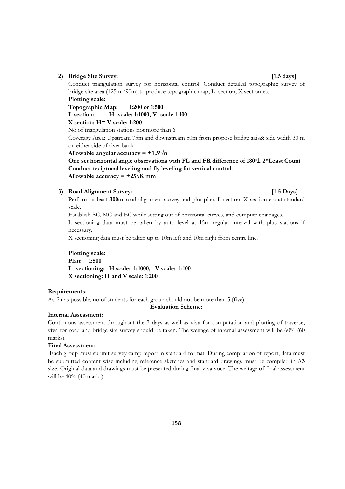#### **2) Bridge Site Survey: [1.5 days]**

Conduct triangulation survey for horizontal control. Conduct detailed topographic survey of bridge site area (125m \*90m) to produce topographic map, L- section, X section etc. **Plotting scale:** 

**Topographic Map: 1:200 or 1:500** 

**L section: H- scale: 1:1000, V- scale 1:100** 

**X section: H= V scale: 1:200** 

No of triangulation stations not more than 6

Coverage Area: Upstream 75m and downstream 50m from propose bridge axis& side width 30 m on either side of river bank.

Allowable angular accuracy =  $\pm 1.5' \sqrt{n}$ 

**One set horizontal angle observations with FL and FR difference of 1800± 2\*Least Count Conduct reciprocal leveling and fly leveling for vertical control.**  Allowable accuracy =  $\pm 25\sqrt{K}$  mm

#### **3) Road Alignment Survey: [1.5 Days]**

Perform at least **300m** road alignment survey and plot plan, L section, X section etc at standard scale.

Establish BC, MC and EC while setting out of horizontal curves, and compute chainages.

L sectioning data must be taken by auto level at 15m regular interval with plus stations if necessary.

X sectioning data must be taken up to 10m left and 10m right from centre line.

### **Plotting scale:**

**Plan: 1:500 L- sectioning: H scale: 1:1000, V scale: 1:100 X sectioning: H and V scale: 1:200** 

#### **Requirements:**

As far as possible, no of students for each group should not be more than 5 (five).

**Evaluation Scheme:** 

#### **Internal Assessment:**

Continuous assessment throughout the 7 days as well as viva for computation and plotting of traverse, viva for road and bridge site survey should be taken. The weitage of internal assessment will be 60% (60 marks).

### **Final Assessment:**

 Each group must submit survey camp report in standard format. During compilation of report, data must be submitted content wise including reference sketches and standard drawings must be compiled in A**3** size. Original data and drawings must be presented during final viva voce. The weitage of final assessment will be 40% (40 marks).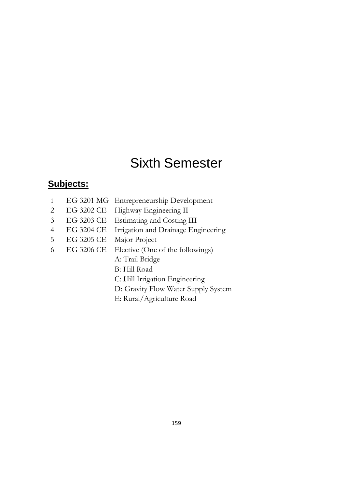# Sixth Semester

## **Subjects:**

|  | EG 3201 MG Entrepreneurship Development     |
|--|---------------------------------------------|
|  | $\Omega$ DO 2000 CD II'LL D $\Gamma$ iii II |

- 2 EG 3202 CE Highway Engineering II
- 3 EG 3203 CE Estimating and Costing III
- 4 EG 3204 CE Irrigation and Drainage Engineering
- 5 EG 3205 CE Major Project
- 6 EG 3206 CE Elective (One of the followings)
	- A: Trail Bridge
	- B: Hill Road
	- C: Hill Irrigation Engineering
	- D: Gravity Flow Water Supply System
	- E: Rural/Agriculture Road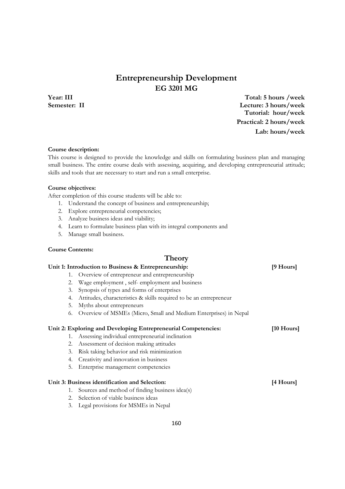## **Entrepreneurship Development EG 3201 MG**

**Year: III Total: 5 hours /week Semester: II Lecture: 3 hours/week Tutorial: hour/week Practical: 2 hours/week Lab: hours/week**

#### **Course description:**

This course is designed to provide the knowledge and skills on formulating business plan and managing small business. The entire course deals with assessing, acquiring, and developing entrepreneurial attitude; skills and tools that are necessary to start and run a small enterprise.

#### **Course objectives:**

After completion of this course students will be able to:

- 1. Understand the concept of business and entrepreneurship;
- 2. Explore entrepreneurial competencies;
- 3. Analyze business ideas and viability;
- 4. Learn to formulate business plan with its integral components and
- 5. Manage small business.

#### **Course Contents:**

#### **Theory**

### **Unit 1: Introduction to Business & Entrepreneurship: [9 Hours]**

## 1. Overview of entrepreneur and entrepreneurship

- 2. Wage employment , self- employment and business
- 3. Synopsis of types and forms of enterprises
- 4. Attitudes, characteristics & skills required to be an entrepreneur
- 5. Myths about entrepreneurs
- 6. Overview of MSMEs (Micro, Small and Medium Enterprises) in Nepal

#### **Unit 2: Exploring and Developing Entrepreneurial Competencies: [10 Hours]**

- 1. Assessing individual entrepreneurial inclination
- 2. Assessment of decision making attitudes
- 3. Risk taking behavior and risk minimization
- 4. Creativity and innovation in business
- 5. Enterprise management competencies

### Unit 3: Business identification and Selection: **[4 Hours] [4 Hours]**

- 1. Sources and method of finding business idea(s)
- 2. Selection of viable business ideas
- 3. Legal provisions for MSMEs in Nepal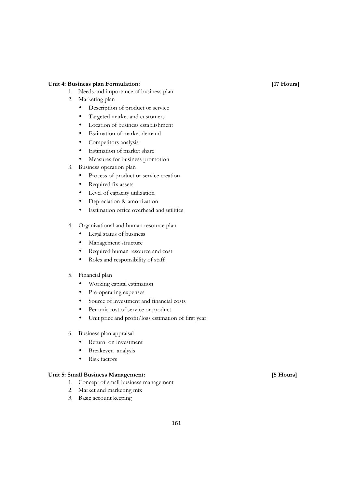#### **Unit 4: Business plan Formulation: [17 Hours]**

- 1. Needs and importance of business plan
- 2. Marketing plan
	- Description of product or service
	- Targeted market and customers
	- Location of business establishment
	- Estimation of market demand
	- Competitors analysis
	- Estimation of market share
	- Measures for business promotion
- 3. Business operation plan
	- Process of product or service creation
	- Required fix assets
	- Level of capacity utilization
	- Depreciation & amortization
	- Estimation office overhead and utilities
- 4. Organizational and human resource plan
	- Legal status of business
	- Management structure
	- Required human resource and cost
	- Roles and responsibility of staff
- 5. Financial plan
	- Working capital estimation
	- Pre-operating expenses
	- Source of investment and financial costs
	- Per unit cost of service or product
	- Unit price and profit/loss estimation of first year
- 6. Business plan appraisal
	- Return on investment
	- Breakeven analysis
	- Risk factors

#### **Unit 5: Small Business Management: [5 Hours]**

- 1. Concept of small business management
- 2. Market and marketing mix
- 3. Basic account keeping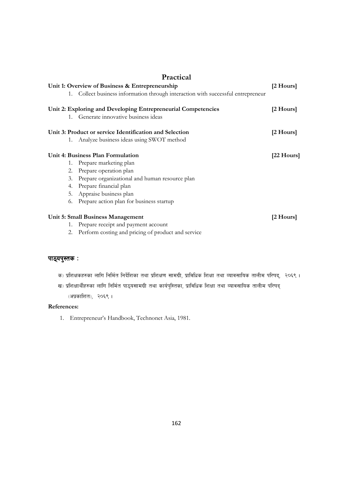|                                                 |    | Practical                                                                        |             |
|-------------------------------------------------|----|----------------------------------------------------------------------------------|-------------|
| Unit 1: Overview of Business & Entrepreneurship |    |                                                                                  | [2 Hours]   |
|                                                 |    | 1. Collect business information through interaction with successful entrepreneur |             |
|                                                 |    | Unit 2: Exploring and Developing Entrepreneurial Competencies                    | [2 Hours]   |
|                                                 |    | 1. Generate innovative business ideas                                            |             |
|                                                 |    | Unit 3: Product or service Identification and Selection                          | [2 Hours]   |
|                                                 | 1. | Analyze business ideas using SWOT method                                         |             |
|                                                 |    | Unit 4: Business Plan Formulation                                                | $[22$ Hours |
|                                                 |    | 1. Prepare marketing plan                                                        |             |
|                                                 |    | 2. Prepare operation plan                                                        |             |
|                                                 | 3. | Prepare organizational and human resource plan                                   |             |
|                                                 | 4. | Prepare financial plan                                                           |             |
|                                                 |    | 5. Appraise business plan                                                        |             |
|                                                 | 6. | Prepare action plan for business startup                                         |             |
|                                                 |    | Unit 5: Small Business Management                                                | [2 Hours]   |
|                                                 | 1. | Prepare receipt and payment account                                              |             |
|                                                 |    | 2. Perform costing and pricing of product and service                            |             |

## *Kff7\ok':ts M ok':ts M M*

| क) प्रशिक्षकहरुका लागि निर्मित निर्देशिका तथा प्रशिक्षण सामग्री, प्राविधिक शिक्षा तथा व्यावसायिक तालीम परिषद्,  २०६९ । |  |
|------------------------------------------------------------------------------------------------------------------------|--|
|------------------------------------------------------------------------------------------------------------------------|--|

ख) प्रशिक्षार्थीहरुका लागि निर्मित पाठ्यसामग्री तथा कार्यपुस्तिका, प्राविधिक शिक्षा तथा व्यावसायिक तालीम परिषद् *(अप्रकाशित), २*०६९ ।

### **References:**

1. Entrepreneur's Handbook, Technonet Asia, 1981.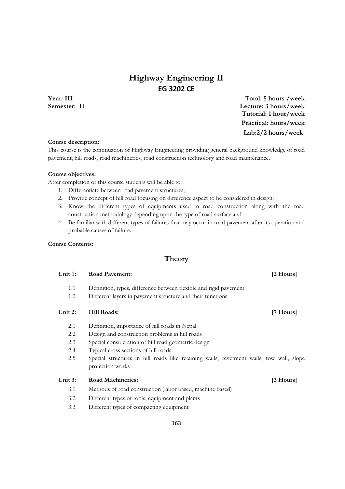## **Highway Engineering II EG 3202 CE**

**Year: III Total: 5 hours /week Semester: II Lecture: 3 hours/week Tutorial: 1 hour/week Practical: hours/week Lab:2/2 hours/week**

#### **Course description:**

This course is the continuation of Highway Engineering providing general background knowledge of road pavement, hill roads, road machineries, road construction technology and road maintenance.

#### **Course objectives:**

After completion of this course students will be able to:

- 1. Differentiate between road pavement structures;
- 2. Provide concept of hill road focusing on difference aspect to be considered in design;
- 3. Know the different types of equipments used in road construction along with the road construction methodology depending upon the type of road surface and
- 4. Be familiar with different types of failures that may occur in road pavement after its operation and probable causes of failure.

#### **Course Contents:**

### **Theory**

| Unit $1$ : | <b>Road Pavement:</b>                                                                   | [2 Hours] |
|------------|-----------------------------------------------------------------------------------------|-----------|
| 1.1        | Definition, types, difference between flexible and rigid pavement                       |           |
| 1.2        | Different layers in pavement structure and their functions                              |           |
| Unit 2:    | <b>Hill Roads:</b>                                                                      | [7 Hours] |
| 2.1        | Definition, importance of hill roads in Nepal                                           |           |
| 2.2        | Design and construction problems in hill roads                                          |           |
| 2.3        | Special consideration of hill road geometric design                                     |           |
| 2.4        | Typical cross sections of hill roads                                                    |           |
| 2.5        | Special structures in hill roads like retaining walls, revetment walls, tow wall, slope |           |
|            | protection works                                                                        |           |
| Unit 3:    | <b>Road Machineries:</b>                                                                | [3 Hours] |
| 3.1        | Methods of road construction (labor based, machine based)                               |           |
| 3.2        | Different types of tools, equipment and plants                                          |           |
| 3.3        | Different types of compacting equipment                                                 |           |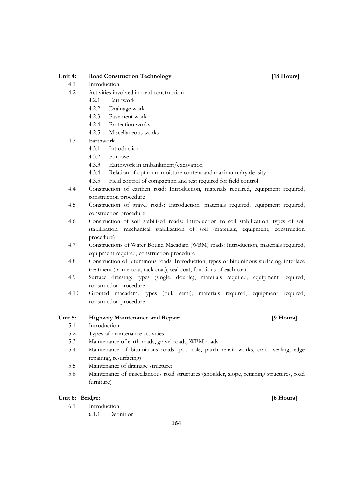#### Unit 4: Road Construction Technology: [18 Hours]

- 4.1 Introduction
- 4.2 Activities involved in road construction
	- 4.2.1 Earthwork
	- 4.2.2 Drainage work
	- 4.2.3 Pavement work
	- 4.2.4 Protection works
	- 4.2.5 Miscellaneous works
- 4.3 Earthwork
	- 4.3.1 Introduction
	- 4.3.2 Purpose
	- 4.3.3 Earthwork in embankment/excavation
	- 4.3.4 Relation of optimum moisture content and maximum dry density
	- 4.3.5 Field control of compaction and test required for field control
- 4.4 Construction of earthen road: Introduction, materials required, equipment required, construction procedure
- 4.5 Construction of gravel roads: Introduction, materials required, equipment required, construction procedure
- 4.6 Construction of soil stabilized roads: Introduction to soil stabilization, types of soil stabilization, mechanical stabilization of soil (materials, equipment, construction procedure)
- 4.7 Constructions of Water Bound Macadam (WBM) roads: Introduction, materials required, equipment required, construction procedure
- 4.8 Construction of bituminous roads: Introduction, types of bituminous surfacing, interface treatment (prime coat, tack coat), seal coat, functions of each coat
- 4.9 Surface dressing: types (single, double), materials required, equipment required, construction procedure
- 4.10 Grouted macadam: types (full, semi), materials required, equipment required, construction procedure

#### **Unit 5: Highway Maintenance and Repair: [9 Hours]**

- 5.1 Introduction
- 5.2 Types of maintenance activities
- 5.3 Maintenance of earth roads, gravel roads, WBM roads
- 5.4 Maintenance of bituminous roads (pot hole, patch repair works, crack sealing, edge repairing, resurfacing)
- 5.5 Maintenance of drainage structures
- 5.6 Maintenance of miscellaneous road structures (shoulder, slope, retaining structures, road furniture)

### Unit 6: Bridge: **1999 Contract Contract Contract Contract Contract Contract Contract Contract Contract Contract Contract Contract Contract Contract Contract Contract Contract Contract Contract Contract Contract Contract**

- 6.1 Introduction
	- 6.1.1 Definition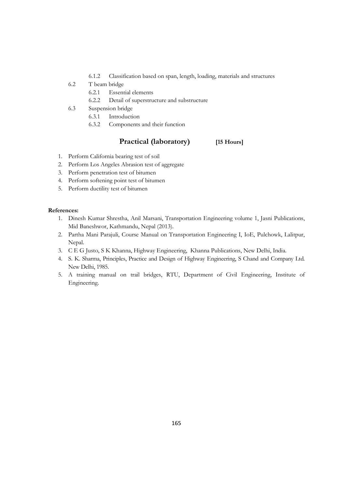- 6.1.2 Classification based on span, length, loading, materials and structures
- 6.2 T beam bridge
	- 6.2.1 Essential elements
	- 6.2.2 Detail of superstructure and substructure
- 6.3 Suspension bridge
	- 6.3.1 Introduction
	- 6.3.2 Components and their function

### **Practical (laboratory) [15 Hours]**

- 1. Perform California bearing test of soil
- 2. Perform Los Angeles Abrasion test of aggregate
- 3. Perform penetration test of bitumen
- 4. Perform softening point test of bitumen
- 5. Perform ductility test of bitumen

- 1. Dinesh Kumar Shrestha, Anil Marsani, Transportation Engineering volume 1, Jasni Publications, Mid Baneshwor, Kathmandu, Nepal (2013).
- 2. Partha Mani Parajuli, Course Manual on Transportation Engineering I, IoE, Pulchowk, Lalitpur, Nepal.
- 3. C E G Justo, S K Khanna, Highway Engineering, Khanna Publications, New Delhi, India.
- 4. S. K. Sharma, Principles, Practice and Design of Highway Engineering, S Chand and Company Ltd. New Delhi, 1985.
- 5. A training manual on trail bridges, RTU, Department of Civil Engineering, Institute of Engineering.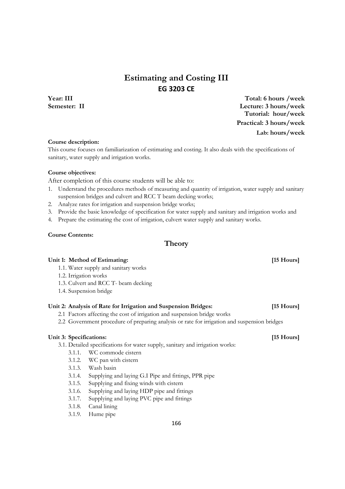## **Estimating and Costing III EG 3203 CE**

**Year: III Total: 6 hours /week Semester: II Lecture: 3 hours/week Tutorial: hour/week Practical: 3 hours/week Lab: hours/week**

#### **Course description:**

This course focuses on familiarization of estimating and costing. It also deals with the specifications of sanitary, water supply and irrigation works.

#### **Course objectives:**

After completion of this course students will be able to:

- 1. Understand the procedures methods of measuring and quantity of irrigation, water supply and sanitary suspension bridges and culvert and RCC T beam decking works;
- 2. Analyze rates for irrigation and suspension bridge works;
- 3. Provide the basic knowledge of specification for water supply and sanitary and irrigation works and
- 4. Prepare the estimating the cost of irrigation, culvert water supply and sanitary works.

#### **Course Contents:**

### **Theory**

#### Unit 1: Method of Estimating: *I* [15 Hours] *I*

1.1. Water supply and sanitary works

#### 1.2. Irrigation works

- 1.3. Culvert and RCC T- beam decking
- 1.4. Suspension bridge

#### **Unit 2: Analysis of Rate for Irrigation and Suspension Bridges: [15 Hours]**

- 2.1 Factors affecting the cost of irrigation and suspension bridge works
- 2.2 Government procedure of preparing analysis or rate for irrigation and suspension bridges

#### Unit 3: Specifications: *I15 Hours I15 Hours*

- 3.1. Detailed specifications for water supply, sanitary and irrigation works:
	- 3.1.1. WC commode cistern
	- 3.1.2. WC pan with cistern
	- 3.1.3. Wash basin
	- 3.1.4. Supplying and laying G.I Pipe and fittings, PPR pipe
	- 3.1.5. Supplying and fixing winds with cistern
	- 3.1.6. Supplying and laying HDP pipe and fittings
	- 3.1.7. Supplying and laying PVC pipe and fittings
	- 3.1.8. Canal lining
	- 3.1.9. Hume pipe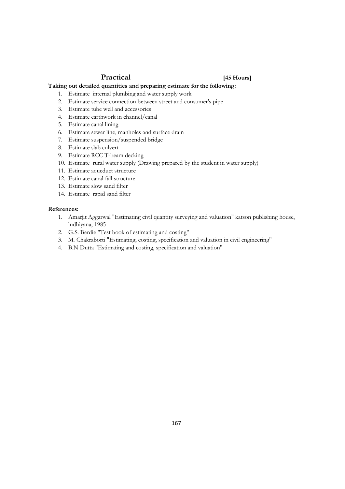### **Practical [45 Hours]**

### **Taking out detailed quantities and preparing estimate for the following:**

- 1. Estimate internal plumbing and water supply work
- 2. Estimate service connection between street and consumer's pipe
- 3. Estimate tube well and accessories
- 4. Estimate earthwork in channel/canal
- 5. Estimate canal lining
- 6. Estimate sewer line, manholes and surface drain
- 7. Estimate suspension/suspended bridge
- 8. Estimate slab culvert
- 9. Estimate RCC T-beam decking
- 10. Estimate rural water supply (Drawing prepared by the student in water supply)
- 11. Estimate aqueduct structure
- 12. Estimate canal fall structure
- 13. Estimate slow sand filter
- 14. Estimate rapid sand filter

- 1. Amarjit Aggarwal "Estimating civil quantity surveying and valuation" katson publishing house, ludhiyana, 1985
- 2. G.S. Berdie "Test book of estimating and costing"
- 3. M. Chakraborti "Estimating, costing, specification and valuation in civil engineering"
- 4. B.N Dutta "Estimating and costing, specification and valuation"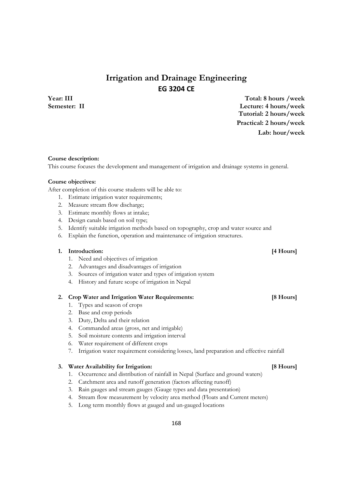## **Irrigation and Drainage Engineering EG 3204 CE**

### **Year: III Total: 8 hours /week Semester: II Lecture: 4 hours/week Tutorial: 2 hours/week Practical: 2 hours/week Lab: hour/week**

#### **Course description:**

This course focuses the development and management of irrigation and drainage systems in general.

#### **Course objectives:**

After completion of this course students will be able to:

- 1. Estimate irrigation water requirements;
- 2. Measure stream flow discharge;
- 3. Estimate monthly flows at intake;
- 4. Design canals based on soil type;
- 5. Identify suitable irrigation methods based on topography, crop and water source and
- 6. Explain the function, operation and maintenance of irrigation structures.

#### **1. Introduction: [4 Hours]**

- 1. Need and objectives of irrigation
- 2. Advantages and disadvantages of irrigation
- 3. Sources of irrigation water and types of irrigation system
- 4. History and future scope of irrigation in Nepal

### **2. Crop Water and Irrigation Water Requirements: [8 Hours]**

- 1. Types and season of crops
- 2. Base and crop periods
- 3. Duty, Delta and their relation
- 4. Commanded areas (gross, net and irrigable)
- 5. Soil moisture contents and irrigation interval
- 6. Water requirement of different crops
- 7. Irrigation water requirement considering losses, land preparation and effective rainfall

#### **3. Water Availability for Irrigation: [8 Hours]**

- 1. Occurrence and distribution of rainfall in Nepal (Surface and ground waters)
- 2. Catchment area and runoff generation (factors affecting runoff)
- 3. Rain gauges and stream gauges (Gauge types and data presentation)
- 4. Stream flow measurement by velocity area method (Floats and Current meters)
- 5. Long term monthly flows at gauged and un-gauged locations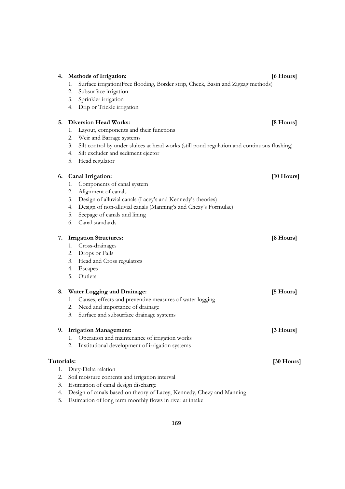| 4.         | <b>Methods of Irrigation:</b>                                                                     | [6 Hours]            |
|------------|---------------------------------------------------------------------------------------------------|----------------------|
|            | Surface irrigation(Free flooding, Border strip, Check, Basin and Zigzag methods)<br>1.            |                      |
|            | Subsurface irrigation<br>2.                                                                       |                      |
|            | Sprinkler irrigation<br>3.                                                                        |                      |
|            | Drip or Trickle irrigation<br>4.                                                                  |                      |
| 5.         | <b>Diversion Head Works:</b>                                                                      | [8 Hours]            |
|            | Layout, components and their functions<br>1.                                                      |                      |
|            | Weir and Barrage systems<br>2.                                                                    |                      |
|            | Silt control by under sluices at head works (still pond regulation and continuous flushing)<br>3. |                      |
|            | Silt excluder and sediment ejector<br>4.                                                          |                      |
|            | Head regulator<br>5.                                                                              |                      |
| 6.         | Canal Irrigation:                                                                                 | $[10 \text{ Hours}]$ |
|            | Components of canal system<br>1.                                                                  |                      |
|            | Alignment of canals<br>2.                                                                         |                      |
|            | Design of alluvial canals (Lacey's and Kennedy's theories)<br>3.                                  |                      |
|            | Design of non-alluvial canals (Manning's and Chezy's Formulae)<br>4.                              |                      |
|            | Seepage of canals and lining<br>5.                                                                |                      |
|            | Canal standards<br>6.                                                                             |                      |
| 7.         | <b>Irrigation Structures:</b>                                                                     | [8 Hours]            |
|            | Cross-drainages<br>1.                                                                             |                      |
|            | Drops or Falls<br>2.                                                                              |                      |
|            | Head and Cross regulators<br>3.                                                                   |                      |
|            | Escapes<br>4.                                                                                     |                      |
|            | Outlets<br>5.                                                                                     |                      |
| 8.         | <b>Water Logging and Drainage:</b>                                                                | [5 Hours]            |
|            | Causes, effects and preventive measures of water logging<br>1.                                    |                      |
|            | Need and importance of drainage<br>2.                                                             |                      |
|            | Surface and subsurface drainage systems<br>3.                                                     |                      |
| 9.         | <b>Irrigation Management:</b>                                                                     | [3 Hours]            |
|            | Operation and maintenance of irrigation works<br>1.                                               |                      |
|            | Institutional development of irrigation systems<br>2.                                             |                      |
| Tutorials: |                                                                                                   | $[30$ Hours]         |
| 1.         | Duty-Delta relation                                                                               |                      |
| 2.         | Soil moisture contents and irrigation interval                                                    |                      |
| 3.         | Estimation of canal design discharge                                                              |                      |
| 4.         | Design of canals based on theory of Lacey, Kennedy, Chezy and Manning                             |                      |
| 5.         | Estimation of long term monthly flows in river at intake                                          |                      |
|            |                                                                                                   |                      |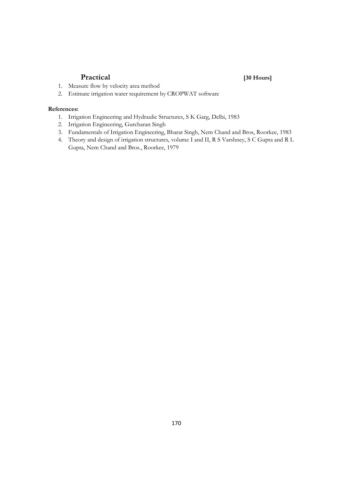### **Practical [30 Hours]**

- 1. Measure flow by velocity area method
- 2. Estimate irrigation water requirement by CROPWAT software

- 1. Irrigation Engineering and Hydraulic Structures, S K Garg, Delhi, 1983
- 2. Irrigation Engineering, Gurcharan Singh
- 3. Fundamentals of Irrigation Engineering, Bharat Singh, Nem Chand and Bros, Roorkee, 1983
- 4. Theory and design of irrigation structures, volume I and II, R S Varshney, S C Gupta and R L Gupta, Nem Chand and Bros., Roorkee, 1979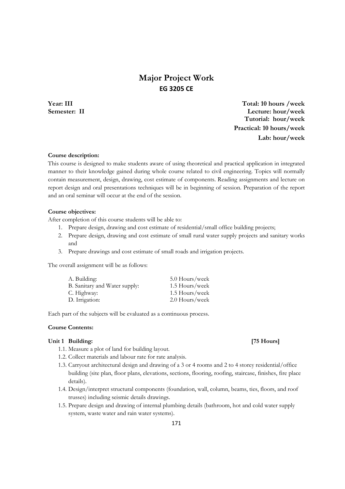## **Major Project Work EG 3205 CE**

**Year: III Total: 10 hours /week Semester: II Lecture: hour/week Tutorial: hour/week Practical: 10 hours/week Lab: hour/week**

### **Course description:**

This course is designed to make students aware of using theoretical and practical application in integrated manner to their knowledge gained during whole course related to civil engineering. Topics will normally contain measurement, design, drawing, cost estimate of components. Reading assignments and lecture on report design and oral presentations techniques will be in beginning of session. Preparation of the report and an oral seminar will occur at the end of the session.

#### **Course objectives:**

After completion of this course students will be able to:

- 1. Prepare design, drawing and cost estimate of residential/small office building projects;
- 2. Prepare design, drawing and cost estimate of small rural water supply projects and sanitary works and
- 3. Prepare drawings and cost estimate of small roads and irrigation projects.

The overall assignment will be as follows:

| A. Building:                  | 5.0 Hours/week |
|-------------------------------|----------------|
| B. Sanitary and Water supply: | 1.5 Hours/week |
| C. Highway:                   | 1.5 Hours/week |
| D. Irrigation:                | 2.0 Hours/week |

Each part of the subjects will be evaluated as a continuous process.

#### **Course Contents:**

#### Unit 1 Building: [75 Hours] **[75 Hours]**

- 1.1. Measure a plot of land for building layout.
- 1.2. Collect materials and labour rate for rate analysis.
- 1.3. Carryout architectural design and drawing of a 3 or 4 rooms and 2 to 4 storey residential/office building (site plan, floor plans, elevations, sections, flooring, roofing, staircase, finishes, fire place details).
- 1.4. Design/interpret structural components (foundation, wall, column, beams, ties, floors, and roof trusses) including seismic details drawings.
- 1.5. Prepare design and drawing of internal plumbing details (bathroom, hot and cold water supply system, waste water and rain water systems).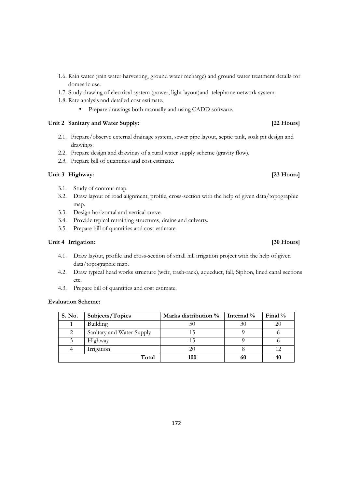- 1.6. Rain water (rain water harvesting, ground water recharge) and ground water treatment details for domestic use.
- 1.7. Study drawing of electrical system (power, light layout)and telephone network system.
- 1.8. Rate analysis and detailed cost estimate.
	- Prepare drawings both manually and using CADD software.

### Unit 2 Sanitary and Water Supply: *[22 Hours]*

- 2.1. Prepare/observe external drainage system, sewer pipe layout, septic tank, soak pit design and drawings.
- 2.2. Prepare design and drawings of a rural water supply scheme (gravity flow).
- 2.3. Prepare bill of quantities and cost estimate.

### Unit 3 Highway: [23 Hours]

- 3.1. Study of contour map.
- 3.2. Draw layout of road alignment, profile, cross-section with the help of given data/topographic map.
- 3.3. Design horizontal and vertical curve.
- 3.4. Provide typical retraining structures, drains and culverts.
- 3.5. Prepare bill of quantities and cost estimate.

#### **Unit 4 Irrigation: [30 Hours]**

- 4.1. Draw layout, profile and cross-section of small hill irrigation project with the help of given data/topographic map.
- 4.2. Draw typical head works structure (weir, trash-rack), aqueduct, fall, Siphon, lined canal sections etc.
- 4.3. Prepare bill of quantities and cost estimate.

#### **Evaluation Scheme:**

| S. No. | Subjects/Topics           | Marks distribution % | Internal % | Final $\%$ |
|--------|---------------------------|----------------------|------------|------------|
|        | Building                  | 50                   | 30         | 20         |
|        | Sanitary and Water Supply |                      |            |            |
|        | Highway                   |                      |            |            |
|        | Irrigation                | 20                   |            |            |
|        | Total                     | 100                  | 60         | 40         |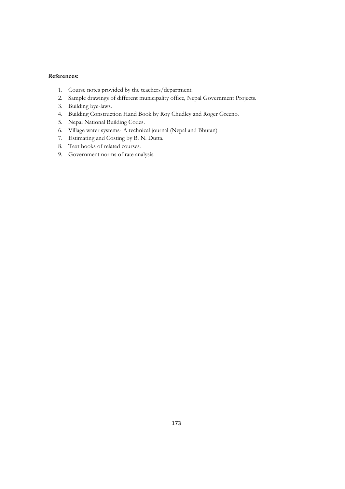- 1. Course notes provided by the teachers/department.
- 2. Sample drawings of different municipality office, Nepal Government Projects.
- 3. Building bye-laws.
- 4. Building Construction Hand Book by Roy Chudley and Roger Greeno.
- 5. Nepal National Building Codes.
- 6. Village water systems- A technical journal (Nepal and Bhutan)
- 7. Estimating and Costing by B. N. Dutta.
- 8. Text books of related courses.
- 9. Government norms of rate analysis.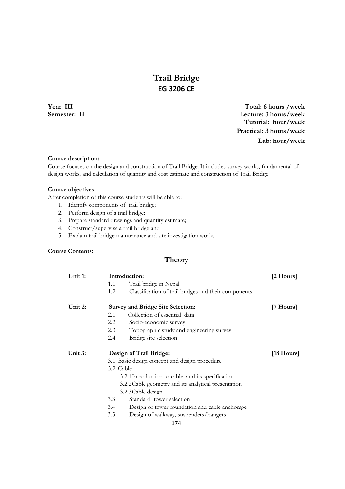## **Trail Bridge EG 3206 CE**

**Year: III Total: 6 hours /week Semester: II Lecture: 3 hours/week Tutorial: hour/week Practical: 3 hours/week Lab: hour/week**

#### **Course description:**

Course focuses on the design and construction of Trail Bridge. It includes survey works, fundamental of design works, and calculation of quantity and cost estimate and construction of Trail Bridge

#### **Course objectives:**

After completion of this course students will be able to:

- 1. Identify components of trail bridge;
- 2. Perform design of a trail bridge;
- 3. Prepare standard drawings and quantity estimate;
- 4. Construct/supervise a trail bridge and
- 5. Explain trail bridge maintenance and site investigation works.

### **Course Contents:**

## **Theory**

| Unit 1: |           | Introduction:                                        | [2 Hours]  |
|---------|-----------|------------------------------------------------------|------------|
|         | 1.1       | Trail bridge in Nepal                                |            |
|         | 1.2       | Classification of trail bridges and their components |            |
| Unit 2: |           | <b>Survey and Bridge Site Selection:</b>             | [7 Hours]  |
|         | 2.1       | Collection of essential data                         |            |
|         | 2.2       | Socio-economic survey                                |            |
|         | 2.3       | Topographic study and engineering survey             |            |
|         | 2.4       | Bridge site selection                                |            |
| Unit 3: |           | Design of Trail Bridge:                              | [18 Hours] |
|         |           | 3.1 Basic design concept and design procedure        |            |
|         | 3.2 Cable |                                                      |            |
|         |           | 3.2.1 Introduction to cable and its specification    |            |
|         |           | 3.2.2 Cable geometry and its analytical presentation |            |
|         |           | 3.2.3 Cable design                                   |            |
|         | 3.3       | Standard tower selection                             |            |
|         | 3.4       | Design of tower foundation and cable anchorage       |            |
|         | 3.5       | Design of walkway, suspenders/hangers                |            |
|         |           | 174                                                  |            |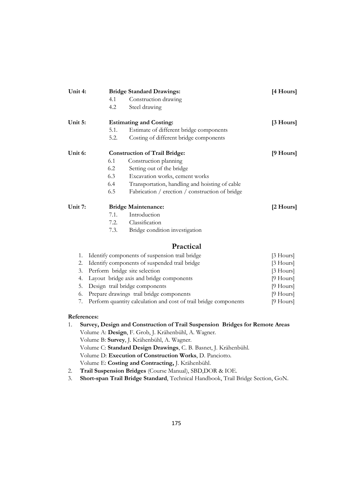| Unit 4: |      | <b>Bridge Standard Drawings:</b>                | [4 Hours]   |
|---------|------|-------------------------------------------------|-------------|
|         | 4.1  | Construction drawing                            |             |
|         | 4.2  | Steel drawing                                   |             |
| Unit 5: |      | <b>Estimating and Costing:</b>                  | $[3$ Hours] |
|         | 5.1. | Estimate of different bridge components         |             |
|         | 5.2. | Costing of different bridge components          |             |
| Unit 6: |      | <b>Construction of Trail Bridge:</b>            | [9 Hours]   |
|         | 6.1  | Construction planning                           |             |
|         | 6.2  | Setting out of the bridge                       |             |
|         | 6.3  | Excavation works, cement works                  |             |
|         | 6.4  | Transportation, handling and hoisting of cable  |             |
|         | 6.5  | Fabrication / erection / construction of bridge |             |
| Unit 7: |      | <b>Bridge Maintenance:</b>                      | [2 Hours]   |
|         | 7.1. | Introduction                                    |             |
|         | 7.2. | Classification                                  |             |
|         | 7.3. | Bridge condition investigation                  |             |
|         |      | Practical                                       |             |
| 1.      |      | Identify components of suspension trail bridge  | [3 Hours]   |
| 2.      |      | Identify components of suspended trail bridge   | $[3$ Hours] |
| 3.      |      | Perform bridge site selection                   | $[3$ Hours] |
| 4.      |      | Layout bridge axis and bridge components        | $[9$ Hours] |
| 5.      |      | Design trail bridge components                  | $[9$ Hours] |
| 6.      |      | Prepare drawings trail bridge components        | [9 Hours]   |

7. Perform quantity calculation and cost of trail bridge components [9 Hours]

- 1. **Survey, Design and Construction of Trail Suspension Bridges for Remote Areas**  Volume A: **Design**, F. Grob, J. Krähenbühl, A. Wagner. Volume B: **Survey**, J. Krähenbühl, A. Wagner. Volume C: **Standard Design Drawings**, C. B. Basnet, J. Krähenbühl. Volume D: **Execution of Construction Works**, D. Panciotto. Volume E: **Costing and Contracting,** J. Krähenbühl.
- 2. **Trail Suspension Bridges** (Course Manual), SBD,DOR & IOE.
- 3. **Short-span Trail Bridge Standard**, Technical Handbook, Trail Bridge Section, GoN.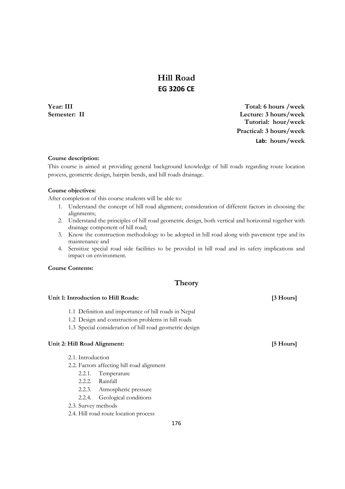## **Hill Road EG 3206 CE**

**Year: III Total: 6 hours /week Semester: II Lecture: 3 hours/week Tutorial: hour/week Practical: 3 hours/week Lab: hours/week**

### **Course description:**

This course is aimed at providing general background knowledge of hill roads regarding route location process, geometric design, hairpin bends, and hill roads drainage.

### **Course objectives:**

After completion of this course students will be able to:

- 1. Understand the concept of hill road alignment; consideration of different factors in choosing the alignments;
- 2. Understand the principles of hill road geometric design, both vertical and horizontal together with drainage component of hill road;
- 3. Know the construction methodology to be adopted in hill road along with pavement type and its maintenance and
- 4. Sensitize special road side facilities to be provided in hill road and its safety implications and impact on environment.

#### **Course Contents:**

### **Theory**

#### Unit 1: Introduction to Hill Roads: *All Roads* **Example 2.1** *All Roads* **Example 2.1** *All Roads EXAMPLE 2.1 <b><i>All Roads EXAMPLE 2.1 <b><i>All Roads EXAMPLE 2.1 <b>All Roads EXAMPLE 2.1 <b><i>EXAMPLE 2.1 <b>All*

- 1.1 Definition and importance of hill roads in Nepal
- 1.2 Design and construction problems in hill roads
- 1.3 Special consideration of hill road geometric design

### **Unit 2: Hill Road Alignment: [5 Hours]**

- 2.1. Introduction
- 2.2. Factors affecting hill road alignment
	- 2.2.1. Temperature
	- 2.2.2. Rainfall
	- 2.2.3. Atmospheric pressure
	- 2.2.4. Geological conditions
- 2.3. Survey methods
- 2.4. Hill road route location process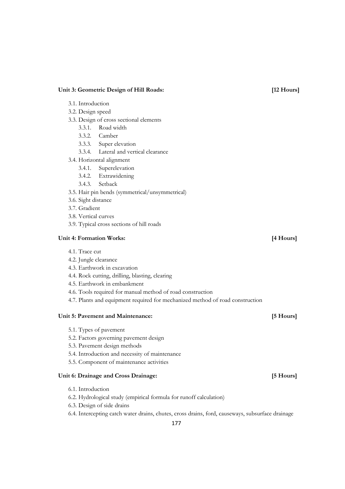#### Unit 3: Geometric Design of Hill Roads: [12 Hours]

- 3.1. Introduction
- 3.2. Design speed
- 3.3. Design of cross sectional elements
	- 3.3.1. Road width
	- 3.3.2. Camber
	- 3.3.3. Super elevation
	- 3.3.4. Lateral and vertical clearance
- 3.4. Horizontal alignment
	- 3.4.1. Superelevation
	- 3.4.2. Extrawidening
	- 3.4.3. Setback
- 3.5. Hair pin bends (symmetrical/unsymmetrical)
- 3.6. Sight distance
- 3.7. Gradient
- 3.8. Vertical curves
- 3.9. Typical cross sections of hill roads

### **Unit 4: Formation Works: [4 Hours]**

- 4.1. Trace cut
- 4.2. Jungle clearance
- 4.3. Earthwork in excavation
- 4.4. Rock cutting, drilling, blasting, clearing
- 4.5. Earthwork in embankment
- 4.6. Tools required for manual method of road construction
- 4.7. Plants and equipment required for mechanized method of road construction

#### **Unit 5: Pavement and Maintenance: [5 Hours]**

- 5.1. Types of pavement
- 5.2. Factors governing pavement design
- 5.3. Pavement design methods
- 5.4. Introduction and necessity of maintenance
- 5.5. Component of maintenance activities

#### **Unit 6: Drainage and Cross Drainage: [5 Hours]**

- 6.1. Introduction
- 6.2. Hydrological study (empirical formula for runoff calculation)
- 6.3. Design of side drains
- 6.4. Intercepting catch water drains, chutes, cross drains, ford, causeways, subsurface drainage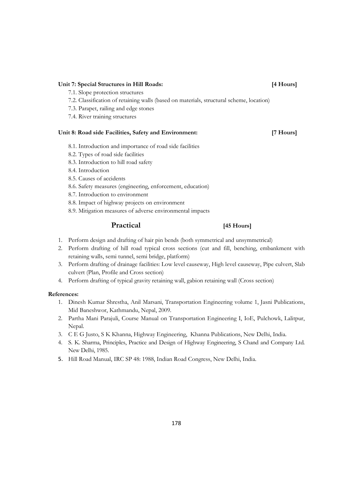#### **Unit 7: Special Structures in Hill Roads: [4 Hours]**

- 7.1. Slope protection structures
- 7.2. Classification of retaining walls (based on materials, structural scheme, location)
- 7.3. Parapet, railing and edge stones
- 7.4. River training structures

#### **Unit 8: Road side Facilities, Safety and Environment: [7 Hours]**

- 8.1. Introduction and importance of road side facilities
- 8.2. Types of road side facilities
- 8.3. Introduction to hill road safety
- 8.4. Introduction
- 8.5. Causes of accidents
- 8.6. Safety measures (engineering, enforcement, education)
- 8.7. Introduction to environment
- 8.8. Impact of highway projects on environment
- 8.9. Mitigation measures of adverse environmental impacts

### **Practical [45 Hours]**

- 1. Perform design and drafting of hair pin bends (both symmetrical and unsymmetrical)
- 2. Perform drafting of hill road typical cross sections (cut and fill, benching, embankment with retaining walls, semi tunnel, semi bridge, platform)
- 3. Perform drafting of drainage facilities: Low level causeway, High level causeway, Pipe culvert, Slab culvert (Plan, Profile and Cross section)
- 4. Perform drafting of typical gravity retaining wall, gabion retaining wall (Cross section)

- 1. Dinesh Kumar Shrestha, Anil Marsani, Transportation Engineering volume 1, Jasni Publications, Mid Baneshwor, Kathmandu, Nepal, 2009.
- 2. Partha Mani Parajuli, Course Manual on Transportation Engineering I, IoE, Pulchowk, Lalitpur, Nepal.
- 3. C E G Justo, S K Khanna, Highway Engineering, Khanna Publications, New Delhi, India.
- 4. S. K. Sharma, Principles, Practice and Design of Highway Engineering, S Chand and Company Ltd. New Delhi, 1985.
- 5. Hill Road Manual, IRC SP 48: 1988, Indian Road Congress, New Delhi, India.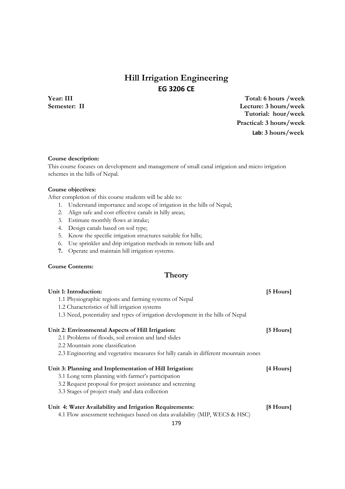## **Hill Irrigation Engineering EG 3206 CE**

**Year: III Total: 6 hours /week Semester: II Lecture: 3 hours/week Tutorial: hour/week Practical: 3 hours/week Lab: 3 hours/week**

#### **Course description:**

This course focuses on development and management of small canal irrigation and micro irrigation schemes in the hills of Nepal.

#### **Course objectives:**

After completion of this course students will be able to:

- 1. Understand importance and scope of irrigation in the hills of Nepal;
- 2. Align safe and cost effective canals in hilly areas;
- 3. Estimate monthly flows at intake;
- 4. Design canals based on soil type;
- 5. Know the specific irrigation structures suitable for hills;
- 6. Use sprinkler and drip irrigation methods in remote hills and
- **7.** Operate and maintain hill irrigation systems.

### **Course Contents:**

## **Theory**

| Unit 1: Introduction:                                                                | [5 Hours]           |
|--------------------------------------------------------------------------------------|---------------------|
| 1.1 Physiographic regions and farming systems of Nepal                               |                     |
| 1.2 Characteristics of hill irrigation systems                                       |                     |
| 1.3 Need, potentiality and types of irrigation development in the hills of Nepal     |                     |
| Unit 2: Environmental Aspects of Hill Irrigation:                                    | $[5 \text{ Hours}]$ |
| 2.1 Problems of floods, soil erosion and land slides                                 |                     |
| 2.2 Mountain zone classification                                                     |                     |
| 2.3 Engineering and vegetative measures for hilly canals in different mountain zones |                     |
| Unit 3: Planning and Implementation of Hill Irrigation:                              | [4 Hours]           |
| 3.1 Long term planning with farmer's participation                                   |                     |
| 3.2 Request proposal for project assistance and screening                            |                     |
| 3.3 Stages of project study and data collection                                      |                     |
| Unit 4: Water Availability and Irrigation Requirements:                              | [8 Hours]           |
| 4.1 Flow assessment techniques based on data availability (MIP, WECS & HSC)          |                     |
| 179                                                                                  |                     |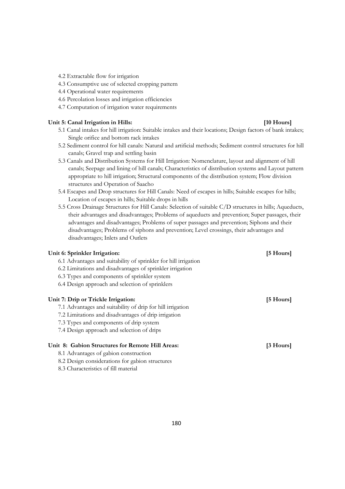- 4.2 Extractable flow for irrigation
- 4.3 Consumptive use of selected cropping pattern
- 4.4 Operational water requirements
- 4.6 Percolation losses and irrigation efficiencies
- 4.7 Computation of irrigation water requirements

#### Unit 5: Canal Irrigation in Hills: *[10 Hours]*

- 5.1 Canal intakes for hill irrigation: Suitable intakes and their locations; Design factors of bank intakes; Single orifice and bottom rack intakes
- 5.2 Sediment control for hill canals: Natural and artificial methods; Sediment control structures for hill canals; Gravel trap and settling basin
- 5.3 Canals and Distribution Systems for Hill Irrigation: Nomenclature, layout and alignment of hill canals; Seepage and lining of hill canals; Characteristics of distribution systems and Layout pattern appropriate to hill irrigation; Structural components of the distribution system; Flow division structures and Operation of Saacho
- 5.4 Escapes and Drop structures for Hill Canals: Need of escapes in hills; Suitable escapes for hills; Location of escapes in hills; Suitable drops in hills
- 5.5 Cross Drainage Structures for Hill Canals: Selection of suitable C/D structures in hills; Aqueducts, their advantages and disadvantages; Problems of aqueducts and prevention; Super passages, their advantages and disadvantages; Problems of super passages and prevention; Siphons and their disadvantages; Problems of siphons and prevention; Level crossings, their advantages and disadvantages; Inlets and Outlets

| Unit 6: Sprinkler Irrigation:                                   | [5 Hours] |
|-----------------------------------------------------------------|-----------|
| 6.1 Advantages and suitability of sprinkler for hill irrigation |           |
| 6.2 Limitations and disadvantages of sprinkler irrigation       |           |
| 6.3 Types and components of sprinkler system                    |           |
| 6.4 Design approach and selection of sprinklers                 |           |
| Unit 7: Drip or Trickle Irrigation:                             | [5 Hours] |
| 7.1 Advantages and suitability of drip for hill irrigation      |           |
| 7.2 Limitations and disadvantages of drip irrigation            |           |
| 7.3 Types and components of drip system                         |           |
| 7.4 Design approach and selection of drips                      |           |
| Unit 8: Gabion Structures for Remote Hill Areas:                | [3 Hours] |
| 8.1 Advantages of gabion construction                           |           |
| 8.2 Design considerations for gabion structures                 |           |
| 8.3 Characteristics of fill material                            |           |
|                                                                 |           |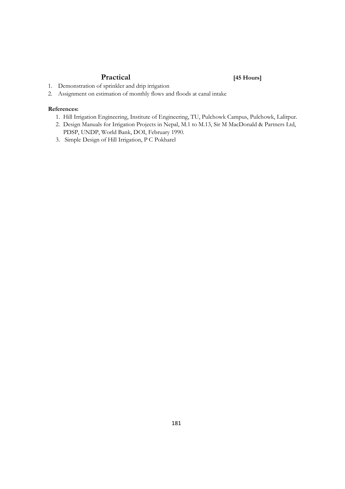## **Practical [45 Hours]**

- 1. Demonstration of sprinkler and drip irrigation
- 2. Assignment on estimation of monthly flows and floods at canal intake

#### **References:**

- 1. Hill Irrigation Engineering, Institute of Engineering, TU, Pulchowk Campus, Pulchowk, Lalitpur.
- 2. Design Manuals for Irrigation Projects in Nepal, M.1 to M.13, Sir M MacDonald & Partners Ltd, PDSP, UNDP, World Bank, DOI, February 1990.
- 3. Simple Design of Hill Irrigation, P C Pokharel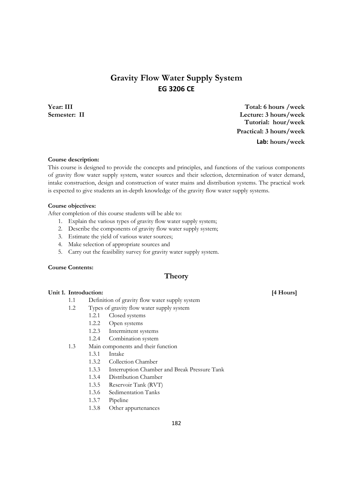# **Gravity Flow Water Supply System EG 3206 CE**

**Year: III Total: 6 hours /week Semester: II Lecture: 3 hours/week Tutorial: hour/week Practical: 3 hours/week Lab: hours/week**

#### **Course description:**

This course is designed to provide the concepts and principles, and functions of the various components of gravity flow water supply system, water sources and their selection, determination of water demand, intake construction, design and construction of water mains and distribution systems. The practical work is expected to give students an in-depth knowledge of the gravity flow water supply systems.

#### **Course objectives:**

After completion of this course students will be able to:

- 1. Explain the various types of gravity flow water supply system;
- 2. Describe the components of gravity flow water supply system;
- 3. Estimate the yield of various water sources;
- 4. Make selection of appropriate sources and
- 5. Carry out the feasibility survey for gravity water supply system.

#### **Course Contents:**

## **Theory**

#### **Unit 1. Introduction: [4 Hours]**

- 1.1 Definition of gravity flow water supply system
- 1.2 Types of gravity flow water supply system
	- 1.2.1 Closed systems
	- 1.2.2 Open systems
	- 1.2.3 Intermittent systems
	- 1.2.4 Combination system
- 1.3 Main components and their function
	- 1.3.1 Intake
	- 1.3.2 Collection Chamber
	- 1.3.3 Interruption Chamber and Break Pressure Tank
	- 1.3.4 Distribution Chamber
	- 1.3.5 Reservoir Tank (RVT)
	- 1.3.6 Sedimentation Tanks
	- 1.3.7 Pipeline
	- 1.3.8 Other appurtenances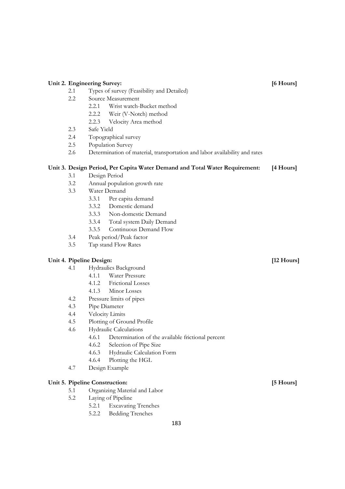## 2.1 Types of survey (Feasibility and Detailed) 2.2 Source Measurement 2.2.1 Wrist watch-Bucket method 2.2.2 Weir (V-Notch) method 2.2.3 Velocity Area method 2.3 Safe Yield 2.4 Topographical survey 2.5 Population Survey 2.6 Determination of material, transportation and labor availability and rates **Unit 3. Design Period, Per Capita Water Demand and Total Water Requirement: [4 Hours]**  3.1 Design Period 3.2 Annual population growth rate 3.3 Water Demand 3.3.1 Per capita demand 3.3.2 Domestic demand 3.3.3 Non-domestic Demand 3.3.4 Total system Daily Demand 3.3.5 Continuous Demand Flow 3.4 Peak period/Peak factor 3.5 Tap stand Flow Rates **Unit 4. Pipeline Design: [12 Hours]**  4.1 Hydraulics Background 4.1.1 Water Pressure 4.1.2 Frictional Losses 4.1.3 Minor Losses 4.2 Pressure limits of pipes 4.3 Pipe Diameter 4.4 Velocity Limits 4.5 Plotting of Ground Profile 4.6 Hydraulic Calculations 4.6.1 Determination of the available frictional percent 4.6.2 Selection of Pipe Size 4.6.3 Hydraulic Calculation Form 4.6.4 Plotting the HGL 4.7 Design Example **Unit 5. Pipeline Construction: [5 Hours]**  5.1 Organizing Material and Labor 5.2 Laying of Pipeline 5.2.1 Excavating Trenches

Unit 2. Engineering Survey: *COMPRESS 6 [6 Hours]* **EXECUTE:** 

5.2.2 Bedding Trenches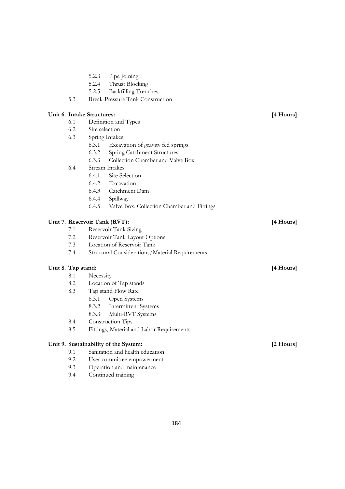- 5.2.3 Pipe Joining
- 5.2.4 Thrust Blocking
- 5.2.5 Backfilling Trenches
- 5.3 Break-Pressure Tank Construction

#### **Unit 6. Intake Structures: [4 Hours]**

- 6.1 Definition and Types
- 6.2 Site selection
- 6.3 Spring Intakes
	- 6.3.1 Excavation of gravity fed springs
	- 6.3.2 Spring Catchment Structures
	- 6.3.3 Collection Chamber and Valve Box

#### 6.4 Stream Intakes

- 6.4.1 Site Selection
- 6.4.2 Excavation
- 6.4.3 Catchment Dam
- 6.4.4 Spillway
- 6.4.5 Valve Box, Collection Chamber and Fittings

#### Unit 7. Reservoir Tank (RVT): [4 Hours]

- 7.1 Reservoir Tank Sizing
- 7.2 Reservoir Tank Layout Options
- 7.3 Location of Reservoir Tank
- 7.4 Structural Considerations/Material Requirements

#### Unit 8. Tap stand: [4 Hours]

#### 8.1 Necessity

- 8.2 Location of Tap stands
- 8.3 Tap stand Flow Rate
	- 8.3.1 Open Systems
	- 8.3.2 Intermittent Systems
	- 8.3.3 Multi-RVT Systems
- 8.4 Construction Tips
- 8.5 Fittings, Material and Labor Requirements

#### **Unit 9. Sustainability of the System: [2 Hours]**

- 9.1 Sanitation and health education
- 9.2 User committee empowerment
- 9.3 Operation and maintenance
- 9.4 Continued training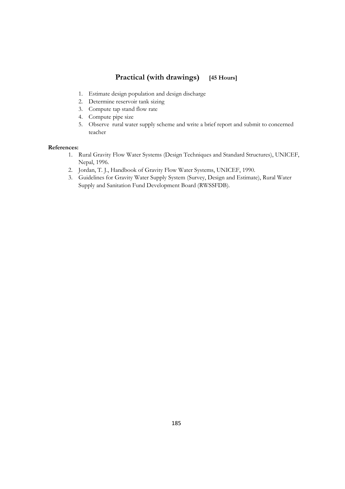## **Practical (with drawings) [45 Hours]**

- 1. Estimate design population and design discharge
- 2. Determine reservoir tank sizing
- 3. Compute tap stand flow rate
- 4. Compute pipe size
- 5. Observe rural water supply scheme and write a brief report and submit to concerned teacher

#### **References:**

- 1. Rural Gravity Flow Water Systems (Design Techniques and Standard Structures), UNICEF, Nepal, 1996.
- 2. Jordan, T. J., Handbook of Gravity Flow Water Systems, UNICEF, 1990.
- 3. Guidelines for Gravity Water Supply System (Survey, Design and Estimate), Rural Water Supply and Sanitation Fund Development Board (RWSSFDB).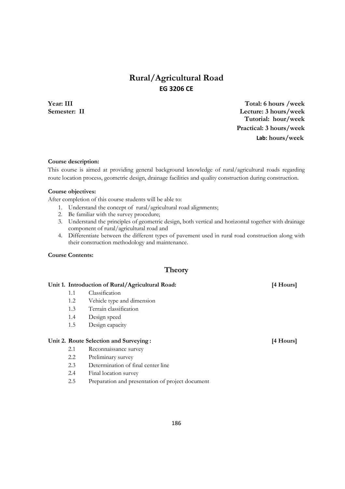# **Rural/Agricultural Road EG 3206 CE**

**Year: III Total: 6 hours /week Semester: II Lecture: 3 hours/week Tutorial: hour/week Practical: 3 hours/week Lab: hours/week**

#### **Course description:**

This course is aimed at providing general background knowledge of rural/agricultural roads regarding route location process, geometric design, drainage facilities and quality construction during construction.

#### **Course objectives:**

After completion of this course students will be able to:

- 1. Understand the concept of rural/agricultural road alignments;
- 2. Be familiar with the survey procedure;
- 3. Understand the principles of geometric design, both vertical and horizontal together with drainage component of rural/agricultural road and
- 4. Differentiate between the different types of pavement used in rural road construction along with their construction methodology and maintenance.

#### **Course Contents:**

### **Theory**

#### **Unit 1. Introduction of Rural/Agricultural Road: [4 Hours]**

- 1.1 Classification
- 1.2 Vehicle type and dimension
- 1.3 Terrain classification
- 1.4 Design speed
- 1.5 Design capacity

#### Unit 2. Route Selection and Surveying : **and Surveying :** [4 Hours]

- 2.1 Reconnaissance survey
- 2.2 Preliminary survey
- 2.3 Determination of final center line
- 2.4 Final location survey
- 2.5 Preparation and presentation of project document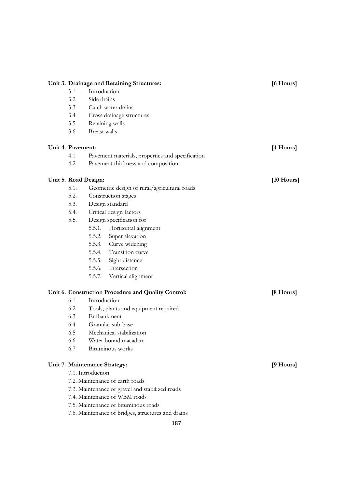| Unit 3. Drainage and Retaining Structures:              |                                                      |                                    |                                                     | [6 Hours] |
|---------------------------------------------------------|------------------------------------------------------|------------------------------------|-----------------------------------------------------|-----------|
|                                                         | Introduction<br>3.1                                  |                                    |                                                     |           |
|                                                         | 3.2                                                  | Side drains                        |                                                     |           |
|                                                         | 3.3<br>Catch water drains                            |                                    |                                                     |           |
|                                                         | 3.4<br>Cross drainage structures                     |                                    |                                                     |           |
|                                                         | 3.5                                                  |                                    | Retaining walls                                     |           |
|                                                         | 3.6                                                  | <b>Breast walls</b>                |                                                     |           |
| Unit 4. Pavement:                                       |                                                      |                                    |                                                     | [4 Hours] |
| 4.1<br>Pavement materials, properties and specification |                                                      |                                    |                                                     |           |
| 4.2                                                     |                                                      | Pavement thickness and composition |                                                     |           |
|                                                         |                                                      |                                    |                                                     |           |
|                                                         | Unit 5. Road Design:                                 |                                    | $[10$ Hours]                                        |           |
|                                                         | 5.1.<br>Geometric design of rural/agricultural roads |                                    |                                                     |           |
|                                                         | 5.2.                                                 |                                    | Construction stages                                 |           |
|                                                         | 5.3.                                                 |                                    | Design standard                                     |           |
|                                                         | 5.4.                                                 | Critical design factors            |                                                     |           |
|                                                         | 5.5.                                                 |                                    | Design specification for                            |           |
|                                                         |                                                      | 5.5.1.                             | Horizontal alignment                                |           |
|                                                         |                                                      | 5.5.2.                             | Super elevation                                     |           |
|                                                         |                                                      |                                    | 5.5.3. Curve widening                               |           |
|                                                         |                                                      |                                    | 5.5.4. Transition curve                             |           |
|                                                         |                                                      |                                    | 5.5.5. Sight distance                               |           |
|                                                         |                                                      |                                    | 5.5.6. Intersection                                 |           |
|                                                         |                                                      |                                    | 5.5.7. Vertical alignment                           |           |
|                                                         |                                                      |                                    | Unit 6. Construction Procedure and Quality Control: | [8 Hours] |
|                                                         | 6.1                                                  | Introduction                       |                                                     |           |
|                                                         | 6.2                                                  |                                    | Tools, plants and equipment required                |           |
|                                                         | 6.3                                                  | Embankment                         |                                                     |           |
|                                                         | 6.4                                                  |                                    | Granular sub-base                                   |           |
|                                                         | 6.5                                                  |                                    | Mechanical stabilization                            |           |
|                                                         | 6.6                                                  |                                    | Water bound macadam                                 |           |
|                                                         | 6.7                                                  |                                    | Bituminous works                                    |           |
|                                                         |                                                      |                                    |                                                     |           |
| Unit 7. Maintenance Strategy:<br>7.1. Introduction      |                                                      |                                    |                                                     | [9 Hours] |
| 7.2. Maintenance of earth roads                         |                                                      |                                    |                                                     |           |
|                                                         | 7.3. Maintenance of gravel and stabilized roads      |                                    |                                                     |           |
|                                                         | 7.4. Maintenance of WBM roads                        |                                    |                                                     |           |
|                                                         | 7.5. Maintenance of bituminous roads                 |                                    |                                                     |           |
|                                                         | 7.6. Maintenance of bridges, structures and drains   |                                    |                                                     |           |
|                                                         |                                                      |                                    |                                                     |           |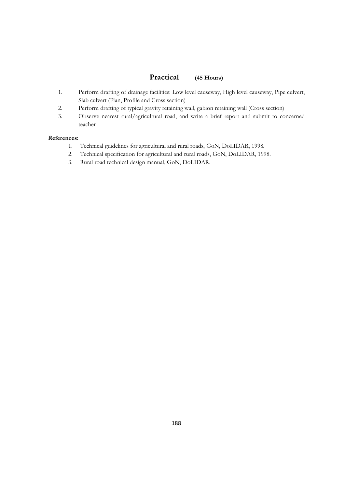## **Practical (45 Hours)**

- 1. Perform drafting of drainage facilities: Low level causeway, High level causeway, Pipe culvert, Slab culvert (Plan, Profile and Cross section)
- 2. Perform drafting of typical gravity retaining wall, gabion retaining wall (Cross section)
- 3. Observe nearest rural/agricultural road, and write a brief report and submit to concerned teacher

### **References:**

- 1. Technical guidelines for agricultural and rural roads, GoN, DoLIDAR, 1998.
- 2. Technical specification for agricultural and rural roads, GoN, DoLIDAR, 1998.
- 3. Rural road technical design manual, GoN, DoLIDAR.